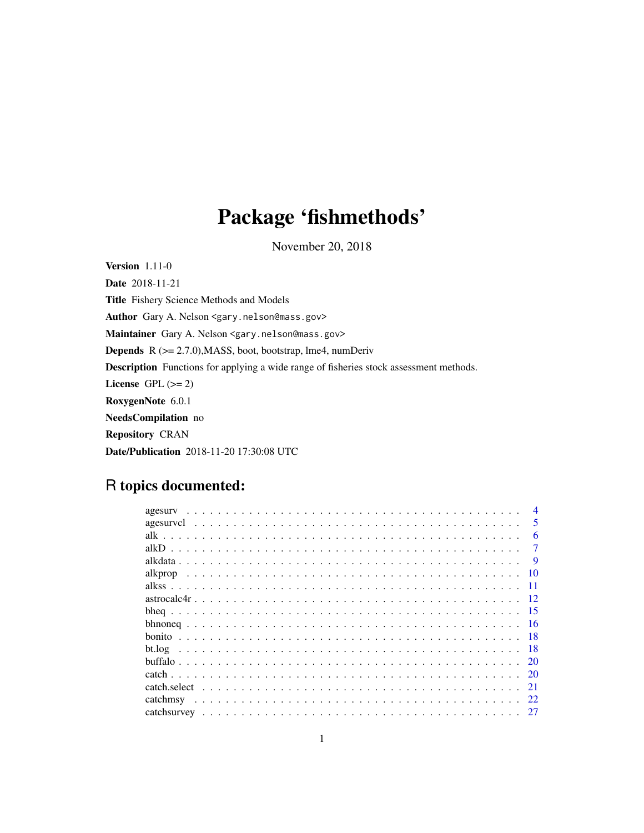# Package 'fishmethods'

November 20, 2018

Version 1.11-0 Date 2018-11-21 Title Fishery Science Methods and Models Author Gary A. Nelson <gary.nelson@mass.gov> Maintainer Gary A. Nelson <gary.nelson@mass.gov> Depends R (>= 2.7.0),MASS, boot, bootstrap, lme4, numDeriv Description Functions for applying a wide range of fisheries stock assessment methods. License GPL  $(>= 2)$ RoxygenNote 6.0.1 NeedsCompilation no Repository CRAN Date/Publication 2018-11-20 17:30:08 UTC

# R topics documented:

| agesury |                         |
|---------|-------------------------|
|         | $\overline{\mathbf{5}}$ |
|         | 6                       |
|         |                         |
|         | 9                       |
|         | -10                     |
|         | -11                     |
|         |                         |
|         |                         |
|         |                         |
|         | -18                     |
| bt.log  | -18                     |
|         |                         |
|         |                         |
|         | 21                      |
|         | 22                      |
|         |                         |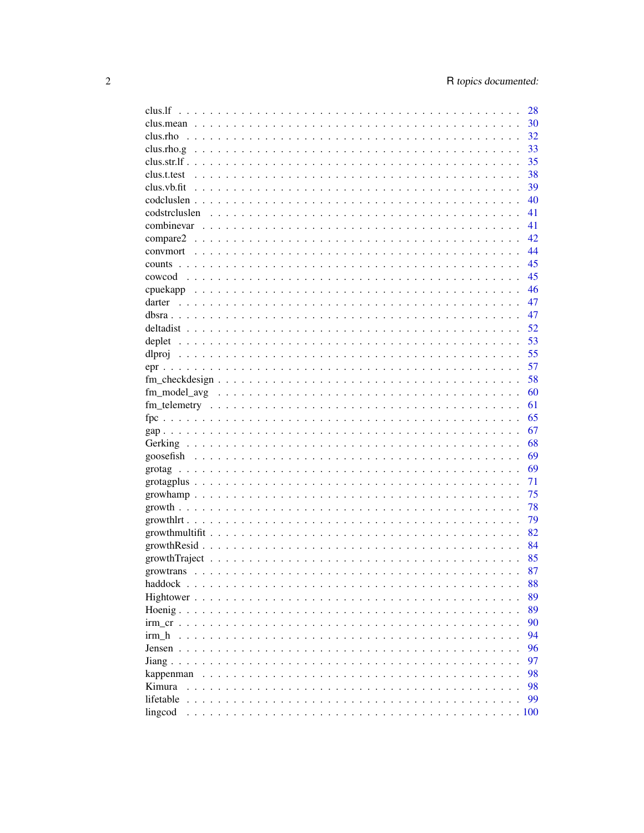|                                                                                                                                                                                                                                                                                                                 | 28   |
|-----------------------------------------------------------------------------------------------------------------------------------------------------------------------------------------------------------------------------------------------------------------------------------------------------------------|------|
|                                                                                                                                                                                                                                                                                                                 | 30   |
|                                                                                                                                                                                                                                                                                                                 | 32   |
|                                                                                                                                                                                                                                                                                                                 | 33   |
|                                                                                                                                                                                                                                                                                                                 | 35   |
|                                                                                                                                                                                                                                                                                                                 | 38   |
|                                                                                                                                                                                                                                                                                                                 | 39   |
|                                                                                                                                                                                                                                                                                                                 | 40   |
|                                                                                                                                                                                                                                                                                                                 | 41   |
|                                                                                                                                                                                                                                                                                                                 | 41   |
|                                                                                                                                                                                                                                                                                                                 | 42   |
|                                                                                                                                                                                                                                                                                                                 | 44   |
|                                                                                                                                                                                                                                                                                                                 | 45   |
|                                                                                                                                                                                                                                                                                                                 | 45   |
|                                                                                                                                                                                                                                                                                                                 | 46   |
|                                                                                                                                                                                                                                                                                                                 | 47   |
|                                                                                                                                                                                                                                                                                                                 | 47   |
|                                                                                                                                                                                                                                                                                                                 | 52   |
|                                                                                                                                                                                                                                                                                                                 | 53   |
|                                                                                                                                                                                                                                                                                                                 |      |
|                                                                                                                                                                                                                                                                                                                 | 55   |
|                                                                                                                                                                                                                                                                                                                 | 57   |
|                                                                                                                                                                                                                                                                                                                 | 58   |
|                                                                                                                                                                                                                                                                                                                 | 60   |
|                                                                                                                                                                                                                                                                                                                 | 61   |
|                                                                                                                                                                                                                                                                                                                 | 65   |
|                                                                                                                                                                                                                                                                                                                 | 67   |
|                                                                                                                                                                                                                                                                                                                 | 68   |
|                                                                                                                                                                                                                                                                                                                 | 69   |
|                                                                                                                                                                                                                                                                                                                 | 69   |
|                                                                                                                                                                                                                                                                                                                 | 71   |
|                                                                                                                                                                                                                                                                                                                 | 75   |
|                                                                                                                                                                                                                                                                                                                 | 78   |
|                                                                                                                                                                                                                                                                                                                 | 79   |
|                                                                                                                                                                                                                                                                                                                 | 82   |
|                                                                                                                                                                                                                                                                                                                 | 84   |
|                                                                                                                                                                                                                                                                                                                 | 85   |
|                                                                                                                                                                                                                                                                                                                 | 87   |
|                                                                                                                                                                                                                                                                                                                 | 88   |
| Hightower                                                                                                                                                                                                                                                                                                       | 89   |
| Hoenig $\ldots$ .<br>$\mathbf{r}$ . The set of the set of the set of the set of the set of the set of the set of the set of the set of the set of the set of the set of the set of the set of the set of the set of the set of the set of the set of t<br>$\cdots$<br>$\cdot$ $\cdot$ $\cdot$<br>$\sim$         | 89   |
| $irm cr \dots$<br>$\sim$ $\sim$                                                                                                                                                                                                                                                                                 | 90   |
| irm h<br>$\sim$ $\sim$ $\sim$<br>$\mathbf{r}$ . The set of the set of the set of the set of the set of the set of the set of the set of the set of the set of the set of the set of the set of the set of the set of the set of the set of the set of the set of t<br>$\sim$ $\sim$ $\sim$ $\sim$ $\sim$ $\sim$ | 94   |
| Jensen $\ldots$ .                                                                                                                                                                                                                                                                                               | 96   |
| Jiang $\ldots$ $\ldots$<br>$\ddots$                                                                                                                                                                                                                                                                             | 97   |
| kappenman                                                                                                                                                                                                                                                                                                       | 98   |
| Kimura                                                                                                                                                                                                                                                                                                          | 98   |
|                                                                                                                                                                                                                                                                                                                 | 99   |
| lifetable                                                                                                                                                                                                                                                                                                       | .100 |
| lingcod                                                                                                                                                                                                                                                                                                         |      |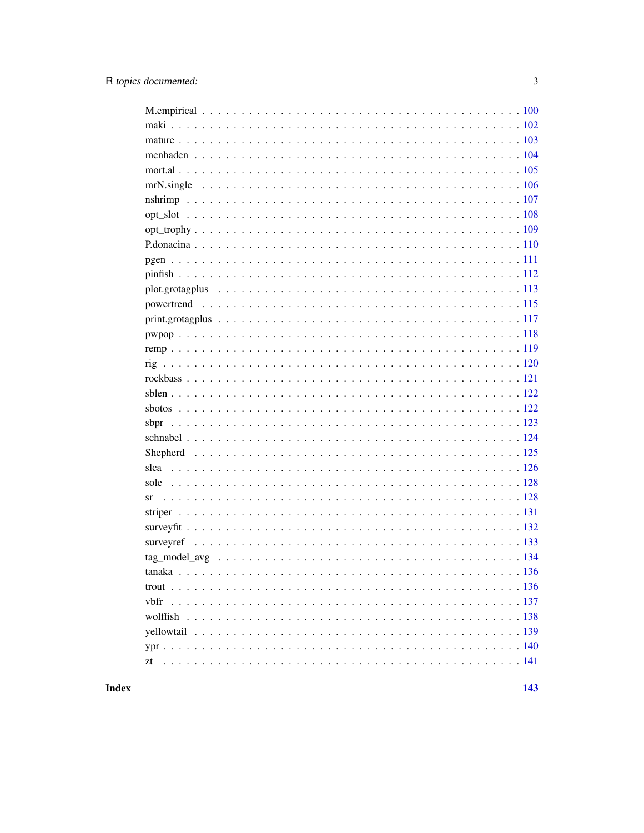| sbpr |
|------|
|      |
|      |
|      |
|      |
| sr   |
|      |
|      |
|      |
|      |
|      |
|      |
|      |
|      |
|      |
|      |
| zt   |
|      |

**Index**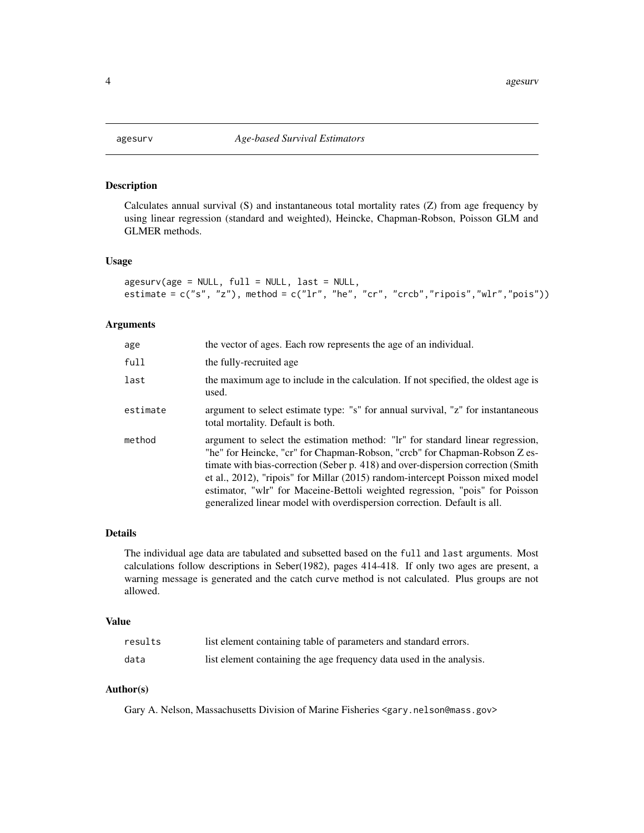<span id="page-3-1"></span><span id="page-3-0"></span>

Calculates annual survival (S) and instantaneous total mortality rates (Z) from age frequency by using linear regression (standard and weighted), Heincke, Chapman-Robson, Poisson GLM and GLMER methods.

#### Usage

```
agesurv(age = NULL, full = NULL, last = NULL,
estimate = c("s", "z"), method = c("lr", "he", "cr", "crcb", "ripois", "wlr", "pois"))
```
### Arguments

| age      | the vector of ages. Each row represents the age of an individual.                                                                                                                                                                                                                                                                                                                                                                                                                               |
|----------|-------------------------------------------------------------------------------------------------------------------------------------------------------------------------------------------------------------------------------------------------------------------------------------------------------------------------------------------------------------------------------------------------------------------------------------------------------------------------------------------------|
| full     | the fully-recruited age                                                                                                                                                                                                                                                                                                                                                                                                                                                                         |
| last     | the maximum age to include in the calculation. If not specified, the oldest age is<br>used.                                                                                                                                                                                                                                                                                                                                                                                                     |
| estimate | argument to select estimate type: "s" for annual survival, "z" for instantaneous<br>total mortality. Default is both.                                                                                                                                                                                                                                                                                                                                                                           |
| method   | argument to select the estimation method: "lr" for standard linear regression,<br>"he" for Heincke, "cr" for Chapman-Robson, "crcb" for Chapman-Robson Z es-<br>timate with bias-correction (Seber p. 418) and over-dispersion correction (Smith)<br>et al., 2012), "ripois" for Millar (2015) random-intercept Poisson mixed model<br>estimator, "wlr" for Maceine-Bettoli weighted regression, "pois" for Poisson<br>generalized linear model with overdispersion correction. Default is all. |

### Details

The individual age data are tabulated and subsetted based on the full and last arguments. Most calculations follow descriptions in Seber(1982), pages 414-418. If only two ages are present, a warning message is generated and the catch curve method is not calculated. Plus groups are not allowed.

#### Value

| results | list element containing table of parameters and standard errors.     |
|---------|----------------------------------------------------------------------|
| data    | list element containing the age frequency data used in the analysis. |

### Author(s)

Gary A. Nelson, Massachusetts Division of Marine Fisheries <gary.nelson@mass.gov>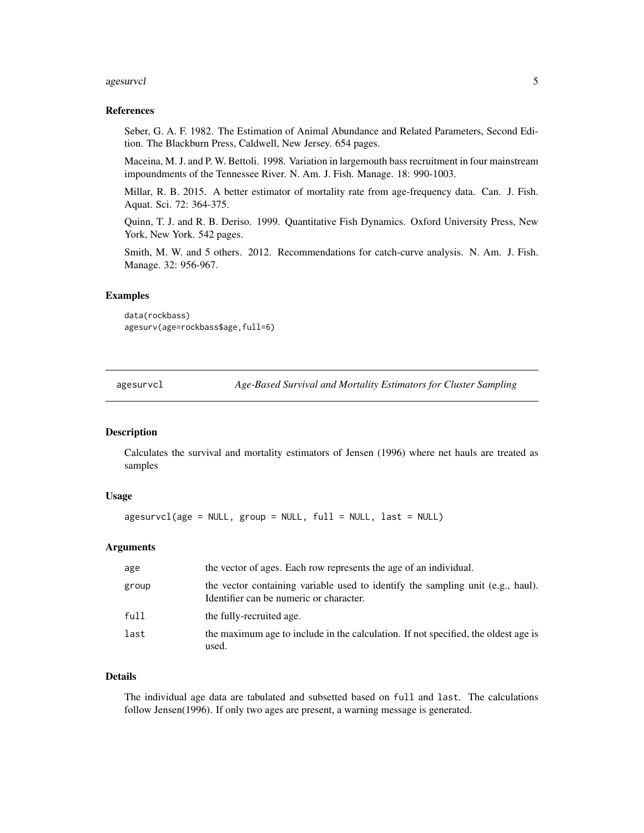#### <span id="page-4-0"></span>agesurvcl<sup>5</sup> and the set of the set of the set of the set of the set of the set of the set of the set of the set of the set of the set of the set of the set of the set of the set of the set of the set of the set of the set

### References

Seber, G. A. F. 1982. The Estimation of Animal Abundance and Related Parameters, Second Edition. The Blackburn Press, Caldwell, New Jersey. 654 pages.

Maceina, M. J. and P. W. Bettoli. 1998. Variation in largemouth bass recruitment in four mainstream impoundments of the Tennessee River. N. Am. J. Fish. Manage. 18: 990-1003.

Millar, R. B. 2015. A better estimator of mortality rate from age-frequency data. Can. J. Fish. Aquat. Sci. 72: 364-375.

Quinn, T. J. and R. B. Deriso. 1999. Quantitative Fish Dynamics. Oxford University Press, New York, New York. 542 pages.

Smith, M. W. and 5 others. 2012. Recommendations for catch-curve analysis. N. Am. J. Fish. Manage. 32: 956-967.

### Examples

```
data(rockbass)
agesurv(age=rockbass$age,full=6)
```
agesurvcl *Age-Based Survival and Mortality Estimators for Cluster Sampling*

### Description

Calculates the survival and mortality estimators of Jensen (1996) where net hauls are treated as samples

### Usage

 $agesurvcl(age = NULL, group = NULL, full = NULL, last = NULL)$ 

### Arguments

| age   | the vector of ages. Each row represents the age of an individual.                                                          |
|-------|----------------------------------------------------------------------------------------------------------------------------|
| group | the vector containing variable used to identify the sampling unit (e.g., haul).<br>Identifier can be numeric or character. |
| full  | the fully-recruited age.                                                                                                   |
| last  | the maximum age to include in the calculation. If not specified, the oldest age is<br>used.                                |

### Details

The individual age data are tabulated and subsetted based on full and last. The calculations follow Jensen(1996). If only two ages are present, a warning message is generated.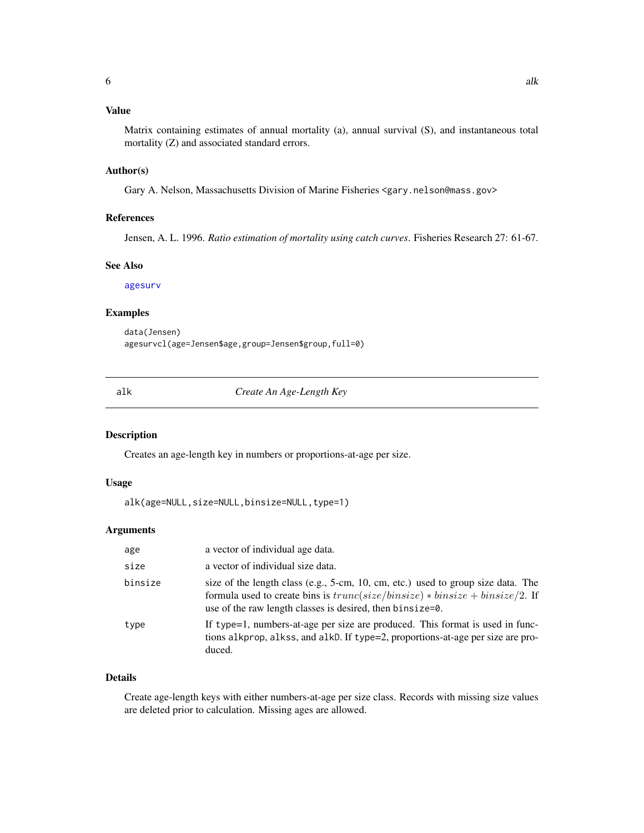### <span id="page-5-0"></span>Value

Matrix containing estimates of annual mortality (a), annual survival (S), and instantaneous total mortality (Z) and associated standard errors.

### Author(s)

Gary A. Nelson, Massachusetts Division of Marine Fisheries <gary.nelson@mass.gov>

### References

Jensen, A. L. 1996. *Ratio estimation of mortality using catch curves*. Fisheries Research 27: 61-67.

### See Also

[agesurv](#page-3-1)

### Examples

data(Jensen) agesurvcl(age=Jensen\$age,group=Jensen\$group,full=0)

alk *Create An Age-Length Key*

### Description

Creates an age-length key in numbers or proportions-at-age per size.

#### Usage

```
alk(age=NULL,size=NULL,binsize=NULL,type=1)
```
### Arguments

| age     | a vector of individual age data.                                                                                                                                                                                                 |
|---------|----------------------------------------------------------------------------------------------------------------------------------------------------------------------------------------------------------------------------------|
| size    | a vector of individual size data.                                                                                                                                                                                                |
| binsize | size of the length class (e.g., 5-cm, 10, cm, etc.) used to group size data. The<br>formula used to create bins is $trunc(size/binsize) * binsize + binsize/2$ . If<br>use of the raw length classes is desired, then binsize=0. |
| type    | If type=1, numbers-at-age per size are produced. This format is used in func-<br>tions alkprop, alkss, and alkD. If type=2, proportions-at-age per size are pro-<br>duced.                                                       |

### Details

Create age-length keys with either numbers-at-age per size class. Records with missing size values are deleted prior to calculation. Missing ages are allowed.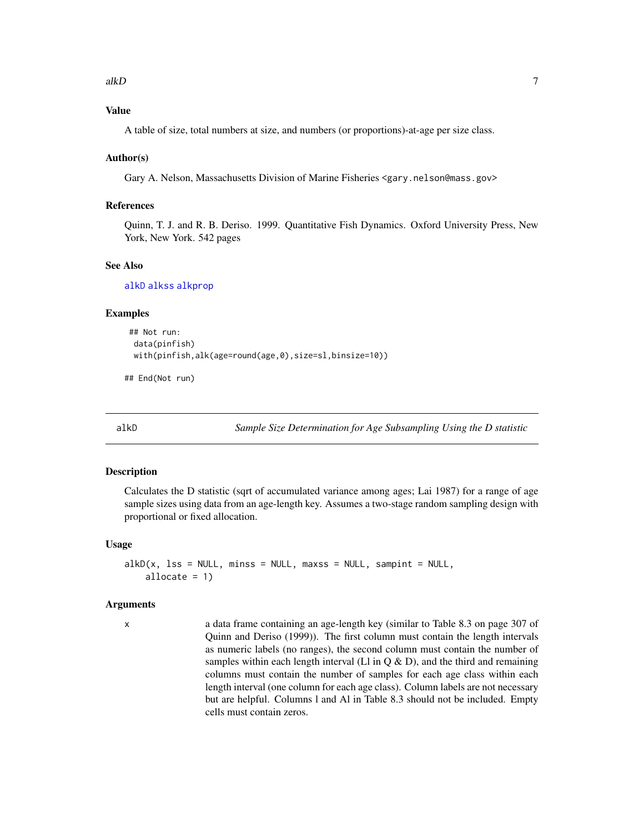### <span id="page-6-0"></span>alkD  $\sigma$  7 and 2008  $\sigma$  7 and 2008  $\sigma$  7 and 2008  $\sigma$  7 and 2008  $\sigma$  7 and 2008  $\sigma$  7 and 2008  $\sigma$  7 and 2008  $\sigma$  7 and 2008  $\sigma$  7 and 2008  $\sigma$  7 and 2008  $\sigma$  7 and 2008  $\sigma$  7 and 2008  $\sigma$  7 and 2008  $\sigma$  7 a

### Value

A table of size, total numbers at size, and numbers (or proportions)-at-age per size class.

### Author(s)

Gary A. Nelson, Massachusetts Division of Marine Fisheries <gary.nelson@mass.gov>

### References

Quinn, T. J. and R. B. Deriso. 1999. Quantitative Fish Dynamics. Oxford University Press, New York, New York. 542 pages

### See Also

[alkD](#page-6-1) [alkss](#page-10-1) [alkprop](#page-9-1)

#### Examples

```
## Not run:
data(pinfish)
with(pinfish,alk(age=round(age,0),size=sl,binsize=10))
```
## End(Not run)

<span id="page-6-1"></span>alkD *Sample Size Determination for Age Subsampling Using the D statistic*

### Description

Calculates the D statistic (sqrt of accumulated variance among ages; Lai 1987) for a range of age sample sizes using data from an age-length key. Assumes a two-stage random sampling design with proportional or fixed allocation.

### Usage

```
alkD(x, 1ss = NULL, mins = NULL, maxss = NULL, sampint = NULL,allocate = 1)
```
#### Arguments

x a data frame containing an age-length key (similar to Table 8.3 on page 307 of Quinn and Deriso (1999)). The first column must contain the length intervals as numeric labels (no ranges), the second column must contain the number of samples within each length interval (Ll in  $Q & D$ ), and the third and remaining columns must contain the number of samples for each age class within each length interval (one column for each age class). Column labels are not necessary but are helpful. Columns l and Al in Table 8.3 should not be included. Empty cells must contain zeros.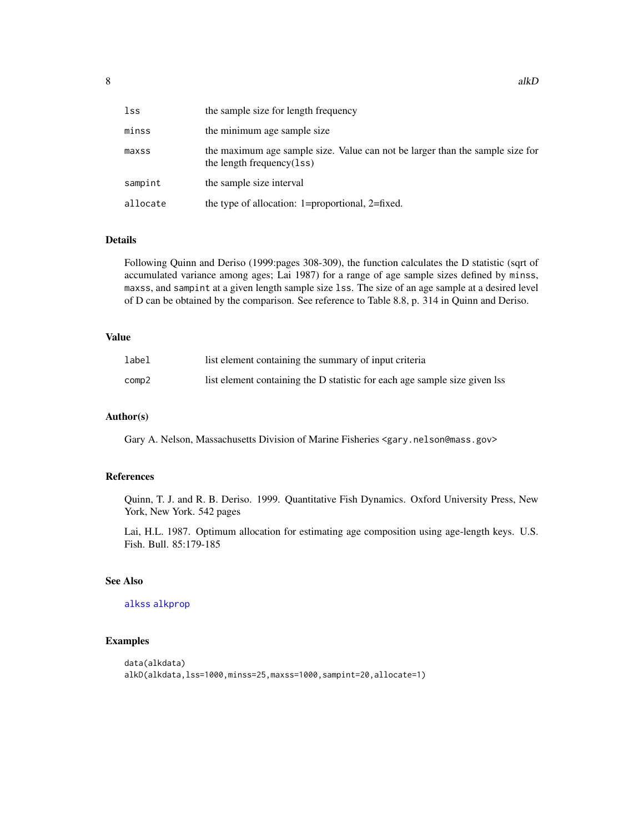| lss      | the sample size for length frequency                                                                          |
|----------|---------------------------------------------------------------------------------------------------------------|
| minss    | the minimum age sample size                                                                                   |
| maxss    | the maximum age sample size. Value can not be larger than the sample size for<br>the length frequency $(1ss)$ |
| sampint  | the sample size interval                                                                                      |
| allocate | the type of allocation: 1=proportional, 2=fixed.                                                              |

### Details

Following Quinn and Deriso (1999:pages 308-309), the function calculates the D statistic (sqrt of accumulated variance among ages; Lai 1987) for a range of age sample sizes defined by minss, maxss, and sampint at a given length sample size lss. The size of an age sample at a desired level of D can be obtained by the comparison. See reference to Table 8.8, p. 314 in Quinn and Deriso.

### Value

| label | list element containing the summary of input criteria                      |
|-------|----------------------------------------------------------------------------|
| comp2 | list element containing the D statistic for each age sample size given lss |

### Author(s)

Gary A. Nelson, Massachusetts Division of Marine Fisheries <gary.nelson@mass.gov>

### References

Quinn, T. J. and R. B. Deriso. 1999. Quantitative Fish Dynamics. Oxford University Press, New York, New York. 542 pages

Lai, H.L. 1987. Optimum allocation for estimating age composition using age-length keys. U.S. Fish. Bull. 85:179-185

### See Also

### [alkss](#page-10-1) [alkprop](#page-9-1)

### Examples

```
data(alkdata)
alkD(alkdata,lss=1000,minss=25,maxss=1000,sampint=20,allocate=1)
```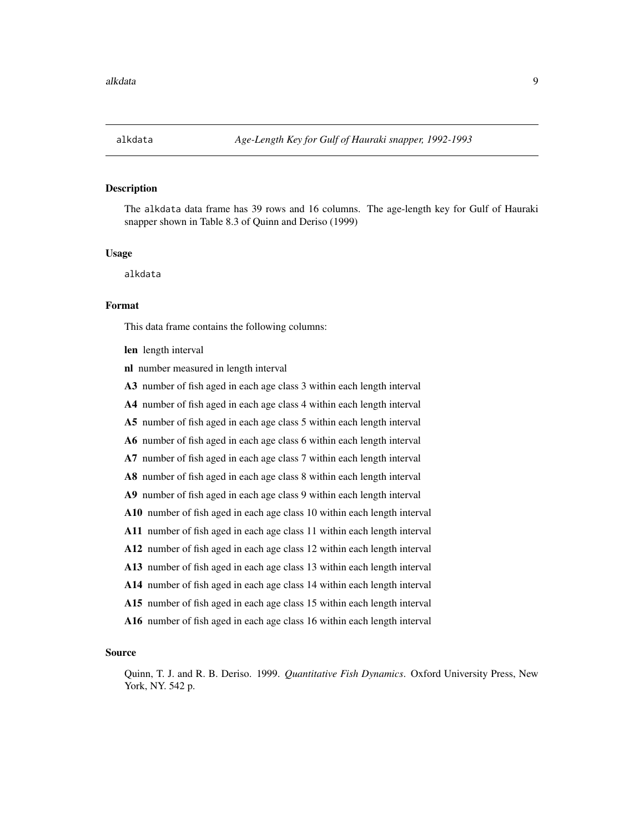<span id="page-8-0"></span>

The alkdata data frame has 39 rows and 16 columns. The age-length key for Gulf of Hauraki snapper shown in Table 8.3 of Quinn and Deriso (1999)

### Usage

alkdata

### Format

This data frame contains the following columns:

len length interval

nl number measured in length interval

A3 number of fish aged in each age class 3 within each length interval

A4 number of fish aged in each age class 4 within each length interval

A5 number of fish aged in each age class 5 within each length interval

A6 number of fish aged in each age class 6 within each length interval

A7 number of fish aged in each age class 7 within each length interval

A8 number of fish aged in each age class 8 within each length interval

A9 number of fish aged in each age class 9 within each length interval

A10 number of fish aged in each age class 10 within each length interval

A11 number of fish aged in each age class 11 within each length interval

A12 number of fish aged in each age class 12 within each length interval

A13 number of fish aged in each age class 13 within each length interval

A14 number of fish aged in each age class 14 within each length interval

A15 number of fish aged in each age class 15 within each length interval

A16 number of fish aged in each age class 16 within each length interval

### Source

Quinn, T. J. and R. B. Deriso. 1999. *Quantitative Fish Dynamics*. Oxford University Press, New York, NY. 542 p.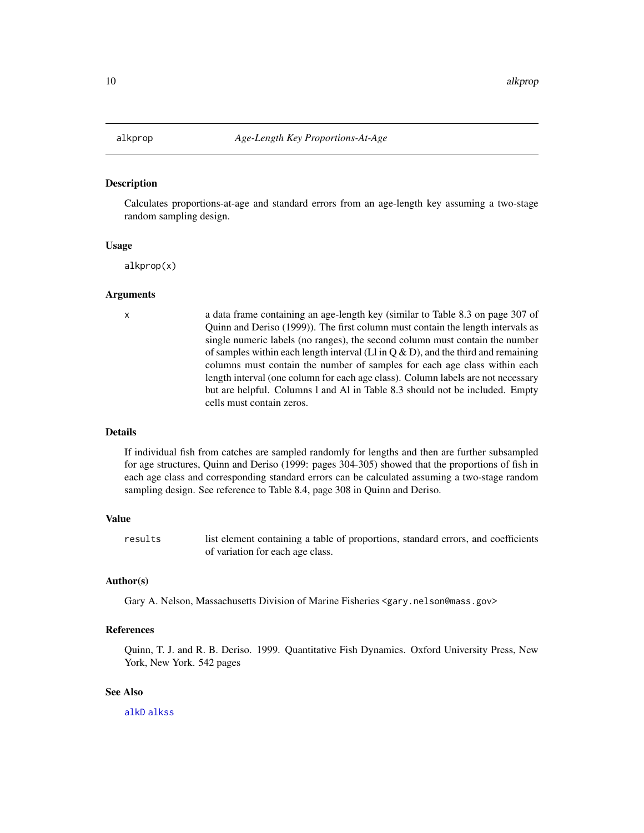<span id="page-9-1"></span><span id="page-9-0"></span>

Calculates proportions-at-age and standard errors from an age-length key assuming a two-stage random sampling design.

#### Usage

alkprop(x)

### Arguments

x a data frame containing an age-length key (similar to Table 8.3 on page 307 of Quinn and Deriso (1999)). The first column must contain the length intervals as single numeric labels (no ranges), the second column must contain the number of samples within each length interval (Ll in  $Q & D$ ), and the third and remaining columns must contain the number of samples for each age class within each length interval (one column for each age class). Column labels are not necessary but are helpful. Columns l and Al in Table 8.3 should not be included. Empty cells must contain zeros.

### Details

If individual fish from catches are sampled randomly for lengths and then are further subsampled for age structures, Quinn and Deriso (1999: pages 304-305) showed that the proportions of fish in each age class and corresponding standard errors can be calculated assuming a two-stage random sampling design. See reference to Table 8.4, page 308 in Quinn and Deriso.

#### Value

results list element containing a table of proportions, standard errors, and coefficients of variation for each age class.

### Author(s)

Gary A. Nelson, Massachusetts Division of Marine Fisheries <gary.nelson@mass.gov>

#### References

Quinn, T. J. and R. B. Deriso. 1999. Quantitative Fish Dynamics. Oxford University Press, New York, New York. 542 pages

### See Also

[alkD](#page-6-1) [alkss](#page-10-1)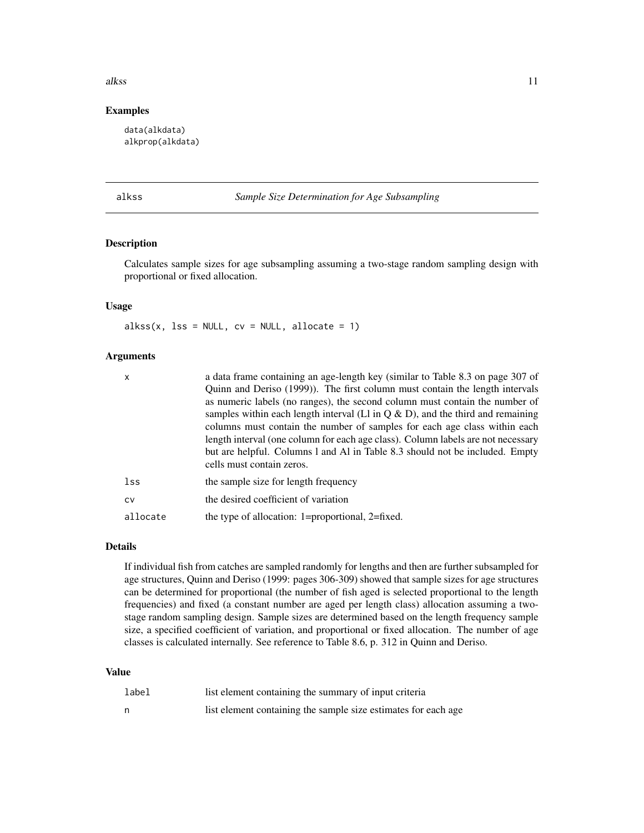#### <span id="page-10-0"></span>alkss and the set of the set of the set of the set of the set of the set of the set of the set of the set of the set of the set of the set of the set of the set of the set of the set of the set of the set of the set of the

### Examples

data(alkdata) alkprop(alkdata)

<span id="page-10-1"></span>alkss *Sample Size Determination for Age Subsampling*

### Description

Calculates sample sizes for age subsampling assuming a two-stage random sampling design with proportional or fixed allocation.

### Usage

 $alkss(x, 1ss = NULL, cv = NULL, allocate = 1)$ 

### Arguments

| X         | a data frame containing an age-length key (similar to Table 8.3 on page 307 of                                                                                                                                                                                                                                                                                                                                                                 |
|-----------|------------------------------------------------------------------------------------------------------------------------------------------------------------------------------------------------------------------------------------------------------------------------------------------------------------------------------------------------------------------------------------------------------------------------------------------------|
|           | Quinn and Deriso (1999)). The first column must contain the length intervals                                                                                                                                                                                                                                                                                                                                                                   |
|           | as numeric labels (no ranges), the second column must contain the number of<br>samples within each length interval (L1 in $Q & D$ ), and the third and remaining<br>columns must contain the number of samples for each age class within each<br>length interval (one column for each age class). Column labels are not necessary<br>but are helpful. Columns 1 and Al in Table 8.3 should not be included. Empty<br>cells must contain zeros. |
| lss       | the sample size for length frequency                                                                                                                                                                                                                                                                                                                                                                                                           |
| <b>CV</b> | the desired coefficient of variation                                                                                                                                                                                                                                                                                                                                                                                                           |
| allocate  | the type of allocation: 1=proportional, 2=fixed.                                                                                                                                                                                                                                                                                                                                                                                               |

#### Details

If individual fish from catches are sampled randomly for lengths and then are further subsampled for age structures, Quinn and Deriso (1999: pages 306-309) showed that sample sizes for age structures can be determined for proportional (the number of fish aged is selected proportional to the length frequencies) and fixed (a constant number are aged per length class) allocation assuming a twostage random sampling design. Sample sizes are determined based on the length frequency sample size, a specified coefficient of variation, and proportional or fixed allocation. The number of age classes is calculated internally. See reference to Table 8.6, p. 312 in Quinn and Deriso.

### Value

| label | list element containing the summary of input criteria           |
|-------|-----------------------------------------------------------------|
| n     | list element containing the sample size estimates for each age. |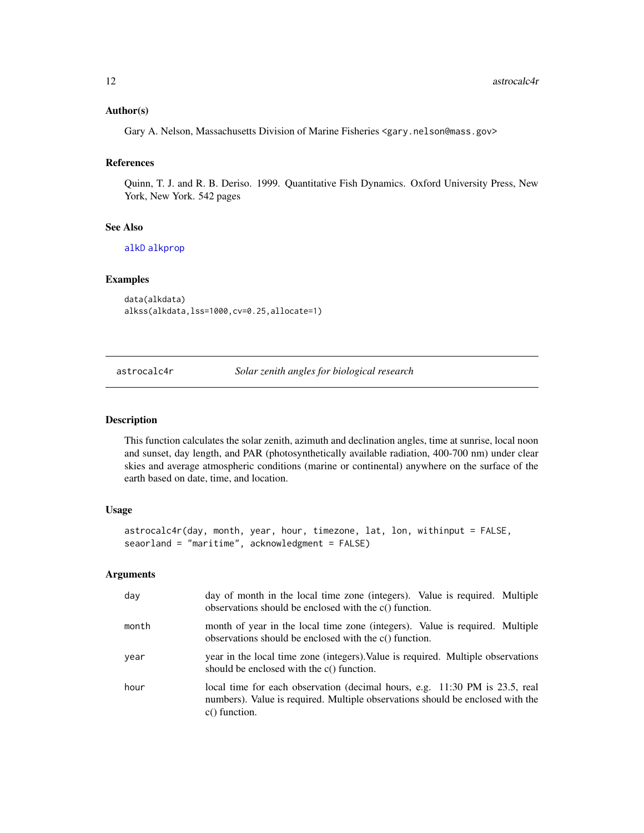### <span id="page-11-0"></span>Author(s)

Gary A. Nelson, Massachusetts Division of Marine Fisheries <gary.nelson@mass.gov>

### References

Quinn, T. J. and R. B. Deriso. 1999. Quantitative Fish Dynamics. Oxford University Press, New York, New York. 542 pages

#### See Also

[alkD](#page-6-1) [alkprop](#page-9-1)

#### Examples

```
data(alkdata)
alkss(alkdata,lss=1000,cv=0.25,allocate=1)
```
astrocalc4r *Solar zenith angles for biological research*

#### Description

This function calculates the solar zenith, azimuth and declination angles, time at sunrise, local noon and sunset, day length, and PAR (photosynthetically available radiation, 400-700 nm) under clear skies and average atmospheric conditions (marine or continental) anywhere on the surface of the earth based on date, time, and location.

#### Usage

```
astrocalc4r(day, month, year, hour, timezone, lat, lon, withinput = FALSE,
seaorland = "maritime", acknowledgment = FALSE)
```
#### Arguments

| day   | day of month in the local time zone (integers). Value is required. Multiple<br>observations should be enclosed with the c() function.                                            |
|-------|----------------------------------------------------------------------------------------------------------------------------------------------------------------------------------|
| month | month of year in the local time zone (integers). Value is required. Multiple<br>observations should be enclosed with the c() function.                                           |
| year  | year in the local time zone (integers). Value is required. Multiple observations<br>should be enclosed with the $c()$ function.                                                  |
| hour  | local time for each observation (decimal hours, e.g. 11:30 PM is 23.5, real<br>numbers). Value is required. Multiple observations should be enclosed with the<br>$c()$ function. |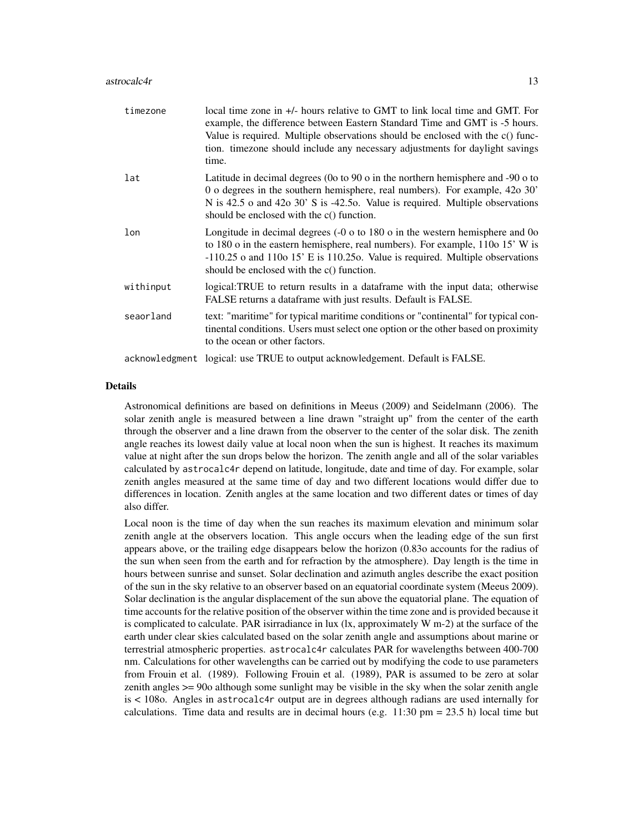#### astrocalc4r 13

| timezone  | local time zone in +/- hours relative to GMT to link local time and GMT. For<br>example, the difference between Eastern Standard Time and GMT is -5 hours.<br>Value is required. Multiple observations should be enclosed with the c() func-<br>tion. timezone should include any necessary adjustments for daylight savings<br>time. |
|-----------|---------------------------------------------------------------------------------------------------------------------------------------------------------------------------------------------------------------------------------------------------------------------------------------------------------------------------------------|
| lat       | Latitude in decimal degrees (0o to 90 o in the northern hemisphere and -90 o to<br>0 o degrees in the southern hemisphere, real numbers). For example, 42o 30'<br>N is 42.5 o and 42o 30' S is -42.5o. Value is required. Multiple observations<br>should be enclosed with the c() function.                                          |
| lon       | Longitude in decimal degrees $(-0 \text{ o to } 180 \text{ o in the western hemisphere and } 0 \text{ o}$<br>to 180 o in the eastern hemisphere, real numbers). For example, 110o 15' W is<br>$-110.25$ o and 110o 15' E is 110.25o. Value is required. Multiple observations<br>should be enclosed with the c() function.            |
| withinput | logical:TRUE to return results in a dataframe with the input data; otherwise<br>FALSE returns a dataframe with just results. Default is FALSE.                                                                                                                                                                                        |
| seaorland | text: "maritime" for typical maritime conditions or "continental" for typical con-<br>tinental conditions. Users must select one option or the other based on proximity<br>to the ocean or other factors.                                                                                                                             |
|           | acknowledgment logical: use TRUE to output acknowledgement. Default is FALSE.                                                                                                                                                                                                                                                         |

### Details

Astronomical definitions are based on definitions in Meeus (2009) and Seidelmann (2006). The solar zenith angle is measured between a line drawn "straight up" from the center of the earth through the observer and a line drawn from the observer to the center of the solar disk. The zenith angle reaches its lowest daily value at local noon when the sun is highest. It reaches its maximum value at night after the sun drops below the horizon. The zenith angle and all of the solar variables calculated by astrocalc4r depend on latitude, longitude, date and time of day. For example, solar zenith angles measured at the same time of day and two different locations would differ due to differences in location. Zenith angles at the same location and two different dates or times of day also differ.

Local noon is the time of day when the sun reaches its maximum elevation and minimum solar zenith angle at the observers location. This angle occurs when the leading edge of the sun first appears above, or the trailing edge disappears below the horizon (0.83o accounts for the radius of the sun when seen from the earth and for refraction by the atmosphere). Day length is the time in hours between sunrise and sunset. Solar declination and azimuth angles describe the exact position of the sun in the sky relative to an observer based on an equatorial coordinate system (Meeus 2009). Solar declination is the angular displacement of the sun above the equatorial plane. The equation of time accounts for the relative position of the observer within the time zone and is provided because it is complicated to calculate. PAR isirradiance in lux  $(lx,$  approximately W m-2) at the surface of the earth under clear skies calculated based on the solar zenith angle and assumptions about marine or terrestrial atmospheric properties. astrocalc4r calculates PAR for wavelengths between 400-700 nm. Calculations for other wavelengths can be carried out by modifying the code to use parameters from Frouin et al. (1989). Following Frouin et al. (1989), PAR is assumed to be zero at solar zenith angles >= 90o although some sunlight may be visible in the sky when the solar zenith angle is < 108o. Angles in astrocalc4r output are in degrees although radians are used internally for calculations. Time data and results are in decimal hours (e.g.  $11:30 \text{ pm} = 23.5 \text{ h}$ ) local time but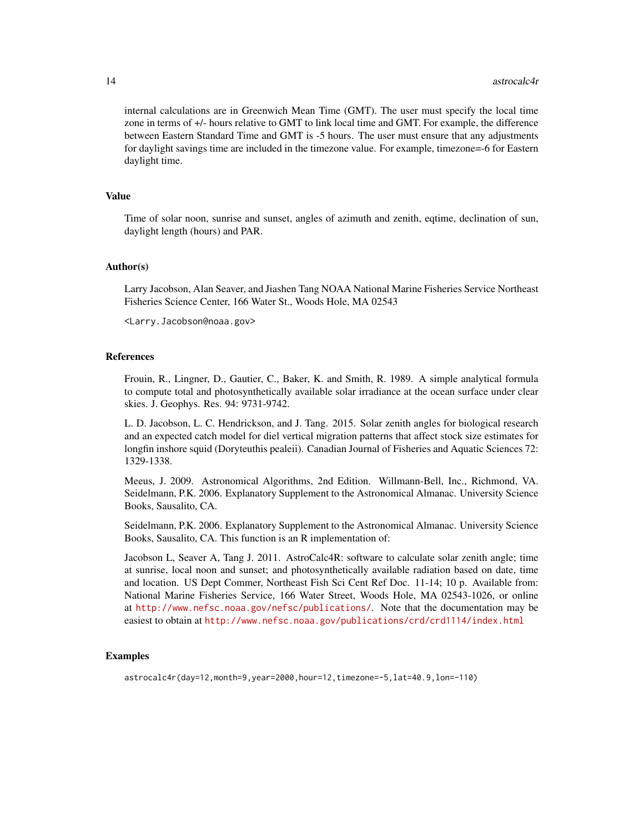internal calculations are in Greenwich Mean Time (GMT). The user must specify the local time zone in terms of +/- hours relative to GMT to link local time and GMT. For example, the difference between Eastern Standard Time and GMT is -5 hours. The user must ensure that any adjustments for daylight savings time are included in the timezone value. For example, timezone=-6 for Eastern daylight time.

#### Value

Time of solar noon, sunrise and sunset, angles of azimuth and zenith, eqtime, declination of sun, daylight length (hours) and PAR.

### Author(s)

Larry Jacobson, Alan Seaver, and Jiashen Tang NOAA National Marine Fisheries Service Northeast Fisheries Science Center, 166 Water St., Woods Hole, MA 02543

<Larry.Jacobson@noaa.gov>

### **References**

Frouin, R., Lingner, D., Gautier, C., Baker, K. and Smith, R. 1989. A simple analytical formula to compute total and photosynthetically available solar irradiance at the ocean surface under clear skies. J. Geophys. Res. 94: 9731-9742.

L. D. Jacobson, L. C. Hendrickson, and J. Tang. 2015. Solar zenith angles for biological research and an expected catch model for diel vertical migration patterns that affect stock size estimates for longfin inshore squid (Doryteuthis pealeii). Canadian Journal of Fisheries and Aquatic Sciences 72: 1329-1338.

Meeus, J. 2009. Astronomical Algorithms, 2nd Edition. Willmann-Bell, Inc., Richmond, VA. Seidelmann, P.K. 2006. Explanatory Supplement to the Astronomical Almanac. University Science Books, Sausalito, CA.

Seidelmann, P.K. 2006. Explanatory Supplement to the Astronomical Almanac. University Science Books, Sausalito, CA. This function is an R implementation of:

Jacobson L, Seaver A, Tang J. 2011. AstroCalc4R: software to calculate solar zenith angle; time at sunrise, local noon and sunset; and photosynthetically available radiation based on date, time and location. US Dept Commer, Northeast Fish Sci Cent Ref Doc. 11-14; 10 p. Available from: National Marine Fisheries Service, 166 Water Street, Woods Hole, MA 02543-1026, or online at <http://www.nefsc.noaa.gov/nefsc/publications/>. Note that the documentation may be easiest to obtain at <http://www.nefsc.noaa.gov/publications/crd/crd1114/index.html>

#### Examples

astrocalc4r(day=12,month=9,year=2000,hour=12,timezone=-5,lat=40.9,lon=-110)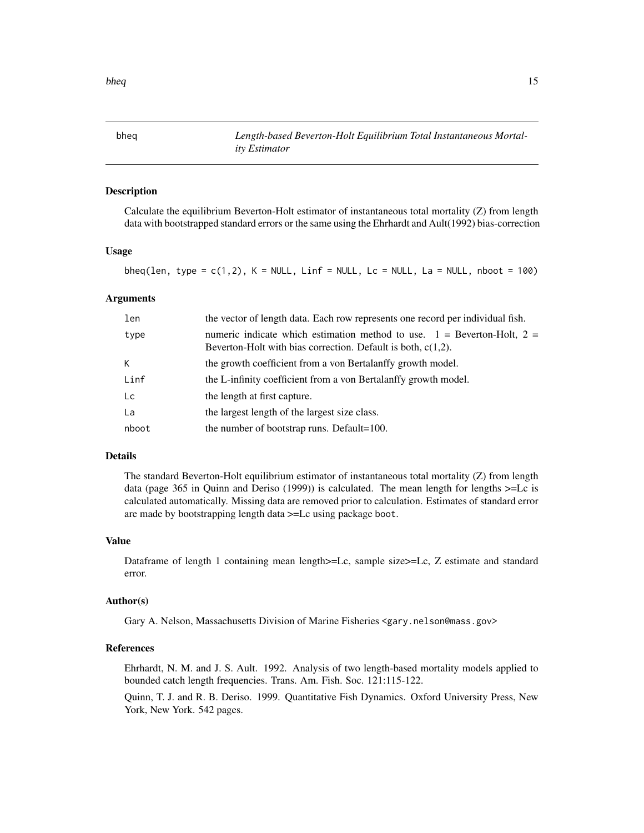<span id="page-14-1"></span><span id="page-14-0"></span>bheq *Length-based Beverton-Holt Equilibrium Total Instantaneous Mortality Estimator*

### Description

Calculate the equilibrium Beverton-Holt estimator of instantaneous total mortality (Z) from length data with bootstrapped standard errors or the same using the Ehrhardt and Ault(1992) bias-correction

### Usage

bheq(len, type =  $c(1,2)$ , K = NULL, Linf = NULL, Lc = NULL, La = NULL, nboot = 100)

### Arguments

| len   | the vector of length data. Each row represents one record per individual fish.                                                                 |
|-------|------------------------------------------------------------------------------------------------------------------------------------------------|
| type  | numeric indicate which estimation method to use. $1 =$ Beverton-Holt, $2 =$<br>Beverton-Holt with bias correction. Default is both, $c(1,2)$ . |
| K     | the growth coefficient from a von Bertalanffy growth model.                                                                                    |
| Linf  | the L-infinity coefficient from a von Bertalanffy growth model.                                                                                |
| Lc    | the length at first capture.                                                                                                                   |
| La    | the largest length of the largest size class.                                                                                                  |
| nboot | the number of bootstrap runs. Default=100.                                                                                                     |

### Details

The standard Beverton-Holt equilibrium estimator of instantaneous total mortality (Z) from length data (page 365 in Quinn and Deriso (1999)) is calculated. The mean length for lengths >=Lc is calculated automatically. Missing data are removed prior to calculation. Estimates of standard error are made by bootstrapping length data >=Lc using package boot.

#### Value

Dataframe of length 1 containing mean length>=Lc, sample size>=Lc, Z estimate and standard error.

### Author(s)

Gary A. Nelson, Massachusetts Division of Marine Fisheries <gary.nelson@mass.gov>

### References

Ehrhardt, N. M. and J. S. Ault. 1992. Analysis of two length-based mortality models applied to bounded catch length frequencies. Trans. Am. Fish. Soc. 121:115-122.

Quinn, T. J. and R. B. Deriso. 1999. Quantitative Fish Dynamics. Oxford University Press, New York, New York. 542 pages.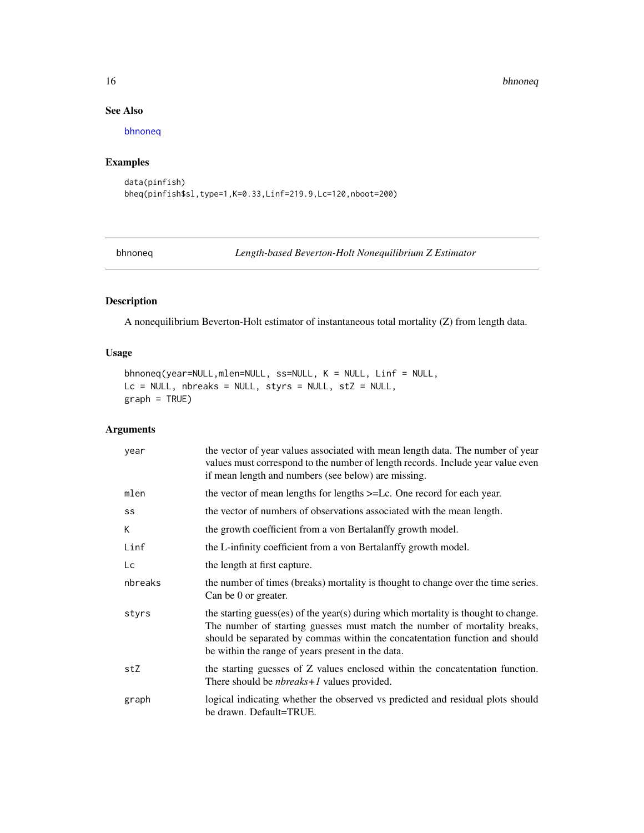#### 16 bhnoneq

### See Also

[bhnoneq](#page-15-1)

## Examples

```
data(pinfish)
bheq(pinfish$sl,type=1,K=0.33,Linf=219.9,Lc=120,nboot=200)
```
<span id="page-15-1"></span>bhnoneq *Length-based Beverton-Holt Nonequilibrium Z Estimator*

## Description

A nonequilibrium Beverton-Holt estimator of instantaneous total mortality (Z) from length data.

### Usage

```
bhnoneq(year=NULL,mlen=NULL, ss=NULL, K = NULL, Linf = NULL,
Lc = NULL, nbreaks = NULL, styrs = NULL, stZ = NULL,
graph = TRUE)
```
### Arguments

| year    | the vector of year values associated with mean length data. The number of year<br>values must correspond to the number of length records. Include year value even<br>if mean length and numbers (see below) are missing.                                                                            |
|---------|-----------------------------------------------------------------------------------------------------------------------------------------------------------------------------------------------------------------------------------------------------------------------------------------------------|
| mlen    | the vector of mean lengths for lengths $>=$ Lc. One record for each year.                                                                                                                                                                                                                           |
| SS      | the vector of numbers of observations associated with the mean length.                                                                                                                                                                                                                              |
| K       | the growth coefficient from a von Bertalanffy growth model.                                                                                                                                                                                                                                         |
| Linf    | the L-infinity coefficient from a von Bertalanffy growth model.                                                                                                                                                                                                                                     |
| Lc      | the length at first capture.                                                                                                                                                                                                                                                                        |
| nbreaks | the number of times (breaks) mortality is thought to change over the time series.<br>Can be 0 or greater.                                                                                                                                                                                           |
| styrs   | the starting guess(es) of the year(s) during which mortality is thought to change.<br>The number of starting guesses must match the number of mortality breaks,<br>should be separated by commas within the concatentation function and should<br>be within the range of years present in the data. |
| stZ     | the starting guesses of Z values enclosed within the concatentation function.<br>There should be <i>nbreaks</i> +1 values provided.                                                                                                                                                                 |
| graph   | logical indicating whether the observed vs predicted and residual plots should<br>be drawn. Default=TRUE.                                                                                                                                                                                           |

<span id="page-15-0"></span>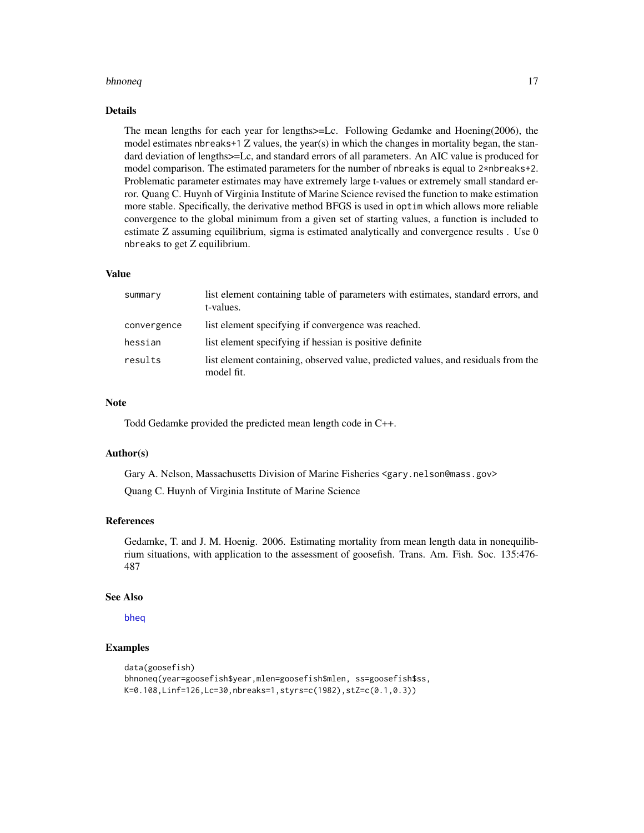#### bhnoneq and the state of the state of the state of the state of the state of the state of the state of the state of the state of the state of the state of the state of the state of the state of the state of the state of th

#### Details

The mean lengths for each year for lengths>=Lc. Following Gedamke and Hoening(2006), the model estimates nbreaks+1  $Z$  values, the year(s) in which the changes in mortality began, the standard deviation of lengths>=Lc, and standard errors of all parameters. An AIC value is produced for model comparison. The estimated parameters for the number of nbreaks is equal to 2\*nbreaks+2. Problematic parameter estimates may have extremely large t-values or extremely small standard error. Quang C. Huynh of Virginia Institute of Marine Science revised the function to make estimation more stable. Specifically, the derivative method BFGS is used in optim which allows more reliable convergence to the global minimum from a given set of starting values, a function is included to estimate Z assuming equilibrium, sigma is estimated analytically and convergence results . Use 0 nbreaks to get Z equilibrium.

#### Value

| summary     | list element containing table of parameters with estimates, standard errors, and<br>t-values.   |
|-------------|-------------------------------------------------------------------------------------------------|
| convergence | list element specifying if convergence was reached.                                             |
| hessian     | list element specifying if hessian is positive definite                                         |
| results     | list element containing, observed value, predicted values, and residuals from the<br>model fit. |

### **Note**

Todd Gedamke provided the predicted mean length code in C++.

### Author(s)

Gary A. Nelson, Massachusetts Division of Marine Fisheries <gary.nelson@mass.gov>

Quang C. Huynh of Virginia Institute of Marine Science

### References

Gedamke, T. and J. M. Hoenig. 2006. Estimating mortality from mean length data in nonequilibrium situations, with application to the assessment of goosefish. Trans. Am. Fish. Soc. 135:476- 487

#### See Also

### [bheq](#page-14-1)

### Examples

```
data(goosefish)
bhnoneq(year=goosefish$year,mlen=goosefish$mlen, ss=goosefish$ss,
K=0.108,Linf=126,Lc=30,nbreaks=1,styrs=c(1982),stZ=c(0.1,0.3))
```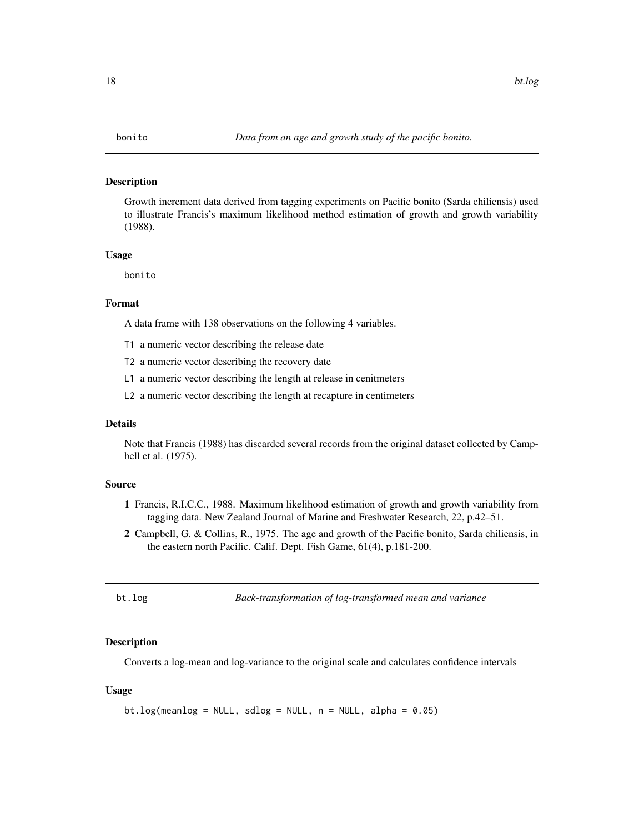<span id="page-17-0"></span>Growth increment data derived from tagging experiments on Pacific bonito (Sarda chiliensis) used to illustrate Francis's maximum likelihood method estimation of growth and growth variability (1988).

#### Usage

bonito

### Format

A data frame with 138 observations on the following 4 variables.

T1 a numeric vector describing the release date

T2 a numeric vector describing the recovery date

L1 a numeric vector describing the length at release in cenitmeters

L2 a numeric vector describing the length at recapture in centimeters

#### Details

Note that Francis (1988) has discarded several records from the original dataset collected by Campbell et al. (1975).

### Source

- 1 Francis, R.I.C.C., 1988. Maximum likelihood estimation of growth and growth variability from tagging data. New Zealand Journal of Marine and Freshwater Research, 22, p.42–51.
- 2 Campbell, G. & Collins, R., 1975. The age and growth of the Pacific bonito, Sarda chiliensis, in the eastern north Pacific. Calif. Dept. Fish Game, 61(4), p.181-200.

|  |  | ıσ |
|--|--|----|
|  |  |    |

Back-transformation of log-transformed mean and variance

#### Description

Converts a log-mean and log-variance to the original scale and calculates confidence intervals

### Usage

```
bt.log(meanlog = NULL, sdlog = NULL, n = NULL, alpha = 0.05)
```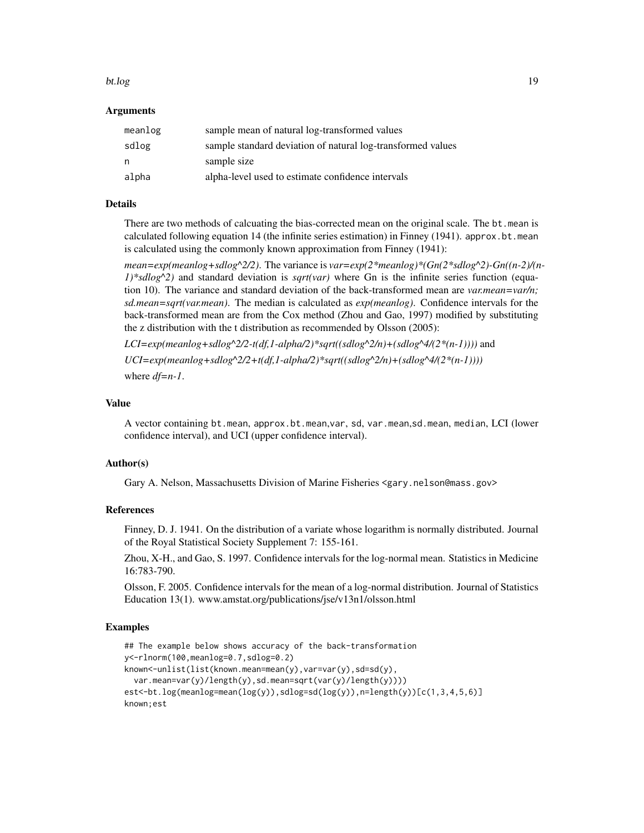#### bt.log and the state of the state of the state of the state of the state of the state of the state of the state of the state of the state of the state of the state of the state of the state of the state of the state of the

### Arguments

| meanlog | sample mean of natural log-transformed values               |
|---------|-------------------------------------------------------------|
| sdlog   | sample standard deviation of natural log-transformed values |
| n.      | sample size                                                 |
| alpha   | alpha-level used to estimate confidence intervals           |

### Details

There are two methods of calcuating the bias-corrected mean on the original scale. The bt.mean is calculated following equation 14 (the infinite series estimation) in Finney (1941). approx.bt.mean is calculated using the commonly known approximation from Finney (1941):

*mean=exp(meanlog+sdlog^2/2)*. The variance is *var=exp(2\*meanlog)\*(Gn(2\*sdlog^2)-Gn((n-2)/(n-1)\*sdlog^2)* and standard deviation is *sqrt(var)* where Gn is the infinite series function (equation 10). The variance and standard deviation of the back-transformed mean are *var.mean=var/n; sd.mean=sqrt(var.mean)*. The median is calculated as *exp(meanlog)*. Confidence intervals for the back-transformed mean are from the Cox method (Zhou and Gao, 1997) modified by substituting the z distribution with the t distribution as recommended by Olsson (2005):

 $LCI=exp(meanlog+sdlog^2/2-t(df,1-alpha/2)*sqrt((sdlog^2/m)+(sdlog^4/(2*(n-1))))$  and  $UCI=exp(meanlog+s dlog^2/2+t(df,1-alpha/2)*sqrt((sdlog^2/2/n)+(sdlog^4/(2*(n-1))))$ where *df=n-1*.

### Value

A vector containing bt.mean, approx.bt.mean,var, sd, var.mean,sd.mean, median, LCI (lower confidence interval), and UCI (upper confidence interval).

#### Author(s)

Gary A. Nelson, Massachusetts Division of Marine Fisheries <gary.nelson@mass.gov>

### References

Finney, D. J. 1941. On the distribution of a variate whose logarithm is normally distributed. Journal of the Royal Statistical Society Supplement 7: 155-161.

Zhou, X-H., and Gao, S. 1997. Confidence intervals for the log-normal mean. Statistics in Medicine 16:783-790.

Olsson, F. 2005. Confidence intervals for the mean of a log-normal distribution. Journal of Statistics Education 13(1). www.amstat.org/publications/jse/v13n1/olsson.html

#### Examples

```
## The example below shows accuracy of the back-transformation
y<-rlnorm(100,meanlog=0.7,sdlog=0.2)
known<-unlist(list(known.mean=mean(y),var=var(y),sd=sd(y),
 var.mean=var(y)/length(y),sd.mean=sqrt(var(y)/length(y))))
est<-bt.log(meanlog=mean(log(y)),sdlog=sd(log(y)),n=length(y))[c(1,3,4,5,6)]
known;est
```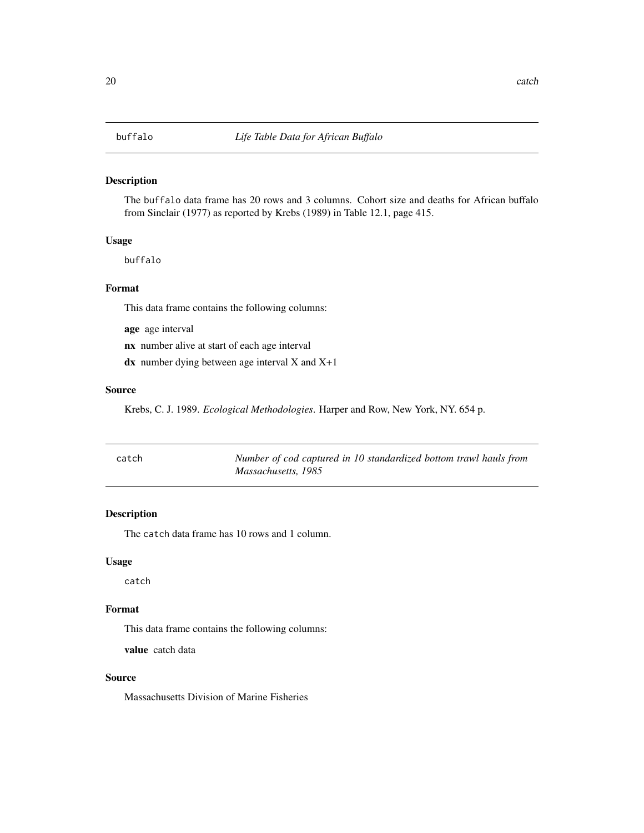<span id="page-19-0"></span>The buffalo data frame has 20 rows and 3 columns. Cohort size and deaths for African buffalo from Sinclair (1977) as reported by Krebs (1989) in Table 12.1, page 415.

### Usage

buffalo

### Format

This data frame contains the following columns:

age age interval

nx number alive at start of each age interval

 $dx$  number dying between age interval X and  $X+1$ 

### Source

Krebs, C. J. 1989. *Ecological Methodologies*. Harper and Row, New York, NY. 654 p.

| catch | Number of cod captured in 10 standardized bottom trawl hauls from |
|-------|-------------------------------------------------------------------|
|       | Massachusetts, 1985                                               |

### Description

The catch data frame has 10 rows and 1 column.

### Usage

catch

### Format

This data frame contains the following columns:

value catch data

### Source

Massachusetts Division of Marine Fisheries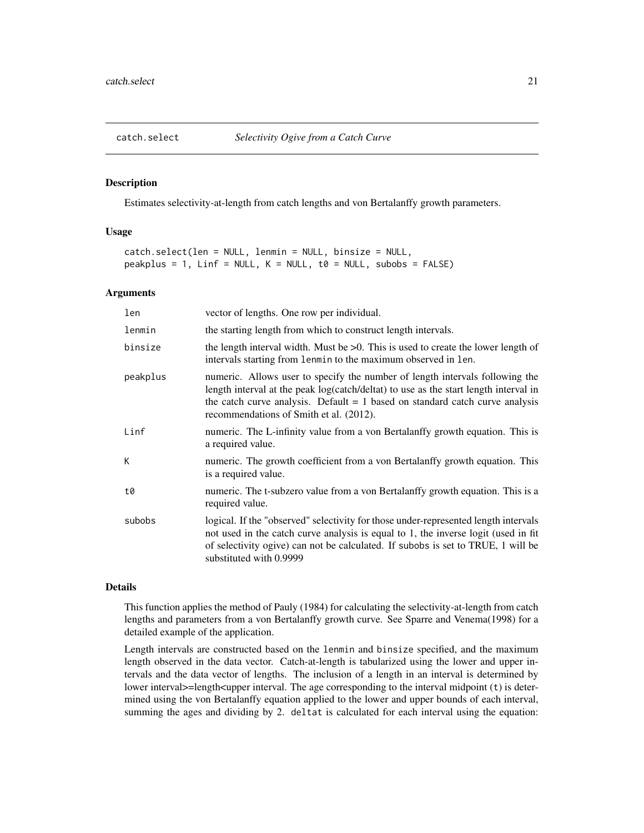<span id="page-20-0"></span>

Estimates selectivity-at-length from catch lengths and von Bertalanffy growth parameters.

### Usage

```
catch.select(len = NULL, lenmin = NULL, binsize = NULL,
peakplus = 1, Linf = NULL, K = NULL, to = NULL, subobs = FALSE)
```
### Arguments

| len      | vector of lengths. One row per individual.                                                                                                                                                                                                                                                        |
|----------|---------------------------------------------------------------------------------------------------------------------------------------------------------------------------------------------------------------------------------------------------------------------------------------------------|
| lenmin   | the starting length from which to construct length intervals.                                                                                                                                                                                                                                     |
| binsize  | the length interval width. Must be $>0$ . This is used to create the lower length of<br>intervals starting from lenmin to the maximum observed in len.                                                                                                                                            |
| peakplus | numeric. Allows user to specify the number of length intervals following the<br>length interval at the peak log(catch/deltat) to use as the start length interval in<br>the catch curve analysis. Default $= 1$ based on standard catch curve analysis<br>recommendations of Smith et al. (2012). |
| Linf     | numeric. The L-infinity value from a von Bertalanffy growth equation. This is<br>a required value.                                                                                                                                                                                                |
| K        | numeric. The growth coefficient from a von Bertalanffy growth equation. This<br>is a required value.                                                                                                                                                                                              |
| t0       | numeric. The t-subzero value from a von Bertalanffy growth equation. This is a<br>required value.                                                                                                                                                                                                 |
| subobs   | logical. If the "observed" selectivity for those under-represented length intervals<br>not used in the catch curve analysis is equal to 1, the inverse logit (used in fit<br>of selectivity ogive) can not be calculated. If subobs is set to TRUE, 1 will be<br>substituted with 0.9999          |
|          |                                                                                                                                                                                                                                                                                                   |

### Details

This function applies the method of Pauly (1984) for calculating the selectivity-at-length from catch lengths and parameters from a von Bertalanffy growth curve. See Sparre and Venema(1998) for a detailed example of the application.

Length intervals are constructed based on the lenmin and binsize specified, and the maximum length observed in the data vector. Catch-at-length is tabularized using the lower and upper intervals and the data vector of lengths. The inclusion of a length in an interval is determined by lower interval>=length<upper interval. The age corresponding to the interval midpoint (t) is determined using the von Bertalanffy equation applied to the lower and upper bounds of each interval, summing the ages and dividing by 2. deltat is calculated for each interval using the equation: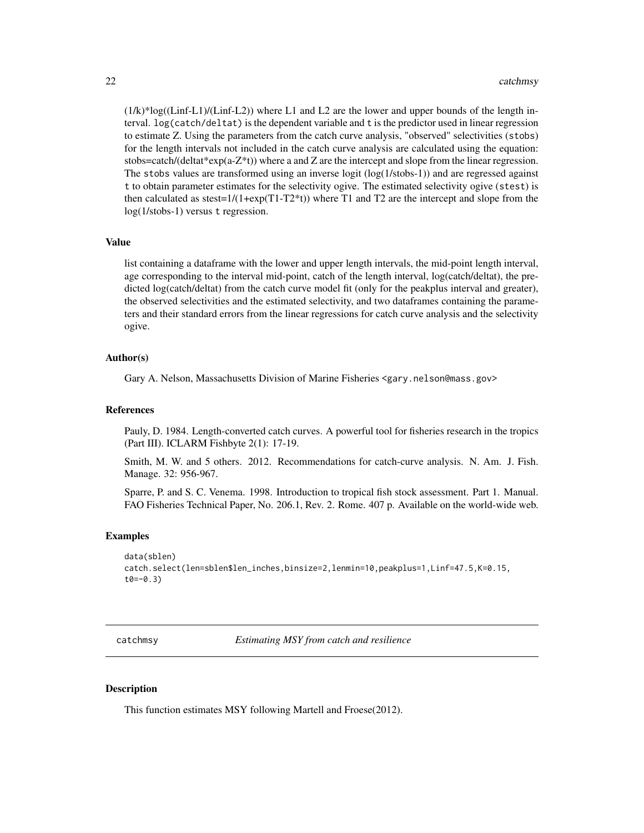$(1/k)^*$ log((Linf-L1)/(Linf-L2)) where L1 and L2 are the lower and upper bounds of the length interval. log(catch/deltat) is the dependent variable and t is the predictor used in linear regression to estimate Z. Using the parameters from the catch curve analysis, "observed" selectivities (stobs) for the length intervals not included in the catch curve analysis are calculated using the equation: stobs=catch/(deltat\*exp(a- $Z^*(t)$ ) where a and Z are the intercept and slope from the linear regression. The stobs values are transformed using an inverse logit (log(1/stobs-1)) and are regressed against t to obtain parameter estimates for the selectivity ogive. The estimated selectivity ogive (stest) is then calculated as  $stest=1/(1+exp(T1-T2*t))$  where T1 and T2 are the intercept and slope from the log(1/stobs-1) versus t regression.

### Value

list containing a dataframe with the lower and upper length intervals, the mid-point length interval, age corresponding to the interval mid-point, catch of the length interval, log(catch/deltat), the predicted log(catch/deltat) from the catch curve model fit (only for the peakplus interval and greater), the observed selectivities and the estimated selectivity, and two dataframes containing the parameters and their standard errors from the linear regressions for catch curve analysis and the selectivity ogive.

### Author(s)

Gary A. Nelson, Massachusetts Division of Marine Fisheries <gary.nelson@mass.gov>

#### References

Pauly, D. 1984. Length-converted catch curves. A powerful tool for fisheries research in the tropics (Part III). ICLARM Fishbyte 2(1): 17-19.

Smith, M. W. and 5 others. 2012. Recommendations for catch-curve analysis. N. Am. J. Fish. Manage. 32: 956-967.

Sparre, P. and S. C. Venema. 1998. Introduction to tropical fish stock assessment. Part 1. Manual. FAO Fisheries Technical Paper, No. 206.1, Rev. 2. Rome. 407 p. Available on the world-wide web.

### Examples

```
data(sblen)
catch.select(len=sblen$len_inches,binsize=2,lenmin=10,peakplus=1,Linf=47.5,K=0.15,
t0=-0.3
```
catchmsy *Estimating MSY from catch and resilience*

### Description

This function estimates MSY following Martell and Froese(2012).

<span id="page-21-0"></span>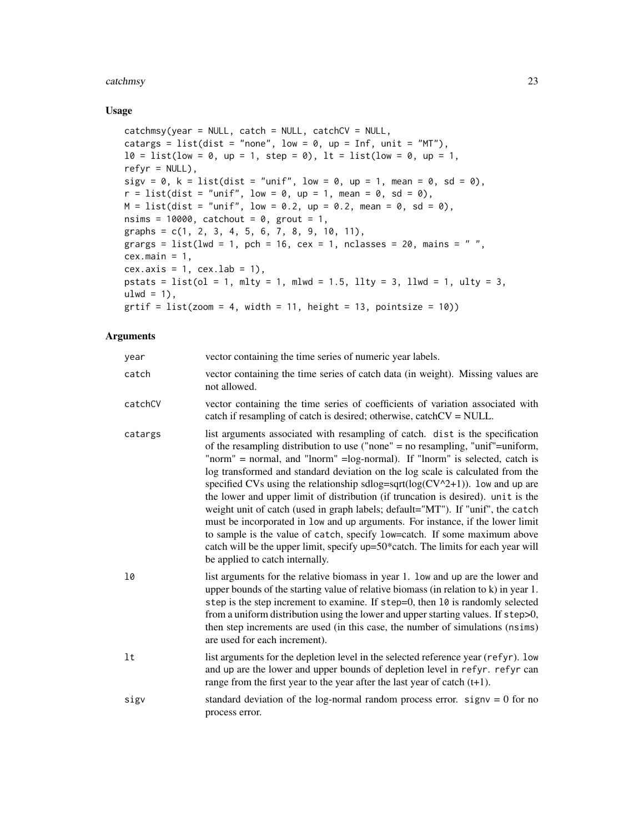#### catchmsy 23

### Usage

```
catchmsy(year = NULL, catch = NULL, catchCV = NULL,
catargs = list(dist = "none", low = 0, up = Inf, unit = "MT"),
l0 = list(low = 0, up = 1, step = 0), lt = list(low = 0, up = 1,refyr = NULL,
sigv = 0, k = list(dist = "unif", low = 0, up = 1, mean = 0, sd = 0),
r = list(dist = "unif", low = 0, up = 1, mean = 0, sd = 0),M = list(dist = "unif", low = 0.2, up = 0.2, mean = 0, sd = 0),nsims = 10000, catchout = 0, grout = 1,
graphs = c(1, 2, 3, 4, 5, 6, 7, 8, 9, 10, 11),
grargs = list(lwd = 1, pch = 16, cex = 1, nclasses = 20, mains = " ",
cex.main = 1,
cex. axis = 1, cex. lab = 1,
pstats = list(ol = 1, mly = 1, mlwd = 1.5, lly = 3, llwd = 1, ulty = 3,ulwd = 1,
grti f = list(zoom = 4, width = 11, height = 13, pointsize = 10)
```
### Arguments

| year    | vector containing the time series of numeric year labels.                                                                                                                                                                                                                                                                                                                                                                                                                                                                                                                                                                                                                                                                                                                                                                                                                            |
|---------|--------------------------------------------------------------------------------------------------------------------------------------------------------------------------------------------------------------------------------------------------------------------------------------------------------------------------------------------------------------------------------------------------------------------------------------------------------------------------------------------------------------------------------------------------------------------------------------------------------------------------------------------------------------------------------------------------------------------------------------------------------------------------------------------------------------------------------------------------------------------------------------|
| catch   | vector containing the time series of catch data (in weight). Missing values are<br>not allowed.                                                                                                                                                                                                                                                                                                                                                                                                                                                                                                                                                                                                                                                                                                                                                                                      |
| catchCV | vector containing the time series of coefficients of variation associated with<br>catch if resampling of catch is desired; otherwise, catchCV = NULL.                                                                                                                                                                                                                                                                                                                                                                                                                                                                                                                                                                                                                                                                                                                                |
| catargs | list arguments associated with resampling of catch. dist is the specification<br>of the resampling distribution to use ("none" = no resampling, "unif"=uniform,<br>"norm" = normal, and "lnorm" = log-normal). If "lnorm" is selected, catch is<br>log transformed and standard deviation on the log scale is calculated from the<br>specified CVs using the relationship sdlog=sqrt( $log(CV^2+1)$ ). low and up are<br>the lower and upper limit of distribution (if truncation is desired). unit is the<br>weight unit of catch (used in graph labels; default="MT"). If "unif", the catch<br>must be incorporated in low and up arguments. For instance, if the lower limit<br>to sample is the value of catch, specify low=catch. If some maximum above<br>catch will be the upper limit, specify up=50*catch. The limits for each year will<br>be applied to catch internally. |
| 10      | list arguments for the relative biomass in year 1. low and up are the lower and<br>upper bounds of the starting value of relative biomass (in relation to k) in year 1.<br>step is the step increment to examine. If step=0, then 10 is randomly selected<br>from a uniform distribution using the lower and upper starting values. If step>0,<br>then step increments are used (in this case, the number of simulations (nsims)<br>are used for each increment).                                                                                                                                                                                                                                                                                                                                                                                                                    |
| 1t      | list arguments for the depletion level in the selected reference year (refyr). low<br>and up are the lower and upper bounds of depletion level in refyr. refyr can<br>range from the first year to the year after the last year of catch $(t+1)$ .                                                                                                                                                                                                                                                                                                                                                                                                                                                                                                                                                                                                                                   |
| sigv    | standard deviation of the log-normal random process error. $signv = 0$ for no<br>process error.                                                                                                                                                                                                                                                                                                                                                                                                                                                                                                                                                                                                                                                                                                                                                                                      |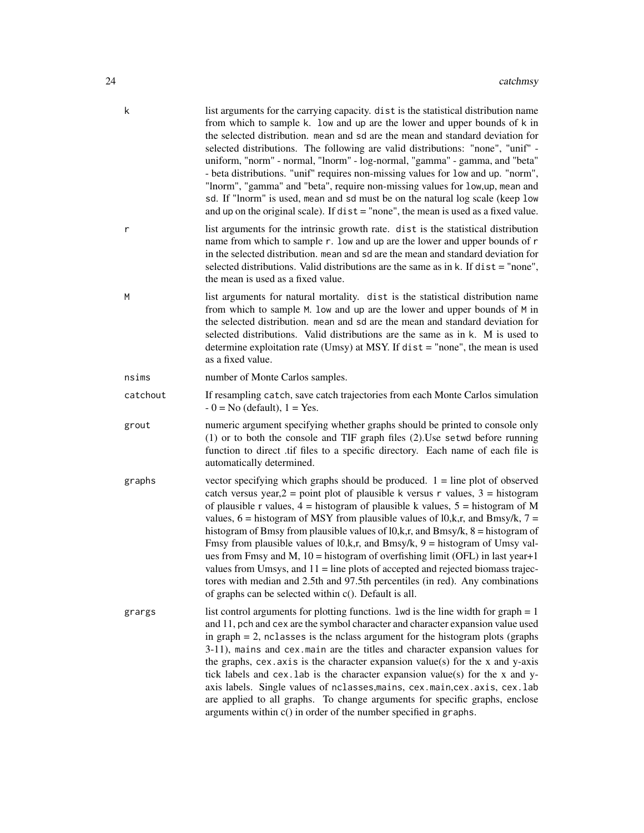| k        | list arguments for the carrying capacity. dist is the statistical distribution name<br>from which to sample k. low and up are the lower and upper bounds of k in<br>the selected distribution. mean and sd are the mean and standard deviation for<br>selected distributions. The following are valid distributions: "none", "unif" -<br>uniform, "norm" - normal, "lnorm" - log-normal, "gamma" - gamma, and "beta"<br>- beta distributions. "unif" requires non-missing values for low and up. "norm",<br>"lnorm", "gamma" and "beta", require non-missing values for low, up, mean and<br>sd. If "lnorm" is used, mean and sd must be on the natural log scale (keep low<br>and up on the original scale). If $dist = "none",$ the mean is used as a fixed value.                                                                                     |
|----------|----------------------------------------------------------------------------------------------------------------------------------------------------------------------------------------------------------------------------------------------------------------------------------------------------------------------------------------------------------------------------------------------------------------------------------------------------------------------------------------------------------------------------------------------------------------------------------------------------------------------------------------------------------------------------------------------------------------------------------------------------------------------------------------------------------------------------------------------------------|
| r        | list arguments for the intrinsic growth rate. dist is the statistical distribution<br>name from which to sample r. low and up are the lower and upper bounds of r<br>in the selected distribution. mean and sd are the mean and standard deviation for<br>selected distributions. Valid distributions are the same as in $k$ . If $dist = "none",$<br>the mean is used as a fixed value.                                                                                                                                                                                                                                                                                                                                                                                                                                                                 |
| M        | list arguments for natural mortality. dist is the statistical distribution name<br>from which to sample M. low and up are the lower and upper bounds of M in<br>the selected distribution. mean and sd are the mean and standard deviation for<br>selected distributions. Valid distributions are the same as in k. M is used to<br>determine exploitation rate (Umsy) at MSY. If $dist = "none",$ the mean is used<br>as a fixed value.                                                                                                                                                                                                                                                                                                                                                                                                                 |
| nsims    | number of Monte Carlos samples.                                                                                                                                                                                                                                                                                                                                                                                                                                                                                                                                                                                                                                                                                                                                                                                                                          |
| catchout | If resampling catch, save catch trajectories from each Monte Carlos simulation<br>$-0 = No$ (default), $1 = Yes$ .                                                                                                                                                                                                                                                                                                                                                                                                                                                                                                                                                                                                                                                                                                                                       |
| grout    | numeric argument specifying whether graphs should be printed to console only<br>$(1)$ or to both the console and TIF graph files $(2)$ . Use setwd before running<br>function to direct .tif files to a specific directory. Each name of each file is<br>automatically determined.                                                                                                                                                                                                                                                                                                                                                                                                                                                                                                                                                                       |
| graphs   | vector specifying which graphs should be produced. $1 =$ line plot of observed<br>catch versus year, $2 = point plot$ of plausible k versus r values, $3 = histogram$<br>of plausible r values, $4 =$ histogram of plausible k values, $5 =$ histogram of M<br>values, $6 =$ histogram of MSY from plausible values of $10, k, r$ , and Bmsy/k, $7 =$<br>histogram of Bmsy from plausible values of $10, k, r$ , and Bmsy/k, $8 =$ histogram of<br>Fmsy from plausible values of $10, k, r$ , and Bmsy/k, $9 =$ histogram of Umsy val-<br>ues from Fmsy and M, $10 =$ histogram of overfishing limit (OFL) in last year+1<br>values from Umsys, and $11 =$ line plots of accepted and rejected biomass trajec-<br>tores with median and 2.5th and 97.5th percentiles (in red). Any combinations<br>of graphs can be selected within c(). Default is all. |
| grargs   | list control arguments for plotting functions. 1wd is the line width for graph $= 1$<br>and 11, pch and cex are the symbol character and character expansion value used<br>in graph $= 2$ , nclasses is the nclass argument for the histogram plots (graphs<br>3-11), mains and cex.main are the titles and character expansion values for<br>the graphs, cex. axis is the character expansion value(s) for the $x$ and $y$ -axis<br>tick labels and cex. lab is the character expansion value(s) for the x and y-<br>axis labels. Single values of nclasses, mains, cex. main, cex. axis, cex. lab<br>are applied to all graphs. To change arguments for specific graphs, enclose<br>arguments within $c()$ in order of the number specified in graphs.                                                                                                 |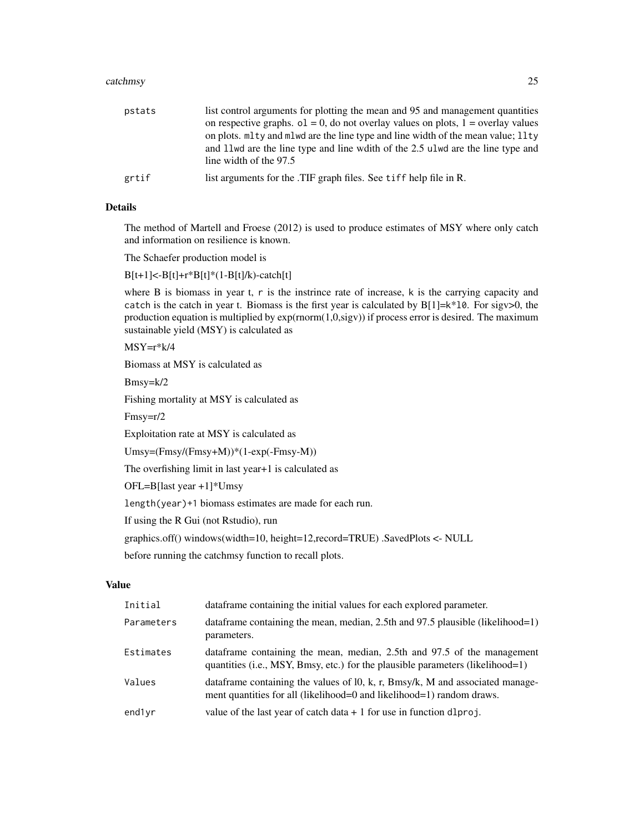#### catchmsy 25

| pstats | list control arguments for plotting the mean and 95 and management quantities<br>on respective graphs. $o1 = 0$ , do not overlay values on plots, $1 =$ overlay values                         |
|--------|------------------------------------------------------------------------------------------------------------------------------------------------------------------------------------------------|
|        | on plots, mlty and mlwd are the line type and line width of the mean value; llty<br>and 1 lwd are the line type and line wdith of the 2.5 ulwd are the line type and<br>line width of the 97.5 |
| grtif  | list arguments for the .TIF graph files. See tiff help file in R.                                                                                                                              |

### Details

The method of Martell and Froese (2012) is used to produce estimates of MSY where only catch and information on resilience is known.

The Schaefer production model is

 $B[t+1] < -B[t]+r*B[t] * (1-B[t]/k) - catch[t]$ 

where B is biomass in year t, r is the instrince rate of increase, k is the carrying capacity and catch is the catch in year t. Biomass is the first year is calculated by  $B[1]=k*10$ . For sigv>0, the production equation is multiplied by exp(rnorm(1,0,sigv)) if process error is desired. The maximum sustainable yield (MSY) is calculated as

 $MSY=r*k/4$ 

Biomass at MSY is calculated as

Bmsy=k/2

Fishing mortality at MSY is calculated as

Fmsy=r/2

Exploitation rate at MSY is calculated as

Umsy=(Fmsy/(Fmsy+M))\*(1-exp(-Fmsy-M))

The overfishing limit in last year+1 is calculated as

OFL=B[last year +1]\*Umsy

length(year)+1 biomass estimates are made for each run.

If using the R Gui (not Rstudio), run

graphics.off() windows(width=10, height=12,record=TRUE) .SavedPlots <- NULL

before running the catchmsy function to recall plots.

### Value

| Initial    | data frame containing the initial values for each explored parameter.                                                                                      |
|------------|------------------------------------------------------------------------------------------------------------------------------------------------------------|
| Parameters | data frame containing the mean, median, 2.5th and 97.5 plausible (likelihood=1)<br>parameters.                                                             |
| Estimates  | dataframe containing the mean, median, 2.5th and 97.5 of the management<br>quantities (i.e., MSY, Bmsy, etc.) for the plausible parameters (likelihood=1)  |
| Values     | data frame containing the values of $10$ , k, r, Bmsy/k, M and associated manage-<br>ment quantities for all (likelihood=0 and likelihood=1) random draws. |
| end1yr     | value of the last year of catch data $+1$ for use in function dlproj.                                                                                      |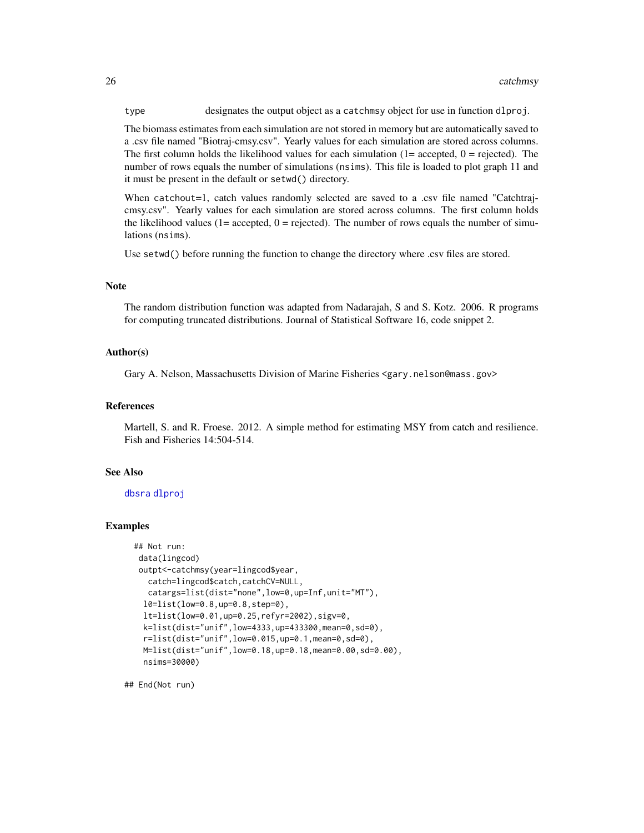type designates the output object as a catchmsy object for use in function dlproj.

The biomass estimates from each simulation are not stored in memory but are automatically saved to a .csv file named "Biotraj-cmsy.csv". Yearly values for each simulation are stored across columns. The first column holds the likelihood values for each simulation  $(1=$  accepted,  $0=$  rejected). The number of rows equals the number of simulations (nsims). This file is loaded to plot graph 11 and it must be present in the default or setwd() directory.

When catchout=1, catch values randomly selected are saved to a .csv file named "Catchtrajcmsy.csv". Yearly values for each simulation are stored across columns. The first column holds the likelihood values  $(1=$  accepted,  $0=$  rejected). The number of rows equals the number of simulations (nsims).

Use setwd() before running the function to change the directory where .csv files are stored.

#### **Note**

The random distribution function was adapted from Nadarajah, S and S. Kotz. 2006. R programs for computing truncated distributions. Journal of Statistical Software 16, code snippet 2.

### Author(s)

Gary A. Nelson, Massachusetts Division of Marine Fisheries <gary.nelson@mass.gov>

### References

Martell, S. and R. Froese. 2012. A simple method for estimating MSY from catch and resilience. Fish and Fisheries 14:504-514.

#### See Also

[dbsra](#page-46-1) [dlproj](#page-54-1)

### Examples

```
## Not run:
data(lingcod)
outpt<-catchmsy(year=lingcod$year,
   catch=lingcod$catch,catchCV=NULL,
  catargs=list(dist="none",low=0,up=Inf,unit="MT"),
  l0=list(low=0.8,up=0.8,step=0),
  lt=list(low=0.01,up=0.25,refyr=2002),sigv=0,
  k=list(dist="unif",low=4333,up=433300,mean=0,sd=0),
  r=list(dist="unif",low=0.015,up=0.1,mean=0,sd=0),
 M=list(dist="unif",low=0.18,up=0.18,mean=0.00,sd=0.00),
 nsims=30000)
```
## End(Not run)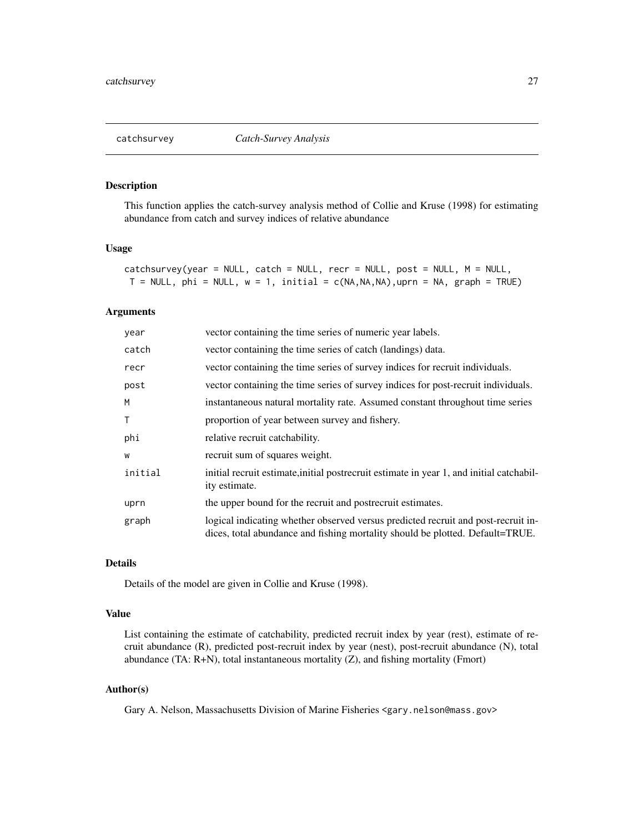<span id="page-26-0"></span>

This function applies the catch-survey analysis method of Collie and Kruse (1998) for estimating abundance from catch and survey indices of relative abundance

### Usage

| catchsurvey(year = NULL, catch = NULL, recr = NULL, post = NULL, M = NULL,        |  |  |
|-----------------------------------------------------------------------------------|--|--|
| $T = NULL$ , phi = NULL, $w = 1$ , initial = c(NA,NA,NA),uprn = NA, graph = TRUE) |  |  |

### Arguments

| year         | vector containing the time series of numeric year labels.                                                                                                          |
|--------------|--------------------------------------------------------------------------------------------------------------------------------------------------------------------|
| catch        | vector containing the time series of catch (landings) data.                                                                                                        |
| recr         | vector containing the time series of survey indices for recruit individuals.                                                                                       |
| post         | vector containing the time series of survey indices for post-recruit individuals.                                                                                  |
| M            | instantaneous natural mortality rate. Assumed constant throughout time series                                                                                      |
| $\mathsf{T}$ | proportion of year between survey and fishery.                                                                                                                     |
| phi          | relative recruit catchability.                                                                                                                                     |
| W            | recruit sum of squares weight.                                                                                                                                     |
| initial      | initial recruit estimate, initial postrecruit estimate in year 1, and initial catchabil-<br>ity estimate.                                                          |
| uprn         | the upper bound for the recruit and postrecruit estimates.                                                                                                         |
| graph        | logical indicating whether observed versus predicted recruit and post-recruit in-<br>dices, total abundance and fishing mortality should be plotted. Default=TRUE. |

### Details

Details of the model are given in Collie and Kruse (1998).

### Value

List containing the estimate of catchability, predicted recruit index by year (rest), estimate of recruit abundance (R), predicted post-recruit index by year (nest), post-recruit abundance (N), total abundance (TA: R+N), total instantaneous mortality (Z), and fishing mortality (Fmort)

### Author(s)

Gary A. Nelson, Massachusetts Division of Marine Fisheries <gary.nelson@mass.gov>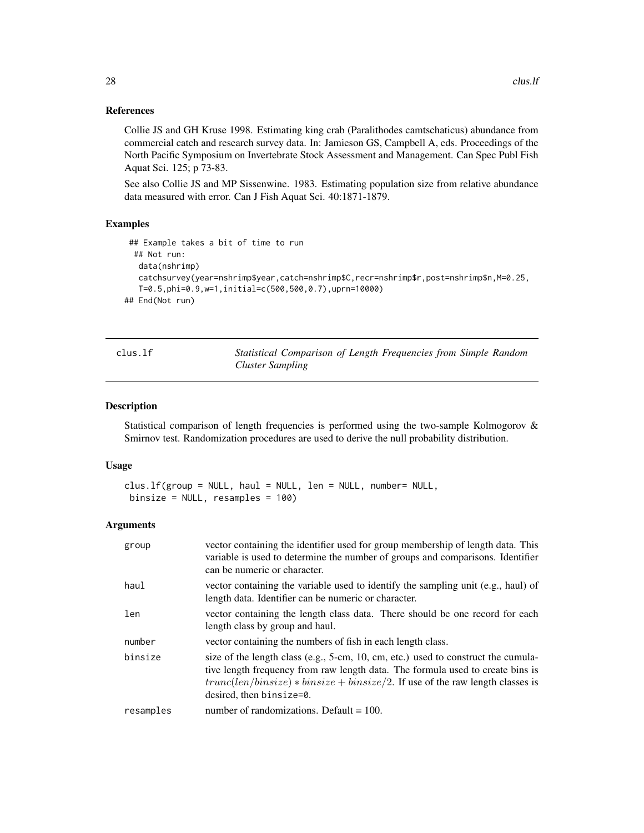### References

Collie JS and GH Kruse 1998. Estimating king crab (Paralithodes camtschaticus) abundance from commercial catch and research survey data. In: Jamieson GS, Campbell A, eds. Proceedings of the North Pacific Symposium on Invertebrate Stock Assessment and Management. Can Spec Publ Fish Aquat Sci. 125; p 73-83.

See also Collie JS and MP Sissenwine. 1983. Estimating population size from relative abundance data measured with error. Can J Fish Aquat Sci. 40:1871-1879.

### Examples

```
## Example takes a bit of time to run
 ## Not run:
  data(nshrimp)
  catchsurvey(year=nshrimp$year,catch=nshrimp$C,recr=nshrimp$r,post=nshrimp$n,M=0.25,
  T=0.5,phi=0.9,w=1,initial=c(500,500,0.7),uprn=10000)
## End(Not run)
```
<span id="page-27-1"></span>

| LUS |  |
|-----|--|
|     |  |

Statistical Comparison of Length Frequencies from Simple Random *Cluster Sampling*

### Description

Statistical comparison of length frequencies is performed using the two-sample Kolmogorov & Smirnov test. Randomization procedures are used to derive the null probability distribution.

#### Usage

```
clus.lf(group = NULL, haul = NULL, len = NULL, number= NULL,
binsize = NULL, resamples = 100)
```
#### Arguments

| group     | vector containing the identifier used for group membership of length data. This<br>variable is used to determine the number of groups and comparisons. Identifier<br>can be numeric or character.                                                                                   |
|-----------|-------------------------------------------------------------------------------------------------------------------------------------------------------------------------------------------------------------------------------------------------------------------------------------|
| haul      | vector containing the variable used to identify the sampling unit (e.g., haul) of<br>length data. Identifier can be numeric or character.                                                                                                                                           |
| len       | vector containing the length class data. There should be one record for each<br>length class by group and haul.                                                                                                                                                                     |
| number    | vector containing the numbers of fish in each length class.                                                                                                                                                                                                                         |
| binsize   | size of the length class (e.g., 5-cm, 10, cm, etc.) used to construct the cumula-<br>tive length frequency from raw length data. The formula used to create bins is<br>$trunc(len/binsize) * binsize + binsize/2$ . If use of the raw length classes is<br>desired, then binsize=0. |
| resamples | number of randomizations. Default $= 100$ .                                                                                                                                                                                                                                         |

<span id="page-27-0"></span>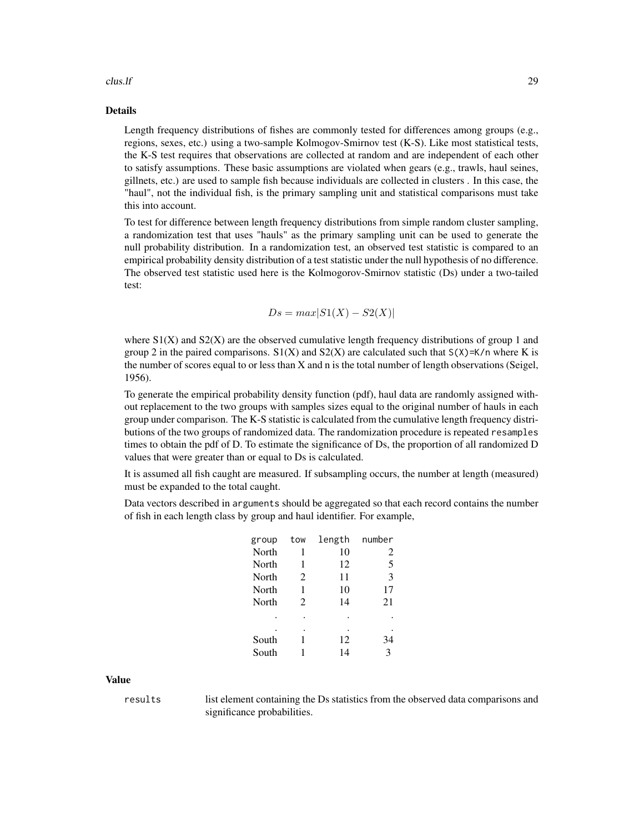#### $\frac{1}{2}$  clus. If  $\frac{29}{2}$

### Details

Length frequency distributions of fishes are commonly tested for differences among groups (e.g., regions, sexes, etc.) using a two-sample Kolmogov-Smirnov test (K-S). Like most statistical tests, the K-S test requires that observations are collected at random and are independent of each other to satisfy assumptions. These basic assumptions are violated when gears (e.g., trawls, haul seines, gillnets, etc.) are used to sample fish because individuals are collected in clusters . In this case, the "haul", not the individual fish, is the primary sampling unit and statistical comparisons must take this into account.

To test for difference between length frequency distributions from simple random cluster sampling, a randomization test that uses "hauls" as the primary sampling unit can be used to generate the null probability distribution. In a randomization test, an observed test statistic is compared to an empirical probability density distribution of a test statistic under the null hypothesis of no difference. The observed test statistic used here is the Kolmogorov-Smirnov statistic (Ds) under a two-tailed test:

$$
Ds = max|S1(X) - S2(X)|
$$

where  $S1(X)$  and  $S2(X)$  are the observed cumulative length frequency distributions of group 1 and group 2 in the paired comparisons.  $S1(X)$  and  $S2(X)$  are calculated such that  $S(X)=K/n$  where K is the number of scores equal to or less than X and n is the total number of length observations (Seigel, 1956).

To generate the empirical probability density function (pdf), haul data are randomly assigned without replacement to the two groups with samples sizes equal to the original number of hauls in each group under comparison. The K-S statistic is calculated from the cumulative length frequency distributions of the two groups of randomized data. The randomization procedure is repeated resamples times to obtain the pdf of D. To estimate the significance of Ds, the proportion of all randomized D values that were greater than or equal to Ds is calculated.

It is assumed all fish caught are measured. If subsampling occurs, the number at length (measured) must be expanded to the total caught.

Data vectors described in arguments should be aggregated so that each record contains the number of fish in each length class by group and haul identifier. For example,

| group | tow            | length | number |
|-------|----------------|--------|--------|
| North | 1              | 10     | 2      |
| North | 1              | 12     | 5      |
| North | 2              | 11     | 3      |
| North | 1              | 10     | 17     |
| North | $\mathfrak{D}$ | 14     | 21     |
|       |                |        |        |
|       |                |        |        |
| South | 1              | 12     | 34     |
| South |                | 14     | 3      |

Value

results list element containing the Ds statistics from the observed data comparisons and significance probabilities.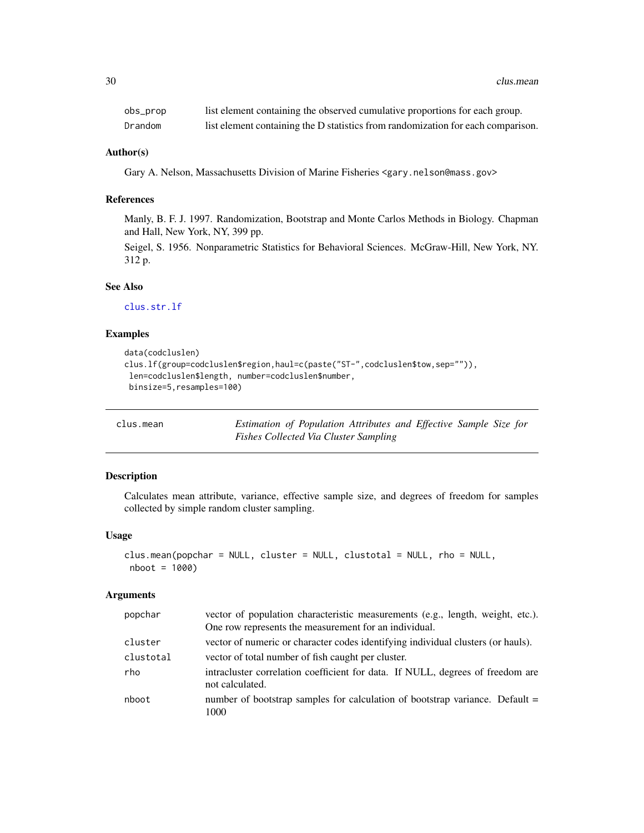<span id="page-29-0"></span>

| obs_prop | list element containing the observed cumulative proportions for each group.      |
|----------|----------------------------------------------------------------------------------|
| Drandom  | list element containing the D statistics from randomization for each comparison. |

#### Author(s)

Gary A. Nelson, Massachusetts Division of Marine Fisheries <gary.nelson@mass.gov>

### References

Manly, B. F. J. 1997. Randomization, Bootstrap and Monte Carlos Methods in Biology. Chapman and Hall, New York, NY, 399 pp.

Seigel, S. 1956. Nonparametric Statistics for Behavioral Sciences. McGraw-Hill, New York, NY. 312 p.

### See Also

[clus.str.lf](#page-34-1)

### Examples

```
data(codcluslen)
clus.lf(group=codcluslen$region,haul=c(paste("ST-",codcluslen$tow,sep="")),
len=codcluslen$length, number=codcluslen$number,
binsize=5,resamples=100)
```
<span id="page-29-1"></span>

|  | clus.mean |  |
|--|-----------|--|

Estimation of Population Attributes and Effective Sample Size for *Fishes Collected Via Cluster Sampling*

### Description

Calculates mean attribute, variance, effective sample size, and degrees of freedom for samples collected by simple random cluster sampling.

### Usage

```
clus.mean(popchar = NULL, cluster = NULL, clustotal = NULL, rho = NULL,
nboot = 1000)
```
#### **Arguments**

| popchar   | vector of population characteristic measurements (e.g., length, weight, etc.).<br>One row represents the measurement for an individual. |  |  |
|-----------|-----------------------------------------------------------------------------------------------------------------------------------------|--|--|
| cluster   | vector of numeric or character codes identifying individual clusters (or hauls).                                                        |  |  |
| clustotal | vector of total number of fish caught per cluster.                                                                                      |  |  |
| rho       | intracluster correlation coefficient for data. If NULL, degrees of freedom are<br>not calculated.                                       |  |  |
| nboot     | number of bootstrap samples for calculation of bootstrap variance. Default =<br>1000                                                    |  |  |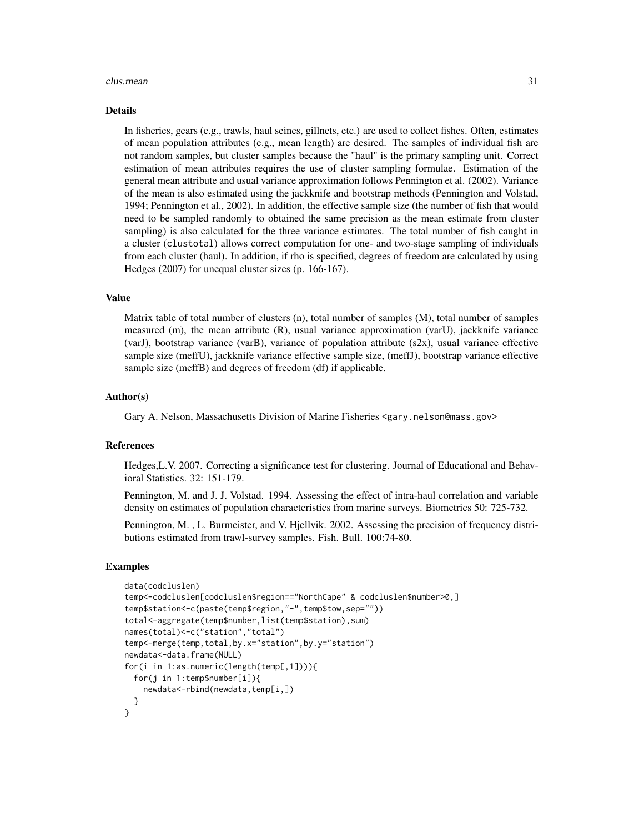#### clus.mean 31

#### Details

In fisheries, gears (e.g., trawls, haul seines, gillnets, etc.) are used to collect fishes. Often, estimates of mean population attributes (e.g., mean length) are desired. The samples of individual fish are not random samples, but cluster samples because the "haul" is the primary sampling unit. Correct estimation of mean attributes requires the use of cluster sampling formulae. Estimation of the general mean attribute and usual variance approximation follows Pennington et al. (2002). Variance of the mean is also estimated using the jackknife and bootstrap methods (Pennington and Volstad, 1994; Pennington et al., 2002). In addition, the effective sample size (the number of fish that would need to be sampled randomly to obtained the same precision as the mean estimate from cluster sampling) is also calculated for the three variance estimates. The total number of fish caught in a cluster (clustotal) allows correct computation for one- and two-stage sampling of individuals from each cluster (haul). In addition, if rho is specified, degrees of freedom are calculated by using Hedges (2007) for unequal cluster sizes (p. 166-167).

### Value

Matrix table of total number of clusters (n), total number of samples (M), total number of samples measured (m), the mean attribute (R), usual variance approximation (varU), jackknife variance (varJ), bootstrap variance (varB), variance of population attribute  $(s2x)$ , usual variance effective sample size (meffU), jackknife variance effective sample size, (meffJ), bootstrap variance effective sample size (meffB) and degrees of freedom (df) if applicable.

#### Author(s)

Gary A. Nelson, Massachusetts Division of Marine Fisheries <gary.nelson@mass.gov>

### References

Hedges,L.V. 2007. Correcting a significance test for clustering. Journal of Educational and Behavioral Statistics. 32: 151-179.

Pennington, M. and J. J. Volstad. 1994. Assessing the effect of intra-haul correlation and variable density on estimates of population characteristics from marine surveys. Biometrics 50: 725-732.

Pennington, M. , L. Burmeister, and V. Hjellvik. 2002. Assessing the precision of frequency distributions estimated from trawl-survey samples. Fish. Bull. 100:74-80.

#### Examples

```
data(codcluslen)
temp<-codcluslen[codcluslen$region=="NorthCape" & codcluslen$number>0,]
temp$station<-c(paste(temp$region,"-",temp$tow,sep=""))
total<-aggregate(temp$number,list(temp$station),sum)
names(total)<-c("station","total")
temp<-merge(temp,total,by.x="station",by.y="station")
newdata<-data.frame(NULL)
for(i in 1:as.numeric(length(temp[,1]))){
 for(j in 1:temp$number[i]){
   newdata<-rbind(newdata,temp[i,])
 }
}
```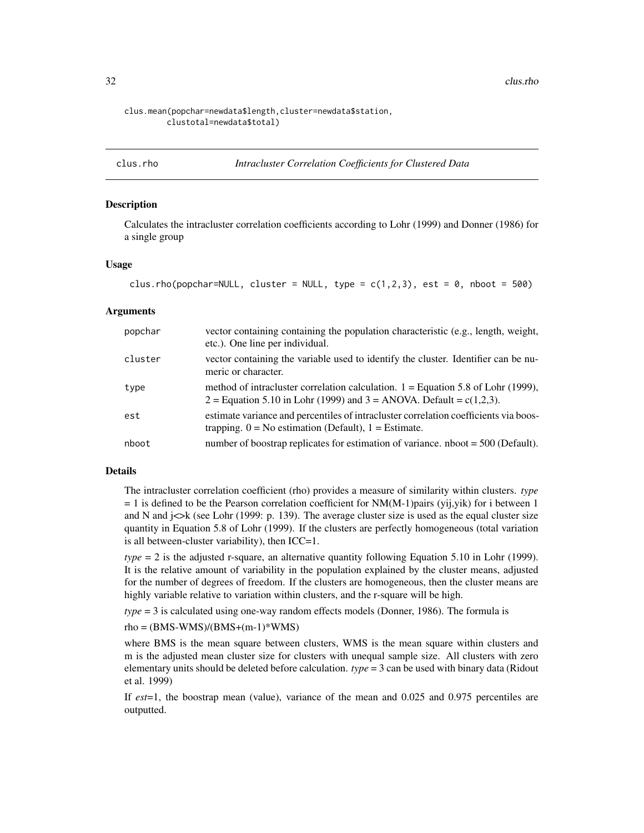<span id="page-31-0"></span>32 clus.rho

### clus.mean(popchar=newdata\$length,cluster=newdata\$station, clustotal=newdata\$total)

#### clus.rho *Intracluster Correlation Coefficients for Clustered Data*

### **Description**

Calculates the intracluster correlation coefficients according to Lohr (1999) and Donner (1986) for a single group

### Usage

```
clus.rho(popchar=NULL, cluster = NULL, type = c(1,2,3), est = 0, nboot = 500)
```
### **Arguments**

| popchar | vector containing containing the population characteristic (e.g., length, weight,<br>etc.). One line per individual.                                         |
|---------|--------------------------------------------------------------------------------------------------------------------------------------------------------------|
| cluster | vector containing the variable used to identify the cluster. Identifier can be nu-<br>meric or character.                                                    |
| type    | method of intracluster correlation calculation. $1 =$ Equation 5.8 of Lohr (1999),<br>2 = Equation 5.10 in Lohr (1999) and 3 = ANOVA. Default = $c(1,2,3)$ . |
| est     | estimate variance and percentiles of intracluster correlation coefficients via boos-<br>trapping. $0 = No$ estimation (Default), $1 = Estimate$ .            |
| nboot   | number of boostrap replicates for estimation of variance. $n$ hoot = 500 (Default).                                                                          |

### Details

The intracluster correlation coefficient (rho) provides a measure of similarity within clusters. *type*  $= 1$  is defined to be the Pearson correlation coefficient for NM(M-1)pairs (yij,yik) for i between 1 and N and  $\in$  i $\lt$ k (see Lohr (1999: p. 139). The average cluster size is used as the equal cluster size quantity in Equation 5.8 of Lohr (1999). If the clusters are perfectly homogeneous (total variation is all between-cluster variability), then ICC=1.

*type* = 2 is the adjusted r-square, an alternative quantity following Equation 5.10 in Lohr (1999). It is the relative amount of variability in the population explained by the cluster means, adjusted for the number of degrees of freedom. If the clusters are homogeneous, then the cluster means are highly variable relative to variation within clusters, and the r-square will be high.

*type* = 3 is calculated using one-way random effects models (Donner, 1986). The formula is

#### $rho = (BMS-WMS)/(BMS+(m-1)*WMS)$

where BMS is the mean square between clusters, WMS is the mean square within clusters and m is the adjusted mean cluster size for clusters with unequal sample size. All clusters with zero elementary units should be deleted before calculation. *type* = 3 can be used with binary data (Ridout et al. 1999)

If *est*=1, the boostrap mean (value), variance of the mean and 0.025 and 0.975 percentiles are outputted.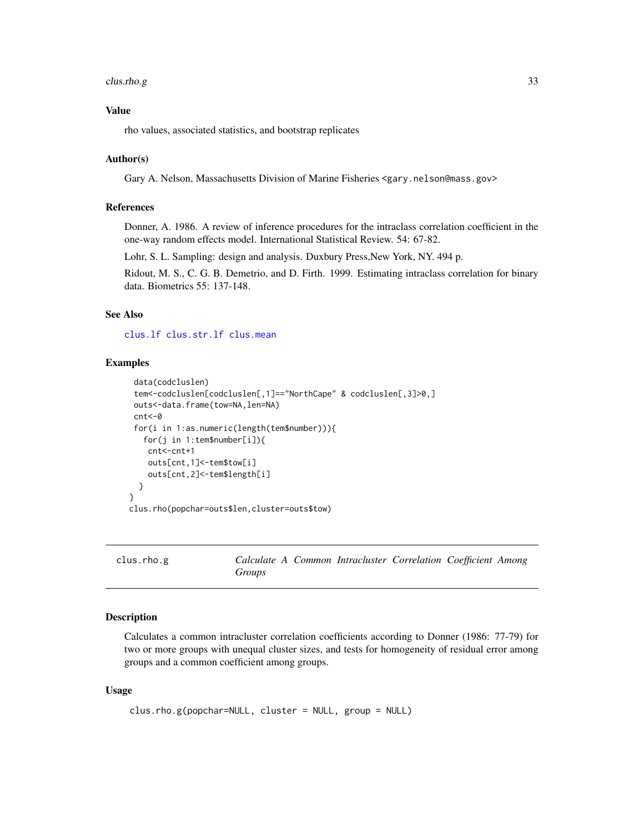#### <span id="page-32-0"></span> $\frac{1}{33}$

### Value

rho values, associated statistics, and bootstrap replicates

### Author(s)

Gary A. Nelson, Massachusetts Division of Marine Fisheries <gary.nelson@mass.gov>

### References

Donner, A. 1986. A review of inference procedures for the intraclass correlation coefficient in the one-way random effects model. International Statistical Review. 54: 67-82.

Lohr, S. L. Sampling: design and analysis. Duxbury Press,New York, NY. 494 p.

Ridout, M. S., C. G. B. Demetrio, and D. Firth. 1999. Estimating intraclass correlation for binary data. Biometrics 55: 137-148.

### See Also

[clus.lf](#page-27-1) [clus.str.lf](#page-34-1) [clus.mean](#page-29-1)

### Examples

```
data(codcluslen)
tem<-codcluslen[codcluslen[,1]=="NorthCape" & codcluslen[,3]>0,]
outs<-data.frame(tow=NA,len=NA)
cnt<-0
for(i in 1:as.numeric(length(tem$number))){
   for(j in 1:tem$number[i]){
   cnt<-cnt+1
    outs[cnt,1]<-tem$tow[i]
    outs[cnt,2]<-tem$length[i]
 }
}
clus.rho(popchar=outs$len,cluster=outs$tow)
```
clus.rho.g *Calculate A Common Intracluster Correlation Coefficient Among Groups*

### Description

Calculates a common intracluster correlation coefficients according to Donner (1986: 77-79) for two or more groups with unequal cluster sizes, and tests for homogeneity of residual error among groups and a common coefficient among groups.

### Usage

```
clus.rho.g(popchar=NULL, cluster = NULL, group = NULL)
```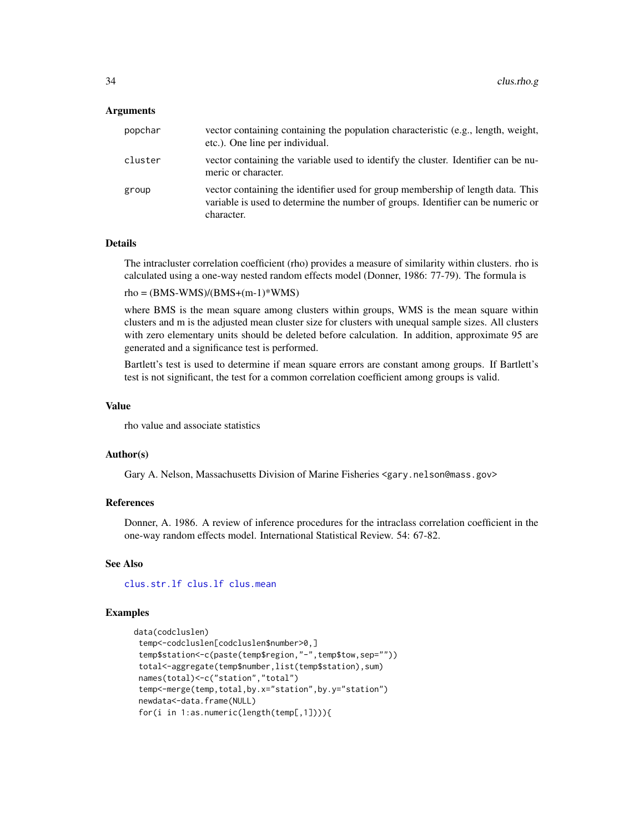### Arguments

| popchar | vector containing containing the population characteristic (e.g., length, weight,<br>etc.). One line per individual.                                                              |
|---------|-----------------------------------------------------------------------------------------------------------------------------------------------------------------------------------|
| cluster | vector containing the variable used to identify the cluster. Identifier can be nu-<br>meric or character.                                                                         |
| group   | vector containing the identifier used for group membership of length data. This<br>variable is used to determine the number of groups. Identifier can be numeric or<br>character. |

### Details

The intracluster correlation coefficient (rho) provides a measure of similarity within clusters. rho is calculated using a one-way nested random effects model (Donner, 1986: 77-79). The formula is

 $rho = (BMS-WMS)/(BMS+(m-1)*WMS)$ 

where BMS is the mean square among clusters within groups, WMS is the mean square within clusters and m is the adjusted mean cluster size for clusters with unequal sample sizes. All clusters with zero elementary units should be deleted before calculation. In addition, approximate 95 are generated and a significance test is performed.

Bartlett's test is used to determine if mean square errors are constant among groups. If Bartlett's test is not significant, the test for a common correlation coefficient among groups is valid.

### Value

rho value and associate statistics

### Author(s)

Gary A. Nelson, Massachusetts Division of Marine Fisheries <gary.nelson@mass.gov>

### References

Donner, A. 1986. A review of inference procedures for the intraclass correlation coefficient in the one-way random effects model. International Statistical Review. 54: 67-82.

### See Also

[clus.str.lf](#page-34-1) [clus.lf](#page-27-1) [clus.mean](#page-29-1)

### Examples

```
data(codcluslen)
 temp<-codcluslen[codcluslen$number>0,]
 temp$station<-c(paste(temp$region,"-",temp$tow,sep=""))
 total<-aggregate(temp$number,list(temp$station),sum)
 names(total)<-c("station","total")
 temp<-merge(temp,total,by.x="station",by.y="station")
 newdata<-data.frame(NULL)
 for(i in 1:as.numeric(length(temp[,1]))){
```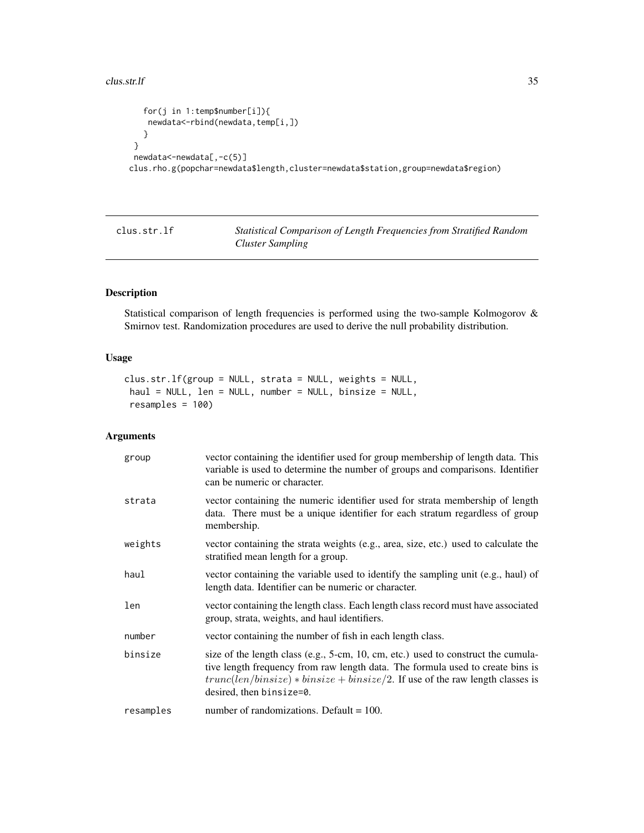#### <span id="page-34-0"></span> $\frac{1}{35}$  clus.str.lf  $\frac{35}{35}$

```
for(j in 1:temp$number[i]){
   newdata<-rbind(newdata,temp[i,])
   }
 }
 newdata<-newdata[,-c(5)]
clus.rho.g(popchar=newdata$length,cluster=newdata$station,group=newdata$region)
```
<span id="page-34-1"></span>clus.str.lf *Statistical Comparison of Length Frequencies from Stratified Random Cluster Sampling*

### Description

Statistical comparison of length frequencies is performed using the two-sample Kolmogorov & Smirnov test. Randomization procedures are used to derive the null probability distribution.

### Usage

```
clus.str.lf(group = NULL, strata = NULL, weights = NULL,
haul = NULL, len = NULL, number = NULL, binsize = NULL,
resamples = 100)
```
### Arguments

| group     | vector containing the identifier used for group membership of length data. This<br>variable is used to determine the number of groups and comparisons. Identifier<br>can be numeric or character.                                                                                   |
|-----------|-------------------------------------------------------------------------------------------------------------------------------------------------------------------------------------------------------------------------------------------------------------------------------------|
| strata    | vector containing the numeric identifier used for strata membership of length<br>data. There must be a unique identifier for each stratum regardless of group<br>membership.                                                                                                        |
| weights   | vector containing the strata weights (e.g., area, size, etc.) used to calculate the<br>stratified mean length for a group.                                                                                                                                                          |
| haul      | vector containing the variable used to identify the sampling unit (e.g., haul) of<br>length data. Identifier can be numeric or character.                                                                                                                                           |
| len       | vector containing the length class. Each length class record must have associated<br>group, strata, weights, and haul identifiers.                                                                                                                                                  |
| number    | vector containing the number of fish in each length class.                                                                                                                                                                                                                          |
| binsize   | size of the length class (e.g., 5-cm, 10, cm, etc.) used to construct the cumula-<br>tive length frequency from raw length data. The formula used to create bins is<br>$trunc(len/binsize) * binsize + binsize/2$ . If use of the raw length classes is<br>desired, then binsize=0. |
| resamples | number of randomizations. Default $= 100$ .                                                                                                                                                                                                                                         |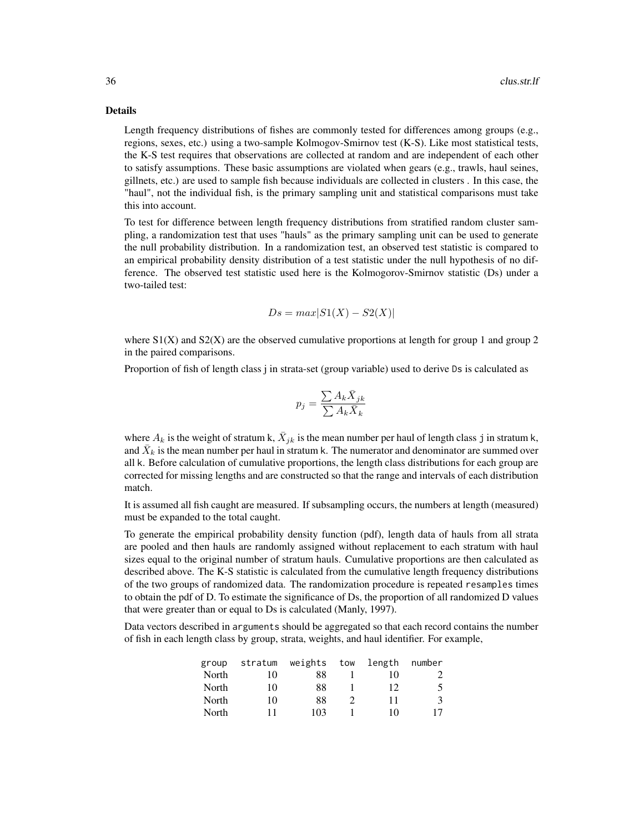### Details

Length frequency distributions of fishes are commonly tested for differences among groups (e.g., regions, sexes, etc.) using a two-sample Kolmogov-Smirnov test (K-S). Like most statistical tests, the K-S test requires that observations are collected at random and are independent of each other to satisfy assumptions. These basic assumptions are violated when gears (e.g., trawls, haul seines, gillnets, etc.) are used to sample fish because individuals are collected in clusters . In this case, the "haul", not the individual fish, is the primary sampling unit and statistical comparisons must take this into account.

To test for difference between length frequency distributions from stratified random cluster sampling, a randomization test that uses "hauls" as the primary sampling unit can be used to generate the null probability distribution. In a randomization test, an observed test statistic is compared to an empirical probability density distribution of a test statistic under the null hypothesis of no difference. The observed test statistic used here is the Kolmogorov-Smirnov statistic (Ds) under a two-tailed test:

$$
Ds = max|S1(X) - S2(X)|
$$

where  $S1(X)$  and  $S2(X)$  are the observed cumulative proportions at length for group 1 and group 2 in the paired comparisons.

Proportion of fish of length class j in strata-set (group variable) used to derive Ds is calculated as

$$
p_j = \frac{\sum A_k \bar{X}_{jk}}{\sum A_k \bar{X}_k}
$$

where  $A_k$  is the weight of stratum k,  $\bar{X}_{jk}$  is the mean number per haul of length class j in stratum k, and  $\bar{X}_k$  is the mean number per haul in stratum k. The numerator and denominator are summed over all k. Before calculation of cumulative proportions, the length class distributions for each group are corrected for missing lengths and are constructed so that the range and intervals of each distribution match.

It is assumed all fish caught are measured. If subsampling occurs, the numbers at length (measured) must be expanded to the total caught.

To generate the empirical probability density function (pdf), length data of hauls from all strata are pooled and then hauls are randomly assigned without replacement to each stratum with haul sizes equal to the original number of stratum hauls. Cumulative proportions are then calculated as described above. The K-S statistic is calculated from the cumulative length frequency distributions of the two groups of randomized data. The randomization procedure is repeated resamples times to obtain the pdf of D. To estimate the significance of Ds, the proportion of all randomized D values that were greater than or equal to Ds is calculated (Manly, 1997).

Data vectors described in arguments should be aggregated so that each record contains the number of fish in each length class by group, strata, weights, and haul identifier. For example,

| group | stratum | weights | tow | length | number |
|-------|---------|---------|-----|--------|--------|
| North | 10      | 88      |     | 10     | 2      |
| North | 10      | 88      |     | 12     | 5      |
| North | 10      | 88      |     | 11     | 3      |
| North | 11      | 103     |     | 10     | 17     |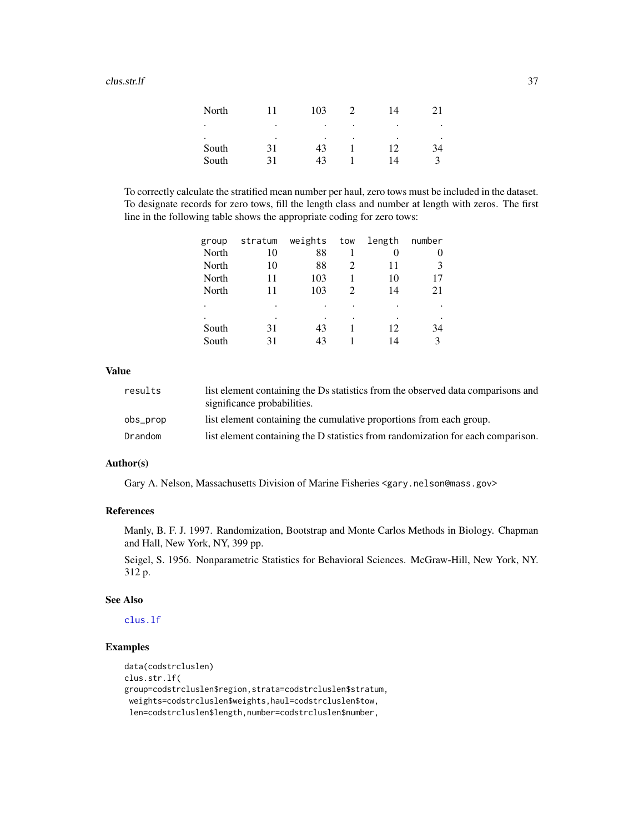#### $\frac{1}{37}$  clus.str.lf  $\frac{37}{37}$

| North |    | 103 |   | 14 |           |
|-------|----|-----|---|----|-----------|
| ٠     | ٠  | ٠   | ٠ | ٠  | $\bullet$ |
| ٠     | ٠  | ٠   | ٠ | ٠  | ٠         |
| South | 31 | 43  |   | 12 | 34        |
| South | 31 | 43  |   | 14 |           |

To correctly calculate the stratified mean number per haul, zero tows must be included in the dataset. To designate records for zero tows, fill the length class and number at length with zeros. The first line in the following table shows the appropriate coding for zero tows:

| group | stratum | weights | tow                         | length | number |
|-------|---------|---------|-----------------------------|--------|--------|
| North | 10      | 88      |                             | 0      | 0      |
| North | 10      | 88      | $\mathcal{D}_{\mathcal{A}}$ | 11     | 3      |
| North | 11      | 103     |                             | 10     | 17     |
| North | 11      | 103     |                             | 14     | 21     |
|       | ٠       | ٠       |                             |        |        |
|       |         |         |                             |        |        |
| South | 31      | 43      |                             | 12     | 34     |
| South | 31      | 43      |                             | 14     | 3      |
|       |         |         |                             |        |        |

# Value

| results  | list element containing the Ds statistics from the observed data comparisons and<br>significance probabilities. |
|----------|-----------------------------------------------------------------------------------------------------------------|
| obs_prop | list element containing the cumulative proportions from each group.                                             |
| Drandom  | list element containing the D statistics from randomization for each comparison.                                |

## Author(s)

Gary A. Nelson, Massachusetts Division of Marine Fisheries <gary.nelson@mass.gov>

# References

Manly, B. F. J. 1997. Randomization, Bootstrap and Monte Carlos Methods in Biology. Chapman and Hall, New York, NY, 399 pp.

Seigel, S. 1956. Nonparametric Statistics for Behavioral Sciences. McGraw-Hill, New York, NY. 312 p.

#### See Also

[clus.lf](#page-27-0)

# Examples

```
data(codstrcluslen)
clus.str.lf(
group=codstrcluslen$region,strata=codstrcluslen$stratum,
weights=codstrcluslen$weights,haul=codstrcluslen$tow,
len=codstrcluslen$length,number=codstrcluslen$number,
```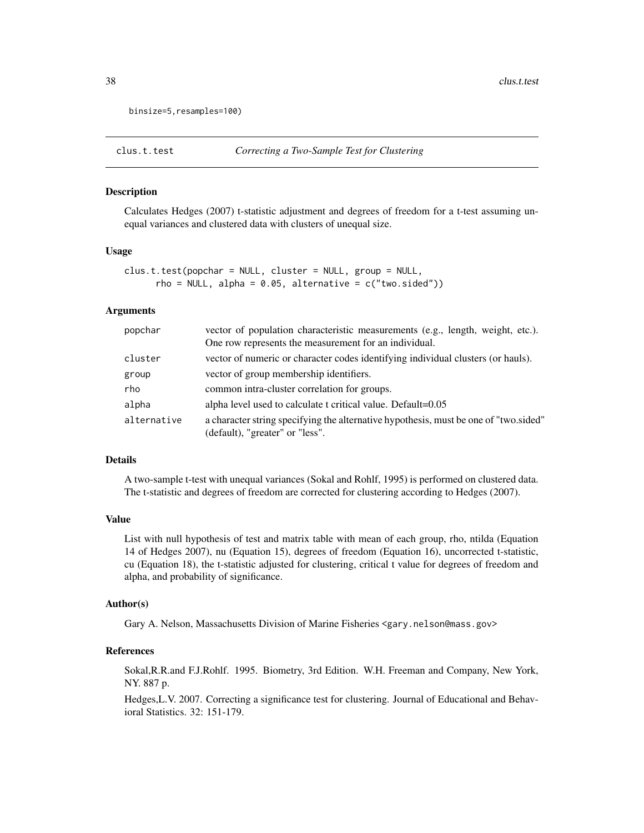```
binsize=5,resamples=100)
```
Calculates Hedges (2007) t-statistic adjustment and degrees of freedom for a t-test assuming unequal variances and clustered data with clusters of unequal size.

#### Usage

clus.t.test(popchar = NULL, cluster = NULL, group = NULL,  $rho = NULL$ , alpha = 0.05, alternative =  $c("two.sided"))$ 

#### Arguments

| popchar     | vector of population characteristic measurements (e.g., length, weight, etc.).<br>One row represents the measurement for an individual. |
|-------------|-----------------------------------------------------------------------------------------------------------------------------------------|
| cluster     | vector of numeric or character codes identifying individual clusters (or hauls).                                                        |
| group       | vector of group membership identifiers.                                                                                                 |
| rho         | common intra-cluster correlation for groups.                                                                                            |
| alpha       | alpha level used to calculate t critical value. Default=0.05                                                                            |
| alternative | a character string specifying the alternative hypothesis, must be one of "two sided"<br>(default), "greater" or "less".                 |

#### Details

A two-sample t-test with unequal variances (Sokal and Rohlf, 1995) is performed on clustered data. The t-statistic and degrees of freedom are corrected for clustering according to Hedges (2007).

## Value

List with null hypothesis of test and matrix table with mean of each group, rho, ntilda (Equation 14 of Hedges 2007), nu (Equation 15), degrees of freedom (Equation 16), uncorrected t-statistic, cu (Equation 18), the t-statistic adjusted for clustering, critical t value for degrees of freedom and alpha, and probability of significance.

#### Author(s)

Gary A. Nelson, Massachusetts Division of Marine Fisheries <gary.nelson@mass.gov>

# References

Sokal,R.R.and F.J.Rohlf. 1995. Biometry, 3rd Edition. W.H. Freeman and Company, New York, NY. 887 p.

Hedges,L.V. 2007. Correcting a significance test for clustering. Journal of Educational and Behavioral Statistics. 32: 151-179.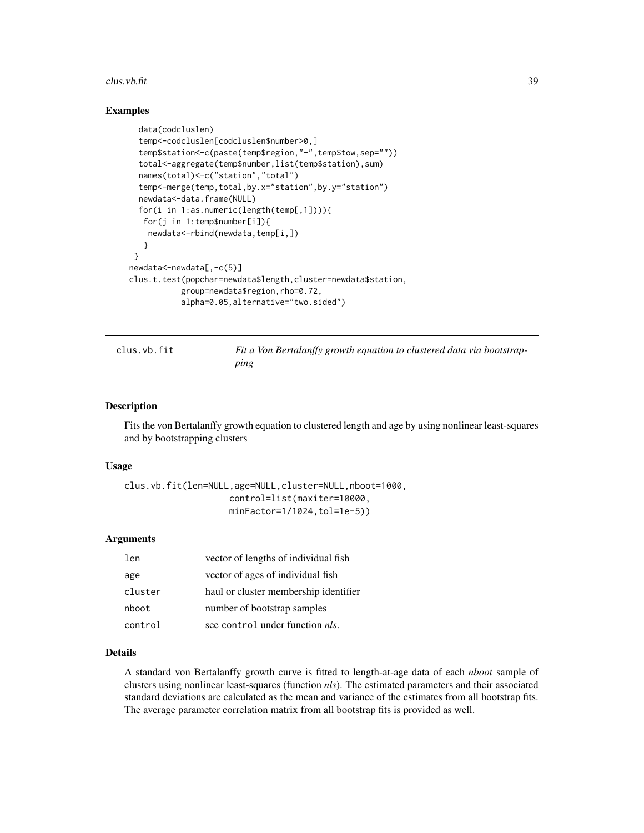#### $\frac{1}{39}$  clus.vb.fit

## Examples

```
data(codcluslen)
  temp<-codcluslen[codcluslen$number>0,]
  temp$station<-c(paste(temp$region,"-",temp$tow,sep=""))
  total<-aggregate(temp$number,list(temp$station),sum)
  names(total)<-c("station","total")
  temp<-merge(temp,total,by.x="station",by.y="station")
  newdata<-data.frame(NULL)
  for(i in 1:as.numeric(length(temp[,1]))){
   for(j in 1:temp$number[i]){
   newdata<-rbind(newdata,temp[i,])
   }
 }
newdata<-newdata[,-c(5)]
clus.t.test(popchar=newdata$length,cluster=newdata$station,
           group=newdata$region,rho=0.72,
           alpha=0.05,alternative="two.sided")
```
clus.vb.fit *Fit a Von Bertalanffy growth equation to clustered data via bootstrapping*

# Description

Fits the von Bertalanffy growth equation to clustered length and age by using nonlinear least-squares and by bootstrapping clusters

#### Usage

```
clus.vb.fit(len=NULL,age=NULL,cluster=NULL,nboot=1000,
                    control=list(maxiter=10000,
                    minFactor=1/1024,tol=1e-5))
```
## Arguments

| len     | vector of lengths of individual fish    |
|---------|-----------------------------------------|
| age     | vector of ages of individual fish       |
| cluster | haul or cluster membership identifier   |
| nboot   | number of bootstrap samples             |
| control | see control under function <i>nls</i> . |

#### Details

A standard von Bertalanffy growth curve is fitted to length-at-age data of each *nboot* sample of clusters using nonlinear least-squares (function *nls*). The estimated parameters and their associated standard deviations are calculated as the mean and variance of the estimates from all bootstrap fits. The average parameter correlation matrix from all bootstrap fits is provided as well.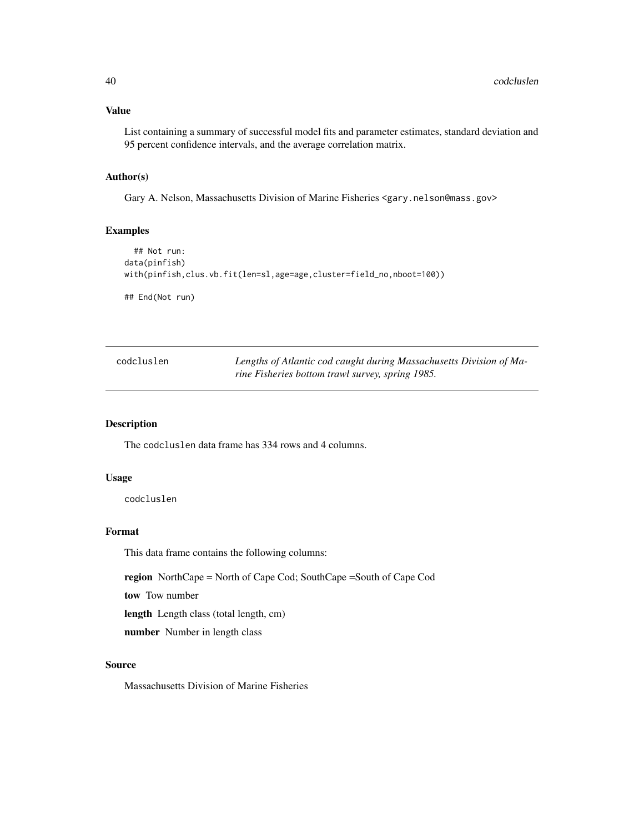## Value

List containing a summary of successful model fits and parameter estimates, standard deviation and 95 percent confidence intervals, and the average correlation matrix.

# Author(s)

Gary A. Nelson, Massachusetts Division of Marine Fisheries <gary.nelson@mass.gov>

# Examples

```
## Not run:
data(pinfish)
with(pinfish,clus.vb.fit(len=sl,age=age,cluster=field_no,nboot=100))
```
## End(Not run)

| codcluslen | Lengths of Atlantic cod caught during Massachusetts Division of Ma- |
|------------|---------------------------------------------------------------------|
|            | rine Fisheries bottom trawl survey, spring 1985.                    |

## Description

The codcluslen data frame has 334 rows and 4 columns.

#### Usage

codcluslen

## Format

This data frame contains the following columns:

region NorthCape = North of Cape Cod; SouthCape =South of Cape Cod

tow Tow number

length Length class (total length, cm)

number Number in length class

# Source

Massachusetts Division of Marine Fisheries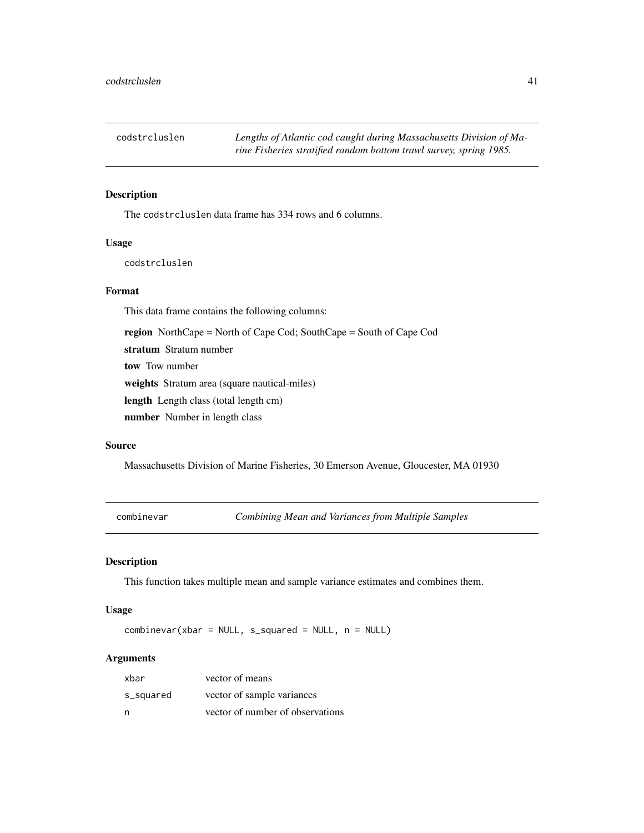The codstrcluslen data frame has 334 rows and 6 columns.

# Usage

codstrcluslen

#### Format

This data frame contains the following columns:

region NorthCape = North of Cape Cod; SouthCape = South of Cape Cod

stratum Stratum number

tow Tow number

weights Stratum area (square nautical-miles)

length Length class (total length cm)

number Number in length class

## Source

Massachusetts Division of Marine Fisheries, 30 Emerson Avenue, Gloucester, MA 01930

combinevar *Combining Mean and Variances from Multiple Samples*

# Description

This function takes multiple mean and sample variance estimates and combines them.

#### Usage

combinevar(xbar = NULL, s\_squared = NULL, n = NULL)

| xbar      | vector of means                  |
|-----------|----------------------------------|
| s_squared | vector of sample variances       |
| n         | vector of number of observations |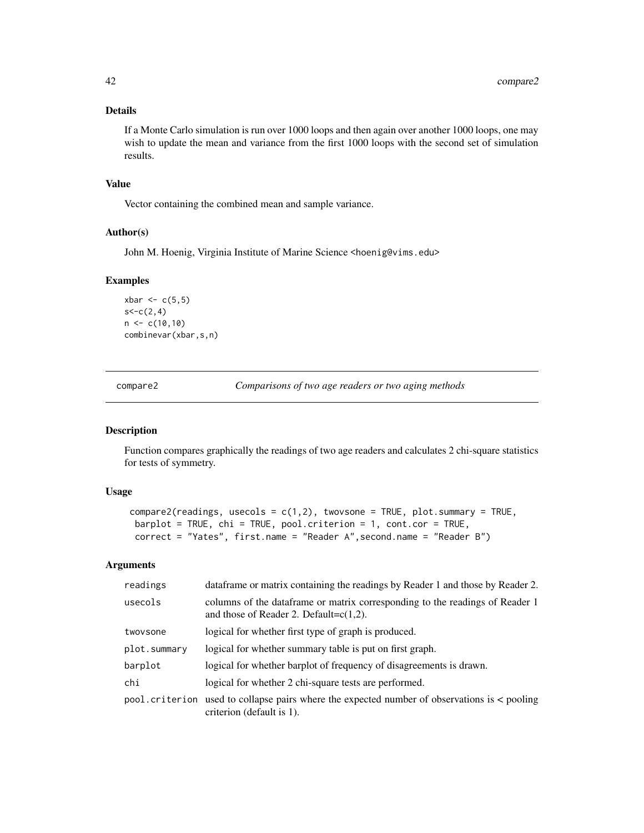If a Monte Carlo simulation is run over 1000 loops and then again over another 1000 loops, one may wish to update the mean and variance from the first 1000 loops with the second set of simulation results.

## Value

Vector containing the combined mean and sample variance.

## Author(s)

John M. Hoenig, Virginia Institute of Marine Science <hoenig@vims.edu>

#### Examples

```
xbar <-c(5,5)s < -c(2, 4)n < -c(10,10)combinevar(xbar,s,n)
```
compare2 *Comparisons of two age readers or two aging methods*

# Description

Function compares graphically the readings of two age readers and calculates 2 chi-square statistics for tests of symmetry.

# Usage

```
compare2(readings, usecols = c(1,2), twovsone = TRUE, plot.summary = TRUE,
barplot = TRUE, chi = TRUE, pool.criterion = 1, cont.cor = TRUE,
correct = "Yates", first.name = "Reader A",second.name = "Reader B")
```

| readings     | data frame or matrix containing the readings by Reader 1 and those by Reader 2.                                                 |
|--------------|---------------------------------------------------------------------------------------------------------------------------------|
| usecols      | columns of the dataframe or matrix corresponding to the readings of Reader 1<br>and those of Reader 2. Default= $c(1,2)$ .      |
| twoysone     | logical for whether first type of graph is produced.                                                                            |
| plot.summary | logical for whether summary table is put on first graph.                                                                        |
| barplot      | logical for whether barplot of frequency of disagreements is drawn.                                                             |
| chi          | logical for whether 2 chi-square tests are performed.                                                                           |
|              | $pool.criterion$ used to collapse pairs where the expected number of observations is $\lt$ pooling<br>criterion (default is 1). |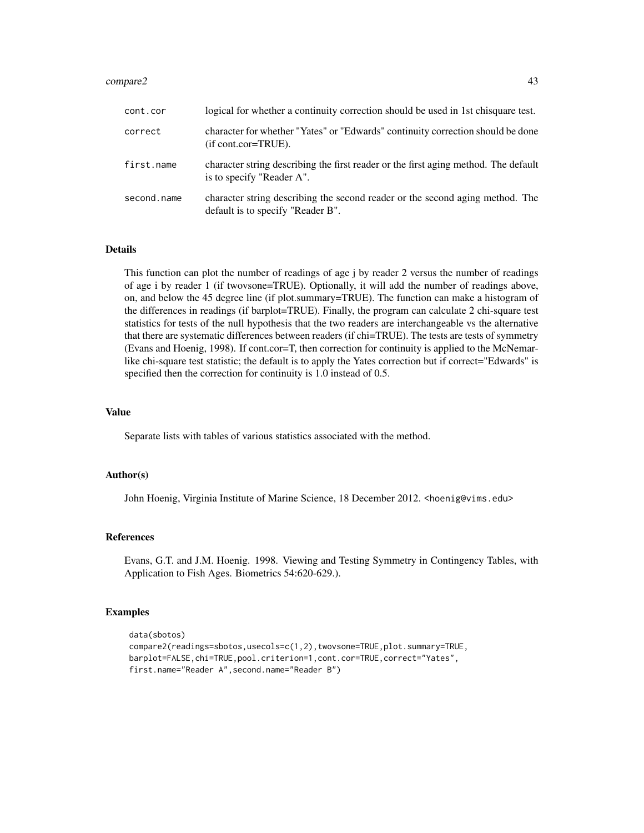#### compare2 43

| cont.cor    | logical for whether a continuity correction should be used in 1st chisquare test.                                  |
|-------------|--------------------------------------------------------------------------------------------------------------------|
| correct     | character for whether "Yates" or "Edwards" continuity correction should be done<br>$(if cont.cor=TRUE)$ .          |
| first.name  | character string describing the first reader or the first aging method. The default<br>is to specify "Reader A".   |
| second.name | character string describing the second reader or the second aging method. The<br>default is to specify "Reader B". |

#### Details

This function can plot the number of readings of age j by reader 2 versus the number of readings of age i by reader 1 (if twovsone=TRUE). Optionally, it will add the number of readings above, on, and below the 45 degree line (if plot.summary=TRUE). The function can make a histogram of the differences in readings (if barplot=TRUE). Finally, the program can calculate 2 chi-square test statistics for tests of the null hypothesis that the two readers are interchangeable vs the alternative that there are systematic differences between readers (if chi=TRUE). The tests are tests of symmetry (Evans and Hoenig, 1998). If cont.cor=T, then correction for continuity is applied to the McNemarlike chi-square test statistic; the default is to apply the Yates correction but if correct="Edwards" is specified then the correction for continuity is 1.0 instead of 0.5.

# Value

Separate lists with tables of various statistics associated with the method.

#### Author(s)

John Hoenig, Virginia Institute of Marine Science, 18 December 2012. <hoenig@vims.edu>

## References

Evans, G.T. and J.M. Hoenig. 1998. Viewing and Testing Symmetry in Contingency Tables, with Application to Fish Ages. Biometrics 54:620-629.).

#### Examples

```
data(sbotos)
compare2(readings=sbotos,usecols=c(1,2),twovsone=TRUE,plot.summary=TRUE,
barplot=FALSE,chi=TRUE,pool.criterion=1,cont.cor=TRUE,correct="Yates",
first.name="Reader A",second.name="Reader B")
```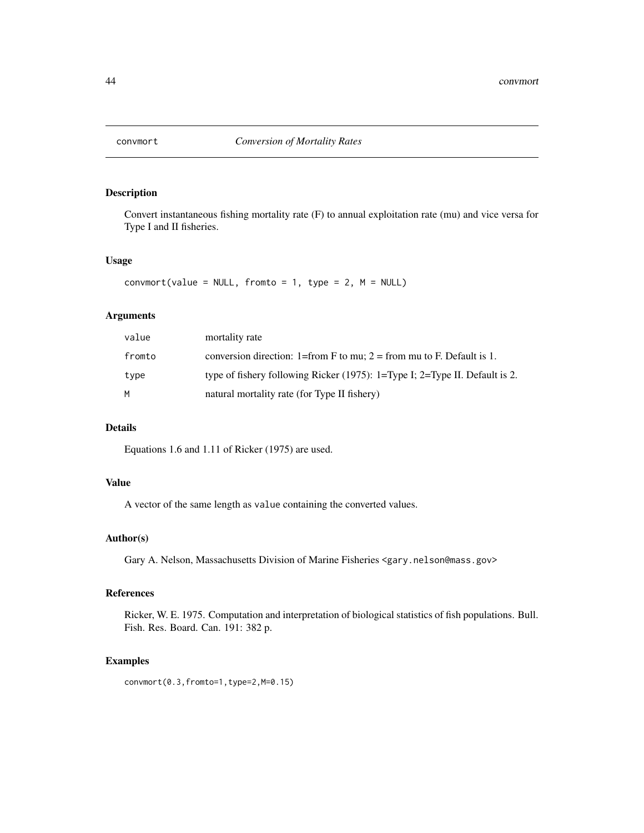Convert instantaneous fishing mortality rate (F) to annual exploitation rate (mu) and vice versa for Type I and II fisheries.

## Usage

 $convmort(value = NULL, from to = 1, type = 2, M = NULL)$ 

## Arguments

| value  | mortality rate                                                              |
|--------|-----------------------------------------------------------------------------|
| fromto | conversion direction: 1=from F to mu; 2 = from mu to F. Default is 1.       |
| type   | type of fishery following Ricker (1975): 1=Type I; 2=Type II. Default is 2. |
| M      | natural mortality rate (for Type II fishery)                                |

# Details

Equations 1.6 and 1.11 of Ricker (1975) are used.

#### Value

A vector of the same length as value containing the converted values.

## Author(s)

Gary A. Nelson, Massachusetts Division of Marine Fisheries <gary.nelson@mass.gov>

#### References

Ricker, W. E. 1975. Computation and interpretation of biological statistics of fish populations. Bull. Fish. Res. Board. Can. 191: 382 p.

## Examples

convmort(0.3,fromto=1,type=2,M=0.15)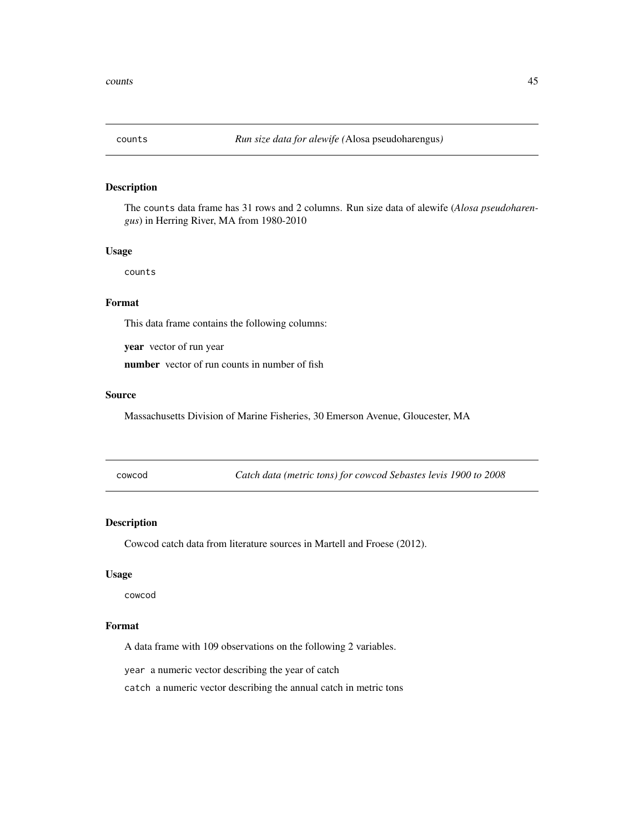The counts data frame has 31 rows and 2 columns. Run size data of alewife (*Alosa pseudoharengus*) in Herring River, MA from 1980-2010

#### Usage

counts

## Format

This data frame contains the following columns:

year vector of run year

number vector of run counts in number of fish

## Source

Massachusetts Division of Marine Fisheries, 30 Emerson Avenue, Gloucester, MA

cowcod *Catch data (metric tons) for cowcod Sebastes levis 1900 to 2008*

## Description

Cowcod catch data from literature sources in Martell and Froese (2012).

#### Usage

cowcod

# Format

A data frame with 109 observations on the following 2 variables.

year a numeric vector describing the year of catch

catch a numeric vector describing the annual catch in metric tons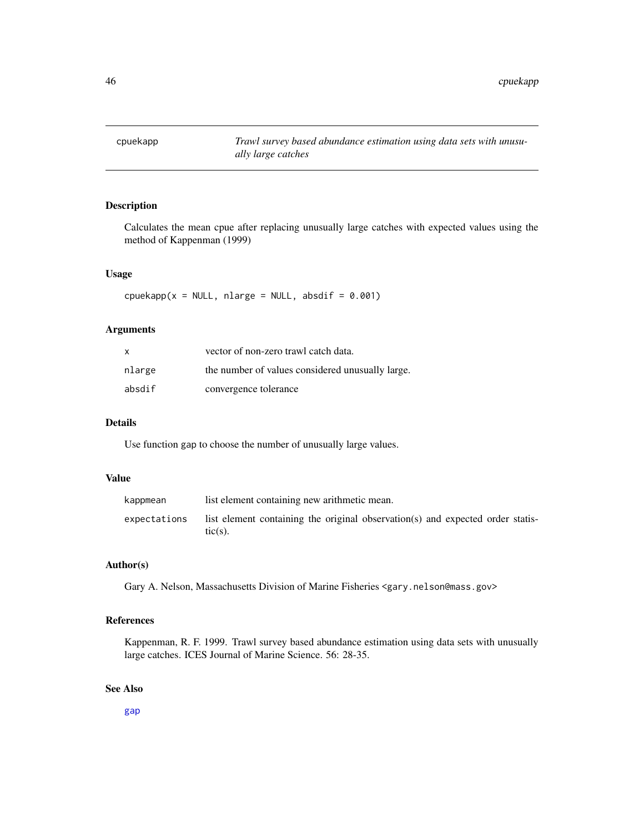Calculates the mean cpue after replacing unusually large catches with expected values using the method of Kappenman (1999)

# Usage

 $c$ puekapp(x = NULL, nlarge = NULL, absdif = 0.001)

# Arguments

| X      | vector of non-zero trawl catch data.             |
|--------|--------------------------------------------------|
| nlarge | the number of values considered unusually large. |
| absdif | convergence tolerance                            |

## Details

Use function gap to choose the number of unusually large values.

#### Value

| kappmean     | list element containing new arithmetic mean.                                                 |
|--------------|----------------------------------------------------------------------------------------------|
| expectations | list element containing the original observation(s) and expected order statis-<br>$tic(s)$ . |

## Author(s)

Gary A. Nelson, Massachusetts Division of Marine Fisheries <gary.nelson@mass.gov>

# References

Kappenman, R. F. 1999. Trawl survey based abundance estimation using data sets with unusually large catches. ICES Journal of Marine Science. 56: 28-35.

# See Also

[gap](#page-66-0)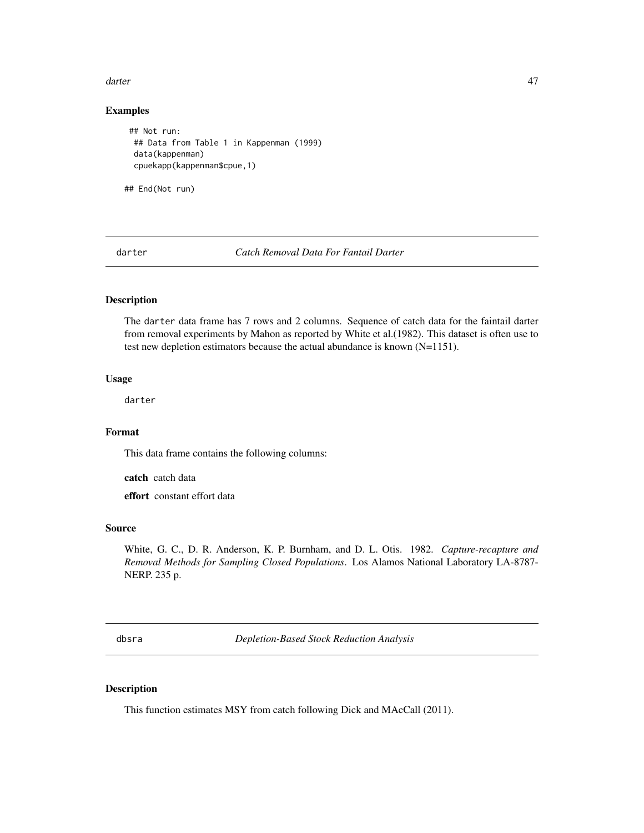#### darter and the control of the control of the control of the control of the control of the control of the control of the control of the control of the control of the control of the control of the control of the control of t

# Examples

```
## Not run:
 ## Data from Table 1 in Kappenman (1999)
 data(kappenman)
 cpuekapp(kappenman$cpue,1)
## End(Not run)
```
darter *Catch Removal Data For Fantail Darter*

# Description

The darter data frame has 7 rows and 2 columns. Sequence of catch data for the faintail darter from removal experiments by Mahon as reported by White et al.(1982). This dataset is often use to test new depletion estimators because the actual abundance is known (N=1151).

## Usage

darter

## Format

This data frame contains the following columns:

catch catch data

effort constant effort data

## Source

White, G. C., D. R. Anderson, K. P. Burnham, and D. L. Otis. 1982. *Capture-recapture and Removal Methods for Sampling Closed Populations*. Los Alamos National Laboratory LA-8787- NERP. 235 p.

<span id="page-46-0"></span>dbsra *Depletion-Based Stock Reduction Analysis*

# Description

This function estimates MSY from catch following Dick and MAcCall (2011).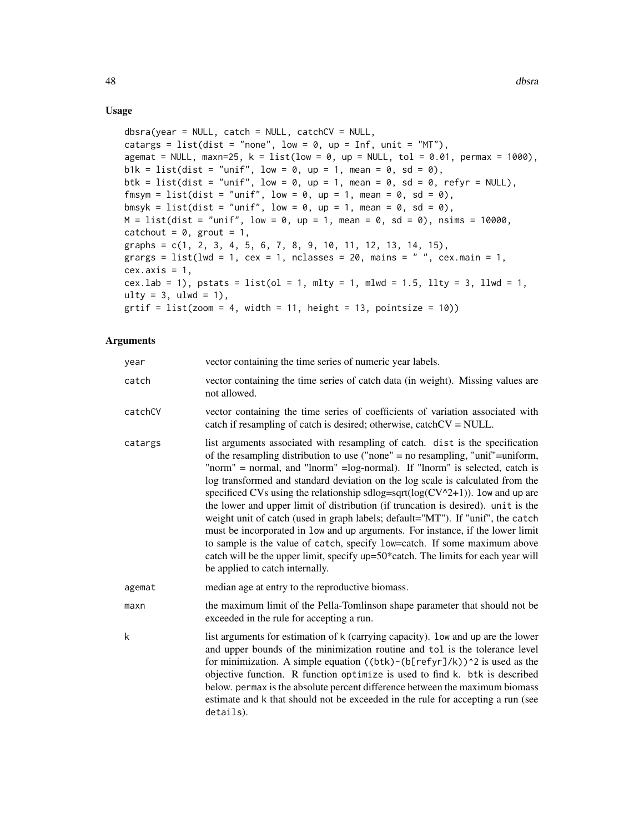## Usage

```
dbsra(year = NULL, catch = NULL, catchCV = NULL,catargs = list(dist = "none", low = 0, up = Inf, unit = "MT"),
agemat = NULL, maxn=25, k = list(low = 0, up = NULL, tol = 0.01, permax = 1000),
b1k = list(dist = "unif", low = 0, up = 1, mean = 0, sd = 0),btk = list(dist = "unif", low = 0, up = 1, mean = 0, sd = 0, refyr = NULL),
fmsym = list(dist = "unif", low = 0, up = 1, mean = 0, sd = 0),
bmsyk = list(dist = "unif", low = \theta, up = 1, mean = \theta, sd = \theta),
M = list(dist = "unif", low = 0, up = 1, mean = 0, sd = 0), nsims = 10000,catchout = 0, grout = 1,
graphs = c(1, 2, 3, 4, 5, 6, 7, 8, 9, 10, 11, 12, 13, 14, 15),
grargs = list(lwd = 1, cex = 1, nclasses = 20, mains = " ", cex.main = 1,
cex. axis = 1,cex.lab = 1), pstats = list(ol = 1, mlty = 1, mlwd = 1.5, llty = 3, llwd = 1,
ulty = 3, ulwd = 1),
grti f = list(zoom = 4, width = 11, height = 13, pointsize = 10)
```

| year    | vector containing the time series of numeric year labels.                                                                                                                                                                                                                                                                                                                                                                                                                                                                                                                                                                                                                                                                                                                                                                                                                             |
|---------|---------------------------------------------------------------------------------------------------------------------------------------------------------------------------------------------------------------------------------------------------------------------------------------------------------------------------------------------------------------------------------------------------------------------------------------------------------------------------------------------------------------------------------------------------------------------------------------------------------------------------------------------------------------------------------------------------------------------------------------------------------------------------------------------------------------------------------------------------------------------------------------|
| catch   | vector containing the time series of catch data (in weight). Missing values are<br>not allowed.                                                                                                                                                                                                                                                                                                                                                                                                                                                                                                                                                                                                                                                                                                                                                                                       |
| catchCV | vector containing the time series of coefficients of variation associated with<br>catch if resampling of catch is desired; otherwise, catch $CV = NULL$ .                                                                                                                                                                                                                                                                                                                                                                                                                                                                                                                                                                                                                                                                                                                             |
| catargs | list arguments associated with resampling of catch. dist is the specification<br>of the resampling distribution to use ("none" = no resampling, "unif"=uniform,<br>"norm" = normal, and "lnorm" = log-normal). If "lnorm" is selected, catch is<br>log transformed and standard deviation on the log scale is calculated from the<br>specificed CVs using the relationship sdlog=sqrt( $log(CV^2+1)$ ). low and up are<br>the lower and upper limit of distribution (if truncation is desired). unit is the<br>weight unit of catch (used in graph labels; default="MT"). If "unif", the catch<br>must be incorporated in low and up arguments. For instance, if the lower limit<br>to sample is the value of catch, specify low=catch. If some maximum above<br>catch will be the upper limit, specify up=50*catch. The limits for each year will<br>be applied to catch internally. |
| agemat  | median age at entry to the reproductive biomass.                                                                                                                                                                                                                                                                                                                                                                                                                                                                                                                                                                                                                                                                                                                                                                                                                                      |
| maxn    | the maximum limit of the Pella-Tomlinson shape parameter that should not be<br>exceeded in the rule for accepting a run.                                                                                                                                                                                                                                                                                                                                                                                                                                                                                                                                                                                                                                                                                                                                                              |
| k       | list arguments for estimation of k (carrying capacity). low and up are the lower<br>and upper bounds of the minimization routine and tol is the tolerance level<br>for minimization. A simple equation $((btk)-(b[refyr]/k))^2$ is used as the<br>objective function. R function optimize is used to find k. btk is described<br>below. permax is the absolute percent difference between the maximum biomass<br>estimate and k that should not be exceeded in the rule for accepting a run (see<br>details).                                                                                                                                                                                                                                                                                                                                                                         |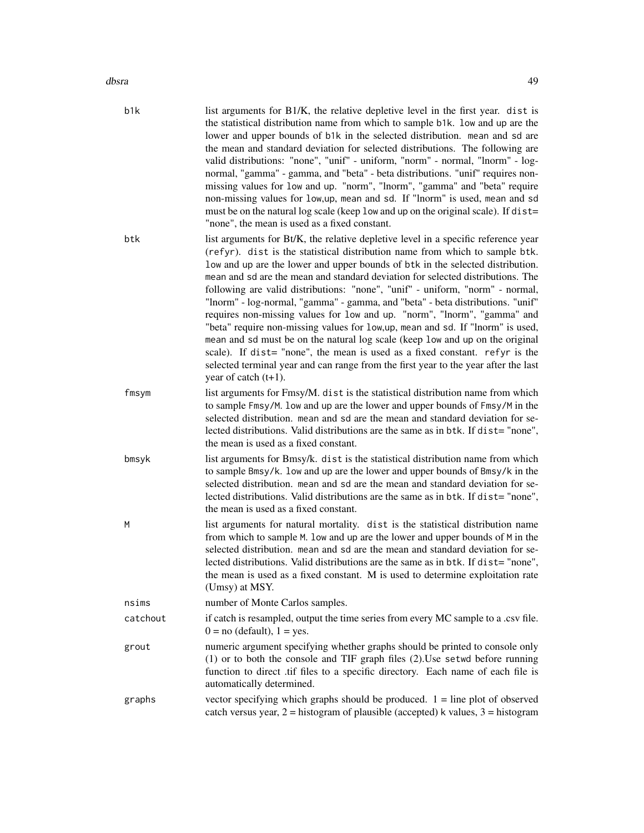| b <sub>1</sub> k | list arguments for B1/K, the relative depletive level in the first year. dist is<br>the statistical distribution name from which to sample b1k. low and up are the<br>lower and upper bounds of b1k in the selected distribution. mean and sd are<br>the mean and standard deviation for selected distributions. The following are<br>valid distributions: "none", "unif" - uniform, "norm" - normal, "lnorm" - log-<br>normal, "gamma" - gamma, and "beta" - beta distributions. "unif" requires non-<br>missing values for low and up. "norm", "lnorm", "gamma" and "beta" require<br>non-missing values for low, up, mean and sd. If "lnorm" is used, mean and sd<br>must be on the natural log scale (keep low and up on the original scale). If dist=<br>"none", the mean is used as a fixed constant.                                                                                                                                                 |
|------------------|-------------------------------------------------------------------------------------------------------------------------------------------------------------------------------------------------------------------------------------------------------------------------------------------------------------------------------------------------------------------------------------------------------------------------------------------------------------------------------------------------------------------------------------------------------------------------------------------------------------------------------------------------------------------------------------------------------------------------------------------------------------------------------------------------------------------------------------------------------------------------------------------------------------------------------------------------------------|
| btk              | list arguments for Bt/K, the relative depletive level in a specific reference year<br>(refyr). dist is the statistical distribution name from which to sample btk.<br>low and up are the lower and upper bounds of btk in the selected distribution.<br>mean and sd are the mean and standard deviation for selected distributions. The<br>following are valid distributions: "none", "unif" - uniform, "norm" - normal,<br>"lnorm" - log-normal, "gamma" - gamma, and "beta" - beta distributions. "unif"<br>requires non-missing values for low and up. "norm", "lnorm", "gamma" and<br>"beta" require non-missing values for low, up, mean and sd. If "lnorm" is used,<br>mean and sd must be on the natural log scale (keep low and up on the original<br>scale). If dist= "none", the mean is used as a fixed constant. refyr is the<br>selected terminal year and can range from the first year to the year after the last<br>year of catch $(t+1)$ . |
| fmsym            | list arguments for Fmsy/M. dist is the statistical distribution name from which<br>to sample Fmsy/M. Low and up are the lower and upper bounds of Fmsy/M in the<br>selected distribution. mean and sd are the mean and standard deviation for se-<br>lected distributions. Valid distributions are the same as in btk. If dist="none",<br>the mean is used as a fixed constant.                                                                                                                                                                                                                                                                                                                                                                                                                                                                                                                                                                             |
| bmsyk            | list arguments for Bmsy/k. dist is the statistical distribution name from which<br>to sample Bmsy/k. low and up are the lower and upper bounds of Bmsy/k in the<br>selected distribution. mean and sd are the mean and standard deviation for se-<br>lected distributions. Valid distributions are the same as in btk. If dist="none",<br>the mean is used as a fixed constant.                                                                                                                                                                                                                                                                                                                                                                                                                                                                                                                                                                             |
| M                | list arguments for natural mortality. dist is the statistical distribution name<br>from which to sample M. low and up are the lower and upper bounds of M in the<br>selected distribution. mean and sd are the mean and standard deviation for se-<br>lected distributions. Valid distributions are the same as in btk. If dist="none",<br>the mean is used as a fixed constant. M is used to determine exploitation rate<br>(Umsy) at MSY.                                                                                                                                                                                                                                                                                                                                                                                                                                                                                                                 |
| nsims            | number of Monte Carlos samples.                                                                                                                                                                                                                                                                                                                                                                                                                                                                                                                                                                                                                                                                                                                                                                                                                                                                                                                             |
| catchout         | if catch is resampled, output the time series from every MC sample to a .csv file.<br>$0 = no$ (default), $1 = yes$ .                                                                                                                                                                                                                                                                                                                                                                                                                                                                                                                                                                                                                                                                                                                                                                                                                                       |
| grout            | numeric argument specifying whether graphs should be printed to console only<br>$(1)$ or to both the console and TIF graph files $(2)$ . Use setwd before running<br>function to direct .tif files to a specific directory. Each name of each file is<br>automatically determined.                                                                                                                                                                                                                                                                                                                                                                                                                                                                                                                                                                                                                                                                          |
| graphs           | vector specifying which graphs should be produced. $1 =$ line plot of observed<br>catch versus year, $2 =$ histogram of plausible (accepted) k values, $3 =$ histogram                                                                                                                                                                                                                                                                                                                                                                                                                                                                                                                                                                                                                                                                                                                                                                                      |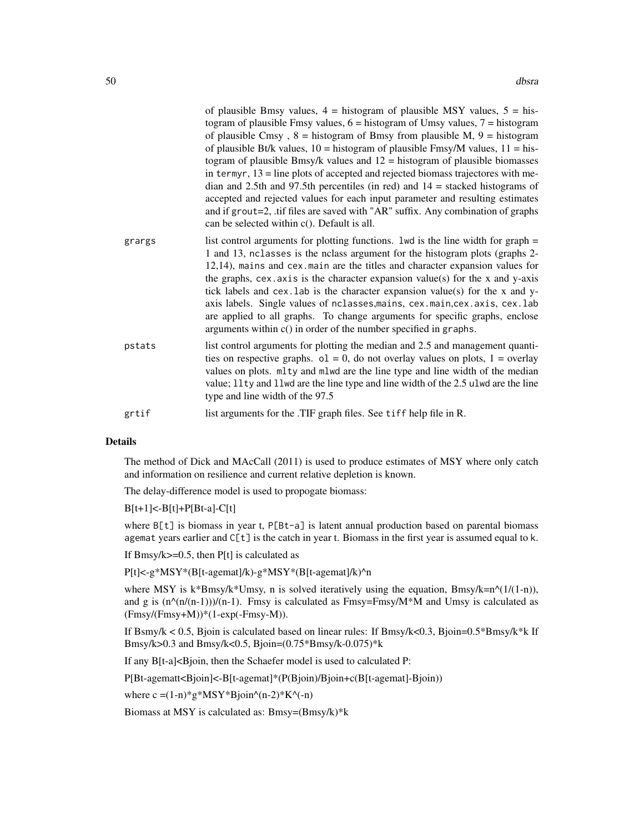|        | of plausible Bmsy values, $4 =$ histogram of plausible MSY values, $5 =$ his-<br>togram of plausible Fmsy values, $6 =$ histogram of Umsy values, $7 =$ histogram<br>of plausible Cmsy, $8 =$ histogram of Bmsy from plausible M, $9 =$ histogram<br>of plausible Bt/k values, $10 =$ histogram of plausible Fmsy/M values, $11 =$ his-<br>togram of plausible Bmsy/k values and $12$ = histogram of plausible biomasses<br>in termyr, $13$ = line plots of accepted and rejected biomass trajectores with me-<br>dian and 2.5th and 97.5th percentiles (in red) and $14$ = stacked histograms of<br>accepted and rejected values for each input parameter and resulting estimates<br>and if grout=2, .tif files are saved with "AR" suffix. Any combination of graphs<br>can be selected within c(). Default is all. |
|--------|-----------------------------------------------------------------------------------------------------------------------------------------------------------------------------------------------------------------------------------------------------------------------------------------------------------------------------------------------------------------------------------------------------------------------------------------------------------------------------------------------------------------------------------------------------------------------------------------------------------------------------------------------------------------------------------------------------------------------------------------------------------------------------------------------------------------------|
| grargs | list control arguments for plotting functions. 1wd is the line width for graph $=$<br>1 and 13, nclasses is the nclass argument for the histogram plots (graphs 2-<br>12,14), mains and cex.main are the titles and character expansion values for<br>the graphs, $cex. axis$ is the character expansion value(s) for the x and y-axis<br>tick labels and cex. Lab is the character expansion value(s) for the x and y-<br>axis labels. Single values of nclasses, mains, cex. main, cex. axis, cex. lab<br>are applied to all graphs. To change arguments for specific graphs, enclose<br>arguments within $c()$ in order of the number specified in graphs.                                                                                                                                                         |
| pstats | list control arguments for plotting the median and 2.5 and management quanti-<br>ties on respective graphs. $o1 = 0$ , do not overlay values on plots, $1 =$ overlay<br>values on plots. mlty and mlwd are the line type and line width of the median<br>value; 11ty and 11wd are the line type and line width of the 2.5 ulwd are the line<br>type and line width of the 97.5                                                                                                                                                                                                                                                                                                                                                                                                                                        |
| grtif  | list arguments for the .TIF graph files. See tiff help file in R.                                                                                                                                                                                                                                                                                                                                                                                                                                                                                                                                                                                                                                                                                                                                                     |

The method of Dick and MAcCall (2011) is used to produce estimates of MSY where only catch and information on resilience and current relative depletion is known.

The delay-difference model is used to propogate biomass:

 $B[t+1] < -B[t]+P[Bt-a] - C[t]$ 

where B[t] is biomass in year t, P[Bt-a] is latent annual production based on parental biomass agemat years earlier and  $C[t]$  is the catch in year t. Biomass in the first year is assumed equal to k.

If Bmsy/k $>=0.5$ , then P[t] is calculated as

P[t]<-g\*MSY\*(B[t-agemat]/k)-g\*MSY\*(B[t-agemat]/k)^n

where MSY is k\*Bmsy/k\*Umsy, n is solved iteratively using the equation, Bmsy/k=n^(1/(1-n)), and g is  $(n^{(n(n-1))}/(n-1)$ . Fmsy is calculated as Fmsy=Fmsy/M\*M and Umsy is calculated as  $(Fmsy/(Fmsy+M))*(1-exp(-Fmsy-M)).$ 

If Bsmy/k < 0.5, Bjoin is calculated based on linear rules: If Bmsy/k<0.3, Bjoin=0.5\*Bmsy/k\*k If Bmsy/k>0.3 and Bmsy/k<0.5, Bjoin= $(0.75*B$ msy/k-0.075)\*k

If any B[t-a]<Bjoin, then the Schaefer model is used to calculated P:

P[Bt-agematt<Bjoin]<-B[t-agemat]\*(P(Bjoin)/Bjoin+c(B[t-agemat]-Bjoin))

where  $c = (1-n)^*g^*MSY^*Bjoin^(n-2)*K^(-n)$ 

Biomass at MSY is calculated as: Bmsy=(Bmsy/k)\*k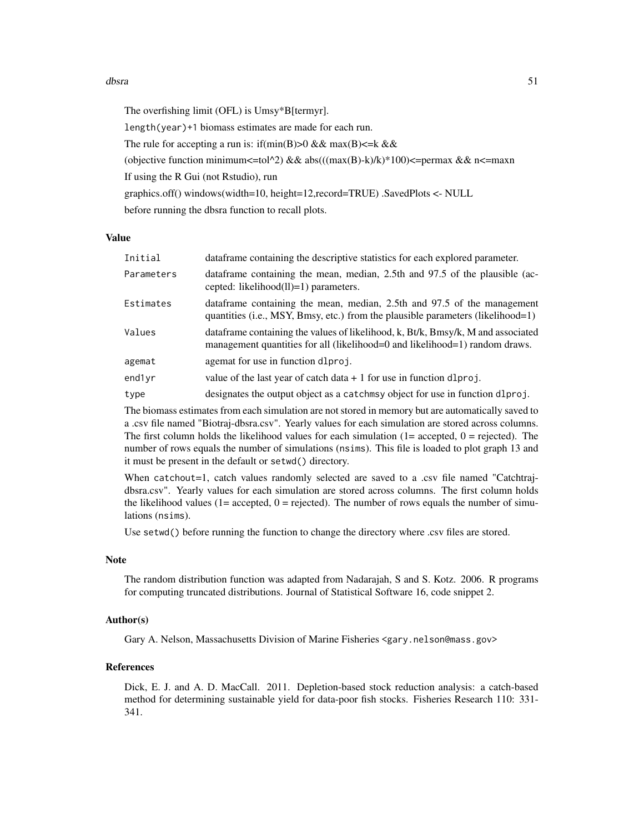#### dbsra 51

The overfishing limit (OFL) is Umsy\*B[termyr]. length(year)+1 biomass estimates are made for each run. The rule for accepting a run is: if(min(B) $>0$  && max(B) $\le k$  && (objective function minimum <= tol^2) && abs(((max(B)-k)/k)\*100) <= permax && n <= maxn If using the R Gui (not Rstudio), run graphics.off() windows(width=10, height=12,record=TRUE) .SavedPlots <- NULL before running the dbsra function to recall plots.

#### Value

| Initial    | data frame containing the descriptive statistics for each explored parameter.                                                                                    |
|------------|------------------------------------------------------------------------------------------------------------------------------------------------------------------|
| Parameters | data frame containing the mean, median, 2.5th and 97.5 of the plausible (ac-<br>cepted: likelihood $(11)=1$ ) parameters.                                        |
| Estimates  | data frame containing the mean, median, 2.5th and 97.5 of the management<br>quantities (i.e., MSY, Bmsy, etc.) from the plausible parameters (likelihood=1)      |
| Values     | data frame containing the values of likelihood, k, Bt/k, Bmsy/k, M and associated<br>management quantities for all (likelihood=0 and likelihood=1) random draws. |
| agemat     | agemat for use in function dlproj.                                                                                                                               |
| end1yr     | value of the last year of catch data $+1$ for use in function dlproj.                                                                                            |
| type       | designates the output object as a catchmay object for use in function dlproj.                                                                                    |

The biomass estimates from each simulation are not stored in memory but are automatically saved to a .csv file named "Biotraj-dbsra.csv". Yearly values for each simulation are stored across columns. The first column holds the likelihood values for each simulation  $(1=$  accepted,  $0=$  rejected). The number of rows equals the number of simulations (nsims). This file is loaded to plot graph 13 and it must be present in the default or setwd() directory.

When catchout=1, catch values randomly selected are saved to a .csv file named "Catchtrajdbsra.csv". Yearly values for each simulation are stored across columns. The first column holds the likelihood values  $(1=$  accepted,  $0=$  rejected). The number of rows equals the number of simulations (nsims).

Use setwd() before running the function to change the directory where .csv files are stored.

#### Note

The random distribution function was adapted from Nadarajah, S and S. Kotz. 2006. R programs for computing truncated distributions. Journal of Statistical Software 16, code snippet 2.

#### Author(s)

Gary A. Nelson, Massachusetts Division of Marine Fisheries <gary.nelson@mass.gov>

## References

Dick, E. J. and A. D. MacCall. 2011. Depletion-based stock reduction analysis: a catch-based method for determining sustainable yield for data-poor fish stocks. Fisheries Research 110: 331- 341.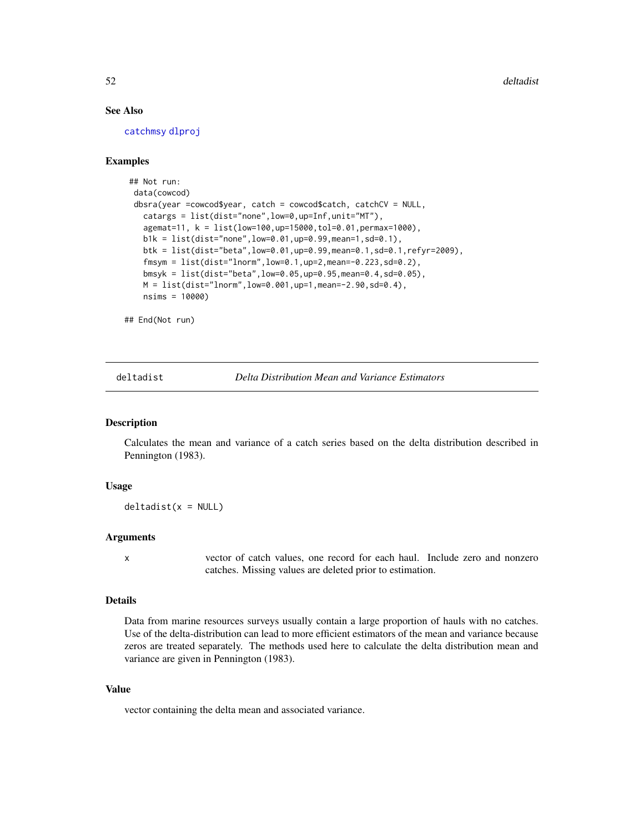# See Also

[catchmsy](#page-21-0) [dlproj](#page-54-0)

# Examples

```
## Not run:
data(cowcod)
dbsra(year =cowcod$year, catch = cowcod$catch, catchCV = NULL,
   catargs = list(dist="none",low=0,up=Inf,unit="MT"),
   agemat=11, k = list(low=100,up=15000,tol=0.01,permax=1000),
  b1k = list(dist="none",low=0.01,up=0.99,mean=1,sd=0.1),
  btk = list(dist="beta",low=0.01,up=0.99,mean=0.1,sd=0.1,refyr=2009),
   fmsym = list(dist="lnorm",low=0.1,up=2,mean=-0.223,sd=0.2),
  bmsyk = list(dist="beta",low=0.05,up=0.95,mean=0.4,sd=0.05),
  M = list(dist="Inorm", low=0.001, up=1, mean=-2.90, sd=0.4),nsims = 10000)
```
## End(Not run)

deltadist *Delta Distribution Mean and Variance Estimators*

# Description

Calculates the mean and variance of a catch series based on the delta distribution described in Pennington (1983).

## Usage

 $deltaist(x = NULL)$ 

# Arguments

x vector of catch values, one record for each haul. Include zero and nonzero catches. Missing values are deleted prior to estimation.

## Details

Data from marine resources surveys usually contain a large proportion of hauls with no catches. Use of the delta-distribution can lead to more efficient estimators of the mean and variance because zeros are treated separately. The methods used here to calculate the delta distribution mean and variance are given in Pennington (1983).

# Value

vector containing the delta mean and associated variance.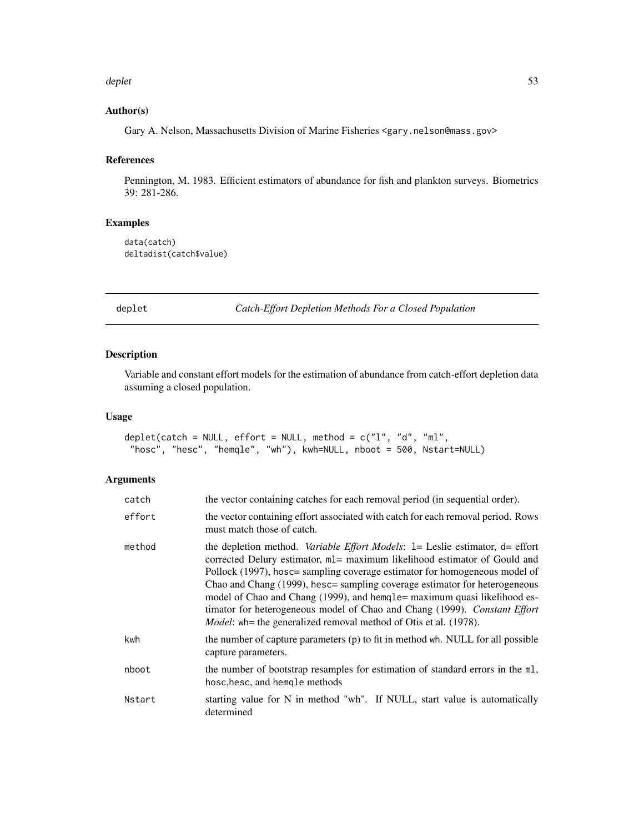#### deplet 53

## Author(s)

Gary A. Nelson, Massachusetts Division of Marine Fisheries <gary.nelson@mass.gov>

## References

Pennington, M. 1983. Efficient estimators of abundance for fish and plankton surveys. Biometrics 39: 281-286.

# Examples

```
data(catch)
deltadist(catch$value)
```
deplet *Catch-Effort Depletion Methods For a Closed Population*

# Description

Variable and constant effort models for the estimation of abundance from catch-effort depletion data assuming a closed population.

# Usage

```
deplet(catch = NULL, effort = NULL, method = c("1", "d", "ml","hosc", "hesc", "hemqle", "wh"), kwh=NULL, nboot = 500, Nstart=NULL)
```

| catch  | the vector containing catches for each removal period (in sequential order).                                                                                                                                                                                                                                                                                                                                                                                                                                                                                              |
|--------|---------------------------------------------------------------------------------------------------------------------------------------------------------------------------------------------------------------------------------------------------------------------------------------------------------------------------------------------------------------------------------------------------------------------------------------------------------------------------------------------------------------------------------------------------------------------------|
| effort | the vector containing effort associated with catch for each removal period. Rows<br>must match those of catch.                                                                                                                                                                                                                                                                                                                                                                                                                                                            |
| method | the depletion method. <i>Variable Effort Models</i> : $l =$ Leslie estimator, $d =$ effort<br>corrected Delury estimator, ml= maximum likelihood estimator of Gould and<br>Pollock (1997), hosc= sampling coverage estimator for homogeneous model of<br>Chao and Chang (1999), hesc= sampling coverage estimator for heterogeneous<br>model of Chao and Chang (1999), and hemqle = maximum quasi likelihood es-<br>timator for heterogeneous model of Chao and Chang (1999). Constant Effort<br><i>Model</i> : wh= the generalized removal method of Otis et al. (1978). |
| kwh    | the number of capture parameters (p) to fit in method wh. NULL for all possible<br>capture parameters.                                                                                                                                                                                                                                                                                                                                                                                                                                                                    |
| nboot  | the number of bootstrap resamples for estimation of standard errors in the ml,<br>hosc, hesc, and hemole methods                                                                                                                                                                                                                                                                                                                                                                                                                                                          |
| Nstart | starting value for N in method "wh". If NULL, start value is automatically<br>determined                                                                                                                                                                                                                                                                                                                                                                                                                                                                                  |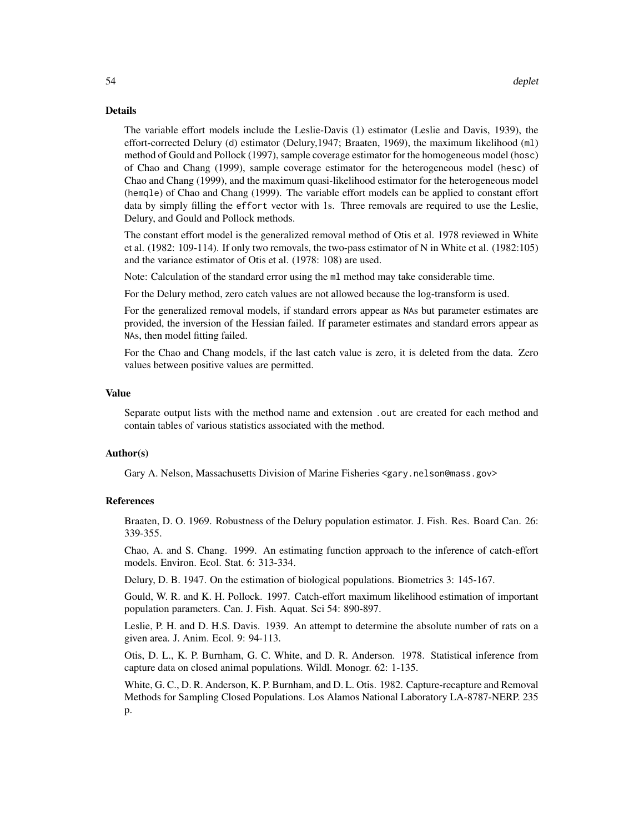The variable effort models include the Leslie-Davis (l) estimator (Leslie and Davis, 1939), the effort-corrected Delury (d) estimator (Delury,1947; Braaten, 1969), the maximum likelihood (ml) method of Gould and Pollock (1997), sample coverage estimator for the homogeneous model (hosc) of Chao and Chang (1999), sample coverage estimator for the heterogeneous model (hesc) of Chao and Chang (1999), and the maximum quasi-likelihood estimator for the heterogeneous model (hemqle) of Chao and Chang (1999). The variable effort models can be applied to constant effort data by simply filling the effort vector with 1s. Three removals are required to use the Leslie, Delury, and Gould and Pollock methods.

The constant effort model is the generalized removal method of Otis et al. 1978 reviewed in White et al. (1982: 109-114). If only two removals, the two-pass estimator of N in White et al. (1982:105) and the variance estimator of Otis et al. (1978: 108) are used.

Note: Calculation of the standard error using the ml method may take considerable time.

For the Delury method, zero catch values are not allowed because the log-transform is used.

For the generalized removal models, if standard errors appear as NAs but parameter estimates are provided, the inversion of the Hessian failed. If parameter estimates and standard errors appear as NAs, then model fitting failed.

For the Chao and Chang models, if the last catch value is zero, it is deleted from the data. Zero values between positive values are permitted.

#### Value

Separate output lists with the method name and extension .out are created for each method and contain tables of various statistics associated with the method.

#### Author(s)

Gary A. Nelson, Massachusetts Division of Marine Fisheries <gary.nelson@mass.gov>

## References

Braaten, D. O. 1969. Robustness of the Delury population estimator. J. Fish. Res. Board Can. 26: 339-355.

Chao, A. and S. Chang. 1999. An estimating function approach to the inference of catch-effort models. Environ. Ecol. Stat. 6: 313-334.

Delury, D. B. 1947. On the estimation of biological populations. Biometrics 3: 145-167.

Gould, W. R. and K. H. Pollock. 1997. Catch-effort maximum likelihood estimation of important population parameters. Can. J. Fish. Aquat. Sci 54: 890-897.

Leslie, P. H. and D. H.S. Davis. 1939. An attempt to determine the absolute number of rats on a given area. J. Anim. Ecol. 9: 94-113.

Otis, D. L., K. P. Burnham, G. C. White, and D. R. Anderson. 1978. Statistical inference from capture data on closed animal populations. Wildl. Monogr. 62: 1-135.

White, G. C., D. R. Anderson, K. P. Burnham, and D. L. Otis. 1982. Capture-recapture and Removal Methods for Sampling Closed Populations. Los Alamos National Laboratory LA-8787-NERP. 235 p.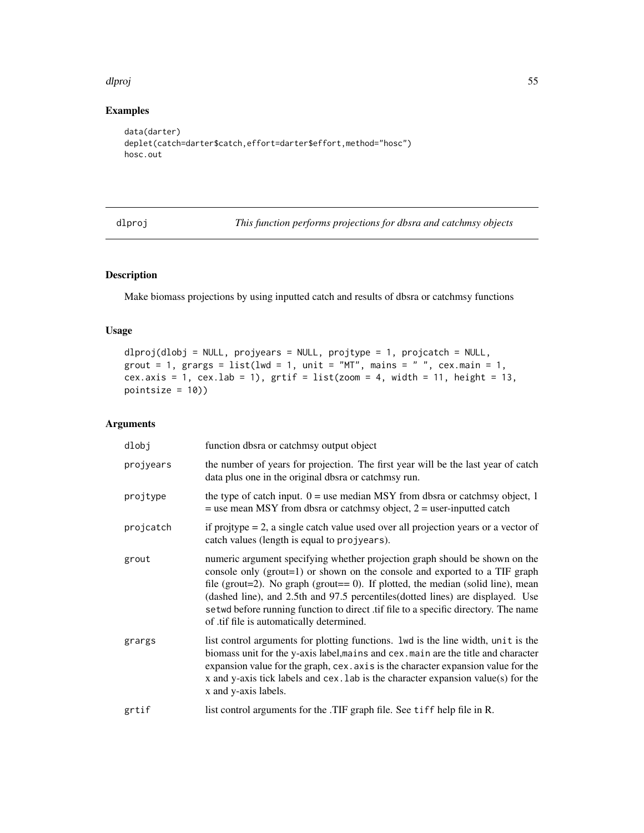#### dlproj 55

# Examples

```
data(darter)
deplet(catch=darter$catch,effort=darter$effort,method="hosc")
hosc.out
```
<span id="page-54-0"></span>dlproj *This function performs projections for dbsra and catchmsy objects*

# Description

Make biomass projections by using inputted catch and results of dbsra or catchmsy functions

# Usage

```
dlproj(dlobj = NULL, projyears = NULL, projtype = 1, projcatch = NULL,
grout = 1, grargs = list(lwd = 1, unit = "MT", main = " ", cex.mainloop = 1,cex.axis = 1, cex.lab = 1), grti f = list(zoom = 4, width = 11, height = 13,pointsize = 10))
```

| dlobj     | function dbsra or catchmsy output object                                                                                                                                                                                                                                                                                                                                                                                                                               |
|-----------|------------------------------------------------------------------------------------------------------------------------------------------------------------------------------------------------------------------------------------------------------------------------------------------------------------------------------------------------------------------------------------------------------------------------------------------------------------------------|
| projyears | the number of years for projection. The first year will be the last year of catch<br>data plus one in the original dbsra or catchmsy run.                                                                                                                                                                                                                                                                                                                              |
| projtype  | the type of catch input. $0 =$ use median MSY from dbsra or catchmsy object, 1<br>$=$ use mean MSY from dbsra or catchmsy object, $2 =$ user-inputted catch                                                                                                                                                                                                                                                                                                            |
| projcatch | if projtype $= 2$ , a single catch value used over all projection years or a vector of<br>catch values (length is equal to projyears).                                                                                                                                                                                                                                                                                                                                 |
| grout     | numeric argument specifying whether projection graph should be shown on the<br>console only (grout=1) or shown on the console and exported to a TIF graph<br>file (grout=2). No graph (grout== $0$ ). If plotted, the median (solid line), mean<br>(dashed line), and 2.5th and 97.5 percentiles (dotted lines) are displayed. Use<br>setwd before running function to direct .tif file to a specific directory. The name<br>of .tif file is automatically determined. |
| grargs    | list control arguments for plotting functions. 1wd is the line width, unit is the<br>biomass unit for the y-axis label, mains and cex. main are the title and character<br>expansion value for the graph, cex. axis is the character expansion value for the<br>x and y-axis tick labels and cex. Lab is the character expansion value(s) for the<br>x and y-axis labels.                                                                                              |
| grtif     | list control arguments for the .TIF graph file. See tiff help file in R.                                                                                                                                                                                                                                                                                                                                                                                               |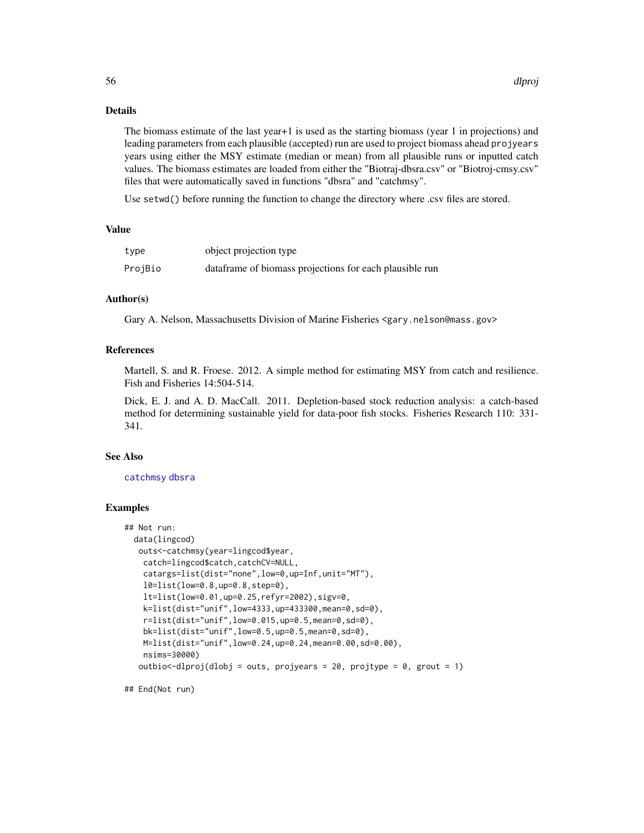The biomass estimate of the last year+1 is used as the starting biomass (year 1 in projections) and leading parameters from each plausible (accepted) run are used to project biomass ahead projyears years using either the MSY estimate (median or mean) from all plausible runs or inputted catch values. The biomass estimates are loaded from either the "Biotraj-dbsra.csv" or "Biotroj-cmsy.csv" files that were automatically saved in functions "dbsra" and "catchmsy".

Use setwd() before running the function to change the directory where .csv files are stored.

## Value

| type    | object projection type                                  |
|---------|---------------------------------------------------------|
| ProjBio | dataframe of biomass projections for each plausible run |

#### Author(s)

Gary A. Nelson, Massachusetts Division of Marine Fisheries <gary.nelson@mass.gov>

## References

Martell, S. and R. Froese. 2012. A simple method for estimating MSY from catch and resilience. Fish and Fisheries 14:504-514.

Dick, E. J. and A. D. MacCall. 2011. Depletion-based stock reduction analysis: a catch-based method for determining sustainable yield for data-poor fish stocks. Fisheries Research 110: 331- 341.

## See Also

[catchmsy](#page-21-0) [dbsra](#page-46-0)

## Examples

```
## Not run:
 data(lingcod)
  outs<-catchmsy(year=lingcod$year,
   catch=lingcod$catch,catchCV=NULL,
   catargs=list(dist="none",low=0,up=Inf,unit="MT"),
   l0=list(low=0.8,up=0.8,step=0),
   lt=list(low=0.01,up=0.25,refyr=2002),sigv=0,
   k=list(dist="unif",low=4333,up=433300,mean=0,sd=0),
    r=list(dist="unif",low=0.015,up=0.5,mean=0,sd=0),
   bk=list(dist="unif",low=0.5,up=0.5,mean=0,sd=0),
   M=list(dist="unif",low=0.24,up=0.24,mean=0.00,sd=0.00),
   nsims=30000)
   outbio \text{-}dlproj(dlobj = outs, projyears = 20, projtype = 0, grout = 1)
```
## End(Not run)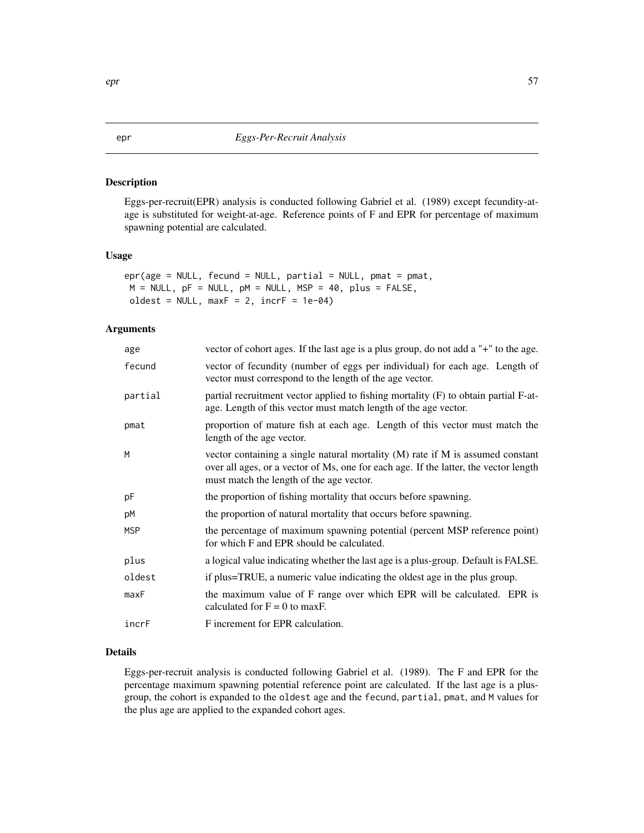Eggs-per-recruit(EPR) analysis is conducted following Gabriel et al. (1989) except fecundity-atage is substituted for weight-at-age. Reference points of F and EPR for percentage of maximum spawning potential are calculated.

# Usage

```
epr(age = NULL, fecund = NULL, partial = NULL, pmat = pmat,
M = NULL, pF = NULL, pM = NULL, MSP = 40, plus = FALSE,
oldest = NULL, maxF = 2, incrF = 1e-04)
```
# Arguments

| age        | vector of cohort ages. If the last age is a plus group, do not add a "+" to the age.                                                                                                                                 |
|------------|----------------------------------------------------------------------------------------------------------------------------------------------------------------------------------------------------------------------|
| fecund     | vector of fecundity (number of eggs per individual) for each age. Length of<br>vector must correspond to the length of the age vector.                                                                               |
| partial    | partial recruitment vector applied to fishing mortality (F) to obtain partial F-at-<br>age. Length of this vector must match length of the age vector.                                                               |
| pmat       | proportion of mature fish at each age. Length of this vector must match the<br>length of the age vector.                                                                                                             |
| М          | vector containing a single natural mortality $(M)$ rate if M is assumed constant<br>over all ages, or a vector of Ms, one for each age. If the latter, the vector length<br>must match the length of the age vector. |
| рF         | the proportion of fishing mortality that occurs before spawning.                                                                                                                                                     |
| рM         | the proportion of natural mortality that occurs before spawning.                                                                                                                                                     |
| <b>MSP</b> | the percentage of maximum spawning potential (percent MSP reference point)<br>for which F and EPR should be calculated.                                                                                              |
| plus       | a logical value indicating whether the last age is a plus-group. Default is FALSE.                                                                                                                                   |
| oldest     | if plus=TRUE, a numeric value indicating the oldest age in the plus group.                                                                                                                                           |
| maxF       | the maximum value of F range over which EPR will be calculated. EPR is<br>calculated for $F = 0$ to maxF.                                                                                                            |
| incrF      | F increment for EPR calculation.                                                                                                                                                                                     |
|            |                                                                                                                                                                                                                      |

#### Details

Eggs-per-recruit analysis is conducted following Gabriel et al. (1989). The F and EPR for the percentage maximum spawning potential reference point are calculated. If the last age is a plusgroup, the cohort is expanded to the oldest age and the fecund, partial, pmat, and M values for the plus age are applied to the expanded cohort ages.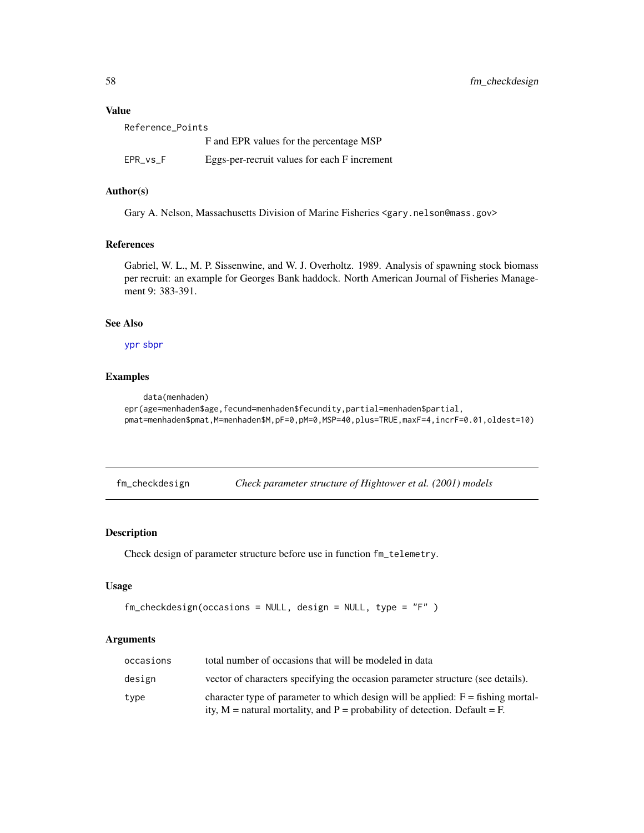## Value

| Reference Points |                                              |
|------------------|----------------------------------------------|
|                  | F and EPR values for the percentage MSP      |
| EPR vs F         | Eggs-per-recruit values for each F increment |

## Author(s)

Gary A. Nelson, Massachusetts Division of Marine Fisheries <gary.nelson@mass.gov>

## References

Gabriel, W. L., M. P. Sissenwine, and W. J. Overholtz. 1989. Analysis of spawning stock biomass per recruit: an example for Georges Bank haddock. North American Journal of Fisheries Management 9: 383-391.

# See Also

[ypr](#page-139-0) [sbpr](#page-122-0)

## Examples

```
data(menhaden)
epr(age=menhaden$age,fecund=menhaden$fecundity,partial=menhaden$partial,
pmat=menhaden$pmat,M=menhaden$M,pF=0,pM=0,MSP=40,plus=TRUE,maxF=4,incrF=0.01,oldest=10)
```
fm\_checkdesign *Check parameter structure of Hightower et al. (2001) models*

# Description

Check design of parameter structure before use in function fm\_telemetry.

## Usage

```
fm_checkdesign(occasions = NULL, design = NULL, type = "F" )
```

| occasions | total number of occasions that will be modeled in data                                                                                                             |
|-----------|--------------------------------------------------------------------------------------------------------------------------------------------------------------------|
| design    | vector of characters specifying the occasion parameter structure (see details).                                                                                    |
| type      | character type of parameter to which design will be applied: $F = fishing$ mortal-<br>ity, $M$ = natural mortality, and P = probability of detection. Default = F. |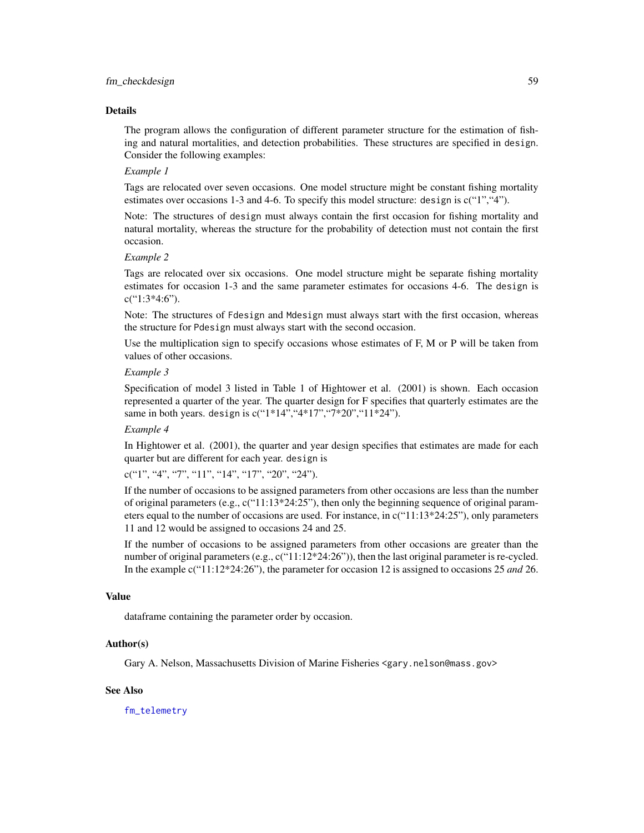The program allows the configuration of different parameter structure for the estimation of fishing and natural mortalities, and detection probabilities. These structures are specified in design. Consider the following examples:

## *Example 1*

Tags are relocated over seven occasions. One model structure might be constant fishing mortality estimates over occasions 1-3 and 4-6. To specify this model structure: design is  $c("1", "4".$ 

Note: The structures of design must always contain the first occasion for fishing mortality and natural mortality, whereas the structure for the probability of detection must not contain the first occasion.

#### *Example 2*

Tags are relocated over six occasions. One model structure might be separate fishing mortality estimates for occasion 1-3 and the same parameter estimates for occasions 4-6. The design is  $c("1:3*4:6")$ .

Note: The structures of Fdesign and Mdesign must always start with the first occasion, whereas the structure for Pdesign must always start with the second occasion.

Use the multiplication sign to specify occasions whose estimates of F, M or P will be taken from values of other occasions.

## *Example 3*

Specification of model 3 listed in Table 1 of Hightower et al. (2001) is shown. Each occasion represented a quarter of the year. The quarter design for F specifies that quarterly estimates are the same in both years. design is  $c("1*14", "4*17", "7*20", "11*24").$ 

#### *Example 4*

In Hightower et al. (2001), the quarter and year design specifies that estimates are made for each quarter but are different for each year. design is

c("1", "4", "7", "11", "14", "17", "20", "24").

If the number of occasions to be assigned parameters from other occasions are less than the number of original parameters (e.g.,  $c("11:13*24:25")$ , then only the beginning sequence of original parameters equal to the number of occasions are used. For instance, in c("11:13\*24:25"), only parameters 11 and 12 would be assigned to occasions 24 and 25.

If the number of occasions to be assigned parameters from other occasions are greater than the number of original parameters (e.g.,  $c("11:12*24:26")$ ), then the last original parameter is re-cycled. In the example c("11:12\*24:26"), the parameter for occasion 12 is assigned to occasions 25 *and* 26.

#### Value

dataframe containing the parameter order by occasion.

#### Author(s)

Gary A. Nelson, Massachusetts Division of Marine Fisheries <gary.nelson@mass.gov>

#### See Also

[fm\\_telemetry](#page-60-0)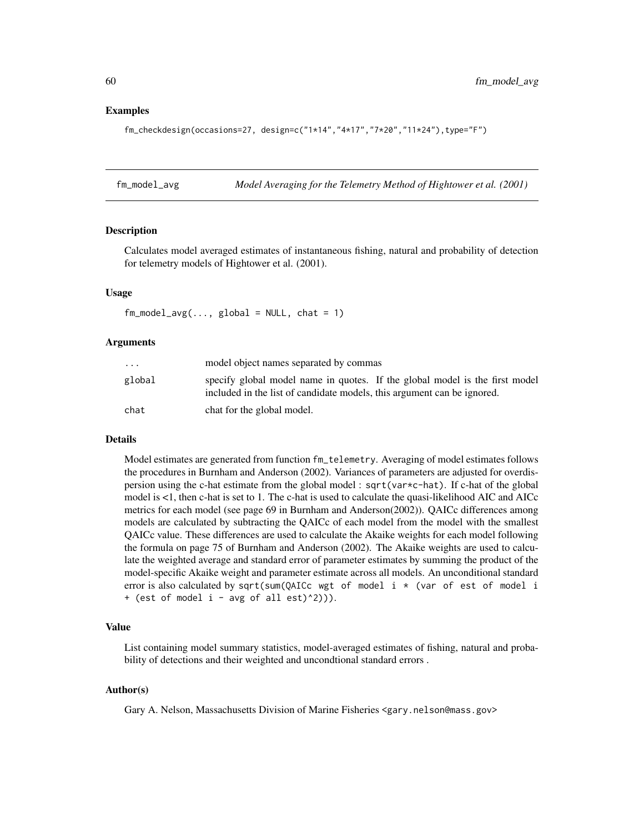## Examples

```
fm_checkdesign(occasions=27, design=c("1*14","4*17","7*20","11*24"),type="F")
```
fm\_model\_avg *Model Averaging for the Telemetry Method of Hightower et al. (2001)*

# Description

Calculates model averaged estimates of instantaneous fishing, natural and probability of detection for telemetry models of Hightower et al. (2001).

## Usage

 $fm_{model\_avg(..., global = NULL, chat = 1)}$ 

## Arguments

| $\cdot$ $\cdot$ $\cdot$ | model object names separated by commas                                                                                                                 |
|-------------------------|--------------------------------------------------------------------------------------------------------------------------------------------------------|
| global                  | specify global model name in quotes. If the global model is the first model<br>included in the list of candidate models, this argument can be ignored. |
| chat                    | chat for the global model.                                                                                                                             |

# Details

Model estimates are generated from function fm\_telemetry. Averaging of model estimates follows the procedures in Burnham and Anderson (2002). Variances of parameters are adjusted for overdispersion using the c-hat estimate from the global model : sqrt(var\*c-hat). If c-hat of the global model is <1, then c-hat is set to 1. The c-hat is used to calculate the quasi-likelihood AIC and AICc metrics for each model (see page 69 in Burnham and Anderson(2002)). QAICc differences among models are calculated by subtracting the QAICc of each model from the model with the smallest QAICc value. These differences are used to calculate the Akaike weights for each model following the formula on page 75 of Burnham and Anderson (2002). The Akaike weights are used to calculate the weighted average and standard error of parameter estimates by summing the product of the model-specific Akaike weight and parameter estimate across all models. An unconditional standard error is also calculated by sqrt(sum(QAICc wgt of model i  $\star$  (var of est of model i + (est of model  $i - avg$  of all est)^2))).

### Value

List containing model summary statistics, model-averaged estimates of fishing, natural and probability of detections and their weighted and uncondtional standard errors.

#### Author(s)

Gary A. Nelson, Massachusetts Division of Marine Fisheries <gary.nelson@mass.gov>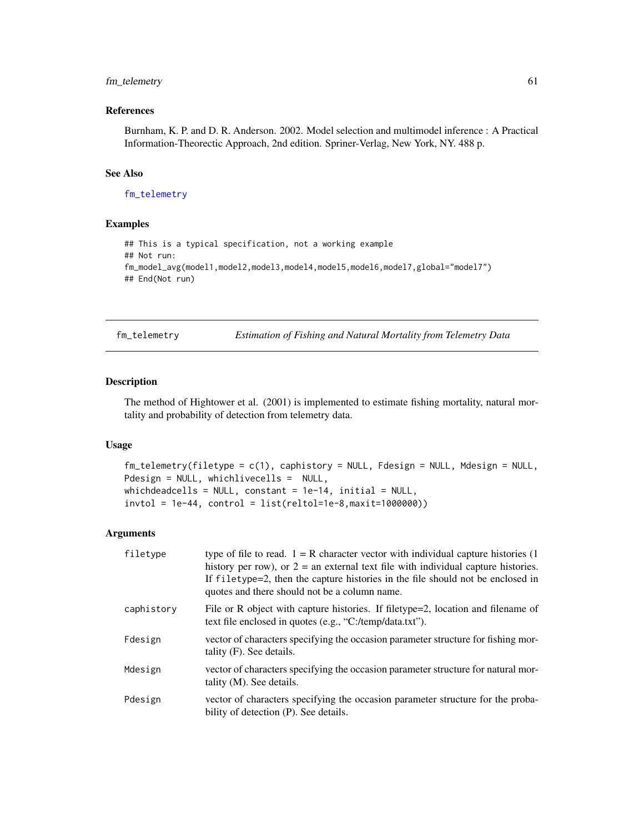# fm\_telemetry 61

# References

Burnham, K. P. and D. R. Anderson. 2002. Model selection and multimodel inference : A Practical Information-Theorectic Approach, 2nd edition. Spriner-Verlag, New York, NY. 488 p.

## See Also

[fm\\_telemetry](#page-60-0)

# Examples

```
## This is a typical specification, not a working example
## Not run:
fm_model_avg(model1,model2,model3,model4,model5,model6,model7,global="model7")
## End(Not run)
```
<span id="page-60-0"></span>fm\_telemetry *Estimation of Fishing and Natural Mortality from Telemetry Data*

# Description

The method of Hightower et al. (2001) is implemented to estimate fishing mortality, natural mortality and probability of detection from telemetry data.

## Usage

```
fm_telemetry(filetype = c(1), caphistory = NULL, Fdesign = NULL, Mdesign = NULL,
Pdesign = NULL, whichlivecells = NULL,
which deadcells = NULL, constant = 1e-14, initial = NULL,invtol = 1e-44, control = list(reltol=1e-8, maxit=1000000)
```

| filetype   | type of file to read. $1 = R$ character vector with individual capture histories (1)<br>history per row), or $2 =$ an external text file with individual capture histories.<br>If filetype=2, then the capture histories in the file should not be enclosed in<br>quotes and there should not be a column name. |
|------------|-----------------------------------------------------------------------------------------------------------------------------------------------------------------------------------------------------------------------------------------------------------------------------------------------------------------|
| caphistory | File or R object with capture histories. If filetype=2, location and filename of<br>text file enclosed in quotes (e.g., "C:/temp/data.txt").                                                                                                                                                                    |
| Fdesign    | vector of characters specifying the occasion parameter structure for fishing mor-<br>tality $(F)$ . See details.                                                                                                                                                                                                |
| Mdesign    | vector of characters specifying the occasion parameter structure for natural mor-<br>tality $(M)$ . See details.                                                                                                                                                                                                |
| Pdesign    | vector of characters specifying the occasion parameter structure for the proba-<br>bility of detection (P). See details.                                                                                                                                                                                        |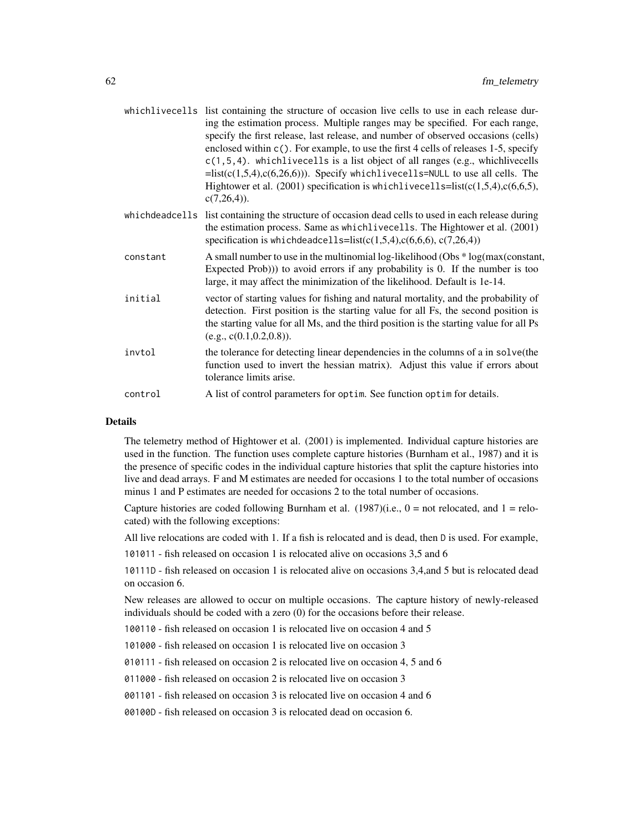|                | whichlivecells list containing the structure of occasion live cells to use in each release dur-<br>ing the estimation process. Multiple ranges may be specified. For each range,<br>specify the first release, last release, and number of observed occasions (cells)<br>enclosed within c(). For example, to use the first 4 cells of releases 1-5, specify<br>$c(1, 5, 4)$ . which live cells is a list object of all ranges (e.g., which live cells<br>$=$ list(c(1,5,4),c(6,26,6))). Specify whichlivecells=NULL to use all cells. The<br>Hightower et al. $(2001)$ specification is which live cells= $list(c(1,5,4), c(6,6,5))$ ,<br>$c(7,26,4)$ ). |
|----------------|-----------------------------------------------------------------------------------------------------------------------------------------------------------------------------------------------------------------------------------------------------------------------------------------------------------------------------------------------------------------------------------------------------------------------------------------------------------------------------------------------------------------------------------------------------------------------------------------------------------------------------------------------------------|
| whichdeadcells | list containing the structure of occasion dead cells to used in each release during<br>the estimation process. Same as which live cells. The Hightower et al. (2001)<br>specification is whichdeadcells= $list(c(1,5,4), c(6,6,6), c(7,26,4))$                                                                                                                                                                                                                                                                                                                                                                                                            |
| constant       | A small number to use in the multinomial log-likelihood (Obs * log(max(constant,<br>Expected Prob))) to avoid errors if any probability is 0. If the number is too<br>large, it may affect the minimization of the likelihood. Default is 1e-14.                                                                                                                                                                                                                                                                                                                                                                                                          |
| initial        | vector of starting values for fishing and natural mortality, and the probability of<br>detection. First position is the starting value for all Fs, the second position is<br>the starting value for all Ms, and the third position is the starting value for all Ps<br>(e.g., c(0.1, 0.2, 0.8)).                                                                                                                                                                                                                                                                                                                                                          |
| invtol         | the tolerance for detecting linear dependencies in the columns of a in solve (the<br>function used to invert the hessian matrix). Adjust this value if errors about<br>tolerance limits arise.                                                                                                                                                                                                                                                                                                                                                                                                                                                            |
| control        | A list of control parameters for optim. See function optim for details.                                                                                                                                                                                                                                                                                                                                                                                                                                                                                                                                                                                   |

The telemetry method of Hightower et al. (2001) is implemented. Individual capture histories are used in the function. The function uses complete capture histories (Burnham et al., 1987) and it is the presence of specific codes in the individual capture histories that split the capture histories into live and dead arrays. F and M estimates are needed for occasions 1 to the total number of occasions minus 1 and P estimates are needed for occasions 2 to the total number of occasions.

Capture histories are coded following Burnham et al.  $(1987)(i.e., 0 = not$  relocated, and  $1 =$  relocated) with the following exceptions:

All live relocations are coded with 1. If a fish is relocated and is dead, then D is used. For example,

101011 - fish released on occasion 1 is relocated alive on occasions 3,5 and 6

10111D - fish released on occasion 1 is relocated alive on occasions 3,4,and 5 but is relocated dead on occasion 6.

New releases are allowed to occur on multiple occasions. The capture history of newly-released individuals should be coded with a zero (0) for the occasions before their release.

100110 - fish released on occasion 1 is relocated live on occasion 4 and 5

101000 - fish released on occasion 1 is relocated live on occasion 3

010111 - fish released on occasion 2 is relocated live on occasion 4, 5 and 6

011000 - fish released on occasion 2 is relocated live on occasion 3

001101 - fish released on occasion 3 is relocated live on occasion 4 and 6

00100D - fish released on occasion 3 is relocated dead on occasion 6.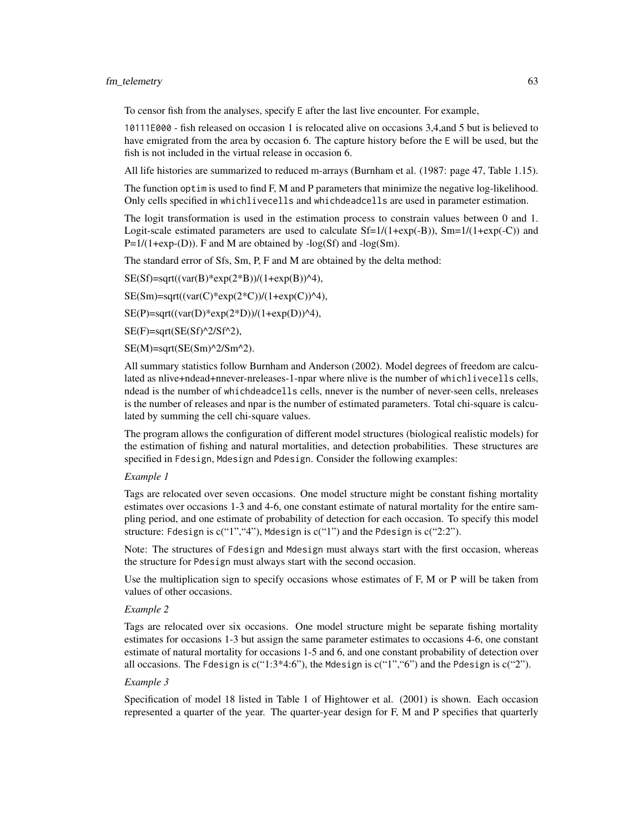#### fm\_telemetry 63

To censor fish from the analyses, specify E after the last live encounter. For example,

10111E000 - fish released on occasion 1 is relocated alive on occasions 3,4,and 5 but is believed to have emigrated from the area by occasion 6. The capture history before the E will be used, but the fish is not included in the virtual release in occasion 6.

All life histories are summarized to reduced m-arrays (Burnham et al. (1987: page 47, Table 1.15).

The function optim is used to find F, M and P parameters that minimize the negative log-likelihood. Only cells specified in whichlivecells and whichdeadcells are used in parameter estimation.

The logit transformation is used in the estimation process to constrain values between 0 and 1. Logit-scale estimated parameters are used to calculate  $Sf=1/(1+exp(-B))$ ,  $Sm=1/(1+exp(-C))$  and  $P=1/(1+exp-(D))$ . F and M are obtained by  $-log(Sf)$  and  $-log(Sm)$ .

The standard error of Sfs, Sm, P, F and M are obtained by the delta method:

 $SE(Sf)=sqrt((var(B)*exp(2*B))/(1+exp(B))^24),$ 

 $SE(Sm) = sqrt((var(C)*exp(2*C))/(1+exp(C))^4),$ 

 $SE(P)=sqrt((var(D)*exp(2*D))/(1+exp(D))^24),$ 

 $SE(F)=sqrt(SE(Sf)^2/2/Sf^2),$ 

 $SE(M)=sqrt(SE(Sm)^2/Sm^2).$ 

All summary statistics follow Burnham and Anderson (2002). Model degrees of freedom are calculated as nlive+ndead+nnever-nreleases-1-npar where nlive is the number of whichlivecells cells, ndead is the number of whichdeadcells cells, nnever is the number of never-seen cells, nreleases is the number of releases and npar is the number of estimated parameters. Total chi-square is calculated by summing the cell chi-square values.

The program allows the configuration of different model structures (biological realistic models) for the estimation of fishing and natural mortalities, and detection probabilities. These structures are specified in Fdesign, Mdesign and Pdesign. Consider the following examples:

## *Example 1*

Tags are relocated over seven occasions. One model structure might be constant fishing mortality estimates over occasions 1-3 and 4-6, one constant estimate of natural mortality for the entire sampling period, and one estimate of probability of detection for each occasion. To specify this model structure: Fdesign is  $c("1", "4",$  Mdesign is  $c("1")$  and the Pdesign is  $c("2:2").$ 

Note: The structures of Fdesign and Mdesign must always start with the first occasion, whereas the structure for Pdesign must always start with the second occasion.

Use the multiplication sign to specify occasions whose estimates of F, M or P will be taken from values of other occasions.

#### *Example 2*

Tags are relocated over six occasions. One model structure might be separate fishing mortality estimates for occasions 1-3 but assign the same parameter estimates to occasions 4-6, one constant estimate of natural mortality for occasions 1-5 and 6, and one constant probability of detection over all occasions. The Fdesign is  $c("1:3*4:6")$ , the Mdesign is  $c("1", 6")$  and the Pdesign is  $c("2")$ .

#### *Example 3*

Specification of model 18 listed in Table 1 of Hightower et al. (2001) is shown. Each occasion represented a quarter of the year. The quarter-year design for F, M and P specifies that quarterly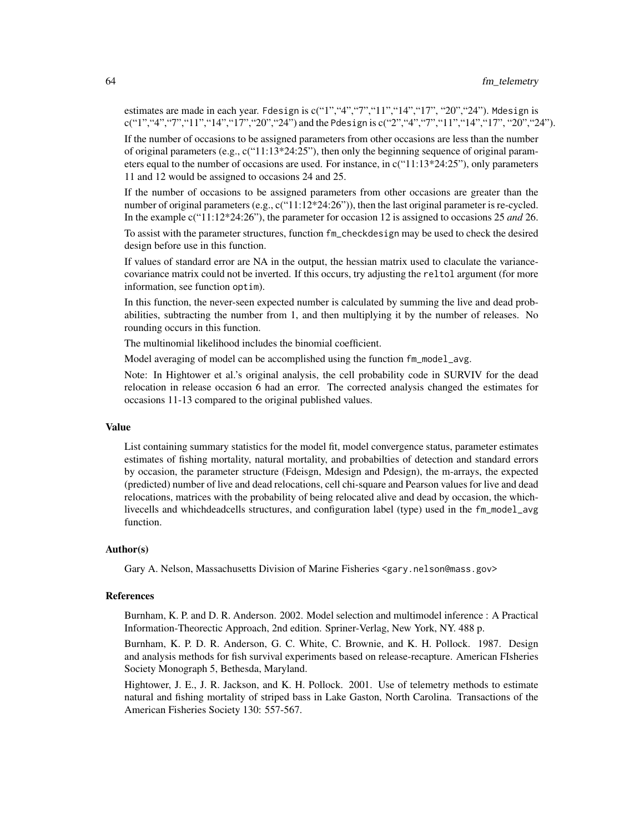estimates are made in each year. Fdesign is  $c("1", "4", "7", "11", "14", "17", "20", "24").$  Mdesign is c("1","4","7","11","14","17","20","24") and the Pdesign is c("2","4","7","11","14","17", "20","24").

If the number of occasions to be assigned parameters from other occasions are less than the number of original parameters (e.g.,  $c("11:13*24:25")$ , then only the beginning sequence of original parameters equal to the number of occasions are used. For instance, in  $c("11:13*24:25")$ , only parameters 11 and 12 would be assigned to occasions 24 and 25.

If the number of occasions to be assigned parameters from other occasions are greater than the number of original parameters (e.g.,  $c("11:12*24:26")$ ), then the last original parameter is re-cycled. In the example c("11:12\*24:26"), the parameter for occasion 12 is assigned to occasions 25 *and* 26.

To assist with the parameter structures, function fm\_checkdesign may be used to check the desired design before use in this function.

If values of standard error are NA in the output, the hessian matrix used to claculate the variancecovariance matrix could not be inverted. If this occurs, try adjusting the reltol argument (for more information, see function optim).

In this function, the never-seen expected number is calculated by summing the live and dead probabilities, subtracting the number from 1, and then multiplying it by the number of releases. No rounding occurs in this function.

The multinomial likelihood includes the binomial coefficient.

Model averaging of model can be accomplished using the function fm\_model\_avg.

Note: In Hightower et al.'s original analysis, the cell probability code in SURVIV for the dead relocation in release occasion 6 had an error. The corrected analysis changed the estimates for occasions 11-13 compared to the original published values.

#### Value

List containing summary statistics for the model fit, model convergence status, parameter estimates estimates of fishing mortality, natural mortality, and probabilties of detection and standard errors by occasion, the parameter structure (Fdeisgn, Mdesign and Pdesign), the m-arrays, the expected (predicted) number of live and dead relocations, cell chi-square and Pearson values for live and dead relocations, matrices with the probability of being relocated alive and dead by occasion, the whichlivecells and whichdeadcells structures, and configuration label (type) used in the fm\_model\_avg function.

### Author(s)

Gary A. Nelson, Massachusetts Division of Marine Fisheries <gary.nelson@mass.gov>

#### References

Burnham, K. P. and D. R. Anderson. 2002. Model selection and multimodel inference : A Practical Information-Theorectic Approach, 2nd edition. Spriner-Verlag, New York, NY. 488 p.

Burnham, K. P. D. R. Anderson, G. C. White, C. Brownie, and K. H. Pollock. 1987. Design and analysis methods for fish survival experiments based on release-recapture. American FIsheries Society Monograph 5, Bethesda, Maryland.

Hightower, J. E., J. R. Jackson, and K. H. Pollock. 2001. Use of telemetry methods to estimate natural and fishing mortality of striped bass in Lake Gaston, North Carolina. Transactions of the American Fisheries Society 130: 557-567.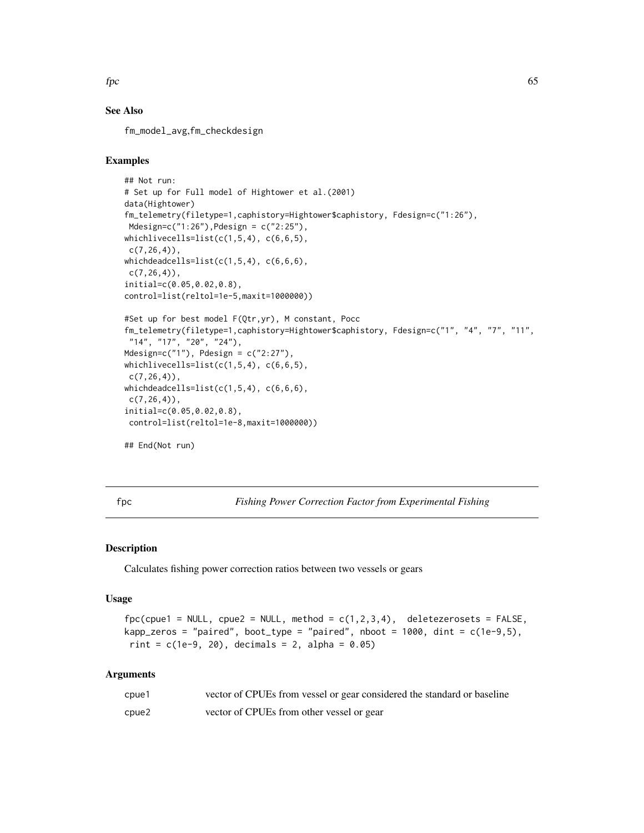$\epsilon$  fpc 65

# See Also

fm\_model\_avg,fm\_checkdesign

## Examples

```
## Not run:
# Set up for Full model of Hightower et al.(2001)
data(Hightower)
fm_telemetry(filetype=1,caphistory=Hightower$caphistory, Fdesign=c("1:26"),
Mdesign=c("1:26"),Pdesign = c("2:25"),
whichlivecells=list(c(1,5,4), c(6,6,5),
 c(7, 26, 4),
whichdeadcells=list(c(1,5,4), c(6,6,6),
c(7, 26, 4),
initial=c(0.05,0.02,0.8),
control=list(reltol=1e-5,maxit=1000000))
#Set up for best model F(Qtr,yr), M constant, Pocc
fm_telemetry(filetype=1,caphistory=Hightower$caphistory, Fdesign=c("1", "4", "7", "11",
 "14", "17", "20", "24"),
Mdesign=c("1"), Pdesign = c("2:27"),
whichlivecells=list(c(1,5,4), c(6,6,5),
 c(7, 26, 4),
whichdeadcells=list(c(1,5,4), c(6,6,6),
 c(7, 26, 4),
initial=c(0.05,0.02,0.8),
control=list(reltol=1e-8,maxit=1000000))
## End(Not run)
```
fpc *Fishing Power Correction Factor from Experimental Fishing*

## Description

Calculates fishing power correction ratios between two vessels or gears

#### Usage

```
fpc(cpue1 = NULL, cpue2 = NULL, method = c(1, 2, 3, 4), deletezerosets = FALSE,kapp_zeros = "paired", boot_type = "paired", nboot = 1000, dint = c(1e-9,5),
rint = c(1e-9, 20), decimals = 2, alpha = 0.05)
```

| cpue1 | vector of CPUEs from vessel or gear considered the standard or baseline |
|-------|-------------------------------------------------------------------------|
| cpue2 | vector of CPUEs from other vessel or gear                               |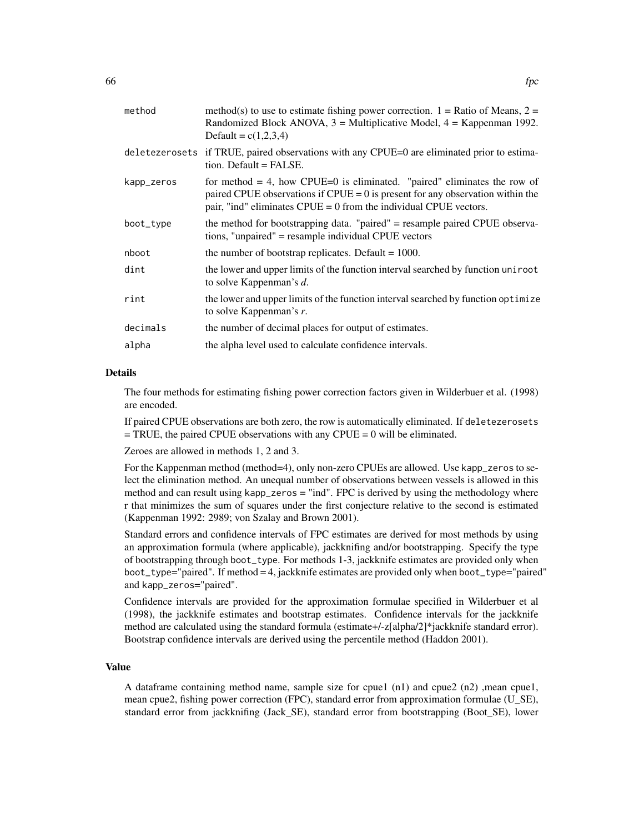| method     | method(s) to use to estimate fishing power correction. $1 =$ Ratio of Means, $2 =$<br>Randomized Block ANOVA, $3$ = Multiplicative Model, $4$ = Kappenman 1992.<br>Default = $c(1,2,3,4)$                                             |
|------------|---------------------------------------------------------------------------------------------------------------------------------------------------------------------------------------------------------------------------------------|
|            | deletezerosets if TRUE, paired observations with any CPUE=0 are eliminated prior to estima-<br>tion. Default = FALSE.                                                                                                                 |
| kapp_zeros | for method $=$ 4, how CPUE=0 is eliminated. "paired" eliminates the row of<br>paired CPUE observations if CPUE = $0$ is present for any observation within the<br>pair, "ind" eliminates $CPUE = 0$ from the individual CPUE vectors. |
| boot_type  | the method for bootstrapping data. "paired" = resample paired CPUE observa-<br>tions, "unpaired" = resample individual CPUE vectors                                                                                                   |
| nboot      | the number of bootstrap replicates. Default $= 1000$ .                                                                                                                                                                                |
| dint       | the lower and upper limits of the function interval searched by function uniroot<br>to solve Kappenman's d.                                                                                                                           |
| rint       | the lower and upper limits of the function interval searched by function optimize<br>to solve Kappenman's $r$ .                                                                                                                       |
| decimals   | the number of decimal places for output of estimates.                                                                                                                                                                                 |
| alpha      | the alpha level used to calculate confidence intervals.                                                                                                                                                                               |
|            |                                                                                                                                                                                                                                       |

The four methods for estimating fishing power correction factors given in Wilderbuer et al. (1998) are encoded.

If paired CPUE observations are both zero, the row is automatically eliminated. If deletezerosets  $=$  TRUE, the paired CPUE observations with any CPUE  $= 0$  will be eliminated.

Zeroes are allowed in methods 1, 2 and 3.

For the Kappenman method (method=4), only non-zero CPUEs are allowed. Use kapp\_zeros to select the elimination method. An unequal number of observations between vessels is allowed in this method and can result using kapp\_zeros = "ind". FPC is derived by using the methodology where r that minimizes the sum of squares under the first conjecture relative to the second is estimated (Kappenman 1992: 2989; von Szalay and Brown 2001).

Standard errors and confidence intervals of FPC estimates are derived for most methods by using an approximation formula (where applicable), jackknifing and/or bootstrapping. Specify the type of bootstrapping through boot\_type. For methods 1-3, jackknife estimates are provided only when boot\_type="paired". If method = 4, jackknife estimates are provided only when boot\_type="paired" and kapp\_zeros="paired".

Confidence intervals are provided for the approximation formulae specified in Wilderbuer et al (1998), the jackknife estimates and bootstrap estimates. Confidence intervals for the jackknife method are calculated using the standard formula (estimate+/-z[alpha/2]\*jackknife standard error). Bootstrap confidence intervals are derived using the percentile method (Haddon 2001).

## Value

A dataframe containing method name, sample size for cpue1 (n1) and cpue2 (n2) ,mean cpue1, mean cpue2, fishing power correction (FPC), standard error from approximation formulae (U\_SE), standard error from jackknifing (Jack\_SE), standard error from bootstrapping (Boot\_SE), lower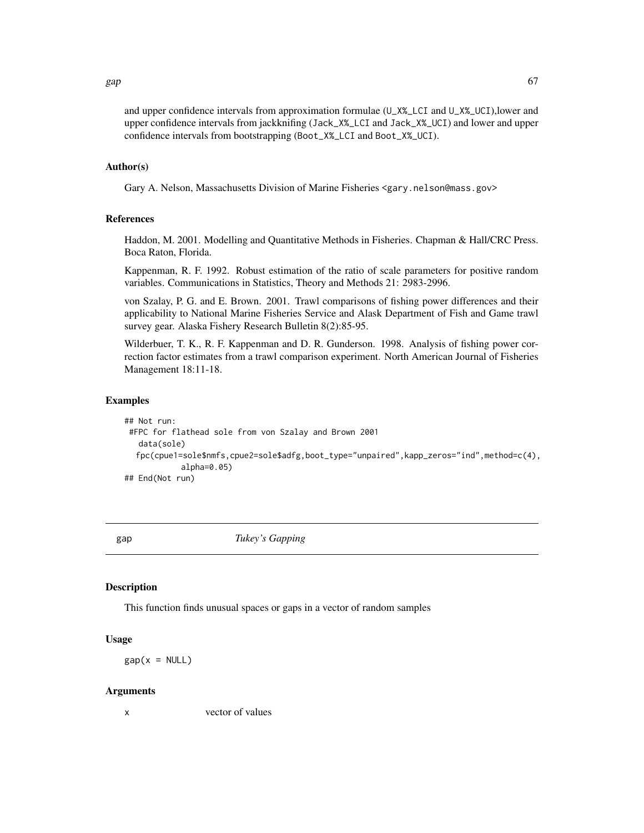and upper confidence intervals from approximation formulae (U\_X%\_LCI and U\_X%\_UCI),lower and upper confidence intervals from jackknifing (Jack\_X%\_LCI and Jack\_X%\_UCI) and lower and upper confidence intervals from bootstrapping (Boot\_X%\_LCI and Boot\_X%\_UCI).

# Author(s)

Gary A. Nelson, Massachusetts Division of Marine Fisheries <gary.nelson@mass.gov>

#### References

Haddon, M. 2001. Modelling and Quantitative Methods in Fisheries. Chapman & Hall/CRC Press. Boca Raton, Florida.

Kappenman, R. F. 1992. Robust estimation of the ratio of scale parameters for positive random variables. Communications in Statistics, Theory and Methods 21: 2983-2996.

von Szalay, P. G. and E. Brown. 2001. Trawl comparisons of fishing power differences and their applicability to National Marine Fisheries Service and Alask Department of Fish and Game trawl survey gear. Alaska Fishery Research Bulletin 8(2):85-95.

Wilderbuer, T. K., R. F. Kappenman and D. R. Gunderson. 1998. Analysis of fishing power correction factor estimates from a trawl comparison experiment. North American Journal of Fisheries Management 18:11-18.

#### Examples

```
## Not run:
#FPC for flathead sole from von Szalay and Brown 2001
  data(sole)
  fpc(cpue1=sole$nmfs,cpue2=sole$adfg,boot_type="unpaired",kapp_zeros="ind",method=c(4),
            alpha=0.05)
## End(Not run)
```
<span id="page-66-0"></span>gap *Tukey's Gapping*

#### Description

This function finds unusual spaces or gaps in a vector of random samples

#### Usage

 $gap(x = NULL)$ 

#### Arguments

x vector of values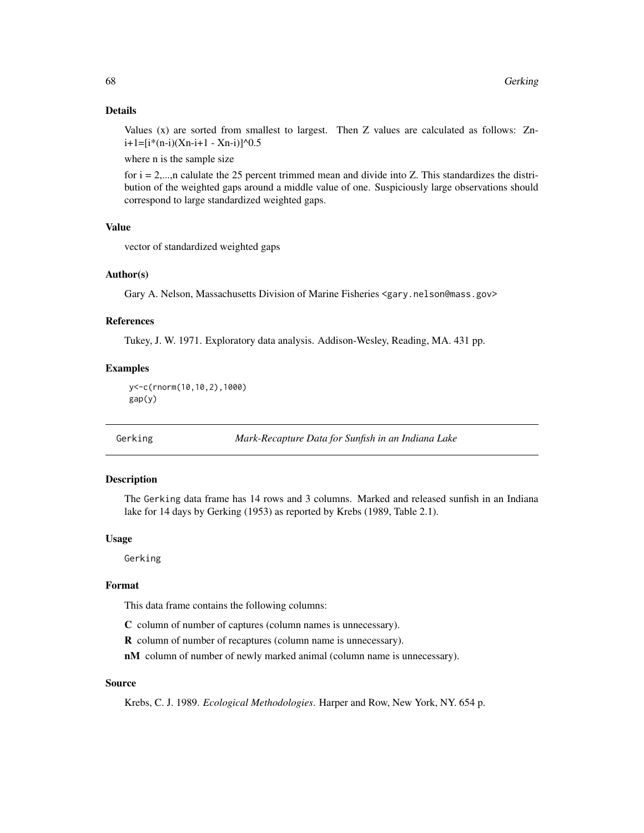Values (x) are sorted from smallest to largest. Then Z values are calculated as follows: Zn $i+1=[i*(n-i)(Xn-i+1 - Xn-i)]$ <sup>^0.5</sup>

where n is the sample size

for  $i = 2,...,n$  calulate the 25 percent trimmed mean and divide into Z. This standardizes the distribution of the weighted gaps around a middle value of one. Suspiciously large observations should correspond to large standardized weighted gaps.

#### Value

vector of standardized weighted gaps

# Author(s)

Gary A. Nelson, Massachusetts Division of Marine Fisheries <gary.nelson@mass.gov>

### References

Tukey, J. W. 1971. Exploratory data analysis. Addison-Wesley, Reading, MA. 431 pp.

## Examples

```
y<-c(rnorm(10,10,2),1000)
gap(y)
```
Gerking *Mark-Recapture Data for Sunfish in an Indiana Lake*

#### Description

The Gerking data frame has 14 rows and 3 columns. Marked and released sunfish in an Indiana lake for 14 days by Gerking (1953) as reported by Krebs (1989, Table 2.1).

## Usage

Gerking

#### Format

This data frame contains the following columns:

C column of number of captures (column names is unnecessary).

R column of number of recaptures (column name is unnecessary).

nM column of number of newly marked animal (column name is unnecessary).

## Source

Krebs, C. J. 1989. *Ecological Methodologies*. Harper and Row, New York, NY. 654 p.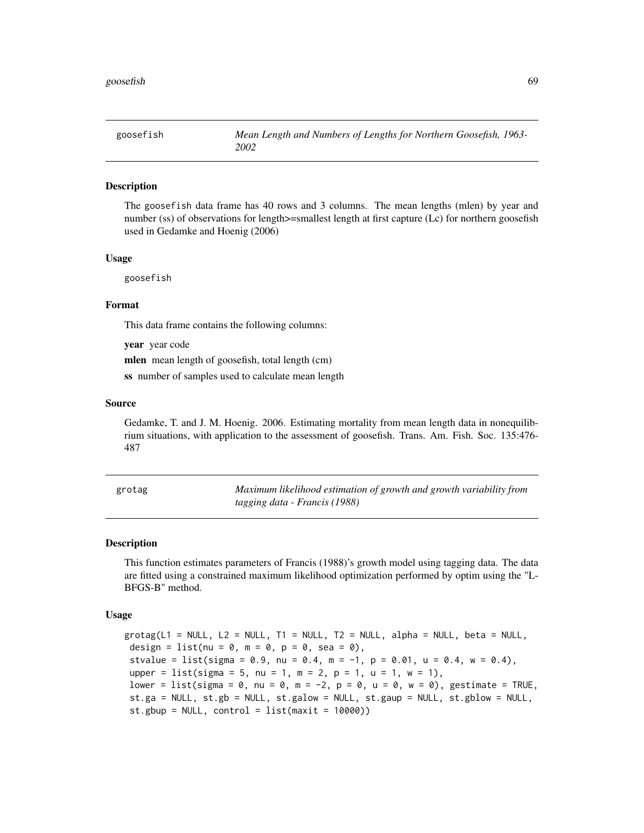The goosefish data frame has 40 rows and 3 columns. The mean lengths (mlen) by year and number (ss) of observations for length>=smallest length at first capture (Lc) for northern goosefish used in Gedamke and Hoenig (2006)

#### Usage

goosefish

## Format

This data frame contains the following columns:

year year code

mlen mean length of goosefish, total length (cm)

ss number of samples used to calculate mean length

## Source

Gedamke, T. and J. M. Hoenig. 2006. Estimating mortality from mean length data in nonequilibrium situations, with application to the assessment of goosefish. Trans. Am. Fish. Soc. 135:476- 487

| grotag | Maximum likelihood estimation of growth and growth variability from |
|--------|---------------------------------------------------------------------|
|        | tagging data - Francis (1988)                                       |

#### Description

This function estimates parameters of Francis (1988)'s growth model using tagging data. The data are fitted using a constrained maximum likelihood optimization performed by optim using the "L-BFGS-B" method.

#### Usage

 $grotag(L1 = NULL, L2 = NULL, T1 = NULL, T2 = NULL, alpha = NULL, beta = NULL,$ design = list(nu =  $0$ , m =  $0$ , p =  $0$ , sea =  $0$ ), stvalue = list(sigma = 0.9, nu = 0.4, m = -1, p = 0.01, u = 0.4, w = 0.4), upper = list(sigma = 5, nu = 1, m = 2, p = 1, u = 1, w = 1), lower = list(sigma = 0, nu = 0, m = -2, p = 0, u = 0, w = 0), gestimate = TRUE, st.ga = NULL, st.gb = NULL, st.galow = NULL, st.gaup = NULL, st.gblow = NULL,  $st.gbup = NULL$ , control = list(maxit = 10000))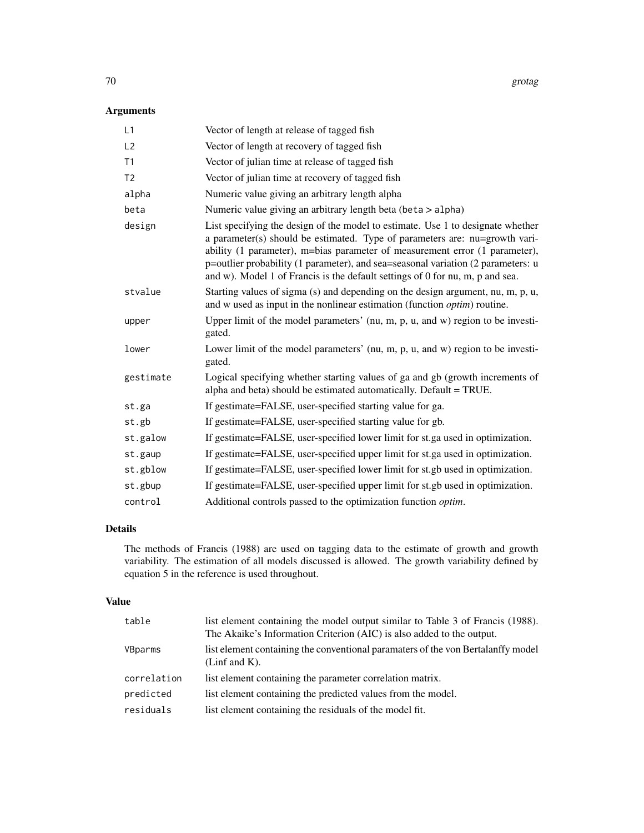# Arguments

| L1             | Vector of length at release of tagged fish                                                                                                                                                                                                                                                                                                                                                                         |
|----------------|--------------------------------------------------------------------------------------------------------------------------------------------------------------------------------------------------------------------------------------------------------------------------------------------------------------------------------------------------------------------------------------------------------------------|
| L2             | Vector of length at recovery of tagged fish                                                                                                                                                                                                                                                                                                                                                                        |
| T1             | Vector of julian time at release of tagged fish                                                                                                                                                                                                                                                                                                                                                                    |
| T <sub>2</sub> | Vector of julian time at recovery of tagged fish                                                                                                                                                                                                                                                                                                                                                                   |
| alpha          | Numeric value giving an arbitrary length alpha                                                                                                                                                                                                                                                                                                                                                                     |
| beta           | Numeric value giving an arbitrary length beta (beta > alpha)                                                                                                                                                                                                                                                                                                                                                       |
| design         | List specifying the design of the model to estimate. Use 1 to designate whether<br>a parameter(s) should be estimated. Type of parameters are: nu=growth vari-<br>ability (1 parameter), m=bias parameter of measurement error (1 parameter),<br>p=outlier probability (1 parameter), and sea=seasonal variation (2 parameters: u<br>and w). Model 1 of Francis is the default settings of 0 for nu, m, p and sea. |
| stvalue        | Starting values of sigma (s) and depending on the design argument, nu, m, p, u,<br>and w used as input in the nonlinear estimation (function <i>optim</i> ) routine.                                                                                                                                                                                                                                               |
| upper          | Upper limit of the model parameters' (nu, m, p, u, and w) region to be investi-<br>gated.                                                                                                                                                                                                                                                                                                                          |
| lower          | Lower limit of the model parameters' (nu, m, p, u, and w) region to be investi-<br>gated.                                                                                                                                                                                                                                                                                                                          |
| gestimate      | Logical specifying whether starting values of ga and gb (growth increments of<br>alpha and beta) should be estimated automatically. Default = TRUE.                                                                                                                                                                                                                                                                |
| st.ga          | If gestimate=FALSE, user-specified starting value for ga.                                                                                                                                                                                                                                                                                                                                                          |
| st.gb          | If gestimate=FALSE, user-specified starting value for gb.                                                                                                                                                                                                                                                                                                                                                          |
| st.galow       | If gestimate=FALSE, user-specified lower limit for st.ga used in optimization.                                                                                                                                                                                                                                                                                                                                     |
| st.gaup        | If gestimate=FALSE, user-specified upper limit for st.ga used in optimization.                                                                                                                                                                                                                                                                                                                                     |
| st.gblow       | If gestimate=FALSE, user-specified lower limit for st.gb used in optimization.                                                                                                                                                                                                                                                                                                                                     |
| st.gbup        | If gestimate=FALSE, user-specified upper limit for st.gb used in optimization.                                                                                                                                                                                                                                                                                                                                     |
| control        | Additional controls passed to the optimization function optim.                                                                                                                                                                                                                                                                                                                                                     |

# Details

The methods of Francis (1988) are used on tagging data to the estimate of growth and growth variability. The estimation of all models discussed is allowed. The growth variability defined by equation 5 in the reference is used throughout.

# Value

| table       | list element containing the model output similar to Table 3 of Francis (1988).<br>The Akaike's Information Criterion (AIC) is also added to the output. |
|-------------|---------------------------------------------------------------------------------------------------------------------------------------------------------|
| VBparms     | list element containing the conventional paramaters of the von Bertalanffy model<br>(Linf and $K$ ).                                                    |
| correlation | list element containing the parameter correlation matrix.                                                                                               |
| predicted   | list element containing the predicted values from the model.                                                                                            |
| residuals   | list element containing the residuals of the model fit.                                                                                                 |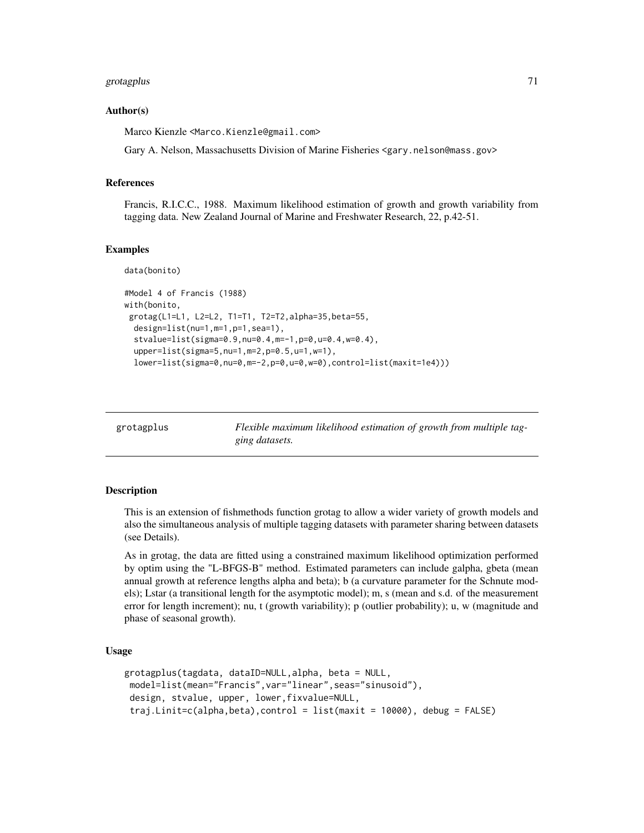# grotagplus 71

#### Author(s)

Marco Kienzle <Marco.Kienzle@gmail.com>

Gary A. Nelson, Massachusetts Division of Marine Fisheries <gary.nelson@mass.gov>

#### References

Francis, R.I.C.C., 1988. Maximum likelihood estimation of growth and growth variability from tagging data. New Zealand Journal of Marine and Freshwater Research, 22, p.42-51.

#### Examples

data(bonito)

```
#Model 4 of Francis (1988)
with(bonito,
 grotag(L1=L1, L2=L2, T1=T1, T2=T2,alpha=35,beta=55,
 design=list(nu=1,m=1,p=1,sea=1),
 stvalue=list(sigma=0.9,nu=0.4,m=-1,p=0,u=0.4,w=0.4),
 upper=list(sigma=5,nu=1,m=2,p=0.5,u=1,w=1),
 lower=list(sigma=0,nu=0,m=-2,p=0,u=0,w=0),control=list(maxit=1e4)))
```
grotagplus *Flexible maximum likelihood estimation of growth from multiple tagging datasets.*

#### Description

This is an extension of fishmethods function grotag to allow a wider variety of growth models and also the simultaneous analysis of multiple tagging datasets with parameter sharing between datasets (see Details).

As in grotag, the data are fitted using a constrained maximum likelihood optimization performed by optim using the "L-BFGS-B" method. Estimated parameters can include galpha, gbeta (mean annual growth at reference lengths alpha and beta); b (a curvature parameter for the Schnute models); Lstar (a transitional length for the asymptotic model); m, s (mean and s.d. of the measurement error for length increment); nu, t (growth variability); p (outlier probability); u, w (magnitude and phase of seasonal growth).

#### Usage

```
grotagplus(tagdata, dataID=NULL,alpha, beta = NULL,
model=list(mean="Francis",var="linear",seas="sinusoid"),
design, stvalue, upper, lower,fixvalue=NULL,
 traj.Linit=c(alpha,beta),control = list(maxit = 10000), debug = FALSE)
```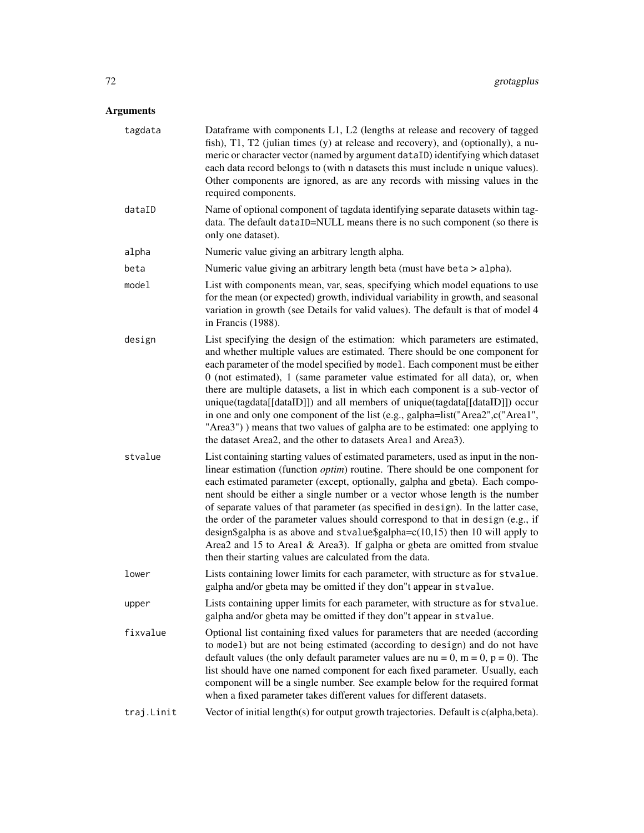| tagdata    | Dataframe with components L1, L2 (lengths at release and recovery of tagged<br>fish), T1, T2 (julian times (y) at release and recovery), and (optionally), a nu-<br>meric or character vector (named by argument dataID) identifying which dataset<br>each data record belongs to (with n datasets this must include n unique values).<br>Other components are ignored, as are any records with missing values in the<br>required components.                                                                                                                                                                                                                                                                                                       |
|------------|-----------------------------------------------------------------------------------------------------------------------------------------------------------------------------------------------------------------------------------------------------------------------------------------------------------------------------------------------------------------------------------------------------------------------------------------------------------------------------------------------------------------------------------------------------------------------------------------------------------------------------------------------------------------------------------------------------------------------------------------------------|
| dataID     | Name of optional component of tagdata identifying separate datasets within tag-<br>data. The default dataID=NULL means there is no such component (so there is<br>only one dataset).                                                                                                                                                                                                                                                                                                                                                                                                                                                                                                                                                                |
| alpha      | Numeric value giving an arbitrary length alpha.                                                                                                                                                                                                                                                                                                                                                                                                                                                                                                                                                                                                                                                                                                     |
| beta       | Numeric value giving an arbitrary length beta (must have beta > alpha).                                                                                                                                                                                                                                                                                                                                                                                                                                                                                                                                                                                                                                                                             |
| model      | List with components mean, var, seas, specifying which model equations to use<br>for the mean (or expected) growth, individual variability in growth, and seasonal<br>variation in growth (see Details for valid values). The default is that of model 4<br>in Francis (1988).                                                                                                                                                                                                                                                                                                                                                                                                                                                                      |
| design     | List specifying the design of the estimation: which parameters are estimated,<br>and whether multiple values are estimated. There should be one component for<br>each parameter of the model specified by model. Each component must be either<br>$0$ (not estimated), 1 (same parameter value estimated for all data), or, when<br>there are multiple datasets, a list in which each component is a sub-vector of<br>unique(tagdata[[dataID]]) and all members of unique(tagdata[[dataID]]) occur<br>in one and only one component of the list (e.g., galpha=list("Area2",c("Area1",<br>"Area3") ) means that two values of galpha are to be estimated: one applying to<br>the dataset Area2, and the other to datasets Area1 and Area3).          |
| stvalue    | List containing starting values of estimated parameters, used as input in the non-<br>linear estimation (function <i>optim</i> ) routine. There should be one component for<br>each estimated parameter (except, optionally, galpha and gbeta). Each compo-<br>nent should be either a single number or a vector whose length is the number<br>of separate values of that parameter (as specified in design). In the latter case,<br>the order of the parameter values should correspond to that in design (e.g., if<br>design\$galpha is as above and stvalue\$galpha= $c(10,15)$ then 10 will apply to<br>Area2 and 15 to Area1 & Area3). If galpha or gbeta are omitted from stvalue<br>then their starting values are calculated from the data. |
| lower      | Lists containing lower limits for each parameter, with structure as for stvalue.<br>galpha and/or gbeta may be omitted if they don"t appear in stvalue.                                                                                                                                                                                                                                                                                                                                                                                                                                                                                                                                                                                             |
| upper      | Lists containing upper limits for each parameter, with structure as for stvalue.<br>galpha and/or gbeta may be omitted if they don"t appear in stvalue.                                                                                                                                                                                                                                                                                                                                                                                                                                                                                                                                                                                             |
| fixvalue   | Optional list containing fixed values for parameters that are needed (according<br>to model) but are not being estimated (according to design) and do not have<br>default values (the only default parameter values are nu = 0, m = 0, p = 0). The<br>list should have one named component for each fixed parameter. Usually, each<br>component will be a single number. See example below for the required format<br>when a fixed parameter takes different values for different datasets.                                                                                                                                                                                                                                                         |
| traj.Linit | Vector of initial length(s) for output growth trajectories. Default is c(alpha, beta).                                                                                                                                                                                                                                                                                                                                                                                                                                                                                                                                                                                                                                                              |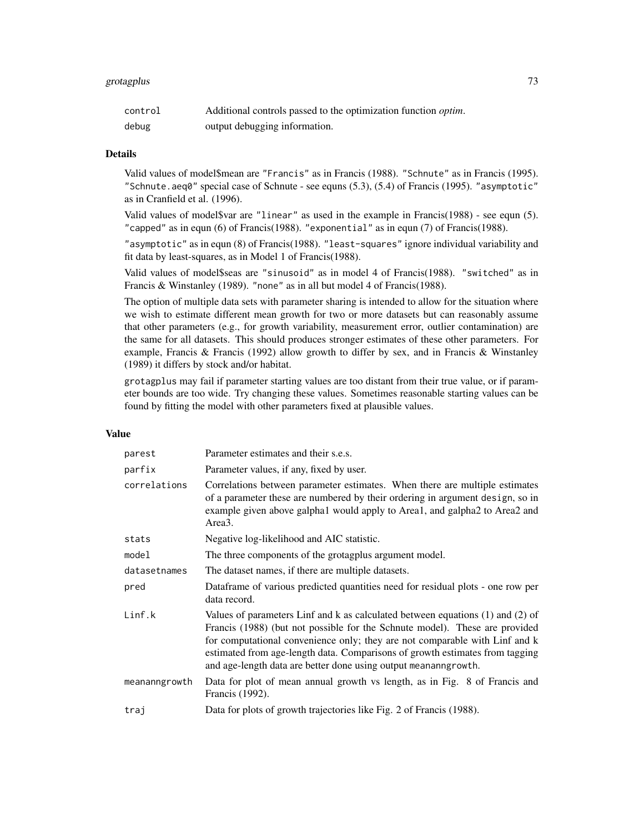# grotagplus 73

| control | Additional controls passed to the optimization function <i>optim</i> . |
|---------|------------------------------------------------------------------------|
| debug   | output debugging information.                                          |

#### Details

Valid values of model\$mean are "Francis" as in Francis (1988). "Schnute" as in Francis (1995). "Schnute.aeq0" special case of Schnute - see equns (5.3), (5.4) of Francis (1995). "asymptotic" as in Cranfield et al. (1996).

Valid values of model\$var are "linear" as used in the example in Francis(1988) - see equn (5). "capped" as in equn (6) of Francis(1988). "exponential" as in equn (7) of Francis(1988).

"asymptotic" as in equn (8) of Francis(1988). "least-squares" ignore individual variability and fit data by least-squares, as in Model 1 of Francis(1988).

Valid values of model\$seas are "sinusoid" as in model 4 of Francis(1988). "switched" as in Francis & Winstanley (1989). "none" as in all but model 4 of Francis (1988).

The option of multiple data sets with parameter sharing is intended to allow for the situation where we wish to estimate different mean growth for two or more datasets but can reasonably assume that other parameters (e.g., for growth variability, measurement error, outlier contamination) are the same for all datasets. This should produces stronger estimates of these other parameters. For example, Francis & Francis (1992) allow growth to differ by sex, and in Francis & Winstanley (1989) it differs by stock and/or habitat.

grotagplus may fail if parameter starting values are too distant from their true value, or if parameter bounds are too wide. Try changing these values. Sometimes reasonable starting values can be found by fitting the model with other parameters fixed at plausible values.

# Value

| parest        | Parameter estimates and their s.e.s.                                                                                                                                                                                                                                                                                                                                                                |
|---------------|-----------------------------------------------------------------------------------------------------------------------------------------------------------------------------------------------------------------------------------------------------------------------------------------------------------------------------------------------------------------------------------------------------|
| parfix        | Parameter values, if any, fixed by user.                                                                                                                                                                                                                                                                                                                                                            |
| correlations  | Correlations between parameter estimates. When there are multiple estimates<br>of a parameter these are numbered by their ordering in argument design, so in<br>example given above galpha1 would apply to Area1, and galpha2 to Area2 and<br>Area3.                                                                                                                                                |
| stats         | Negative log-likelihood and AIC statistic.                                                                                                                                                                                                                                                                                                                                                          |
| model         | The three components of the grotagplus argument model.                                                                                                                                                                                                                                                                                                                                              |
| datasetnames  | The dataset names, if there are multiple datasets.                                                                                                                                                                                                                                                                                                                                                  |
| pred          | Dataframe of various predicted quantities need for residual plots - one row per<br>data record.                                                                                                                                                                                                                                                                                                     |
| Linf.k        | Values of parameters Linf and k as calculated between equations $(1)$ and $(2)$ of<br>Francis (1988) (but not possible for the Schnute model). These are provided<br>for computational convenience only; they are not comparable with Linf and k<br>estimated from age-length data. Comparisons of growth estimates from tagging<br>and age-length data are better done using output meananngrowth. |
| meananngrowth | Data for plot of mean annual growth vs length, as in Fig. 8 of Francis and<br>Francis (1992).                                                                                                                                                                                                                                                                                                       |
| traj          | Data for plots of growth trajectories like Fig. 2 of Francis (1988).                                                                                                                                                                                                                                                                                                                                |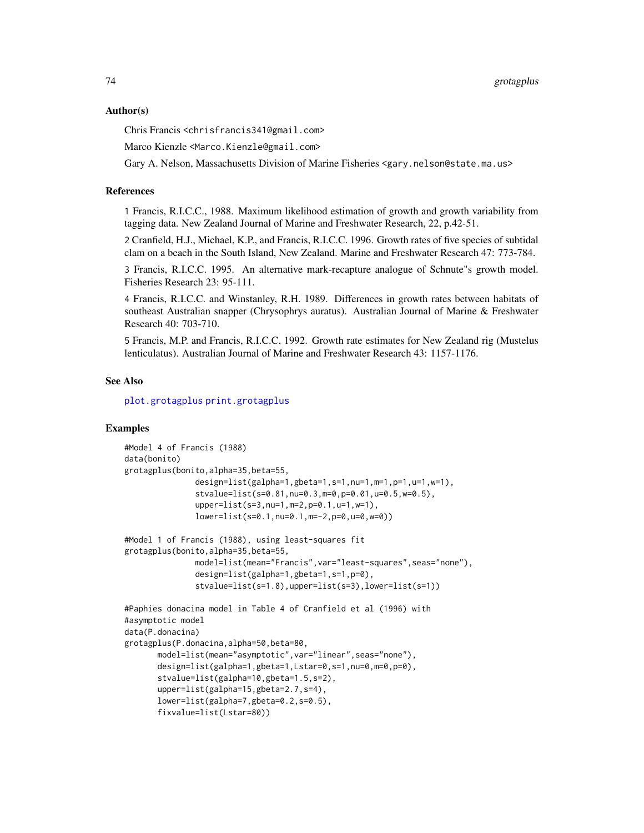## Author(s)

Chris Francis <chrisfrancis341@gmail.com>

Marco Kienzle <Marco.Kienzle@gmail.com>

Gary A. Nelson, Massachusetts Division of Marine Fisheries <gary.nelson@state.ma.us>

## References

1 Francis, R.I.C.C., 1988. Maximum likelihood estimation of growth and growth variability from tagging data. New Zealand Journal of Marine and Freshwater Research, 22, p.42-51.

2 Cranfield, H.J., Michael, K.P., and Francis, R.I.C.C. 1996. Growth rates of five species of subtidal clam on a beach in the South Island, New Zealand. Marine and Freshwater Research 47: 773-784.

3 Francis, R.I.C.C. 1995. An alternative mark-recapture analogue of Schnute"s growth model. Fisheries Research 23: 95-111.

4 Francis, R.I.C.C. and Winstanley, R.H. 1989. Differences in growth rates between habitats of southeast Australian snapper (Chrysophrys auratus). Australian Journal of Marine & Freshwater Research 40: 703-710.

5 Francis, M.P. and Francis, R.I.C.C. 1992. Growth rate estimates for New Zealand rig (Mustelus lenticulatus). Australian Journal of Marine and Freshwater Research 43: 1157-1176.

# See Also

[plot.grotagplus](#page-112-0) [print.grotagplus](#page-116-0)

## Examples

```
#Model 4 of Francis (1988)
data(bonito)
grotagplus(bonito,alpha=35,beta=55,
               design=list(galpha=1,gbeta=1,s=1,nu=1,m=1,p=1,u=1,w=1),
               stvalue=list(s=0.81,nu=0.3,m=0,p=0.01,u=0.5,w=0.5),
               upper=list(s=3,nu=1,m=2,p=0.1,u=1,w=1),
               lower=list(s=0.1,nu=0.1,m=-2,p=0,u=0,w=0))
#Model 1 of Francis (1988), using least-squares fit
grotagplus(bonito,alpha=35,beta=55,
              model=list(mean="Francis",var="least-squares",seas="none"),
               design=list(galpha=1,gbeta=1,s=1,p=0),
               stvalue=list(s=1.8),upper=list(s=3),lower=list(s=1))
#Paphies donacina model in Table 4 of Cranfield et al (1996) with
#asymptotic model
data(P.donacina)
grotagplus(P.donacina,alpha=50,beta=80,
      model=list(mean="asymptotic",var="linear",seas="none"),
      design=list(galpha=1,gbeta=1,Lstar=0,s=1,nu=0,m=0,p=0),
      stvalue=list(galpha=10,gbeta=1.5,s=2),
      upper=list(galpha=15,gbeta=2.7,s=4),
      lower=list(galpha=7,gbeta=0.2,s=0.5),
      fixvalue=list(Lstar=80))
```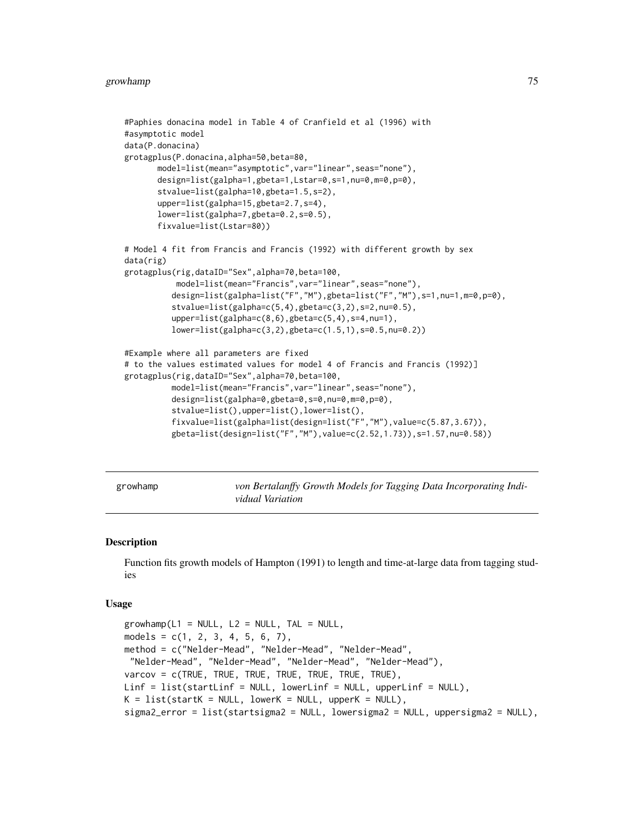```
#Paphies donacina model in Table 4 of Cranfield et al (1996) with
#asymptotic model
data(P.donacina)
grotagplus(P.donacina,alpha=50,beta=80,
      model=list(mean="asymptotic",var="linear",seas="none"),
      design=list(galpha=1,gbeta=1,Lstar=0,s=1,nu=0,m=0,p=0),
      stvalue=list(galpha=10,gbeta=1.5,s=2),
      upper=list(galpha=15,gbeta=2.7,s=4),
      lower=list(galpha=7,gbeta=0.2,s=0.5),
      fixvalue=list(Lstar=80))
# Model 4 fit from Francis and Francis (1992) with different growth by sex
data(rig)
grotagplus(rig,dataID="Sex",alpha=70,beta=100,
           model=list(mean="Francis",var="linear",seas="none"),
          design=list(galpha=list("F","M"),gbeta=list("F","M"),s=1,nu=1,m=0,p=0),
          stvalue=list(galpha=c(5,4),gbeta=c(3,2),s=2,nu=0.5),
          upper=list(galpha=c(8,6),gbeta=c(5,4),s=4,nu=1),
          lower=list(galpha=c(3,2),gbeta=c(1.5,1),s=0.5,nu=0.2))
#Example where all parameters are fixed
# to the values estimated values for model 4 of Francis and Francis (1992)]
grotagplus(rig,dataID="Sex",alpha=70,beta=100,
          model=list(mean="Francis",var="linear",seas="none"),
          design=list(galpha=0,gbeta=0,s=0,nu=0,m=0,p=0),
          stvalue=list(),upper=list(),lower=list(),
          fixvalue=list(galpha=list(design=list("F","M"),value=c(5.87,3.67)),
          gbeta=list(design=list("F","M"),value=c(2.52,1.73)),s=1.57,nu=0.58))
```
growhamp *von Bertalanffy Growth Models for Tagging Data Incorporating Individual Variation*

### **Description**

Function fits growth models of Hampton (1991) to length and time-at-large data from tagging studies

#### Usage

```
growhamp(L1 = NULL, L2 = NULL, TAL = NULL,
models = c(1, 2, 3, 4, 5, 6, 7),
method = c("Nelder-Mead", "Nelder-Mead", "Nelder-Mead",
 "Nelder-Mead", "Nelder-Mead", "Nelder-Mead", "Nelder-Mead"),
varcov = c(TRUE, TRUE, TRUE, TRUE, TRUE, TRUE, TRUE),
Linf = list(startLinf = NULL, lowerLinf = NULL, upperLinf = NULL),
K = list(start < = NULL, lower < = NULL, upper < = NULL),sigma2_error = list(startsigma2 = NULL, lowersigma2 = NULL, uppersigma2 = NULL),
```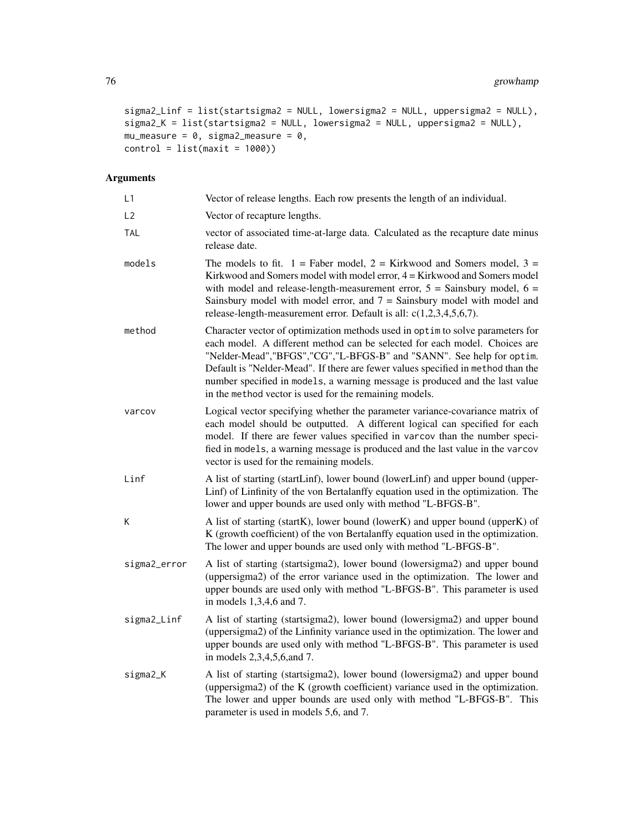```
sigma2_Linf = list(startsigma2 = NULL, lowersigma2 = NULL, uppersigma2 = NULL),
sigma2_K = list(startsigma2 = NULL, lowersigma2 = NULL, uppersigma2 = NULL),
mu_measure = 0, sigma2_measure = 0,
control = list(maxit = 1000)
```

| L1             | Vector of release lengths. Each row presents the length of an individual.                                                                                                                                                                                                                                                                                                                                                                                             |
|----------------|-----------------------------------------------------------------------------------------------------------------------------------------------------------------------------------------------------------------------------------------------------------------------------------------------------------------------------------------------------------------------------------------------------------------------------------------------------------------------|
| L <sub>2</sub> | Vector of recapture lengths.                                                                                                                                                                                                                                                                                                                                                                                                                                          |
| <b>TAL</b>     | vector of associated time-at-large data. Calculated as the recapture date minus<br>release date.                                                                                                                                                                                                                                                                                                                                                                      |
| models         | The models to fit. $1 =$ Faber model, $2 =$ Kirkwood and Somers model, $3 =$<br>Kirkwood and Somers model with model error, 4 = Kirkwood and Somers model<br>with model and release-length-measurement error, $5 =$ Sainsbury model, $6 =$<br>Sainsbury model with model error, and $7 =$ Sainsbury model with model and<br>release-length-measurement error. Default is all: $c(1,2,3,4,5,6,7)$ .                                                                    |
| method         | Character vector of optimization methods used in optim to solve parameters for<br>each model. A different method can be selected for each model. Choices are<br>"Nelder-Mead", "BFGS", "CG", "L-BFGS-B" and "SANN". See help for optim.<br>Default is "Nelder-Mead". If there are fewer values specified in method than the<br>number specified in models, a warning message is produced and the last value<br>in the method vector is used for the remaining models. |
| varcov         | Logical vector specifying whether the parameter variance-covariance matrix of<br>each model should be outputted. A different logical can specified for each<br>model. If there are fewer values specified in varcov than the number speci-<br>fied in models, a warning message is produced and the last value in the varcov<br>vector is used for the remaining models.                                                                                              |
| Linf           | A list of starting (startLinf), lower bound (lowerLinf) and upper bound (upper-<br>Linf) of Linfinity of the von Bertalanffy equation used in the optimization. The<br>lower and upper bounds are used only with method "L-BFGS-B".                                                                                                                                                                                                                                   |
| К              | A list of starting (startK), lower bound (lowerK) and upper bound (upperK) of<br>K (growth coefficient) of the von Bertalanffy equation used in the optimization.<br>The lower and upper bounds are used only with method "L-BFGS-B".                                                                                                                                                                                                                                 |
| sigma2_error   | A list of starting (startsigma2), lower bound (lowersigma2) and upper bound<br>(uppersigma2) of the error variance used in the optimization. The lower and<br>upper bounds are used only with method "L-BFGS-B". This parameter is used<br>in models 1,3,4,6 and 7.                                                                                                                                                                                                   |
| sigma2_Linf    | A list of starting (startsigma2), lower bound (lowersigma2) and upper bound<br>(uppersigma2) of the Linfinity variance used in the optimization. The lower and<br>upper bounds are used only with method "L-BFGS-B". This parameter is used<br>in models 2,3,4,5,6, and 7.                                                                                                                                                                                            |
| sigma2_K       | A list of starting (startsigma2), lower bound (lowersigma2) and upper bound<br>(uppersigma2) of the K (growth coefficient) variance used in the optimization.<br>The lower and upper bounds are used only with method "L-BFGS-B". This<br>parameter is used in models 5,6, and 7.                                                                                                                                                                                     |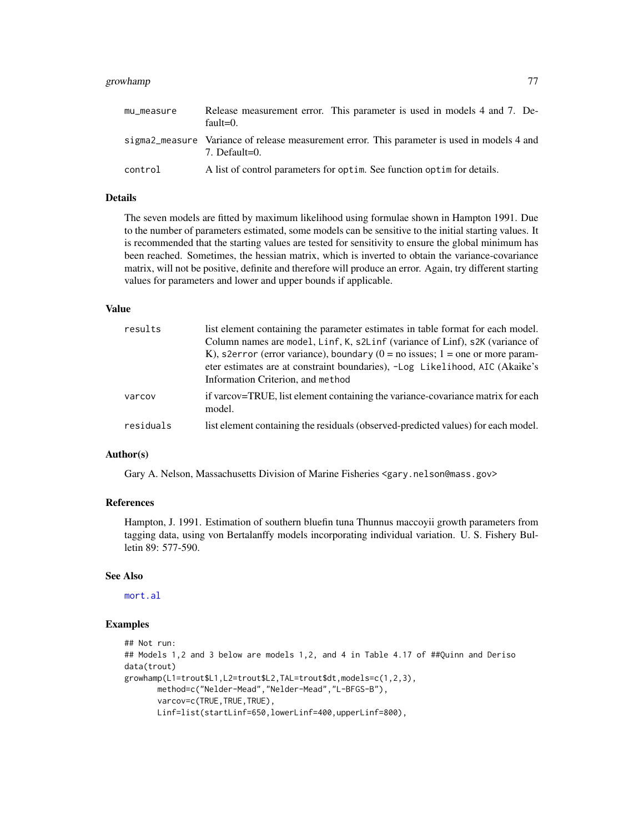# growhamp 77

| mu_measure | Release measurement error. This parameter is used in models 4 and 7. De-<br>$fault=0.$                          |
|------------|-----------------------------------------------------------------------------------------------------------------|
|            | sigma2_measure Variance of release measurement error. This parameter is used in models 4 and<br>$7.$ Default=0. |
| control    | A list of control parameters for optim. See function optim for details.                                         |

# Details

The seven models are fitted by maximum likelihood using formulae shown in Hampton 1991. Due to the number of parameters estimated, some models can be sensitive to the initial starting values. It is recommended that the starting values are tested for sensitivity to ensure the global minimum has been reached. Sometimes, the hessian matrix, which is inverted to obtain the variance-covariance matrix, will not be positive, definite and therefore will produce an error. Again, try different starting values for parameters and lower and upper bounds if applicable.

# Value

| results   | list element containing the parameter estimates in table format for each model.<br>Column names are model, Linf, K, s2Linf (variance of Linf), s2K (variance of<br>K), s2error (error variance), boundary ( $0 =$ no issues; 1 = one or more param-<br>eter estimates are at constraint boundaries), -Log Likelihood, AIC (Akaike's<br>Information Criterion, and method |
|-----------|--------------------------------------------------------------------------------------------------------------------------------------------------------------------------------------------------------------------------------------------------------------------------------------------------------------------------------------------------------------------------|
| varcov    | if varcov=TRUE, list element containing the variance-covariance matrix for each<br>model.                                                                                                                                                                                                                                                                                |
| residuals | list element containing the residuals (observed-predicted values) for each model.                                                                                                                                                                                                                                                                                        |

## Author(s)

Gary A. Nelson, Massachusetts Division of Marine Fisheries <gary.nelson@mass.gov>

#### References

Hampton, J. 1991. Estimation of southern bluefin tuna Thunnus maccoyii growth parameters from tagging data, using von Bertalanffy models incorporating individual variation. U. S. Fishery Bulletin 89: 577-590.

# See Also

[mort.al](#page-104-0)

## Examples

```
## Not run:
## Models 1,2 and 3 below are models 1,2, and 4 in Table 4.17 of ##Quinn and Deriso
data(trout)
growhamp(L1=trout$L1,L2=trout$L2,TAL=trout$dt,models=c(1,2,3),
      method=c("Nelder-Mead","Nelder-Mead","L-BFGS-B"),
      varcov=c(TRUE,TRUE,TRUE),
      Linf=list(startLinf=650,lowerLinf=400,upperLinf=800),
```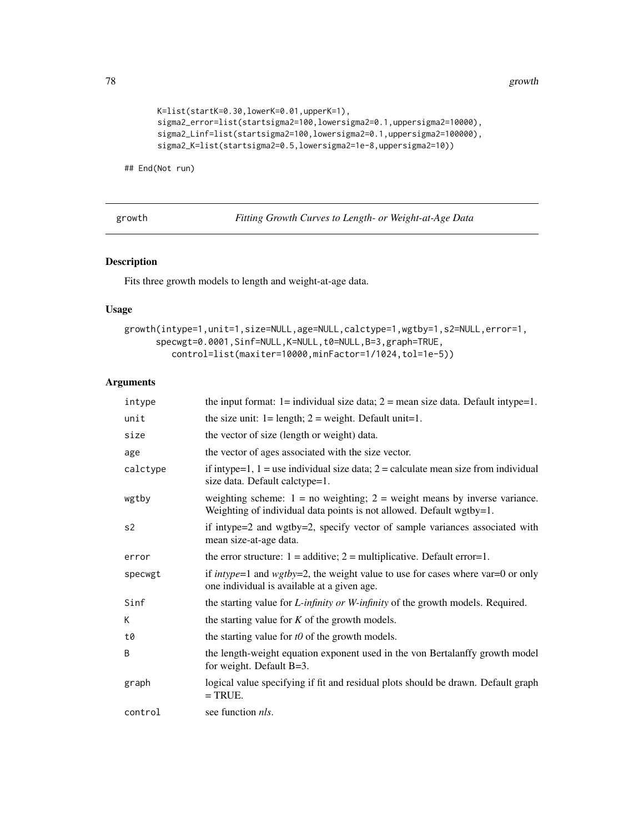78 growth the contract of the contract of the contract of the contract of the contract of the contract of the contract of the contract of the contract of the contract of the contract of the contract of the contract of the

```
K=list(startK=0.30,lowerK=0.01,upperK=1),
sigma2_error=list(startsigma2=100,lowersigma2=0.1,uppersigma2=10000),
sigma2_Linf=list(startsigma2=100,lowersigma2=0.1,uppersigma2=100000),
sigma2_K=list(startsigma2=0.5,lowersigma2=1e-8,uppersigma2=10))
```
## End(Not run)

growth *Fitting Growth Curves to Length- or Weight-at-Age Data*

# Description

Fits three growth models to length and weight-at-age data.

# Usage

```
growth(intype=1,unit=1,size=NULL,age=NULL,calctype=1,wgtby=1,s2=NULL,error=1,
      specwgt=0.0001,Sinf=NULL,K=NULL,t0=NULL,B=3,graph=TRUE,
         control=list(maxiter=10000,minFactor=1/1024,tol=1e-5))
```

| intype   | the input format: $1 =$ individual size data; $2 =$ mean size data. Default intype=1.                                                                 |
|----------|-------------------------------------------------------------------------------------------------------------------------------------------------------|
| unit     | the size unit: $1 =$ length; $2 =$ weight. Default unit=1.                                                                                            |
| size     | the vector of size (length or weight) data.                                                                                                           |
| age      | the vector of ages associated with the size vector.                                                                                                   |
| calctype | if intype=1, $1 =$ use individual size data; $2 =$ calculate mean size from individual<br>size data. Default calctype=1.                              |
| wgtby    | weighting scheme: $1 = no$ weighting; $2 = weight$ means by inverse variance.<br>Weighting of individual data points is not allowed. Default wgtby=1. |
| s2       | if intype=2 and wgtby=2, specify vector of sample variances associated with<br>mean size-at-age data.                                                 |
| error    | the error structure: $1 =$ additive; $2 =$ multiplicative. Default error=1.                                                                           |
| specwgt  | if <i>intype</i> =1 and $wgtby=2$ , the weight value to use for cases where var=0 or only<br>one individual is available at a given age.              |
| Sinf     | the starting value for <i>L</i> -infinity or <i>W</i> -infinity of the growth models. Required.                                                       |
| К        | the starting value for $K$ of the growth models.                                                                                                      |
| t0       | the starting value for $t0$ of the growth models.                                                                                                     |
| B        | the length-weight equation exponent used in the von Bertalanffy growth model<br>for weight. Default $B=3$ .                                           |
| graph    | logical value specifying if fit and residual plots should be drawn. Default graph<br>$=$ TRUE.                                                        |
| control  | see function <i>nls</i> .                                                                                                                             |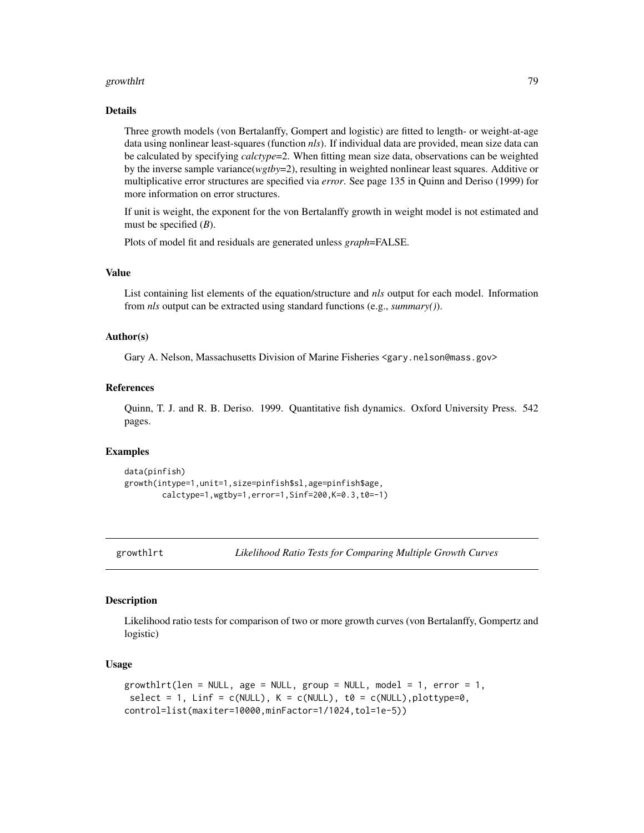#### growthlrt 2008 and 2008 and 2008 and 2008 and 2008 and 2008 and 2008 and 2008 and 2008 and 2008 and 2008 and 20

#### Details

Three growth models (von Bertalanffy, Gompert and logistic) are fitted to length- or weight-at-age data using nonlinear least-squares (function *nls*). If individual data are provided, mean size data can be calculated by specifying *calctype*=2. When fitting mean size data, observations can be weighted by the inverse sample variance(*wgtby*=2), resulting in weighted nonlinear least squares. Additive or multiplicative error structures are specified via *error*. See page 135 in Quinn and Deriso (1999) for more information on error structures.

If unit is weight, the exponent for the von Bertalanffy growth in weight model is not estimated and must be specified (*B*).

Plots of model fit and residuals are generated unless *graph*=FALSE.

# Value

List containing list elements of the equation/structure and *nls* output for each model. Information from *nls* output can be extracted using standard functions (e.g., *summary()*).

## Author(s)

Gary A. Nelson, Massachusetts Division of Marine Fisheries <gary.nelson@mass.gov>

## References

Quinn, T. J. and R. B. Deriso. 1999. Quantitative fish dynamics. Oxford University Press. 542 pages.

## Examples

```
data(pinfish)
growth(intype=1,unit=1,size=pinfish$sl,age=pinfish$age,
       calctype=1,wgtby=1,error=1,Sinf=200,K=0.3,t0=-1)
```
<span id="page-78-0"></span>

```
growthlrt Likelihood Ratio Tests for Comparing Multiple Growth Curves
```
## **Description**

Likelihood ratio tests for comparison of two or more growth curves (von Bertalanffy, Gompertz and logistic)

#### Usage

```
growthlrt(len = NULL, age = NULL, group = NULL, model = 1, error = 1,
select = 1, Linf = c(NULL), K = c(NULL), t0 = c(NULL), plottype=0,
control=list(maxiter=10000,minFactor=1/1024,tol=1e-5))
```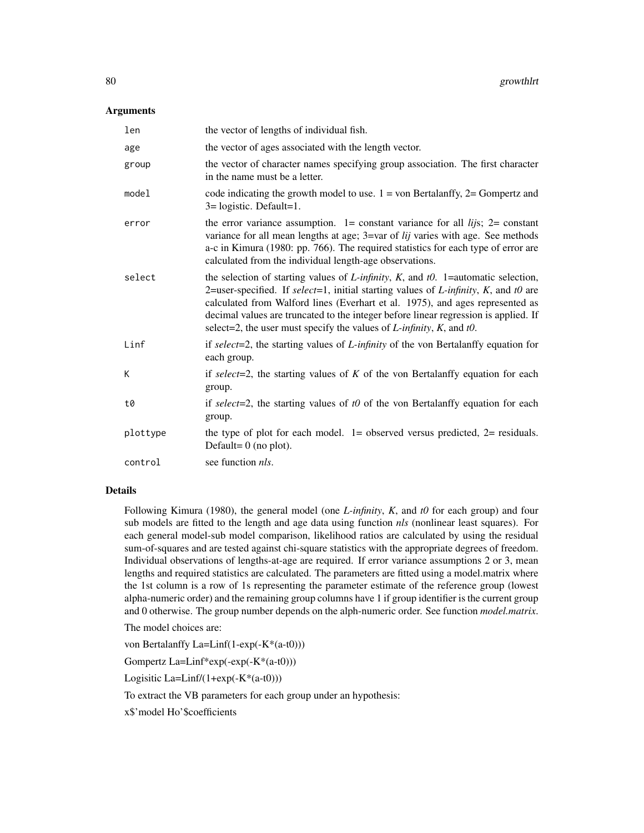## **Arguments**

| len      | the vector of lengths of individual fish.                                                                                                                                                                                                                                                                                                                                                                                                                         |
|----------|-------------------------------------------------------------------------------------------------------------------------------------------------------------------------------------------------------------------------------------------------------------------------------------------------------------------------------------------------------------------------------------------------------------------------------------------------------------------|
| age      | the vector of ages associated with the length vector.                                                                                                                                                                                                                                                                                                                                                                                                             |
| group    | the vector of character names specifying group association. The first character<br>in the name must be a letter.                                                                                                                                                                                                                                                                                                                                                  |
| model    | code indicating the growth model to use. $1 = \text{von Bertalanffy}$ , $2 = \text{Gompertz}$ and<br>$3 =$ logistic. Default=1.                                                                                                                                                                                                                                                                                                                                   |
| error    | the error variance assumption. 1 = constant variance for all $lijs$ ; 2 = constant<br>variance for all mean lengths at age; 3=var of lij varies with age. See methods<br>a-c in Kimura (1980: pp. 766). The required statistics for each type of error are<br>calculated from the individual length-age observations.                                                                                                                                             |
| select   | the selection of starting values of <i>L</i> -infinity, <i>K</i> , and $t0$ . 1=automatic selection,<br>2=user-specified. If select=1, initial starting values of <i>L</i> -infinity, <i>K</i> , and t0 are<br>calculated from Walford lines (Everhart et al. 1975), and ages represented as<br>decimal values are truncated to the integer before linear regression is applied. If<br>select=2, the user must specify the values of $L$ -infinity, $K$ , and t0. |
| Linf     | if select=2, the starting values of $L$ -infinity of the von Bertalanffy equation for<br>each group.                                                                                                                                                                                                                                                                                                                                                              |
| K        | if select=2, the starting values of $K$ of the von Bertalanffy equation for each<br>group.                                                                                                                                                                                                                                                                                                                                                                        |
| t0       | if select=2, the starting values of $t0$ of the von Bertalanffy equation for each<br>group.                                                                                                                                                                                                                                                                                                                                                                       |
| plottype | the type of plot for each model. $1 =$ observed versus predicted, $2 =$ residuals.<br>Default= $0$ (no plot).                                                                                                                                                                                                                                                                                                                                                     |
| control  | see function <i>nls</i> .                                                                                                                                                                                                                                                                                                                                                                                                                                         |
|          |                                                                                                                                                                                                                                                                                                                                                                                                                                                                   |

## Details

Following Kimura (1980), the general model (one *L-infinity*, *K*, and *t0* for each group) and four sub models are fitted to the length and age data using function *nls* (nonlinear least squares). For each general model-sub model comparison, likelihood ratios are calculated by using the residual sum-of-squares and are tested against chi-square statistics with the appropriate degrees of freedom. Individual observations of lengths-at-age are required. If error variance assumptions 2 or 3, mean lengths and required statistics are calculated. The parameters are fitted using a model.matrix where the 1st column is a row of 1s representing the parameter estimate of the reference group (lowest alpha-numeric order) and the remaining group columns have 1 if group identifier is the current group and 0 otherwise. The group number depends on the alph-numeric order. See function *model.matrix*.

The model choices are:

von Bertalanffy La=Linf(1-exp(-K\*(a-t0)))

Gompertz La=Linf\*exp(-exp(-K\*(a-t0)))

Logisitic  $La=Linf/(1+exp(-K*(a-t0)))$ 

To extract the VB parameters for each group under an hypothesis:

x\$'model Ho'\$coefficients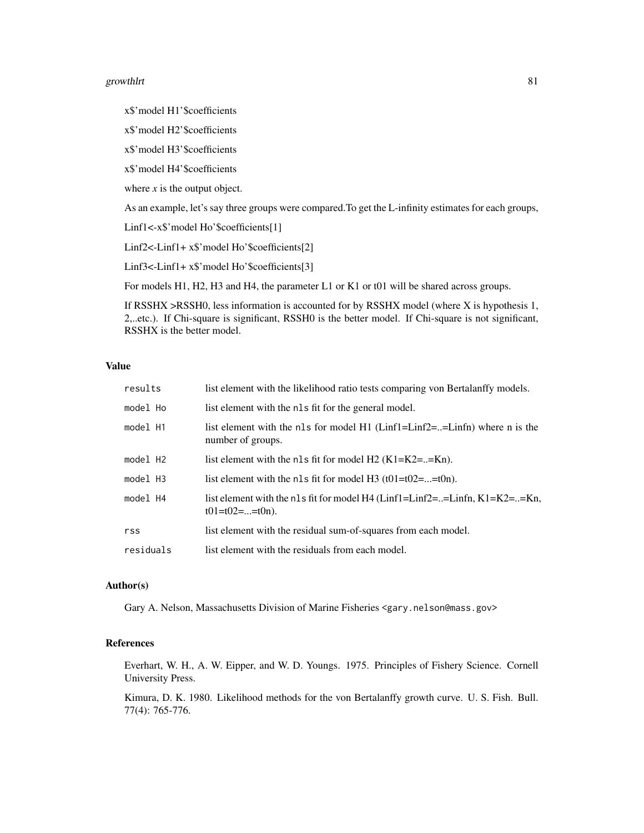#### growthlrt 81

x\$'model H1'\$coefficients

x\$'model H2'\$coefficients

x\$'model H3'\$coefficients

x\$'model H4'\$coefficients

where  $x$  is the output object.

As an example, let's say three groups were compared.To get the L-infinity estimates for each groups,

Linf1<-x\$'model Ho'\$coefficients[1]

Linf2<-Linf1+ x\$'model Ho'\$coefficients[2]

Linf3<-Linf1+ x\$'model Ho'\$coefficients[3]

For models H1, H2, H3 and H4, the parameter L1 or K1 or t01 will be shared across groups.

If RSSHX >RSSH0, less information is accounted for by RSSHX model (where X is hypothesis 1, 2,..etc.). If Chi-square is significant, RSSH0 is the better model. If Chi-square is not significant, RSSHX is the better model.

## Value

| results              | list element with the likelihood ratio tests comparing von Bertalanffy models.                    |
|----------------------|---------------------------------------------------------------------------------------------------|
| model Ho             | list element with the nls fit for the general model.                                              |
| model H1             | list element with the nls for model $H1$ (Linf1=Linf2==Linfn) where n is the<br>number of groups. |
| model H <sub>2</sub> | list element with the nls fit for model $H2$ (K1=K2==Kn).                                         |
| model H3             | list element with the nls fit for model H3 $(t01=t02==t0n)$ .                                     |
| model H4             | list element with the nls fit for model H4 (Linf1=Linf2==Linfn, K1=K2==Kn,<br>$t01=t02==t0n$ .    |
| rss                  | list element with the residual sum-of-squares from each model.                                    |
| residuals            | list element with the residuals from each model.                                                  |

#### Author(s)

Gary A. Nelson, Massachusetts Division of Marine Fisheries <gary.nelson@mass.gov>

# References

Everhart, W. H., A. W. Eipper, and W. D. Youngs. 1975. Principles of Fishery Science. Cornell University Press.

Kimura, D. K. 1980. Likelihood methods for the von Bertalanffy growth curve. U. S. Fish. Bull. 77(4): 765-776.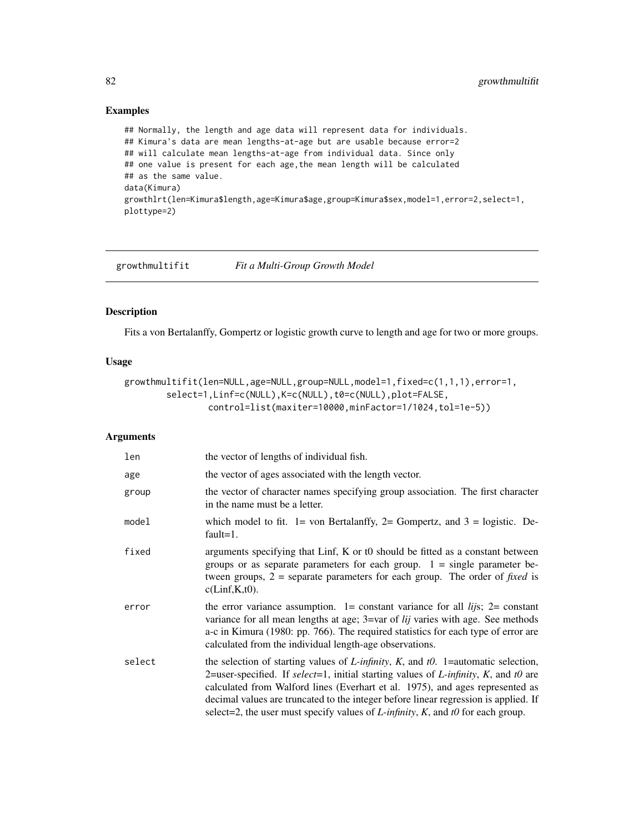# Examples

## Normally, the length and age data will represent data for individuals. ## Kimura's data are mean lengths-at-age but are usable because error=2 ## will calculate mean lengths-at-age from individual data. Since only ## one value is present for each age, the mean length will be calculated ## as the same value. data(Kimura) growthlrt(len=Kimura\$length,age=Kimura\$age,group=Kimura\$sex,model=1,error=2,select=1, plottype=2)

growthmultifit *Fit a Multi-Group Growth Model*

# Description

Fits a von Bertalanffy, Gompertz or logistic growth curve to length and age for two or more groups.

# Usage

```
growthmultifit(len=NULL,age=NULL,group=NULL,model=1,fixed=c(1,1,1),error=1,
       select=1,Linf=c(NULL),K=c(NULL),t0=c(NULL),plot=FALSE,
                control=list(maxiter=10000,minFactor=1/1024,tol=1e-5))
```

| len    | the vector of lengths of individual fish.                                                                                                                                                                                                                                                                                                                                                                                                                      |
|--------|----------------------------------------------------------------------------------------------------------------------------------------------------------------------------------------------------------------------------------------------------------------------------------------------------------------------------------------------------------------------------------------------------------------------------------------------------------------|
| age    | the vector of ages associated with the length vector.                                                                                                                                                                                                                                                                                                                                                                                                          |
| group  | the vector of character names specifying group association. The first character<br>in the name must be a letter.                                                                                                                                                                                                                                                                                                                                               |
| model  | which model to fit. $1 =$ von Bertalanffy, $2 =$ Gompertz, and $3 =$ logistic. De-<br>$fault=1.$                                                                                                                                                                                                                                                                                                                                                               |
| fixed  | arguments specifying that Linf, K or t0 should be fitted as a constant between<br>groups or as separate parameters for each group. $1 = \text{single parameter be-}$<br>tween groups, $2$ = separate parameters for each group. The order of <i>fixed</i> is<br>$c(Linf,K,t0)$ .                                                                                                                                                                               |
| error  | the error variance assumption. $1 = constant$ variance for all <i>lijs</i> ; $2 = constant$<br>variance for all mean lengths at age; 3=var of <i>lij</i> varies with age. See methods<br>a-c in Kimura (1980: pp. 766). The required statistics for each type of error are<br>calculated from the individual length-age observations.                                                                                                                          |
| select | the selection of starting values of L-infinity, K, and $t0$ . 1=automatic selection,<br>2=user-specified. If select=1, initial starting values of <i>L</i> -infinity, <i>K</i> , and t0 are<br>calculated from Walford lines (Everhart et al. 1975), and ages represented as<br>decimal values are truncated to the integer before linear regression is applied. If<br>select=2, the user must specify values of $L$ -infinity, $K$ , and $t0$ for each group. |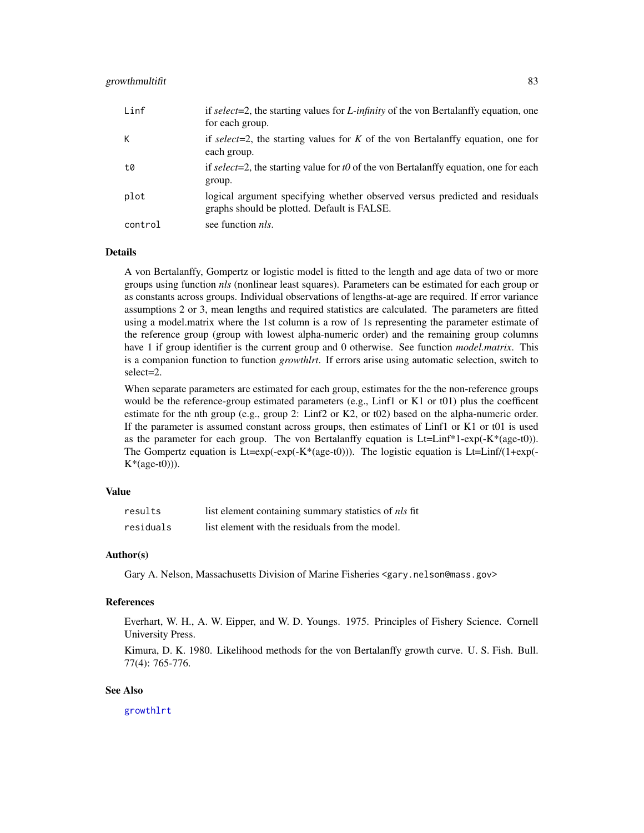# growthmultifit 83

| Linf    | if select=2, the starting values for <i>L</i> -infinity of the von Bertal and fly equation, one<br>for each group.         |
|---------|----------------------------------------------------------------------------------------------------------------------------|
| К       | if select=2, the starting values for K of the von Bertalanffy equation, one for<br>each group.                             |
| t0      | if select=2, the starting value for t0 of the von Bertalanffy equation, one for each<br>group.                             |
| plot    | logical argument specifying whether observed versus predicted and residuals<br>graphs should be plotted. Default is FALSE. |
| control | see function <i>nls</i> .                                                                                                  |

## Details

A von Bertalanffy, Gompertz or logistic model is fitted to the length and age data of two or more groups using function *nls* (nonlinear least squares). Parameters can be estimated for each group or as constants across groups. Individual observations of lengths-at-age are required. If error variance assumptions 2 or 3, mean lengths and required statistics are calculated. The parameters are fitted using a model.matrix where the 1st column is a row of 1s representing the parameter estimate of the reference group (group with lowest alpha-numeric order) and the remaining group columns have 1 if group identifier is the current group and 0 otherwise. See function *model.matrix*. This is a companion function to function *growthlrt*. If errors arise using automatic selection, switch to select=2.

When separate parameters are estimated for each group, estimates for the the non-reference groups would be the reference-group estimated parameters (e.g., Linf1 or K1 or t01) plus the coefficent estimate for the nth group (e.g., group 2: Linf2 or K2, or t02) based on the alpha-numeric order. If the parameter is assumed constant across groups, then estimates of Linf1 or K1 or t01 is used as the parameter for each group. The von Bertalanffy equation is Lt=Linf\*1-exp(-K\*(age-t0)). The Gompertz equation is  $Lt = exp(-exp(-K*(age-t0)))$ . The logistic equation is  $Lt = Linf/(1+exp(-K*(age-t0)))$ .  $K*(age-t0))$ .

# Value

| results   | list element containing summary statistics of <i>nls</i> fit |
|-----------|--------------------------------------------------------------|
| residuals | list element with the residuals from the model.              |

## Author(s)

Gary A. Nelson, Massachusetts Division of Marine Fisheries <gary.nelson@mass.gov>

## References

Everhart, W. H., A. W. Eipper, and W. D. Youngs. 1975. Principles of Fishery Science. Cornell University Press.

Kimura, D. K. 1980. Likelihood methods for the von Bertalanffy growth curve. U. S. Fish. Bull. 77(4): 765-776.

#### See Also

[growthlrt](#page-78-0)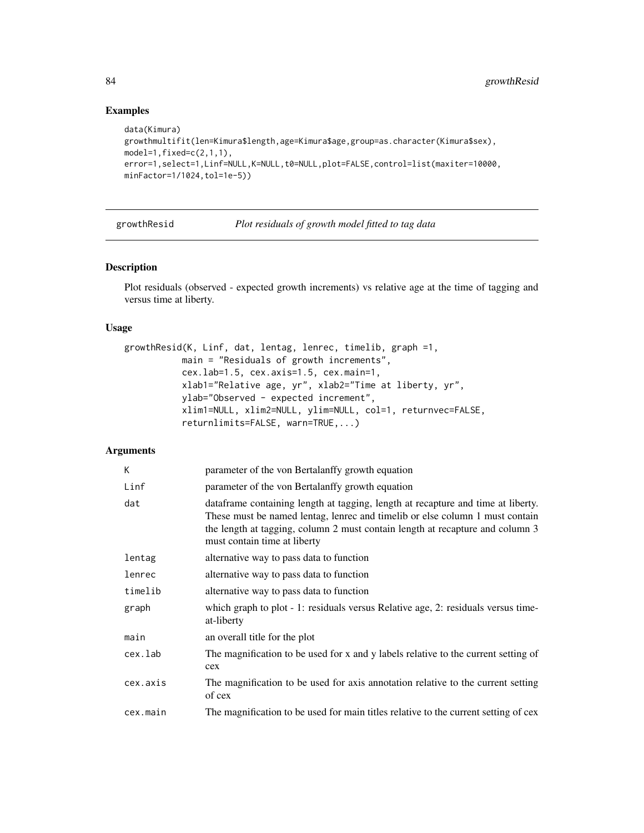# Examples

```
data(Kimura)
growthmultifit(len=Kimura$length,age=Kimura$age,group=as.character(Kimura$sex),
model=1, fixed=c(2,1,1),error=1,select=1,Linf=NULL,K=NULL,t0=NULL,plot=FALSE,control=list(maxiter=10000,
minFactor=1/1024,tol=1e-5))
```
growthResid *Plot residuals of growth model fitted to tag data*

# Description

Plot residuals (observed - expected growth increments) vs relative age at the time of tagging and versus time at liberty.

## Usage

```
growthResid(K, Linf, dat, lentag, lenrec, timelib, graph =1,
          main = "Residuals of growth increments",
          cex.lab=1.5, cex.axis=1.5, cex.main=1,
          xlab1="Relative age, yr", xlab2="Time at liberty, yr",
          ylab="Observed - expected increment",
          xlim1=NULL, xlim2=NULL, ylim=NULL, col=1, returnvec=FALSE,
          returnlimits=FALSE, warn=TRUE,...)
```

| K        | parameter of the von Bertalanffy growth equation                                                                                                                                                                                                                                  |
|----------|-----------------------------------------------------------------------------------------------------------------------------------------------------------------------------------------------------------------------------------------------------------------------------------|
| Linf     | parameter of the von Bertalanffy growth equation                                                                                                                                                                                                                                  |
| dat      | dataframe containing length at tagging, length at recapture and time at liberty.<br>These must be named lentag, lenrec and timelib or else column 1 must contain<br>the length at tagging, column 2 must contain length at recapture and column 3<br>must contain time at liberty |
| lentag   | alternative way to pass data to function                                                                                                                                                                                                                                          |
| lenrec   | alternative way to pass data to function                                                                                                                                                                                                                                          |
| timelib  | alternative way to pass data to function                                                                                                                                                                                                                                          |
| graph    | which graph to plot - 1: residuals versus Relative age, 2: residuals versus time-<br>at-liberty                                                                                                                                                                                   |
| main     | an overall title for the plot                                                                                                                                                                                                                                                     |
| cex.lab  | The magnification to be used for x and y labels relative to the current setting of<br>cex                                                                                                                                                                                         |
| cex.axis | The magnification to be used for axis annotation relative to the current setting<br>of cex                                                                                                                                                                                        |
| cex.main | The magnification to be used for main titles relative to the current setting of cex                                                                                                                                                                                               |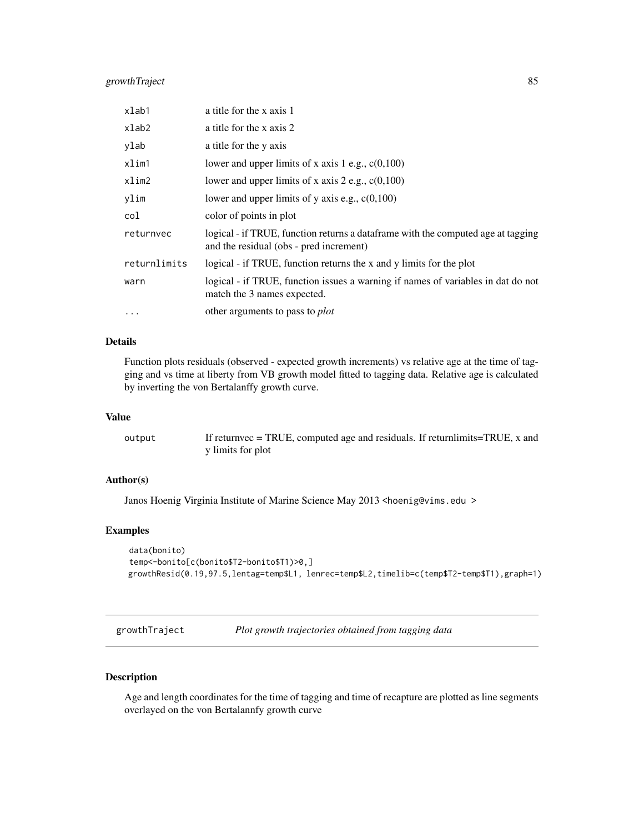# growthTraject 85

| xlab1        | a title for the x axis 1                                                                                                     |
|--------------|------------------------------------------------------------------------------------------------------------------------------|
| xlab2        | a title for the x axis 2                                                                                                     |
| ylab         | a title for the y axis                                                                                                       |
| xlim1        | lower and upper limits of x axis 1 e.g., $c(0,100)$                                                                          |
| xlim2        | lower and upper limits of x axis 2 e.g., $c(0,100)$                                                                          |
| ylim         | lower and upper limits of y axis e.g., $c(0,100)$                                                                            |
| col          | color of points in plot                                                                                                      |
| returnvec    | logical - if TRUE, function returns a data frame with the computed age at tagging<br>and the residual (obs - pred increment) |
| returnlimits | logical - if TRUE, function returns the x and y limits for the plot                                                          |
| warn         | logical - if TRUE, function issues a warning if names of variables in dat do not<br>match the 3 names expected.              |
| $\cdots$     | other arguments to pass to <i>plot</i>                                                                                       |

# Details

Function plots residuals (observed - expected growth increments) vs relative age at the time of tagging and vs time at liberty from VB growth model fitted to tagging data. Relative age is calculated by inverting the von Bertalanffy growth curve.

## Value

| output | If returnvec = TRUE, computed age and residuals. If returnlimits=TRUE, x and |
|--------|------------------------------------------------------------------------------|
|        | y limits for plot                                                            |

# Author(s)

Janos Hoenig Virginia Institute of Marine Science May 2013 <hoenig@vims.edu >

## Examples

```
data(bonito)
temp<-bonito[c(bonito$T2-bonito$T1)>0,]
growthResid(0.19,97.5,lentag=temp$L1, lenrec=temp$L2,timelib=c(temp$T2-temp$T1),graph=1)
```
growthTraject *Plot growth trajectories obtained from tagging data*

# Description

Age and length coordinates for the time of tagging and time of recapture are plotted as line segments overlayed on the von Bertalannfy growth curve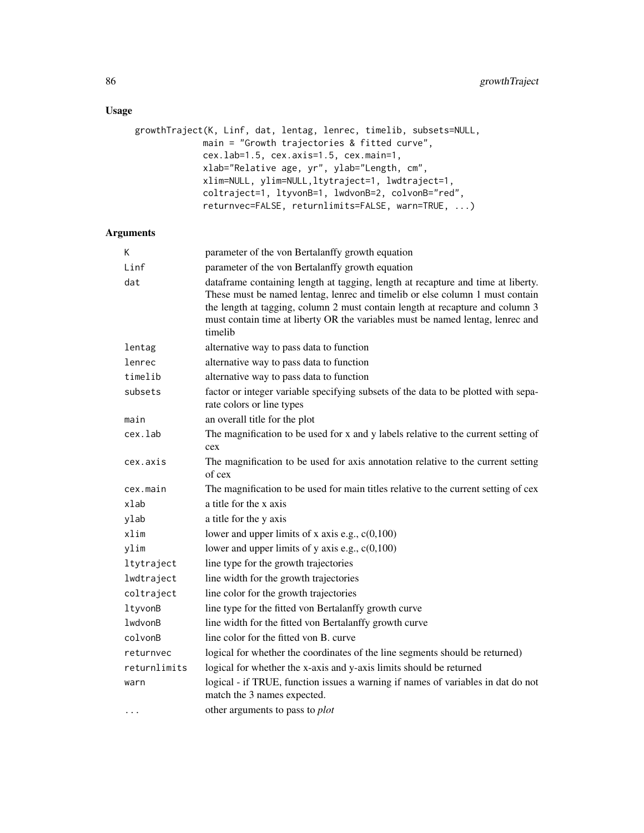# Usage

```
growthTraject(K, Linf, dat, lentag, lenrec, timelib, subsets=NULL,
             main = "Growth trajectories & fitted curve",
             cex.lab=1.5, cex.axis=1.5, cex.main=1,
             xlab="Relative age, yr", ylab="Length, cm",
             xlim=NULL, ylim=NULL,ltytraject=1, lwdtraject=1,
             coltraject=1, ltyvonB=1, lwdvonB=2, colvonB="red",
             returnvec=FALSE, returnlimits=FALSE, warn=TRUE, ...)
```

| Κ            | parameter of the von Bertalanffy growth equation                                                                                                                                                                                                                                                                                               |  |  |
|--------------|------------------------------------------------------------------------------------------------------------------------------------------------------------------------------------------------------------------------------------------------------------------------------------------------------------------------------------------------|--|--|
| Linf         | parameter of the von Bertalanffy growth equation                                                                                                                                                                                                                                                                                               |  |  |
| dat          | dataframe containing length at tagging, length at recapture and time at liberty.<br>These must be named lentag, lenrec and timelib or else column 1 must contain<br>the length at tagging, column 2 must contain length at recapture and column 3<br>must contain time at liberty OR the variables must be named lentag, lenrec and<br>timelib |  |  |
| lentag       | alternative way to pass data to function                                                                                                                                                                                                                                                                                                       |  |  |
| lenrec       | alternative way to pass data to function                                                                                                                                                                                                                                                                                                       |  |  |
| timelib      | alternative way to pass data to function                                                                                                                                                                                                                                                                                                       |  |  |
| subsets      | factor or integer variable specifying subsets of the data to be plotted with sepa-<br>rate colors or line types                                                                                                                                                                                                                                |  |  |
| main         | an overall title for the plot                                                                                                                                                                                                                                                                                                                  |  |  |
| cex.lab      | The magnification to be used for x and y labels relative to the current setting of<br>cex                                                                                                                                                                                                                                                      |  |  |
| cex.axis     | The magnification to be used for axis annotation relative to the current setting<br>of cex                                                                                                                                                                                                                                                     |  |  |
| cex.main     | The magnification to be used for main titles relative to the current setting of cex                                                                                                                                                                                                                                                            |  |  |
| xlab         | a title for the x axis                                                                                                                                                                                                                                                                                                                         |  |  |
| ylab         | a title for the y axis                                                                                                                                                                                                                                                                                                                         |  |  |
| xlim         | lower and upper limits of x axis e.g., $c(0,100)$                                                                                                                                                                                                                                                                                              |  |  |
| ylim         | lower and upper limits of y axis e.g., $c(0,100)$                                                                                                                                                                                                                                                                                              |  |  |
| ltytraject   | line type for the growth trajectories                                                                                                                                                                                                                                                                                                          |  |  |
| lwdtraject   | line width for the growth trajectories                                                                                                                                                                                                                                                                                                         |  |  |
| coltraject   | line color for the growth trajectories                                                                                                                                                                                                                                                                                                         |  |  |
| ltyvonB      | line type for the fitted von Bertalanffy growth curve                                                                                                                                                                                                                                                                                          |  |  |
| lwdvonB      | line width for the fitted von Bertalanffy growth curve                                                                                                                                                                                                                                                                                         |  |  |
| colvonB      | line color for the fitted von B. curve                                                                                                                                                                                                                                                                                                         |  |  |
| returnvec    | logical for whether the coordinates of the line segments should be returned)                                                                                                                                                                                                                                                                   |  |  |
| returnlimits | logical for whether the x-axis and y-axis limits should be returned                                                                                                                                                                                                                                                                            |  |  |
| warn         | logical - if TRUE, function issues a warning if names of variables in dat do not<br>match the 3 names expected.                                                                                                                                                                                                                                |  |  |
| $\cdots$     | other arguments to pass to <i>plot</i>                                                                                                                                                                                                                                                                                                         |  |  |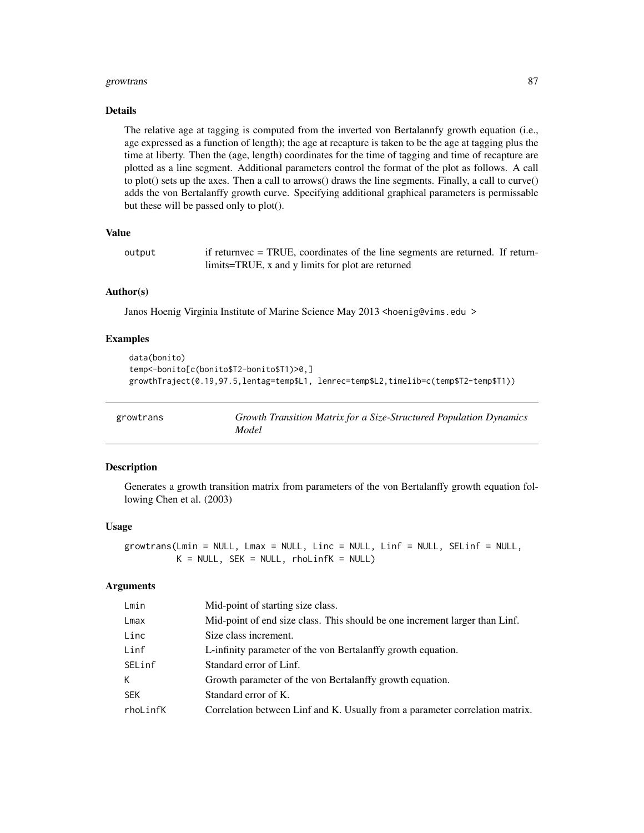#### growtrans 87

#### Details

The relative age at tagging is computed from the inverted von Bertalannfy growth equation (i.e., age expressed as a function of length); the age at recapture is taken to be the age at tagging plus the time at liberty. Then the (age, length) coordinates for the time of tagging and time of recapture are plotted as a line segment. Additional parameters control the format of the plot as follows. A call to plot() sets up the axes. Then a call to arrows() draws the line segments. Finally, a call to curve() adds the von Bertalanffy growth curve. Specifying additional graphical parameters is permissable but these will be passed only to plot().

# Value

```
output if returnvec = TRUE, coordinates of the line segments are returned. If return-
                 limits=TRUE, x and y limits for plot are returned
```
## Author(s)

Janos Hoenig Virginia Institute of Marine Science May 2013 <hoenig@vims.edu >

## Examples

```
data(bonito)
temp<-bonito[c(bonito$T2-bonito$T1)>0,]
growthTraject(0.19,97.5,lentag=temp$L1, lenrec=temp$L2,timelib=c(temp$T2-temp$T1))
```

| growtrans | Growth Transition Matrix for a Size-Structured Population Dynamics |
|-----------|--------------------------------------------------------------------|
|           | Model                                                              |

# Description

Generates a growth transition matrix from parameters of the von Bertalanffy growth equation following Chen et al. (2003)

#### Usage

growtrans(Lmin = NULL, Lmax = NULL, Linc = NULL, Linf = NULL, SELinf = NULL,  $K = NULL$ , SEK = NULL, rhoLinfK = NULL)

| Lmin       | Mid-point of starting size class.                                            |
|------------|------------------------------------------------------------------------------|
| Lmax       | Mid-point of end size class. This should be one increment larger than Linf.  |
| Linc       | Size class increment.                                                        |
| Linf       | L-infinity parameter of the von Bertalanffy growth equation.                 |
| SELinf     | Standard error of Linf.                                                      |
| K          | Growth parameter of the von Bertalanffy growth equation.                     |
| <b>SEK</b> | Standard error of K.                                                         |
| rhoLinfK   | Correlation between Linf and K. Usually from a parameter correlation matrix. |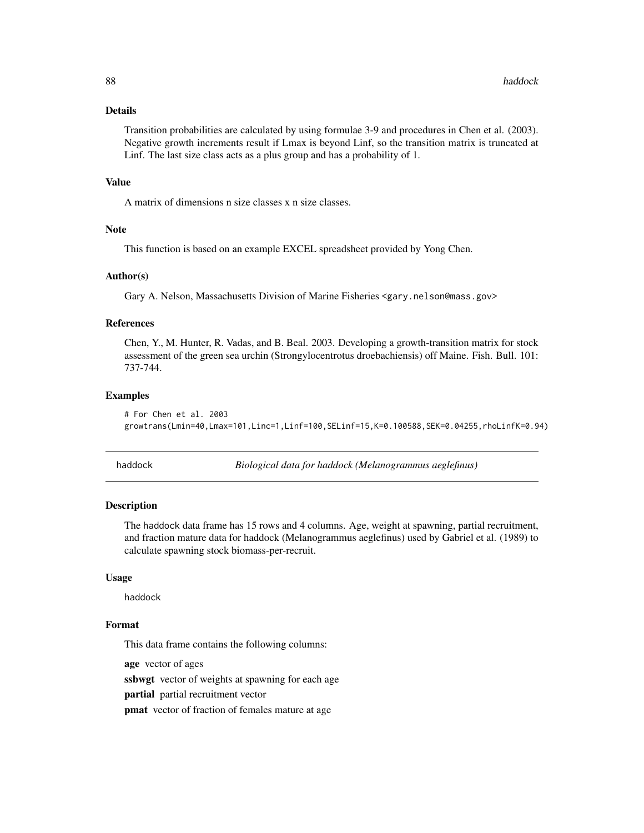# Details

Transition probabilities are calculated by using formulae 3-9 and procedures in Chen et al. (2003). Negative growth increments result if Lmax is beyond Linf, so the transition matrix is truncated at Linf. The last size class acts as a plus group and has a probability of 1.

## Value

A matrix of dimensions n size classes x n size classes.

## Note

This function is based on an example EXCEL spreadsheet provided by Yong Chen.

## Author(s)

Gary A. Nelson, Massachusetts Division of Marine Fisheries <gary.nelson@mass.gov>

# References

Chen, Y., M. Hunter, R. Vadas, and B. Beal. 2003. Developing a growth-transition matrix for stock assessment of the green sea urchin (Strongylocentrotus droebachiensis) off Maine. Fish. Bull. 101: 737-744.

# Examples

```
# For Chen et al. 2003
growtrans(Lmin=40,Lmax=101,Linc=1,Linf=100,SELinf=15,K=0.100588,SEK=0.04255,rhoLinfK=0.94)
```
haddock *Biological data for haddock (Melanogrammus aeglefinus)*

## **Description**

The haddock data frame has 15 rows and 4 columns. Age, weight at spawning, partial recruitment, and fraction mature data for haddock (Melanogrammus aeglefinus) used by Gabriel et al. (1989) to calculate spawning stock biomass-per-recruit.

## Usage

haddock

## Format

This data frame contains the following columns:

age vector of ages

ssbwgt vector of weights at spawning for each age

partial partial recruitment vector

pmat vector of fraction of females mature at age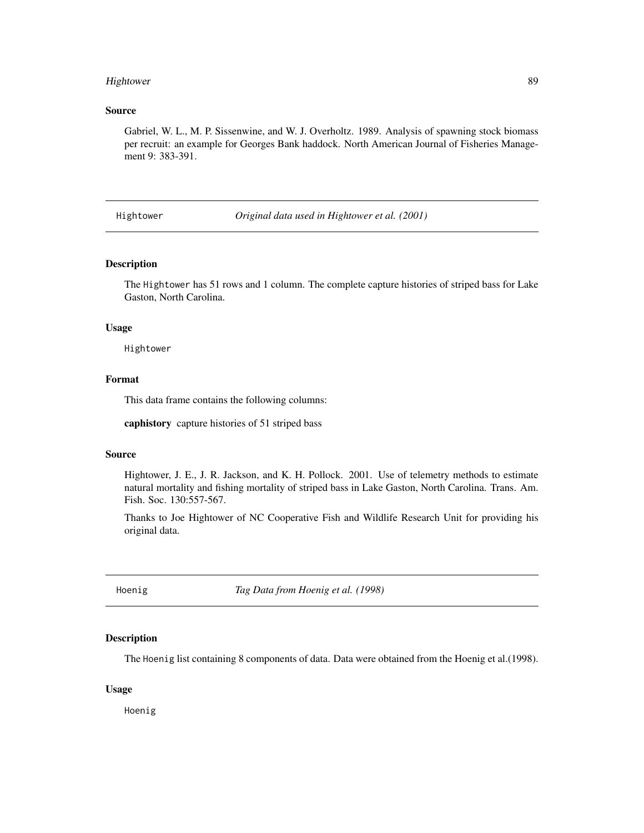# Hightower 89

## Source

Gabriel, W. L., M. P. Sissenwine, and W. J. Overholtz. 1989. Analysis of spawning stock biomass per recruit: an example for Georges Bank haddock. North American Journal of Fisheries Management 9: 383-391.

Hightower *Original data used in Hightower et al. (2001)*

#### Description

The Hightower has 51 rows and 1 column. The complete capture histories of striped bass for Lake Gaston, North Carolina.

#### Usage

Hightower

## Format

This data frame contains the following columns:

caphistory capture histories of 51 striped bass

#### Source

Hightower, J. E., J. R. Jackson, and K. H. Pollock. 2001. Use of telemetry methods to estimate natural mortality and fishing mortality of striped bass in Lake Gaston, North Carolina. Trans. Am. Fish. Soc. 130:557-567.

Thanks to Joe Hightower of NC Cooperative Fish and Wildlife Research Unit for providing his original data.

Hoenig *Tag Data from Hoenig et al. (1998)*

#### Description

The Hoenig list containing 8 components of data. Data were obtained from the Hoenig et al.(1998).

#### Usage

Hoenig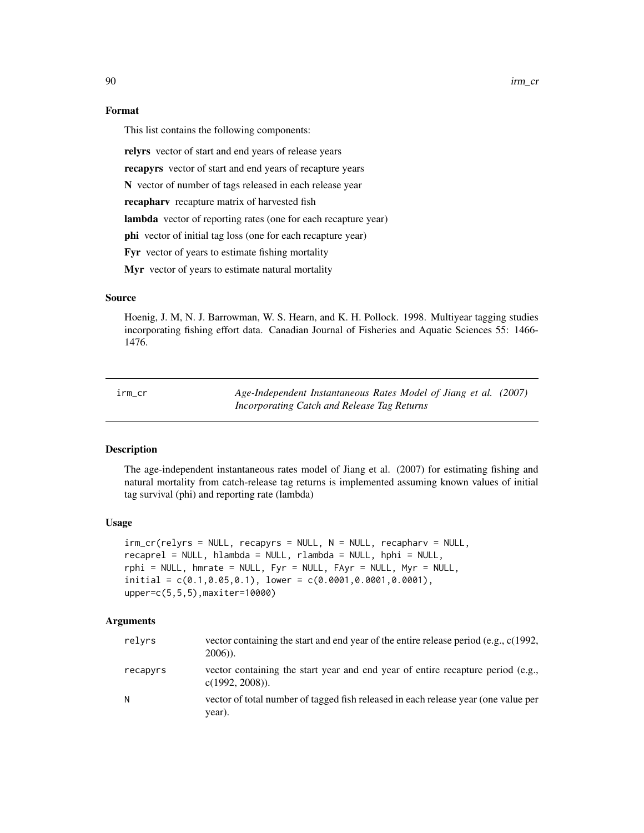90 irm\_cr

# Format

This list contains the following components:

relyrs vector of start and end years of release years

recapyrs vector of start and end years of recapture years

N vector of number of tags released in each release year

recapharv recapture matrix of harvested fish

lambda vector of reporting rates (one for each recapture year)

phi vector of initial tag loss (one for each recapture year)

Fyr vector of years to estimate fishing mortality

Myr vector of years to estimate natural mortality

# Source

Hoenig, J. M, N. J. Barrowman, W. S. Hearn, and K. H. Pollock. 1998. Multiyear tagging studies incorporating fishing effort data. Canadian Journal of Fisheries and Aquatic Sciences 55: 1466- 1476.

<span id="page-89-0"></span>irm\_cr *Age-Independent Instantaneous Rates Model of Jiang et al. (2007) Incorporating Catch and Release Tag Returns*

## Description

The age-independent instantaneous rates model of Jiang et al. (2007) for estimating fishing and natural mortality from catch-release tag returns is implemented assuming known values of initial tag survival (phi) and reporting rate (lambda)

## Usage

```
irm_cr(relyrs = NULL, recapyrus = NULL, N = NULL, recapharv = NULL,recaprel = NULL, hlambda = NULL, rlambda = NULL, hphi = NULL,
rphi = NULL, hmrate = NULL, Fyr = NULL, FAyr = NULL, Myr = NULL,
initial = c(0.1, 0.05, 0.1), lower = c(0.0001, 0.0001, 0.0001),upper=c(5,5,5),maxiter=10000)
```

| relyrs   | vector containing the start and end year of the entire release period (e.g., c(1992,<br>$2006$ ).    |
|----------|------------------------------------------------------------------------------------------------------|
| recapyrs | vector containing the start year and end year of entire recapture period (e.g.,<br>$c(1992, 2008)$ . |
| N        | vector of total number of tagged fish released in each release year (one value per<br>year).         |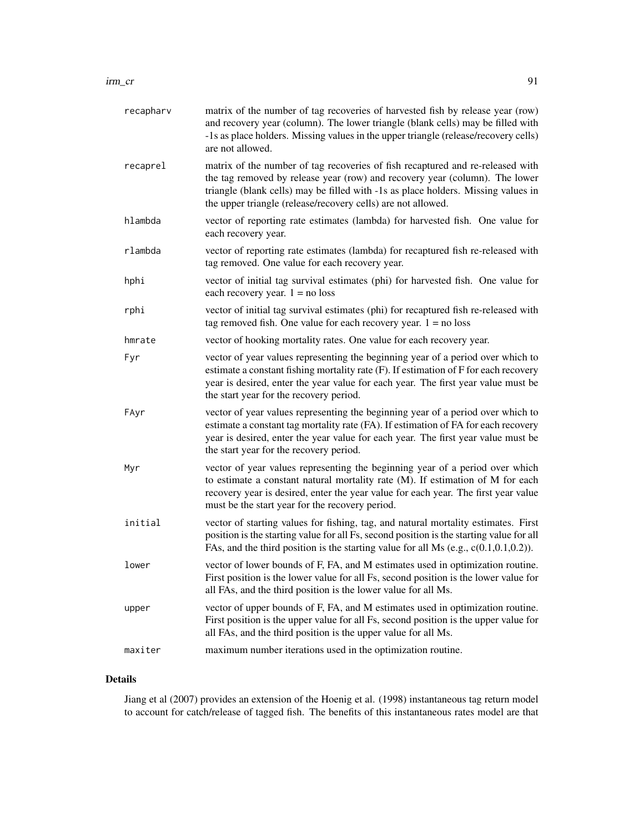| recapharv | matrix of the number of tag recoveries of harvested fish by release year (row)<br>and recovery year (column). The lower triangle (blank cells) may be filled with<br>-1s as place holders. Missing values in the upper triangle (release/recovery cells)<br>are not allowed.                                       |
|-----------|--------------------------------------------------------------------------------------------------------------------------------------------------------------------------------------------------------------------------------------------------------------------------------------------------------------------|
| recaprel  | matrix of the number of tag recoveries of fish recaptured and re-released with<br>the tag removed by release year (row) and recovery year (column). The lower<br>triangle (blank cells) may be filled with -1s as place holders. Missing values in<br>the upper triangle (release/recovery cells) are not allowed. |
| hlambda   | vector of reporting rate estimates (lambda) for harvested fish. One value for<br>each recovery year.                                                                                                                                                                                                               |
| rlambda   | vector of reporting rate estimates (lambda) for recaptured fish re-released with<br>tag removed. One value for each recovery year.                                                                                                                                                                                 |
| hphi      | vector of initial tag survival estimates (phi) for harvested fish. One value for<br>each recovery year. $1 = no loss$                                                                                                                                                                                              |
| rphi      | vector of initial tag survival estimates (phi) for recaptured fish re-released with<br>tag removed fish. One value for each recovery year. $1 = no loss$                                                                                                                                                           |
| hmrate    | vector of hooking mortality rates. One value for each recovery year.                                                                                                                                                                                                                                               |
| Fyr       | vector of year values representing the beginning year of a period over which to<br>estimate a constant fishing mortality rate (F). If estimation of F for each recovery<br>year is desired, enter the year value for each year. The first year value must be<br>the start year for the recovery period.            |
| FAyr      | vector of year values representing the beginning year of a period over which to<br>estimate a constant tag mortality rate (FA). If estimation of FA for each recovery<br>year is desired, enter the year value for each year. The first year value must be<br>the start year for the recovery period.              |
| Myr       | vector of year values representing the beginning year of a period over which<br>to estimate a constant natural mortality rate (M). If estimation of M for each<br>recovery year is desired, enter the year value for each year. The first year value<br>must be the start year for the recovery period.            |
| initial   | vector of starting values for fishing, tag, and natural mortality estimates. First<br>position is the starting value for all Fs, second position is the starting value for all<br>FAs, and the third position is the starting value for all Ms (e.g., $c(0.1, 0.1, 0.2)$ ).                                        |
| lower     | vector of lower bounds of F, FA, and M estimates used in optimization routine.<br>First position is the lower value for all Fs, second position is the lower value for<br>all FAs, and the third position is the lower value for all Ms.                                                                           |
| upper     | vector of upper bounds of F, FA, and M estimates used in optimization routine.<br>First position is the upper value for all Fs, second position is the upper value for<br>all FAs, and the third position is the upper value for all Ms.                                                                           |
| maxiter   | maximum number iterations used in the optimization routine.                                                                                                                                                                                                                                                        |

# Details

Jiang et al (2007) provides an extension of the Hoenig et al. (1998) instantaneous tag return model to account for catch/release of tagged fish. The benefits of this instantaneous rates model are that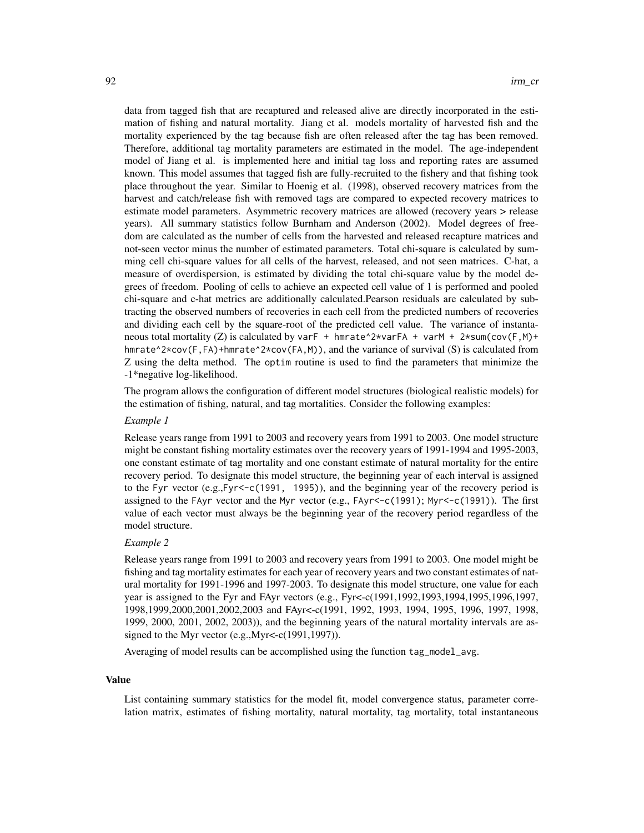data from tagged fish that are recaptured and released alive are directly incorporated in the estimation of fishing and natural mortality. Jiang et al. models mortality of harvested fish and the mortality experienced by the tag because fish are often released after the tag has been removed. Therefore, additional tag mortality parameters are estimated in the model. The age-independent model of Jiang et al. is implemented here and initial tag loss and reporting rates are assumed known. This model assumes that tagged fish are fully-recruited to the fishery and that fishing took place throughout the year. Similar to Hoenig et al. (1998), observed recovery matrices from the harvest and catch/release fish with removed tags are compared to expected recovery matrices to estimate model parameters. Asymmetric recovery matrices are allowed (recovery years > release years). All summary statistics follow Burnham and Anderson (2002). Model degrees of freedom are calculated as the number of cells from the harvested and released recapture matrices and not-seen vector minus the number of estimated parameters. Total chi-square is calculated by summing cell chi-square values for all cells of the harvest, released, and not seen matrices. C-hat, a measure of overdispersion, is estimated by dividing the total chi-square value by the model degrees of freedom. Pooling of cells to achieve an expected cell value of 1 is performed and pooled chi-square and c-hat metrics are additionally calculated.Pearson residuals are calculated by subtracting the observed numbers of recoveries in each cell from the predicted numbers of recoveries and dividing each cell by the square-root of the predicted cell value. The variance of instantaneous total mortality (Z) is calculated by varF + hmrate^2\*varFA + varM + 2\*sum(cov(F,M)+ hmrate<sup> $\alpha$ </sup>/\*cov(F,FA)+hmrate^2\*cov(FA,M)), and the variance of survival (S) is calculated from Z using the delta method. The optim routine is used to find the parameters that minimize the -1\*negative log-likelihood.

The program allows the configuration of different model structures (biological realistic models) for the estimation of fishing, natural, and tag mortalities. Consider the following examples:

#### *Example 1*

Release years range from 1991 to 2003 and recovery years from 1991 to 2003. One model structure might be constant fishing mortality estimates over the recovery years of 1991-1994 and 1995-2003, one constant estimate of tag mortality and one constant estimate of natural mortality for the entire recovery period. To designate this model structure, the beginning year of each interval is assigned to the Fyr vector  $(e.g., Fyr < -c(1991, 1995))$ , and the beginning year of the recovery period is assigned to the FAyr vector and the Myr vector (e.g., FAyr<-c(1991); Myr<-c(1991)). The first value of each vector must always be the beginning year of the recovery period regardless of the model structure.

### *Example 2*

Release years range from 1991 to 2003 and recovery years from 1991 to 2003. One model might be fishing and tag mortality estimates for each year of recovery years and two constant estimates of natural mortality for 1991-1996 and 1997-2003. To designate this model structure, one value for each year is assigned to the Fyr and FAyr vectors (e.g., Fyr<-c(1991,1992,1993,1994,1995,1996,1997, 1998,1999,2000,2001,2002,2003 and FAyr<-c(1991, 1992, 1993, 1994, 1995, 1996, 1997, 1998, 1999, 2000, 2001, 2002, 2003)), and the beginning years of the natural mortality intervals are assigned to the Myr vector (e.g.,Myr<-c(1991,1997)).

Averaging of model results can be accomplished using the function tag\_model\_avg.

#### Value

List containing summary statistics for the model fit, model convergence status, parameter correlation matrix, estimates of fishing mortality, natural mortality, tag mortality, total instantaneous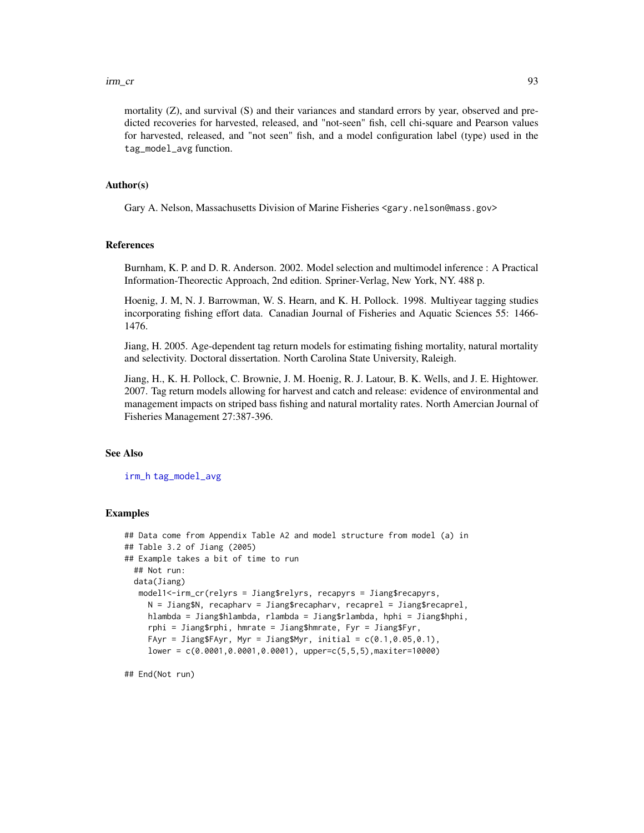mortality (Z), and survival (S) and their variances and standard errors by year, observed and predicted recoveries for harvested, released, and "not-seen" fish, cell chi-square and Pearson values for harvested, released, and "not seen" fish, and a model configuration label (type) used in the tag\_model\_avg function.

## Author(s)

Gary A. Nelson, Massachusetts Division of Marine Fisheries <gary.nelson@mass.gov>

#### References

Burnham, K. P. and D. R. Anderson. 2002. Model selection and multimodel inference : A Practical Information-Theorectic Approach, 2nd edition. Spriner-Verlag, New York, NY. 488 p.

Hoenig, J. M, N. J. Barrowman, W. S. Hearn, and K. H. Pollock. 1998. Multiyear tagging studies incorporating fishing effort data. Canadian Journal of Fisheries and Aquatic Sciences 55: 1466- 1476.

Jiang, H. 2005. Age-dependent tag return models for estimating fishing mortality, natural mortality and selectivity. Doctoral dissertation. North Carolina State University, Raleigh.

Jiang, H., K. H. Pollock, C. Brownie, J. M. Hoenig, R. J. Latour, B. K. Wells, and J. E. Hightower. 2007. Tag return models allowing for harvest and catch and release: evidence of environmental and management impacts on striped bass fishing and natural mortality rates. North Amercian Journal of Fisheries Management 27:387-396.

## See Also

[irm\\_h](#page-93-0) [tag\\_model\\_avg](#page-133-0)

## Examples

```
## Data come from Appendix Table A2 and model structure from model (a) in
## Table 3.2 of Jiang (2005)
## Example takes a bit of time to run
 ## Not run:
 data(Jiang)
  model1<-irm_cr(relyrs = Jiang$relyrs, recapyrs = Jiang$recapyrs,
     N = Jiang$N, recapharv = Jiang$recapharv, recaprel = Jiang$recaprel,
    hlambda = Jiang$hlambda, rlambda = Jiang$rlambda, hphi = Jiang$hphi,
     rphi = Jiang$rphi, hmrate = Jiang$hmrate, Fyr = Jiang$Fyr,
     FAyr = Jiang$FAyr, Myr = Jiang$Myr, initial = c(0.1, 0.05, 0.1),
     lower = c(0.0001,0.0001,0.0001), upper=c(5,5,5),maxiter=10000)
```
## End(Not run)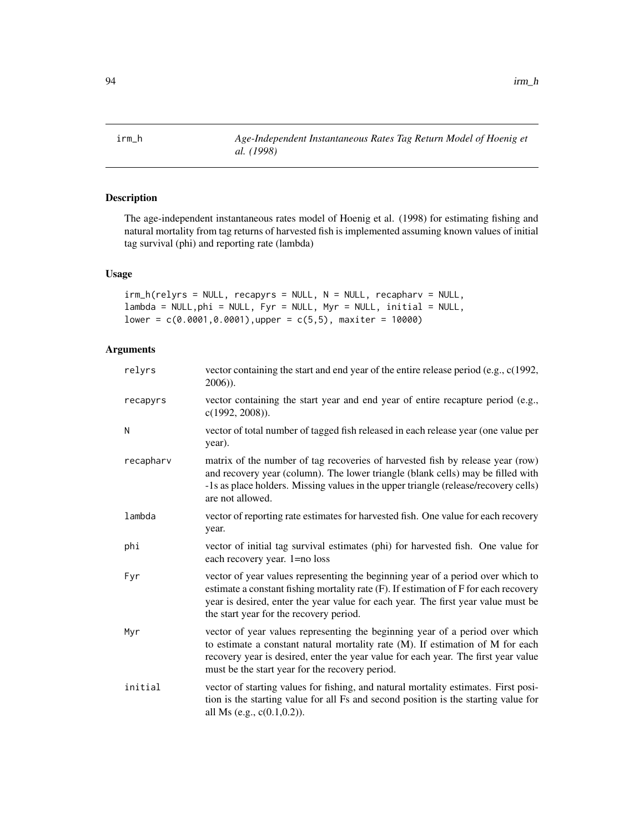<span id="page-93-0"></span>irm\_h *Age-Independent Instantaneous Rates Tag Return Model of Hoenig et al. (1998)*

# Description

The age-independent instantaneous rates model of Hoenig et al. (1998) for estimating fishing and natural mortality from tag returns of harvested fish is implemented assuming known values of initial tag survival (phi) and reporting rate (lambda)

# Usage

```
irm_h(relyrs = NULL, recapyrs = NULL, N = NULL, recapharv = NULL,
lambda = NULL,phi = NULL, Fyr = NULL, Myr = NULL, initial = NULL,
lower = c(0.0001, 0.0001), upper = c(5, 5), maxiter = 10000)
```

| relyrs    | vector containing the start and end year of the entire release period (e.g., c(1992,<br>$2006)$ ).                                                                                                                                                                                                      |
|-----------|---------------------------------------------------------------------------------------------------------------------------------------------------------------------------------------------------------------------------------------------------------------------------------------------------------|
| recapyrs  | vector containing the start year and end year of entire recapture period (e.g.,<br>$c(1992, 2008)$ ).                                                                                                                                                                                                   |
| N         | vector of total number of tagged fish released in each release year (one value per<br>year).                                                                                                                                                                                                            |
| recapharv | matrix of the number of tag recoveries of harvested fish by release year (row)<br>and recovery year (column). The lower triangle (blank cells) may be filled with<br>-1s as place holders. Missing values in the upper triangle (release/recovery cells)<br>are not allowed.                            |
| lambda    | vector of reporting rate estimates for harvested fish. One value for each recovery<br>year.                                                                                                                                                                                                             |
| phi       | vector of initial tag survival estimates (phi) for harvested fish. One value for<br>each recovery year. 1=no loss                                                                                                                                                                                       |
| Fyr       | vector of year values representing the beginning year of a period over which to<br>estimate a constant fishing mortality rate (F). If estimation of F for each recovery<br>year is desired, enter the year value for each year. The first year value must be<br>the start year for the recovery period. |
| Myr       | vector of year values representing the beginning year of a period over which<br>to estimate a constant natural mortality rate (M). If estimation of M for each<br>recovery year is desired, enter the year value for each year. The first year value<br>must be the start year for the recovery period. |
| initial   | vector of starting values for fishing, and natural mortality estimates. First posi-<br>tion is the starting value for all Fs and second position is the starting value for<br>all Ms (e.g., c(0.1,0.2)).                                                                                                |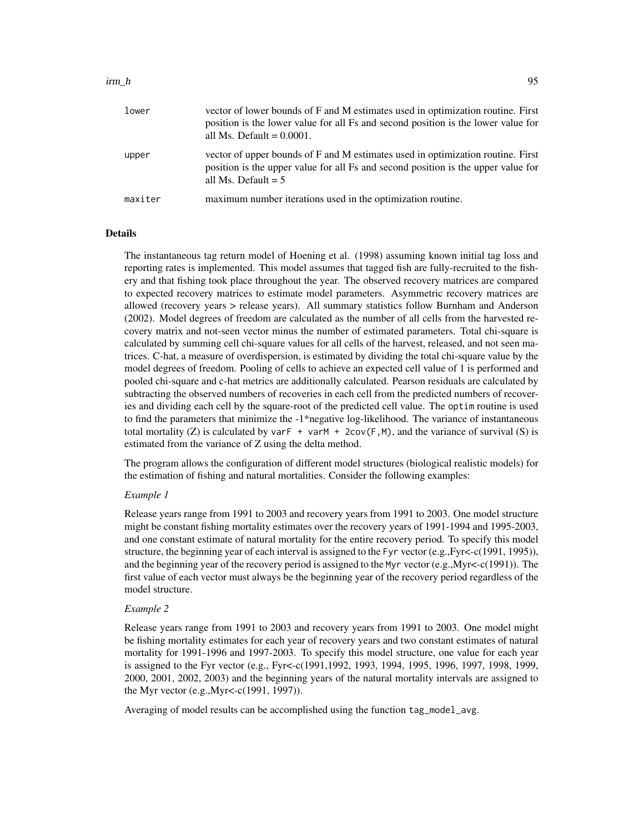## $\lim_{h \to 0}$  95

| lower   | vector of lower bounds of F and M estimates used in optimization routine. First<br>position is the lower value for all Fs and second position is the lower value for<br>all Ms. Default $= 0.0001$ . |
|---------|------------------------------------------------------------------------------------------------------------------------------------------------------------------------------------------------------|
| upper   | vector of upper bounds of F and M estimates used in optimization routine. First<br>position is the upper value for all Fs and second position is the upper value for<br>all Ms. Default $= 5$        |
| maxiter | maximum number iterations used in the optimization routine.                                                                                                                                          |

#### Details

The instantaneous tag return model of Hoening et al. (1998) assuming known initial tag loss and reporting rates is implemented. This model assumes that tagged fish are fully-recruited to the fishery and that fishing took place throughout the year. The observed recovery matrices are compared to expected recovery matrices to estimate model parameters. Asymmetric recovery matrices are allowed (recovery years > release years). All summary statistics follow Burnham and Anderson (2002). Model degrees of freedom are calculated as the number of all cells from the harvested recovery matrix and not-seen vector minus the number of estimated parameters. Total chi-square is calculated by summing cell chi-square values for all cells of the harvest, released, and not seen matrices. C-hat, a measure of overdispersion, is estimated by dividing the total chi-square value by the model degrees of freedom. Pooling of cells to achieve an expected cell value of 1 is performed and pooled chi-square and c-hat metrics are additionally calculated. Pearson residuals are calculated by subtracting the observed numbers of recoveries in each cell from the predicted numbers of recoveries and dividing each cell by the square-root of the predicted cell value. The optim routine is used to find the parameters that minimize the -1\*negative log-likelihood. The variance of instantaneous total mortality (Z) is calculated by varF + varM + 2cov(F,M), and the variance of survival (S) is estimated from the variance of Z using the delta method.

The program allows the configuration of different model structures (biological realistic models) for the estimation of fishing and natural mortalities. Consider the following examples:

## *Example 1*

Release years range from 1991 to 2003 and recovery years from 1991 to 2003. One model structure might be constant fishing mortality estimates over the recovery years of 1991-1994 and 1995-2003, and one constant estimate of natural mortality for the entire recovery period. To specify this model structure, the beginning year of each interval is assigned to the Fyr vector (e.g.,Fyr<-c(1991, 1995)), and the beginning year of the recovery period is assigned to the Myr vector (e.g.,Myr<-c(1991)). The first value of each vector must always be the beginning year of the recovery period regardless of the model structure.

## *Example 2*

Release years range from 1991 to 2003 and recovery years from 1991 to 2003. One model might be fishing mortality estimates for each year of recovery years and two constant estimates of natural mortality for 1991-1996 and 1997-2003. To specify this model structure, one value for each year is assigned to the Fyr vector (e.g., Fyr<-c(1991,1992, 1993, 1994, 1995, 1996, 1997, 1998, 1999, 2000, 2001, 2002, 2003) and the beginning years of the natural mortality intervals are assigned to the Myr vector (e.g.,Myr<-c(1991, 1997)).

Averaging of model results can be accomplished using the function tag\_model\_avg.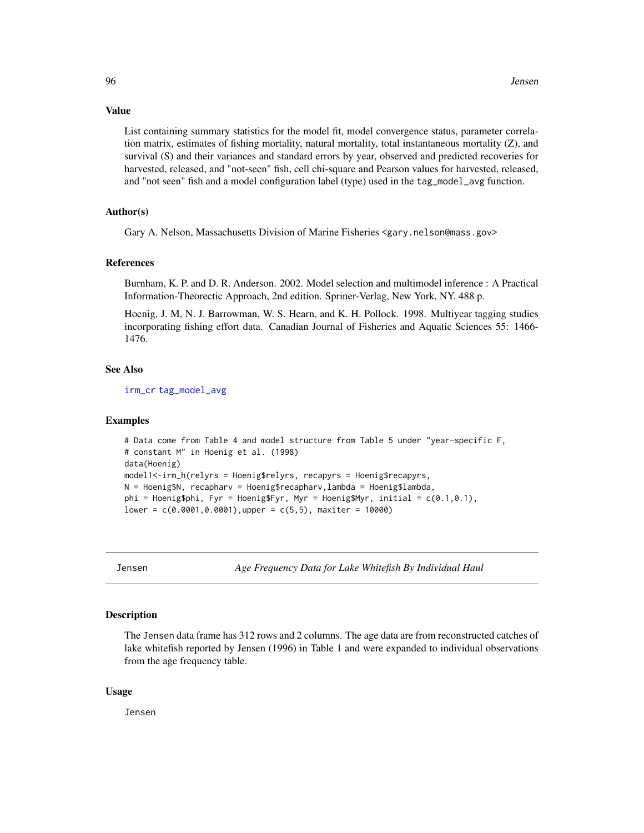#### Value

List containing summary statistics for the model fit, model convergence status, parameter correlation matrix, estimates of fishing mortality, natural mortality, total instantaneous mortality (Z), and survival (S) and their variances and standard errors by year, observed and predicted recoveries for harvested, released, and "not-seen" fish, cell chi-square and Pearson values for harvested, released, and "not seen" fish and a model configuration label (type) used in the tag\_model\_avg function.

# Author(s)

Gary A. Nelson, Massachusetts Division of Marine Fisheries <gary.nelson@mass.gov>

#### References

Burnham, K. P. and D. R. Anderson. 2002. Model selection and multimodel inference : A Practical Information-Theorectic Approach, 2nd edition. Spriner-Verlag, New York, NY. 488 p.

Hoenig, J. M, N. J. Barrowman, W. S. Hearn, and K. H. Pollock. 1998. Multiyear tagging studies incorporating fishing effort data. Canadian Journal of Fisheries and Aquatic Sciences 55: 1466- 1476.

## See Also

[irm\\_cr](#page-89-0) [tag\\_model\\_avg](#page-133-0)

#### Examples

```
# Data come from Table 4 and model structure from Table 5 under "year-specific F,
# constant M" in Hoenig et al. (1998)
data(Hoenig)
model1<-irm_h(relyrs = Hoenig$relyrs, recapyrs = Hoenig$recapyrs,
N = Hoenig$N, recapharv = Hoenig$recapharv, lambda = Hoenig$lambda,
phi = Hoenig$phi, Fyr = Hoenig$Fyr, Myr = Hoenig$Myr, initial = c(0.1, 0.1),
lower = c(0.0001, 0.0001), upper = c(5, 5), maxiter = 10000)
```
Jensen *Age Frequency Data for Lake Whitefish By Individual Haul*

## **Description**

The Jensen data frame has 312 rows and 2 columns. The age data are from reconstructed catches of lake whitefish reported by Jensen (1996) in Table 1 and were expanded to individual observations from the age frequency table.

## Usage

Jensen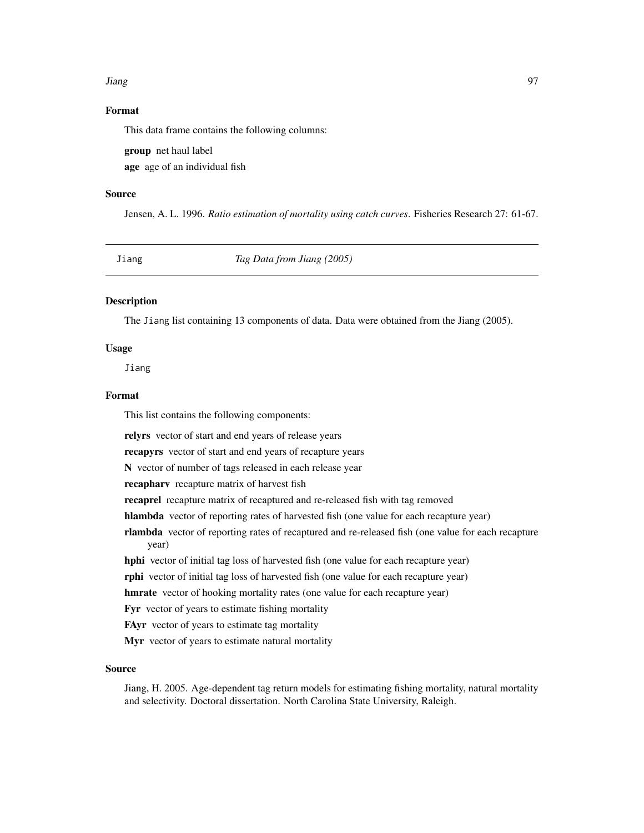#### Jiang 97

# Format

This data frame contains the following columns:

group net haul label

age age of an individual fish

#### Source

Jensen, A. L. 1996. *Ratio estimation of mortality using catch curves*. Fisheries Research 27: 61-67.

Jiang *Tag Data from Jiang (2005)*

# Description

The Jiang list containing 13 components of data. Data were obtained from the Jiang (2005).

# Usage

Jiang

## Format

This list contains the following components:

relyrs vector of start and end years of release years

recapyrs vector of start and end years of recapture years

N vector of number of tags released in each release year

recapharv recapture matrix of harvest fish

recaprel recapture matrix of recaptured and re-released fish with tag removed

hlambda vector of reporting rates of harvested fish (one value for each recapture year)

rlambda vector of reporting rates of recaptured and re-released fish (one value for each recapture year)

hphi vector of initial tag loss of harvested fish (one value for each recapture year)

rphi vector of initial tag loss of harvested fish (one value for each recapture year)

hmrate vector of hooking mortality rates (one value for each recapture year)

Fyr vector of years to estimate fishing mortality

FAyr vector of years to estimate tag mortality

Myr vector of years to estimate natural mortality

#### Source

Jiang, H. 2005. Age-dependent tag return models for estimating fishing mortality, natural mortality and selectivity. Doctoral dissertation. North Carolina State University, Raleigh.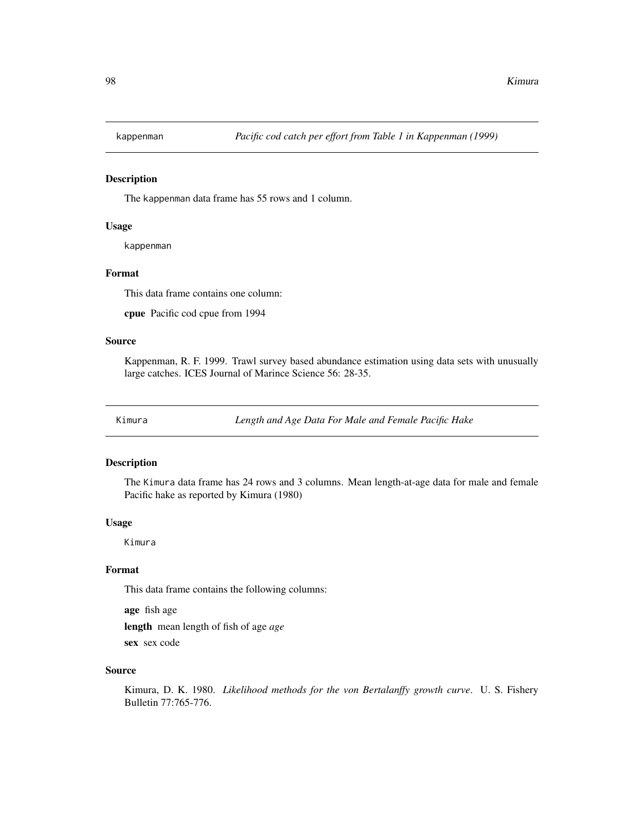# Description

The kappenman data frame has 55 rows and 1 column.

# Usage

kappenman

# Format

This data frame contains one column:

cpue Pacific cod cpue from 1994

# Source

Kappenman, R. F. 1999. Trawl survey based abundance estimation using data sets with unusually large catches. ICES Journal of Marince Science 56: 28-35.

Kimura *Length and Age Data For Male and Female Pacific Hake*

# Description

The Kimura data frame has 24 rows and 3 columns. Mean length-at-age data for male and female Pacific hake as reported by Kimura (1980)

# Usage

Kimura

# Format

This data frame contains the following columns:

age fish age

length mean length of fish of age *age*

sex sex code

# Source

Kimura, D. K. 1980. *Likelihood methods for the von Bertalanffy growth curve*. U. S. Fishery Bulletin 77:765-776.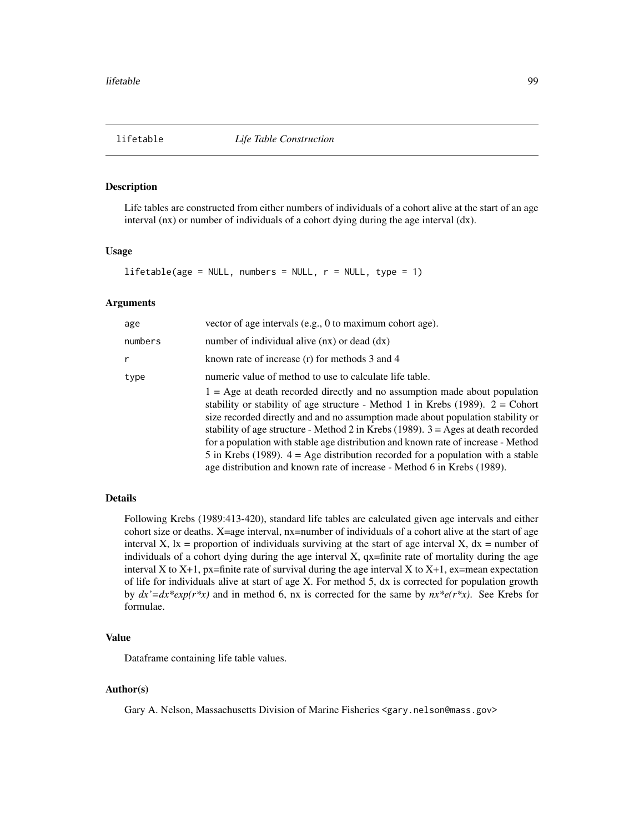# Description

Life tables are constructed from either numbers of individuals of a cohort alive at the start of an age interval (nx) or number of individuals of a cohort dying during the age interval (dx).

#### Usage

 $lifetable(age = NULL, numbers = NULL, r = NULL, type = 1)$ 

## Arguments

| age     | vector of age intervals (e.g., 0 to maximum cohort age).                                                                                                                                                                                                                                                                                                                                                                                                                                                                                                                                      |
|---------|-----------------------------------------------------------------------------------------------------------------------------------------------------------------------------------------------------------------------------------------------------------------------------------------------------------------------------------------------------------------------------------------------------------------------------------------------------------------------------------------------------------------------------------------------------------------------------------------------|
| numbers | number of individual alive $(nx)$ or dead $(dx)$                                                                                                                                                                                                                                                                                                                                                                                                                                                                                                                                              |
| r       | known rate of increase $(r)$ for methods 3 and 4                                                                                                                                                                                                                                                                                                                                                                                                                                                                                                                                              |
| type    | numeric value of method to use to calculate life table.<br>$1 = Age$ at death recorded directly and no assumption made about population<br>stability or stability of age structure - Method 1 in Krebs (1989). $2 =$ Cohort<br>size recorded directly and and no assumption made about population stability or<br>stability of age structure - Method 2 in Krebs (1989). $3 = \text{Ages}$ at death recorded<br>for a population with stable age distribution and known rate of increase - Method<br>5 in Krebs (1989). $4 = \text{Age distribution recorded for a population with a stable}$ |
|         | age distribution and known rate of increase - Method 6 in Krebs (1989).                                                                                                                                                                                                                                                                                                                                                                                                                                                                                                                       |

# Details

Following Krebs (1989:413-420), standard life tables are calculated given age intervals and either cohort size or deaths. X=age interval, nx=number of individuals of a cohort alive at the start of age interval X,  $|x|$  = proportion of individuals surviving at the start of age interval X,  $dx$  = number of individuals of a cohort dying during the age interval  $X$ , qx=finite rate of mortality during the age interval X to X+1, px=finite rate of survival during the age interval X to X+1, ex=mean expectation of life for individuals alive at start of age X. For method 5, dx is corrected for population growth by  $dx' = dx * exp(r * x)$  and in method 6, nx is corrected for the same by  $nx * e(r * x)$ . See Krebs for formulae.

#### Value

Dataframe containing life table values.

# Author(s)

Gary A. Nelson, Massachusetts Division of Marine Fisheries <gary.nelson@mass.gov>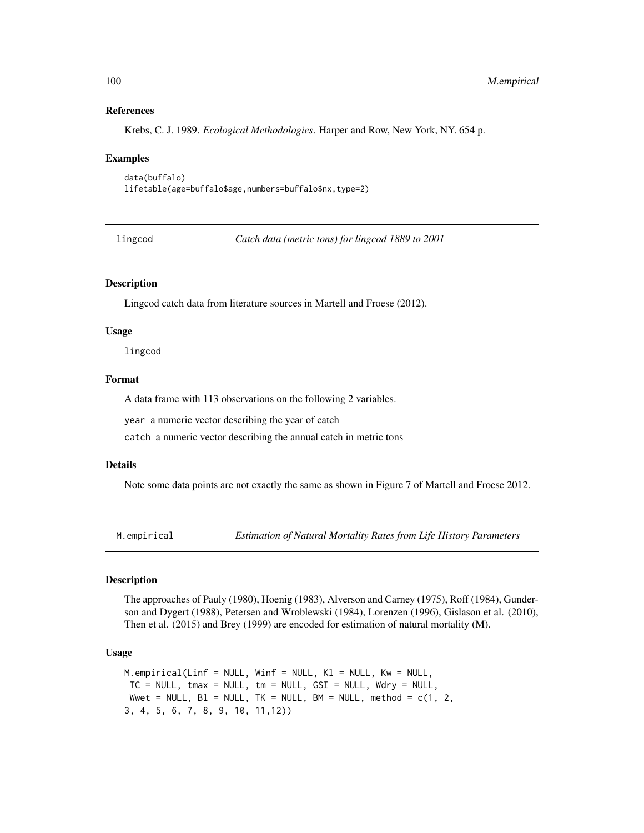## References

Krebs, C. J. 1989. *Ecological Methodologies*. Harper and Row, New York, NY. 654 p.

#### Examples

```
data(buffalo)
lifetable(age=buffalo$age,numbers=buffalo$nx,type=2)
```
lingcod *Catch data (metric tons) for lingcod 1889 to 2001*

# Description

Lingcod catch data from literature sources in Martell and Froese (2012).

## Usage

lingcod

## Format

A data frame with 113 observations on the following 2 variables.

year a numeric vector describing the year of catch

catch a numeric vector describing the annual catch in metric tons

### Details

Note some data points are not exactly the same as shown in Figure 7 of Martell and Froese 2012.

M.empirical *Estimation of Natural Mortality Rates from Life History Parameters*

#### Description

The approaches of Pauly (1980), Hoenig (1983), Alverson and Carney (1975), Roff (1984), Gunderson and Dygert (1988), Petersen and Wroblewski (1984), Lorenzen (1996), Gislason et al. (2010), Then et al. (2015) and Brey (1999) are encoded for estimation of natural mortality (M).

## Usage

```
M.empirical(Linf = NULL, Winf = NULL, K1 = NULL, Kw = NULL,
TC = NULL, tmax = NULL, tm = NULL, GSI = NULL, Wdry = NULL,
Wwet = NULL, BI = NULL, TK = NULL, BM = NULL, method = c(1, 2, 1)3, 4, 5, 6, 7, 8, 9, 10, 11,12))
```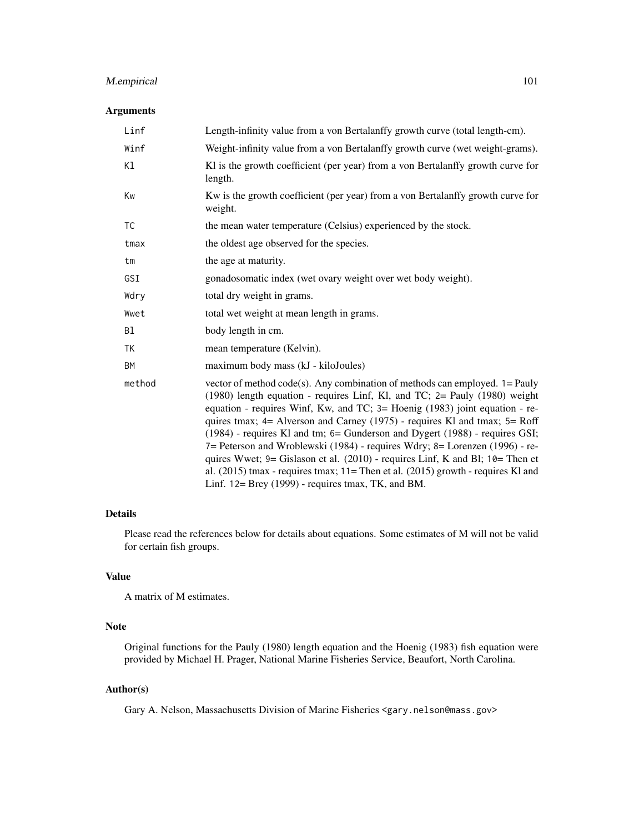# M.empirical 101

# Arguments

| Linf      | Length-infinity value from a von Bertalanffy growth curve (total length-cm).                                                                                                                                                                                                                                                                                                                                                                                                                                                                                                                                                                                                                                           |
|-----------|------------------------------------------------------------------------------------------------------------------------------------------------------------------------------------------------------------------------------------------------------------------------------------------------------------------------------------------------------------------------------------------------------------------------------------------------------------------------------------------------------------------------------------------------------------------------------------------------------------------------------------------------------------------------------------------------------------------------|
| Winf      | Weight-infinity value from a von Bertalanffy growth curve (wet weight-grams).                                                                                                                                                                                                                                                                                                                                                                                                                                                                                                                                                                                                                                          |
| K1        | Kl is the growth coefficient (per year) from a von Bertalanffy growth curve for<br>length.                                                                                                                                                                                                                                                                                                                                                                                                                                                                                                                                                                                                                             |
| Kw        | Kw is the growth coefficient (per year) from a von Bertalanffy growth curve for<br>weight.                                                                                                                                                                                                                                                                                                                                                                                                                                                                                                                                                                                                                             |
| <b>TC</b> | the mean water temperature (Celsius) experienced by the stock.                                                                                                                                                                                                                                                                                                                                                                                                                                                                                                                                                                                                                                                         |
| tmax      | the oldest age observed for the species.                                                                                                                                                                                                                                                                                                                                                                                                                                                                                                                                                                                                                                                                               |
| tm        | the age at maturity.                                                                                                                                                                                                                                                                                                                                                                                                                                                                                                                                                                                                                                                                                                   |
| GSI       | gonadosomatic index (wet ovary weight over wet body weight).                                                                                                                                                                                                                                                                                                                                                                                                                                                                                                                                                                                                                                                           |
| Wdry      | total dry weight in grams.                                                                                                                                                                                                                                                                                                                                                                                                                                                                                                                                                                                                                                                                                             |
| Wwet      | total wet weight at mean length in grams.                                                                                                                                                                                                                                                                                                                                                                                                                                                                                                                                                                                                                                                                              |
| B1        | body length in cm.                                                                                                                                                                                                                                                                                                                                                                                                                                                                                                                                                                                                                                                                                                     |
| TK        | mean temperature (Kelvin).                                                                                                                                                                                                                                                                                                                                                                                                                                                                                                                                                                                                                                                                                             |
| <b>BM</b> | maximum body mass (kJ - kiloJoules)                                                                                                                                                                                                                                                                                                                                                                                                                                                                                                                                                                                                                                                                                    |
| method    | vector of method code(s). Any combination of methods can employed. $1 =$ Pauly<br>(1980) length equation - requires Linf, Kl, and TC; 2= Pauly (1980) weight<br>equation - requires Winf, Kw, and TC; 3= Hoenig (1983) joint equation - re-<br>quires tmax; 4= Alverson and Carney (1975) - requires Kl and tmax; 5= Roff<br>(1984) - requires Kl and tm; 6= Gunderson and Dygert (1988) - requires GSI;<br>7= Peterson and Wroblewski (1984) - requires Wdry; 8= Lorenzen (1996) - re-<br>quires Wwet; 9= Gislason et al. (2010) - requires Linf, K and Bl; 10= Then et<br>al. $(2015)$ tmax - requires tmax; 11= Then et al. $(2015)$ growth - requires Kl and<br>Linf. 12= Brey (1999) - requires tmax, TK, and BM. |

# Details

Please read the references below for details about equations. Some estimates of M will not be valid for certain fish groups.

# Value

A matrix of M estimates.

# Note

Original functions for the Pauly (1980) length equation and the Hoenig (1983) fish equation were provided by Michael H. Prager, National Marine Fisheries Service, Beaufort, North Carolina.

# Author(s)

Gary A. Nelson, Massachusetts Division of Marine Fisheries <gary.nelson@mass.gov>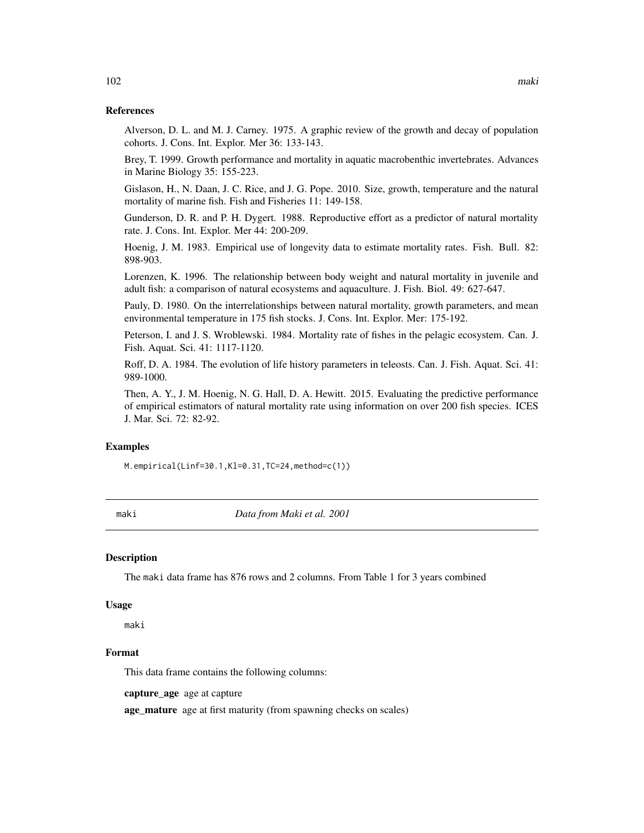## References

Alverson, D. L. and M. J. Carney. 1975. A graphic review of the growth and decay of population cohorts. J. Cons. Int. Explor. Mer 36: 133-143.

Brey, T. 1999. Growth performance and mortality in aquatic macrobenthic invertebrates. Advances in Marine Biology 35: 155-223.

Gislason, H., N. Daan, J. C. Rice, and J. G. Pope. 2010. Size, growth, temperature and the natural mortality of marine fish. Fish and Fisheries 11: 149-158.

Gunderson, D. R. and P. H. Dygert. 1988. Reproductive effort as a predictor of natural mortality rate. J. Cons. Int. Explor. Mer 44: 200-209.

Hoenig, J. M. 1983. Empirical use of longevity data to estimate mortality rates. Fish. Bull. 82: 898-903.

Lorenzen, K. 1996. The relationship between body weight and natural mortality in juvenile and adult fish: a comparison of natural ecosystems and aquaculture. J. Fish. Biol. 49: 627-647.

Pauly, D. 1980. On the interrelationships between natural mortality, growth parameters, and mean environmental temperature in 175 fish stocks. J. Cons. Int. Explor. Mer: 175-192.

Peterson, I. and J. S. Wroblewski. 1984. Mortality rate of fishes in the pelagic ecosystem. Can. J. Fish. Aquat. Sci. 41: 1117-1120.

Roff, D. A. 1984. The evolution of life history parameters in teleosts. Can. J. Fish. Aquat. Sci. 41: 989-1000.

Then, A. Y., J. M. Hoenig, N. G. Hall, D. A. Hewitt. 2015. Evaluating the predictive performance of empirical estimators of natural mortality rate using information on over 200 fish species. ICES J. Mar. Sci. 72: 82-92.

## Examples

M.empirical(Linf=30.1,Kl=0.31,TC=24,method=c(1))

maki *Data from Maki et al. 2001*

#### Description

The maki data frame has 876 rows and 2 columns. From Table 1 for 3 years combined

#### Usage

maki

# Format

This data frame contains the following columns:

capture\_age age at capture

age\_mature age at first maturity (from spawning checks on scales)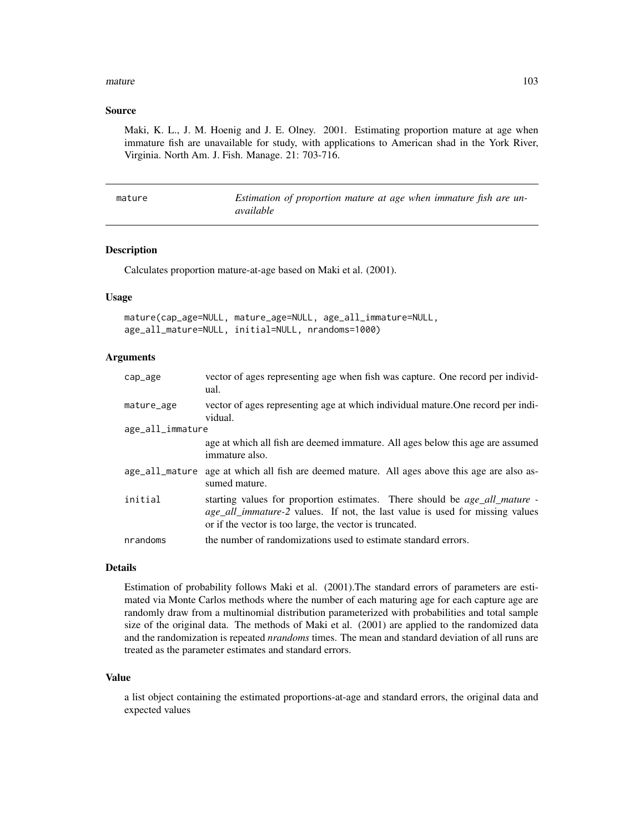#### $mature$  and  $103$

## Source

Maki, K. L., J. M. Hoenig and J. E. Olney. 2001. Estimating proportion mature at age when immature fish are unavailable for study, with applications to American shad in the York River, Virginia. North Am. J. Fish. Manage. 21: 703-716.

| mature | Estimation of proportion mature at age when immature fish are un- |  |
|--------|-------------------------------------------------------------------|--|
|        | available                                                         |  |

# Description

Calculates proportion mature-at-age based on Maki et al. (2001).

## Usage

|                                                   | mature(cap_age=NULL, mature_age=NULL, age_all_immature=NULL, |
|---------------------------------------------------|--------------------------------------------------------------|
| age_all_mature=NULL, initial=NULL, nrandoms=1000) |                                                              |

## Arguments

| cap_age          | vector of ages representing age when fish was capture. One record per individ-<br>ual.                                                                                                                                              |
|------------------|-------------------------------------------------------------------------------------------------------------------------------------------------------------------------------------------------------------------------------------|
| mature_age       | vector of ages representing age at which individual mature. One record per indi-<br>vidual.                                                                                                                                         |
| age_all_immature |                                                                                                                                                                                                                                     |
|                  | age at which all fish are deemed immature. All ages below this age are assumed<br>immature also.                                                                                                                                    |
| age_all_mature   | age at which all fish are deemed mature. All ages above this age are also as-<br>sumed mature.                                                                                                                                      |
| initial          | starting values for proportion estimates. There should be <i>age_all_mature</i> -<br><i>age_all_immature-2</i> values. If not, the last value is used for missing values<br>or if the vector is too large, the vector is truncated. |
| nrandoms         | the number of randomizations used to estimate standard errors.                                                                                                                                                                      |

## Details

Estimation of probability follows Maki et al. (2001).The standard errors of parameters are estimated via Monte Carlos methods where the number of each maturing age for each capture age are randomly draw from a multinomial distribution parameterized with probabilities and total sample size of the original data. The methods of Maki et al. (2001) are applied to the randomized data and the randomization is repeated *nrandoms* times. The mean and standard deviation of all runs are treated as the parameter estimates and standard errors.

#### Value

a list object containing the estimated proportions-at-age and standard errors, the original data and expected values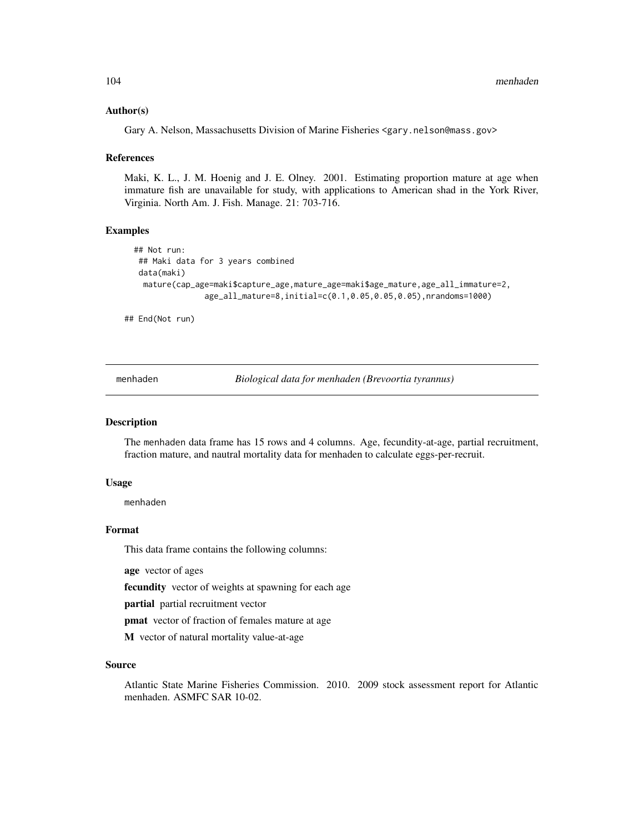## Author(s)

Gary A. Nelson, Massachusetts Division of Marine Fisheries <gary.nelson@mass.gov>

## References

Maki, K. L., J. M. Hoenig and J. E. Olney. 2001. Estimating proportion mature at age when immature fish are unavailable for study, with applications to American shad in the York River, Virginia. North Am. J. Fish. Manage. 21: 703-716.

# Examples

```
## Not run:
 ## Maki data for 3 years combined
data(maki)
 mature(cap_age=maki$capture_age,mature_age=maki$age_mature,age_all_immature=2,
               age_all_mature=8,initial=c(0.1,0.05,0.05,0.05),nrandoms=1000)
```
## End(Not run)

menhaden *Biological data for menhaden (Brevoortia tyrannus)*

# **Description**

The menhaden data frame has 15 rows and 4 columns. Age, fecundity-at-age, partial recruitment, fraction mature, and nautral mortality data for menhaden to calculate eggs-per-recruit.

#### Usage

menhaden

## Format

This data frame contains the following columns:

age vector of ages

fecundity vector of weights at spawning for each age

partial partial recruitment vector

pmat vector of fraction of females mature at age

M vector of natural mortality value-at-age

# Source

Atlantic State Marine Fisheries Commission. 2010. 2009 stock assessment report for Atlantic menhaden. ASMFC SAR 10-02.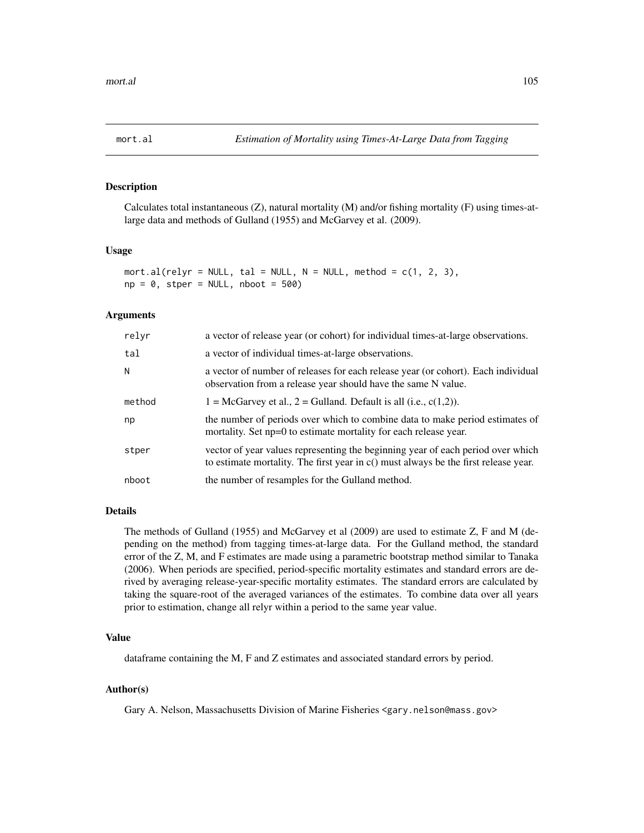<span id="page-104-0"></span>

# Description

Calculates total instantaneous  $(Z)$ , natural mortality  $(M)$  and/or fishing mortality  $(F)$  using times-atlarge data and methods of Gulland (1955) and McGarvey et al. (2009).

#### Usage

 $mort.al(relyr = NULL, tal = NULL, N = NULL, method = c(1, 2, 3),$  $np = 0$ , stper = NULL, nboot = 500)

#### Arguments

| relyr  | a vector of release year (or cohort) for individual times-at-large observations.                                                                                         |
|--------|--------------------------------------------------------------------------------------------------------------------------------------------------------------------------|
| tal    | a vector of individual times-at-large observations.                                                                                                                      |
| N      | a vector of number of releases for each release year (or cohort). Each individual<br>observation from a release year should have the same N value.                       |
| method | $1 = \text{McGarvey}$ et al., $2 = \text{Gulland}$ . Default is all (i.e., c(1,2)).                                                                                      |
| np     | the number of periods over which to combine data to make period estimates of<br>mortality. Set np=0 to estimate mortality for each release year.                         |
| stper  | vector of year values representing the beginning year of each period over which<br>to estimate mortality. The first year in $c()$ must always be the first release year. |
| nboot  | the number of resamples for the Gulland method.                                                                                                                          |

#### Details

The methods of Gulland (1955) and McGarvey et al (2009) are used to estimate Z, F and M (depending on the method) from tagging times-at-large data. For the Gulland method, the standard error of the Z, M, and F estimates are made using a parametric bootstrap method similar to Tanaka (2006). When periods are specified, period-specific mortality estimates and standard errors are derived by averaging release-year-specific mortality estimates. The standard errors are calculated by taking the square-root of the averaged variances of the estimates. To combine data over all years prior to estimation, change all relyr within a period to the same year value.

## Value

dataframe containing the M, F and Z estimates and associated standard errors by period.

# Author(s)

Gary A. Nelson, Massachusetts Division of Marine Fisheries <gary.nelson@mass.gov>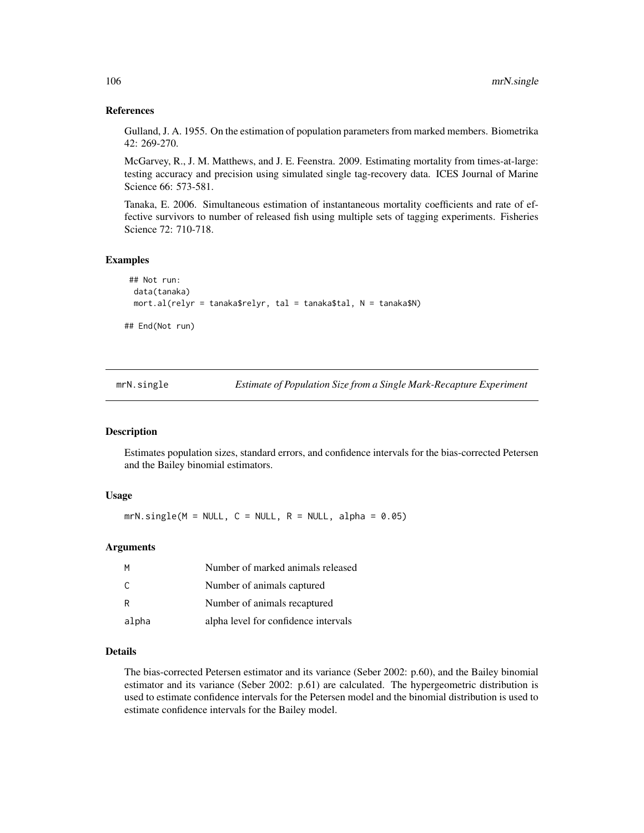## References

Gulland, J. A. 1955. On the estimation of population parameters from marked members. Biometrika 42: 269-270.

McGarvey, R., J. M. Matthews, and J. E. Feenstra. 2009. Estimating mortality from times-at-large: testing accuracy and precision using simulated single tag-recovery data. ICES Journal of Marine Science 66: 573-581.

Tanaka, E. 2006. Simultaneous estimation of instantaneous mortality coefficients and rate of effective survivors to number of released fish using multiple sets of tagging experiments. Fisheries Science 72: 710-718.

# Examples

```
## Not run:
 data(tanaka)
 mort.al(relyr = tanaka$relyr, tal = tanaka$tal, N = tanaka$N)
## End(Not run)
```
mrN.single *Estimate of Population Size from a Single Mark-Recapture Experiment*

#### Description

Estimates population sizes, standard errors, and confidence intervals for the bias-corrected Petersen and the Bailey binomial estimators.

#### Usage

 $mrN.size(M = NULL, C = NULL, R = NULL, alpha = 0.05)$ 

## Arguments

| м     | Number of marked animals released    |
|-------|--------------------------------------|
| C.    | Number of animals captured           |
| R     | Number of animals recaptured         |
| alpha | alpha level for confidence intervals |

## Details

The bias-corrected Petersen estimator and its variance (Seber 2002: p.60), and the Bailey binomial estimator and its variance (Seber 2002: p.61) are calculated. The hypergeometric distribution is used to estimate confidence intervals for the Petersen model and the binomial distribution is used to estimate confidence intervals for the Bailey model.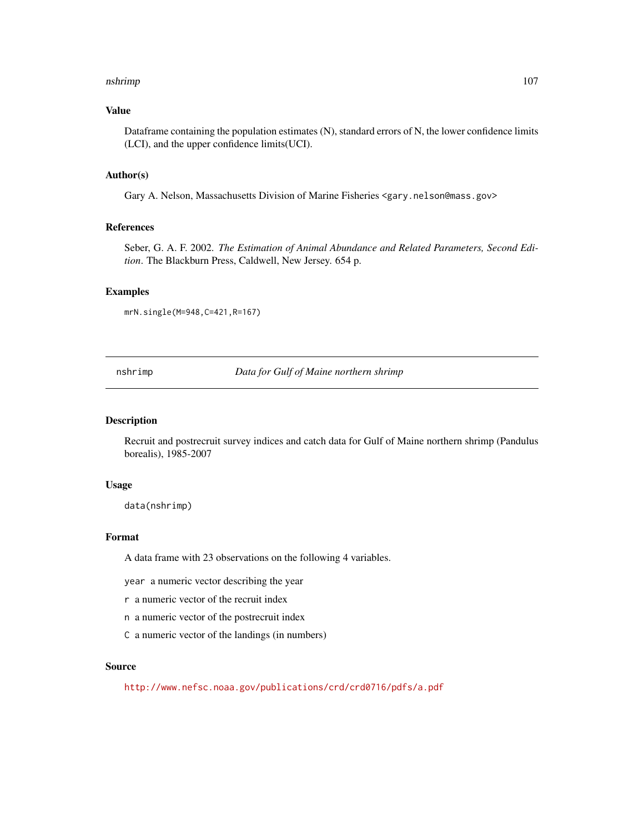#### nshrimp 107

# Value

Dataframe containing the population estimates (N), standard errors of N, the lower confidence limits (LCI), and the upper confidence limits(UCI).

#### Author(s)

Gary A. Nelson, Massachusetts Division of Marine Fisheries <gary.nelson@mass.gov>

#### References

Seber, G. A. F. 2002. *The Estimation of Animal Abundance and Related Parameters, Second Edition*. The Blackburn Press, Caldwell, New Jersey. 654 p.

#### Examples

mrN.single(M=948,C=421,R=167)

nshrimp *Data for Gulf of Maine northern shrimp*

#### Description

Recruit and postrecruit survey indices and catch data for Gulf of Maine northern shrimp (Pandulus borealis), 1985-2007

#### Usage

data(nshrimp)

# Format

A data frame with 23 observations on the following 4 variables.

year a numeric vector describing the year

r a numeric vector of the recruit index

n a numeric vector of the postrecruit index

C a numeric vector of the landings (in numbers)

## Source

<http://www.nefsc.noaa.gov/publications/crd/crd0716/pdfs/a.pdf>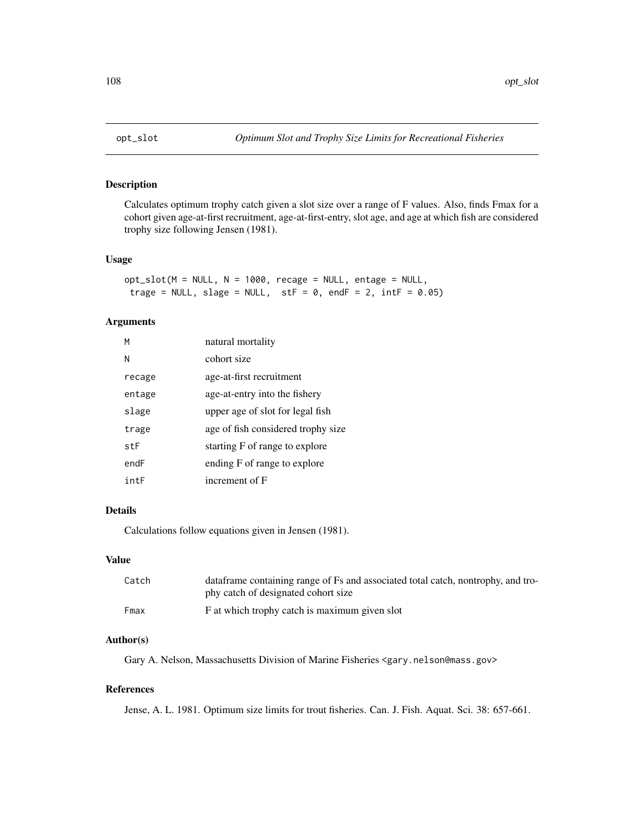# Description

Calculates optimum trophy catch given a slot size over a range of F values. Also, finds Fmax for a cohort given age-at-first recruitment, age-at-first-entry, slot age, and age at which fish are considered trophy size following Jensen (1981).

## Usage

 $opt\_slot(M = NULL, N = 1000, recage = NULL, entage = NULL,$ trage = NULL, slage = NULL, stF =  $0$ , endF =  $2$ , intF =  $0.05$ )

## Arguments

| М      | natural mortality                  |
|--------|------------------------------------|
| Ν      | cohort size                        |
| recage | age-at-first recruitment           |
| entage | age-at-entry into the fishery      |
| slage  | upper age of slot for legal fish   |
| trage  | age of fish considered trophy size |
| stF    | starting F of range to explore     |
| endF   | ending F of range to explore       |
| intF   | increment of F                     |

# Details

Calculations follow equations given in Jensen (1981).

#### Value

| Catch | dataframe containing range of Fs and associated total catch, nontrophy, and tro- |
|-------|----------------------------------------------------------------------------------|
|       | phy catch of designated cohort size                                              |
| Fmax  | F at which trophy catch is maximum given slot                                    |

## Author(s)

Gary A. Nelson, Massachusetts Division of Marine Fisheries <gary.nelson@mass.gov>

## References

Jense, A. L. 1981. Optimum size limits for trout fisheries. Can. J. Fish. Aquat. Sci. 38: 657-661.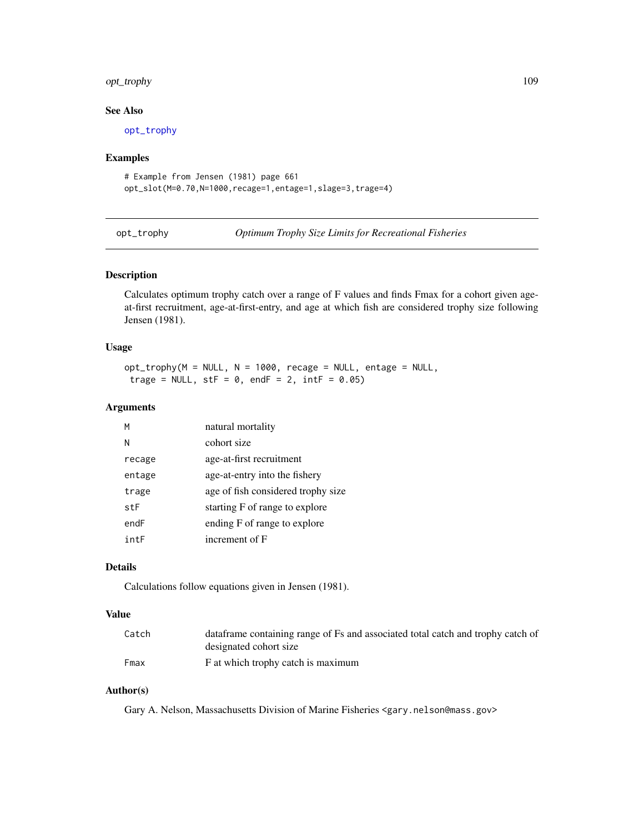# <span id="page-108-1"></span>opt\_trophy 109

# See Also

[opt\\_trophy](#page-108-0)

# Examples

```
# Example from Jensen (1981) page 661
opt_slot(M=0.70,N=1000,recage=1,entage=1,slage=3,trage=4)
```
<span id="page-108-0"></span>opt\_trophy *Optimum Trophy Size Limits for Recreational Fisheries*

# Description

Calculates optimum trophy catch over a range of F values and finds Fmax for a cohort given ageat-first recruitment, age-at-first-entry, and age at which fish are considered trophy size following Jensen (1981).

# Usage

opt\_trophy(M = NULL, N = 1000, recage = NULL, entage = NULL, trage = NULL,  $stF = 0$ , endF = 2,  $intF = 0.05$ )

# Arguments

| м      | natural mortality                  |
|--------|------------------------------------|
| N      | cohort size                        |
| recage | age-at-first recruitment           |
| entage | age-at-entry into the fishery      |
| trage  | age of fish considered trophy size |
| stF    | starting F of range to explore     |
| endF   | ending F of range to explore       |
| intF   | increment of F                     |

# Details

Calculations follow equations given in Jensen (1981).

# Value

| Catch | data frame containing range of Fs and associated total catch and trophy catch of |
|-------|----------------------------------------------------------------------------------|
|       | designated cohort size                                                           |
| Fmax  | F at which trophy catch is maximum                                               |

# Author(s)

Gary A. Nelson, Massachusetts Division of Marine Fisheries <gary.nelson@mass.gov>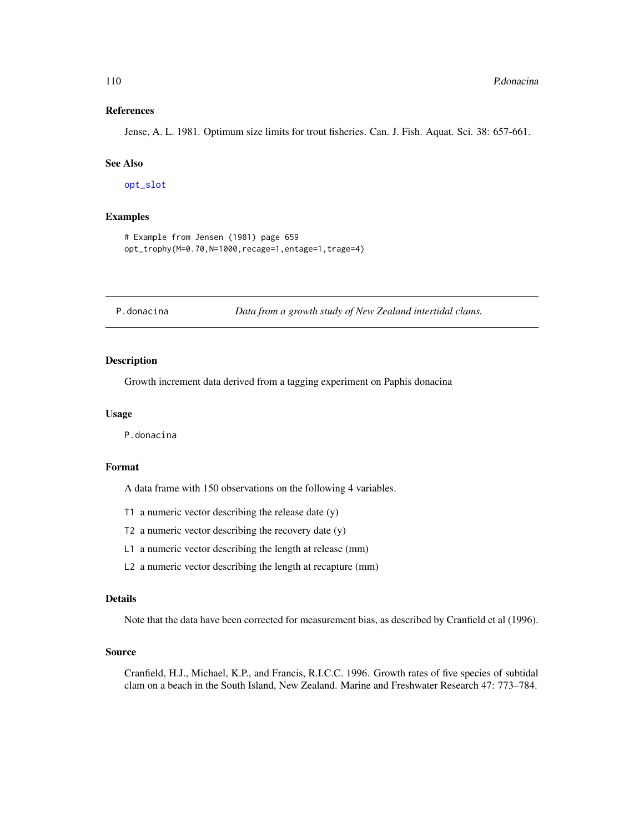#### <span id="page-109-0"></span>References

Jense, A. L. 1981. Optimum size limits for trout fisheries. Can. J. Fish. Aquat. Sci. 38: 657-661.

#### See Also

[opt\\_slot](#page-107-0)

# Examples

```
# Example from Jensen (1981) page 659
opt_trophy(M=0.70,N=1000,recage=1,entage=1,trage=4)
```
P.donacina *Data from a growth study of New Zealand intertidal clams.*

# Description

Growth increment data derived from a tagging experiment on Paphis donacina

# Usage

P.donacina

# Format

A data frame with 150 observations on the following 4 variables.

- T1 a numeric vector describing the release date  $(y)$
- T2 a numeric vector describing the recovery date (y)
- L1 a numeric vector describing the length at release (mm)
- L2 a numeric vector describing the length at recapture (mm)

#### Details

Note that the data have been corrected for measurement bias, as described by Cranfield et al (1996).

#### Source

Cranfield, H.J., Michael, K.P., and Francis, R.I.C.C. 1996. Growth rates of five species of subtidal clam on a beach in the South Island, New Zealand. Marine and Freshwater Research 47: 773–784.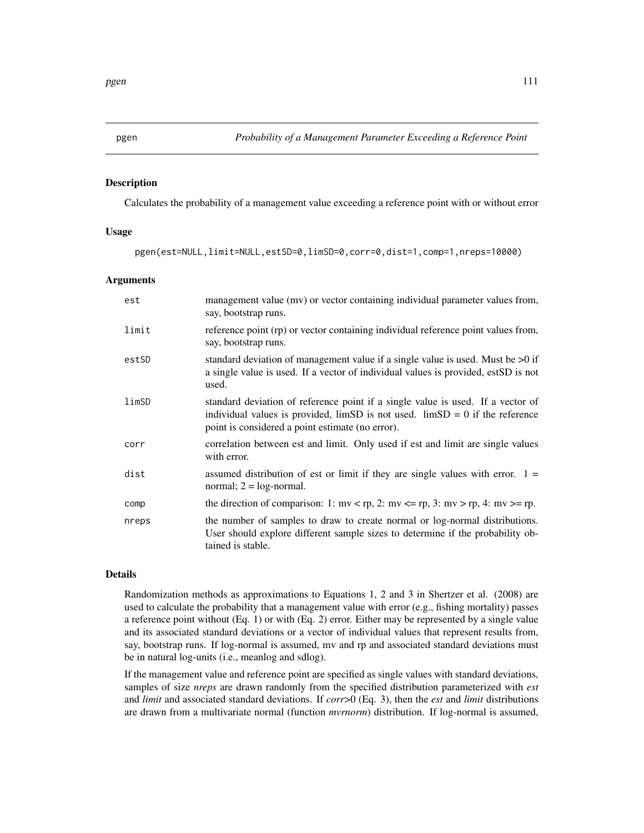<span id="page-110-0"></span>pgen *Probability of a Management Parameter Exceeding a Reference Point*

# Description

Calculates the probability of a management value exceeding a reference point with or without error

# Usage

```
pgen(est=NULL,limit=NULL,estSD=0,limSD=0,corr=0,dist=1,comp=1,nreps=10000)
```
#### Arguments

| est   | management value (mv) or vector containing individual parameter values from,<br>say, bootstrap runs.                                                                                                                        |
|-------|-----------------------------------------------------------------------------------------------------------------------------------------------------------------------------------------------------------------------------|
| limit | reference point (rp) or vector containing individual reference point values from,<br>say, bootstrap runs.                                                                                                                   |
| estSD | standard deviation of management value if a single value is used. Must be $>0$ if<br>a single value is used. If a vector of individual values is provided, estSD is not<br>used.                                            |
| limSD | standard deviation of reference point if a single value is used. If a vector of<br>individual values is provided, $\lim SD$ is not used. $\lim SD = 0$ if the reference<br>point is considered a point estimate (no error). |
| corr  | correlation between est and limit. Only used if est and limit are single values<br>with error.                                                                                                                              |
| dist  | assumed distribution of est or limit if they are single values with error. $1 =$<br>normal; $2 = log-normal$ .                                                                                                              |
| comp  | the direction of comparison: 1: mv < rp, 2: mv <= rp, 3: mv > rp, 4: mv >= rp.                                                                                                                                              |
| nreps | the number of samples to draw to create normal or log-normal distributions.<br>User should explore different sample sizes to determine if the probability ob-<br>tained is stable.                                          |

# Details

Randomization methods as approximations to Equations 1, 2 and 3 in Shertzer et al. (2008) are used to calculate the probability that a management value with error (e.g., fishing mortality) passes a reference point without (Eq. 1) or with (Eq. 2) error. Either may be represented by a single value and its associated standard deviations or a vector of individual values that represent results from, say, bootstrap runs. If log-normal is assumed, mv and rp and associated standard deviations must be in natural log-units (i.e., meanlog and sdlog).

If the management value and reference point are specified as single values with standard deviations, samples of size *nreps* are drawn randomly from the specified distribution parameterized with *est* and *limit* and associated standard deviations. If *corr*>0 (Eq. 3), then the *est* and *limit* distributions are drawn from a multivariate normal (function *mvrnorm*) distribution. If log-normal is assumed,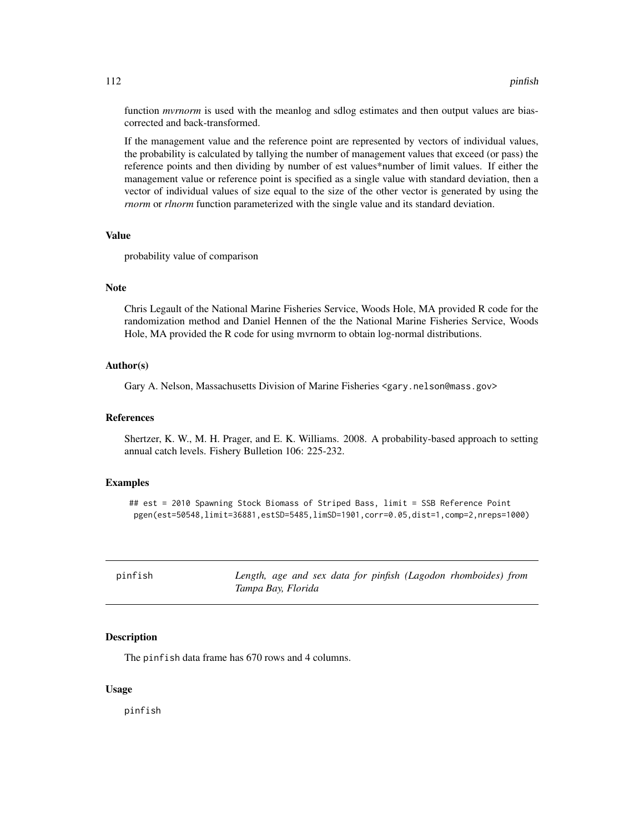<span id="page-111-0"></span>function *mvrnorm* is used with the meanlog and sdlog estimates and then output values are biascorrected and back-transformed.

If the management value and the reference point are represented by vectors of individual values, the probability is calculated by tallying the number of management values that exceed (or pass) the reference points and then dividing by number of est values\*number of limit values. If either the management value or reference point is specified as a single value with standard deviation, then a vector of individual values of size equal to the size of the other vector is generated by using the *rnorm* or *rlnorm* function parameterized with the single value and its standard deviation.

#### Value

probability value of comparison

### **Note**

Chris Legault of the National Marine Fisheries Service, Woods Hole, MA provided R code for the randomization method and Daniel Hennen of the the National Marine Fisheries Service, Woods Hole, MA provided the R code for using mvrnorm to obtain log-normal distributions.

# Author(s)

Gary A. Nelson, Massachusetts Division of Marine Fisheries <gary.nelson@mass.gov>

#### References

Shertzer, K. W., M. H. Prager, and E. K. Williams. 2008. A probability-based approach to setting annual catch levels. Fishery Bulletion 106: 225-232.

# Examples

## est = 2010 Spawning Stock Biomass of Striped Bass, limit = SSB Reference Point pgen(est=50548,limit=36881,estSD=5485,limSD=1901,corr=0.05,dist=1,comp=2,nreps=1000)

| pinfish | Length, age and sex data for pinfish (Lagodon rhomboides) from |
|---------|----------------------------------------------------------------|
|         | Tampa Bay, Florida                                             |

#### **Description**

The pinfish data frame has 670 rows and 4 columns.

# Usage

pinfish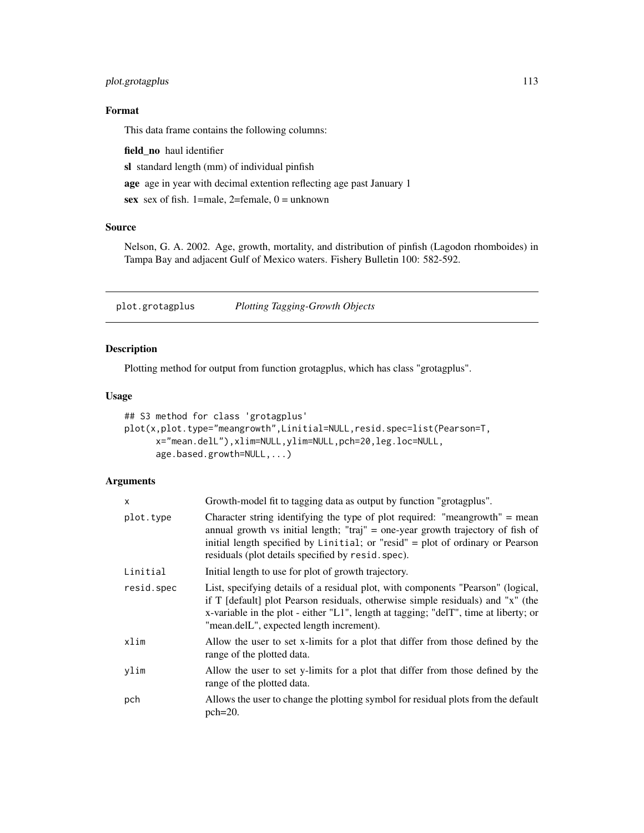# <span id="page-112-1"></span>plot.grotagplus 113

# Format

This data frame contains the following columns:

field\_no haul identifier

sl standard length (mm) of individual pinfish

age age in year with decimal extention reflecting age past January 1

sex sex of fish. 1=male, 2=female,  $0 =$ unknown

# Source

Nelson, G. A. 2002. Age, growth, mortality, and distribution of pinfish (Lagodon rhomboides) in Tampa Bay and adjacent Gulf of Mexico waters. Fishery Bulletin 100: 582-592.

<span id="page-112-0"></span>plot.grotagplus *Plotting Tagging-Growth Objects*

# Description

Plotting method for output from function grotagplus, which has class "grotagplus".

# Usage

```
## S3 method for class 'grotagplus'
plot(x,plot.type="meangrowth",Linitial=NULL,resid.spec=list(Pearson=T,
     x="mean.delL"),xlim=NULL,ylim=NULL,pch=20,leg.loc=NULL,
     age.based.growth=NULL,...)
```
# Arguments

| X          | Growth-model fit to tagging data as output by function "grotagplus".                                                                                                                                                                                                                                    |
|------------|---------------------------------------------------------------------------------------------------------------------------------------------------------------------------------------------------------------------------------------------------------------------------------------------------------|
| plot.type  | Character string identifying the type of plot required: "meangrowth" = mean<br>annual growth vs initial length; "traj" = one-year growth trajectory of fish of<br>initial length specified by Linitial; or "resid" = plot of ordinary or Pearson<br>residuals (plot details specified by resid. spec).  |
| Linitial   | Initial length to use for plot of growth trajectory.                                                                                                                                                                                                                                                    |
| resid.spec | List, specifying details of a residual plot, with components "Pearson" (logical,<br>if T [default] plot Pearson residuals, otherwise simple residuals) and "x" (the<br>x-variable in the plot - either "L1", length at tagging; "delT", time at liberty; or<br>"mean.delL", expected length increment). |
| xlim       | Allow the user to set x-limits for a plot that differ from those defined by the<br>range of the plotted data.                                                                                                                                                                                           |
| ylim       | Allow the user to set y-limits for a plot that differ from those defined by the<br>range of the plotted data.                                                                                                                                                                                           |
| pch        | Allows the user to change the plotting symbol for residual plots from the default<br>$pch=20$ .                                                                                                                                                                                                         |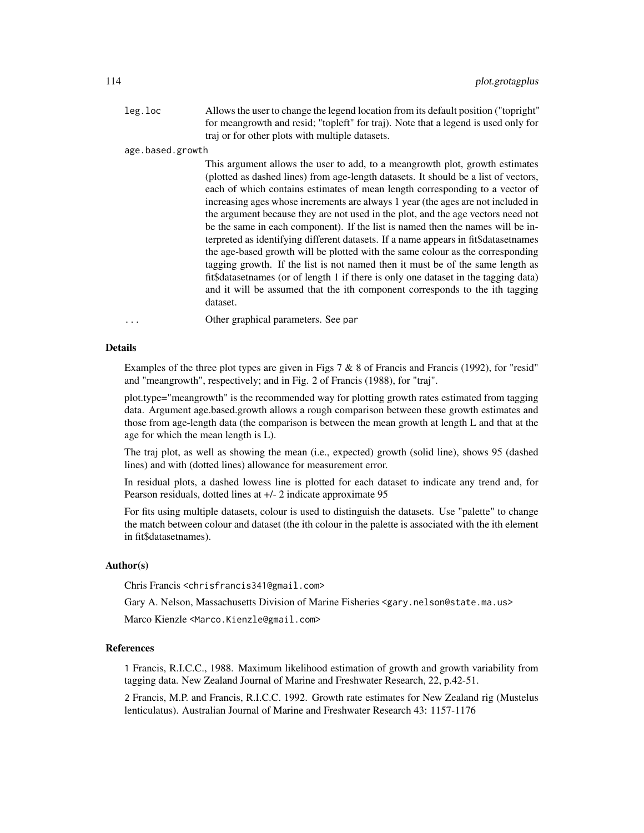leg.loc Allows the user to change the legend location from its default position ("topright" for meangrowth and resid; "topleft" for traj). Note that a legend is used only for traj or for other plots with multiple datasets.

age.based.growth

This argument allows the user to add, to a meangrowth plot, growth estimates (plotted as dashed lines) from age-length datasets. It should be a list of vectors, each of which contains estimates of mean length corresponding to a vector of increasing ages whose increments are always 1 year (the ages are not included in the argument because they are not used in the plot, and the age vectors need not be the same in each component). If the list is named then the names will be interpreted as identifying different datasets. If a name appears in fit\$datasetnames the age-based growth will be plotted with the same colour as the corresponding tagging growth. If the list is not named then it must be of the same length as fit\$datasetnames (or of length 1 if there is only one dataset in the tagging data) and it will be assumed that the ith component corresponds to the ith tagging dataset.

... Other graphical parameters. See par

#### Details

Examples of the three plot types are given in Figs 7  $\&$  8 of Francis and Francis (1992), for "resid" and "meangrowth", respectively; and in Fig. 2 of Francis (1988), for "traj".

plot.type="meangrowth" is the recommended way for plotting growth rates estimated from tagging data. Argument age.based.growth allows a rough comparison between these growth estimates and those from age-length data (the comparison is between the mean growth at length L and that at the age for which the mean length is L).

The traj plot, as well as showing the mean (i.e., expected) growth (solid line), shows 95 (dashed lines) and with (dotted lines) allowance for measurement error.

In residual plots, a dashed lowess line is plotted for each dataset to indicate any trend and, for Pearson residuals, dotted lines at +/- 2 indicate approximate 95

For fits using multiple datasets, colour is used to distinguish the datasets. Use "palette" to change the match between colour and dataset (the ith colour in the palette is associated with the ith element in fit\$datasetnames).

# Author(s)

Chris Francis <chrisfrancis341@gmail.com>

Gary A. Nelson, Massachusetts Division of Marine Fisheries <gary.nelson@state.ma.us>

Marco Kienzle <Marco.Kienzle@gmail.com>

# References

1 Francis, R.I.C.C., 1988. Maximum likelihood estimation of growth and growth variability from tagging data. New Zealand Journal of Marine and Freshwater Research, 22, p.42-51.

2 Francis, M.P. and Francis, R.I.C.C. 1992. Growth rate estimates for New Zealand rig (Mustelus lenticulatus). Australian Journal of Marine and Freshwater Research 43: 1157-1176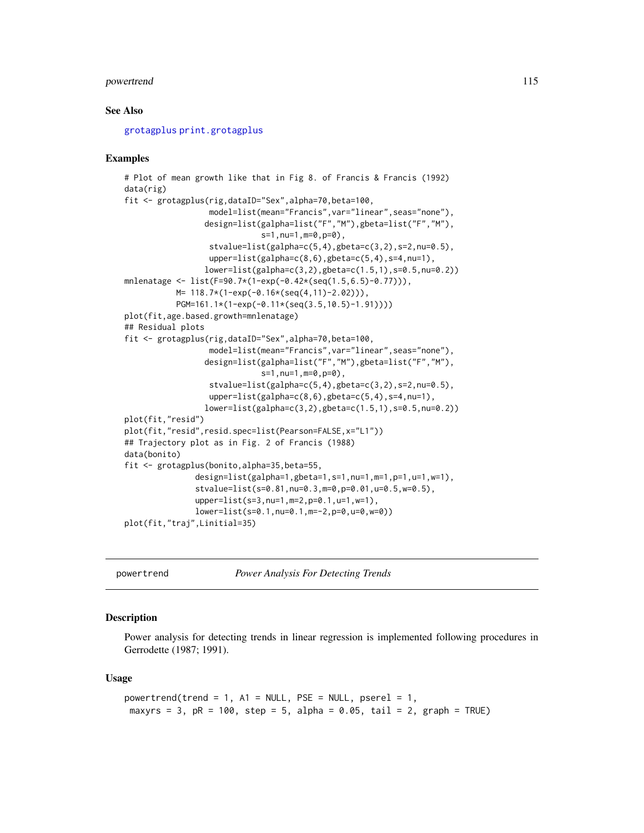# <span id="page-114-0"></span>powertrend 115

# See Also

[grotagplus](#page-70-0) [print.grotagplus](#page-116-0)

#### Examples

```
# Plot of mean growth like that in Fig 8. of Francis & Francis (1992)
data(rig)
fit <- grotagplus(rig,dataID="Sex",alpha=70,beta=100,
                  model=list(mean="Francis",var="linear",seas="none"),
                 design=list(galpha=list("F","M"),gbeta=list("F","M"),
                             s=1,nu=1,m=0,p=0),
                  stvalue=list(galpha=c(5,4),gbeta=c(3,2),s=2,nu=0.5),
                  upper=list(galpha=c(8,6),gbeta=c(5,4),s=4,nu=1),
                 lower=list(galpha=c(3,2),gbeta=c(1.5,1),s=0.5,nu=0.2))
mnlenatage <- list(F=90.7*(1-exp(-0.42*(seq(1.5,6.5)-0.77))),
           M= 118.7*(1-exp(-0.16*(seq(4,11)-2.02))),
           PGM=161.1*(1-exp(-0.11*(seq(3.5,10.5)-1.91))))
plot(fit,age.based.growth=mnlenatage)
## Residual plots
fit <- grotagplus(rig,dataID="Sex",alpha=70,beta=100,
                  model=list(mean="Francis",var="linear",seas="none"),
                 design=list(galpha=list("F","M"),gbeta=list("F","M"),
                             s=1,nu=1,m=0,p=0),
                  stvalue=list(galpha=c(5,4),gbeta=c(3,2),s=2,nu=0.5),
                  upper=list(galpha=c(8,6),gbeta=c(5,4),s=4,nu=1),lower=list(galpha=c(3,2),gbeta=c(1.5,1),s=0.5,nu=0.2))
plot(fit,"resid")
plot(fit,"resid",resid.spec=list(Pearson=FALSE,x="L1"))
## Trajectory plot as in Fig. 2 of Francis (1988)
data(bonito)
fit <- grotagplus(bonito,alpha=35,beta=55,
               design=list(galpha=1,gbeta=1,s=1,nu=1,m=1,p=1,u=1,w=1),
               stvalue=list(s=0.81,nu=0.3,m=0,p=0.01,u=0.5,w=0.5),
               upper=list(s=3,nu=1,m=2,p=0.1,u=1,w=1),
               lower=list(s=0.1,nu=0.1,m=-2,p=0,u=0,w=0))
plot(fit,"traj",Linitial=35)
```
powertrend *Power Analysis For Detecting Trends*

#### Description

Power analysis for detecting trends in linear regression is implemented following procedures in Gerrodette (1987; 1991).

#### Usage

```
powertrend(trend = 1, A1 = NULL, PSE = NULL, pserel = 1,
maxyrs = 3, pR = 100, step = 5, alpha = 0.05, tail = 2, graph = TRUE)
```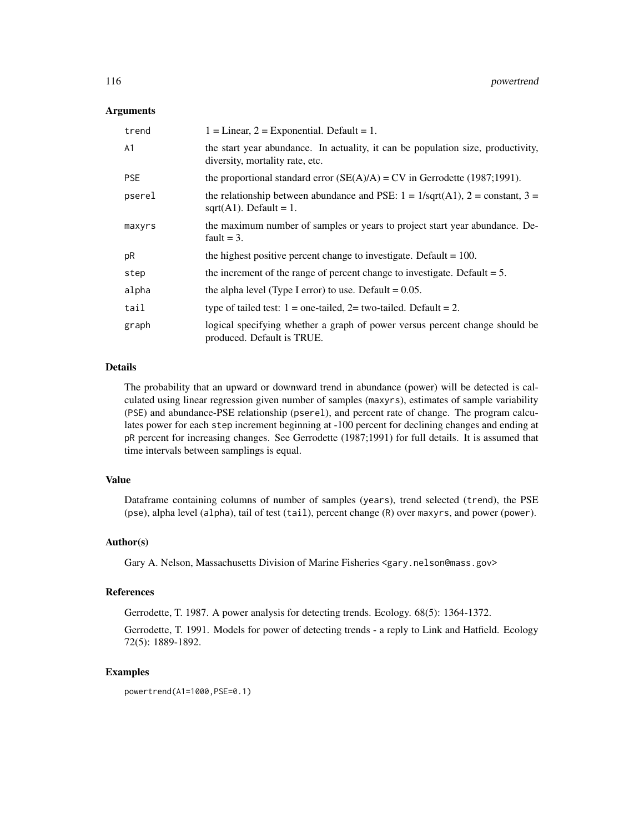# Arguments

| trend          | $1 = Linear, 2 = Exponential. Default = 1.$                                                                            |
|----------------|------------------------------------------------------------------------------------------------------------------------|
| A <sub>1</sub> | the start year abundance. In actuality, it can be population size, productivity,<br>diversity, mortality rate, etc.    |
| <b>PSE</b>     | the proportional standard error $(SE(A)/A) = CV$ in Gerrodette (1987;1991).                                            |
| pserel         | the relationship between abundance and PSE: $1 = 1/\sqrt{(A1)}$ , $2 = constant$ , $3 =$<br>sqrt $(A1)$ . Default = 1. |
| maxyrs         | the maximum number of samples or years to project start year abundance. De-<br>fault $=$ 3.                            |
| pR             | the highest positive percent change to investigate. Default $= 100$ .                                                  |
| step           | the increment of the range of percent change to investigate. Default $= 5$ .                                           |
| alpha          | the alpha level (Type I error) to use. Default $= 0.05$ .                                                              |
| tail           | type of tailed test: $1 =$ one-tailed, $2 =$ two-tailed. Default = 2.                                                  |
| graph          | logical specifying whether a graph of power versus percent change should be<br>produced. Default is TRUE.              |

# Details

The probability that an upward or downward trend in abundance (power) will be detected is calculated using linear regression given number of samples (maxyrs), estimates of sample variability (PSE) and abundance-PSE relationship (pserel), and percent rate of change. The program calculates power for each step increment beginning at -100 percent for declining changes and ending at pR percent for increasing changes. See Gerrodette (1987;1991) for full details. It is assumed that time intervals between samplings is equal.

# Value

Dataframe containing columns of number of samples (years), trend selected (trend), the PSE (pse), alpha level (alpha), tail of test (tail), percent change (R) over maxyrs, and power (power).

# Author(s)

Gary A. Nelson, Massachusetts Division of Marine Fisheries <gary.nelson@mass.gov>

#### References

Gerrodette, T. 1987. A power analysis for detecting trends. Ecology. 68(5): 1364-1372.

Gerrodette, T. 1991. Models for power of detecting trends - a reply to Link and Hatfield. Ecology 72(5): 1889-1892.

# Examples

powertrend(A1=1000,PSE=0.1)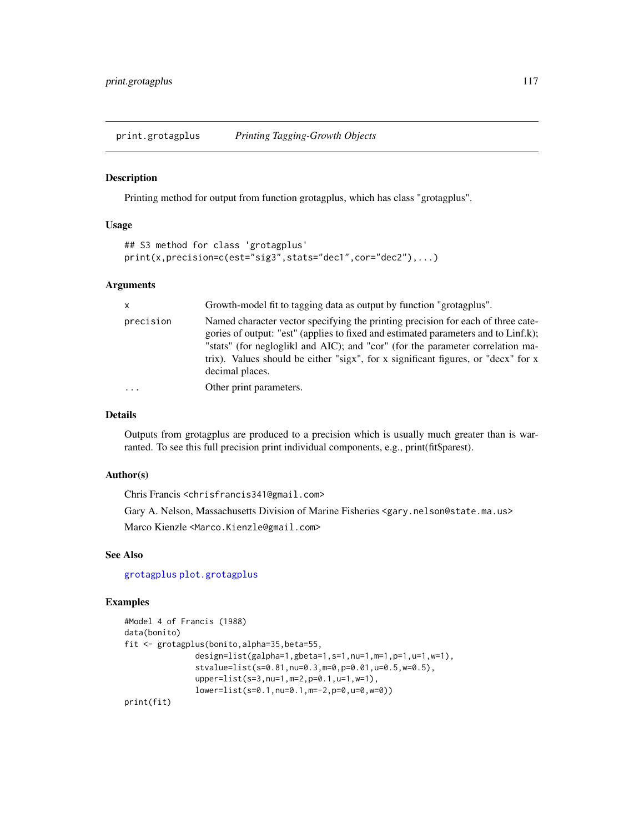<span id="page-116-1"></span><span id="page-116-0"></span>print.grotagplus *Printing Tagging-Growth Objects*

#### Description

Printing method for output from function grotagplus, which has class "grotagplus".

# Usage

```
## S3 method for class 'grotagplus'
print(x,precision=c(est="sig3",stats="dec1",cor="dec2"),...)
```
#### Arguments

| $\mathsf{x}$ | Growth-model fit to tagging data as output by function "grotagplus".                                                                                                                                                                                                                                                                                             |
|--------------|------------------------------------------------------------------------------------------------------------------------------------------------------------------------------------------------------------------------------------------------------------------------------------------------------------------------------------------------------------------|
| precision    | Named character vector specifying the printing precision for each of three cate-<br>gories of output: "est" (applies to fixed and estimated parameters and to Linf.k);<br>"stats" (for negloglikl and AIC); and "cor" (for the parameter correlation ma-<br>trix). Values should be either "sigx", for x significant figures, or "decx" for x<br>decimal places. |
| $\cdot$      | Other print parameters.                                                                                                                                                                                                                                                                                                                                          |

# Details

Outputs from grotagplus are produced to a precision which is usually much greater than is warranted. To see this full precision print individual components, e.g., print(fit\$parest).

# Author(s)

Chris Francis <chrisfrancis341@gmail.com>

Gary A. Nelson, Massachusetts Division of Marine Fisheries <gary.nelson@state.ma.us> Marco Kienzle <Marco.Kienzle@gmail.com>

# See Also

[grotagplus](#page-70-0) [plot.grotagplus](#page-112-0)

# Examples

```
#Model 4 of Francis (1988)
data(bonito)
fit <- grotagplus(bonito,alpha=35,beta=55,
               design=list(galpha=1,gbeta=1,s=1,nu=1,m=1,p=1,u=1,w=1),
               stvalue=list(s=0.81,nu=0.3,m=0,p=0.01,u=0.5,w=0.5),
               upper=list(s=3,nu=1,m=2,p=0.1,u=1,w=1),
               lower=list(s=0.1,nu=0.1,m=-2,p=0,u=0,w=0))
print(fit)
```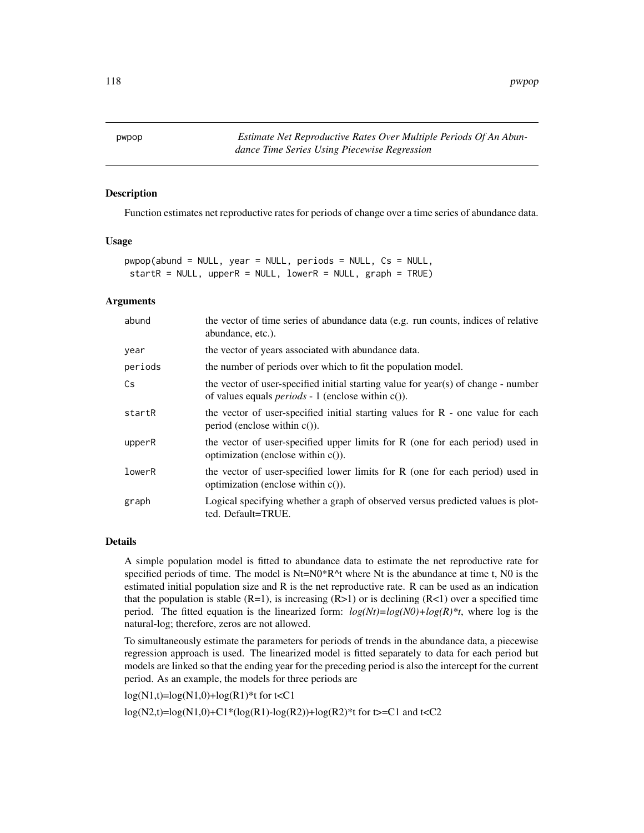<span id="page-117-0"></span>pwpop *Estimate Net Reproductive Rates Over Multiple Periods Of An Abundance Time Series Using Piecewise Regression*

# Description

Function estimates net reproductive rates for periods of change over a time series of abundance data.

# Usage

```
pwpop(abund = NULL, year = NULL, periods = NULL, Cs = NULL,
startR = NULL, upperR = NULL, lowerR = NULL, graph = TRUE)
```
# Arguments

| abund   | the vector of time series of abundance data (e.g. run counts, indices of relative<br>abundance, etc.).                                             |
|---------|----------------------------------------------------------------------------------------------------------------------------------------------------|
| year    | the vector of years associated with abundance data.                                                                                                |
| periods | the number of periods over which to fit the population model.                                                                                      |
| Cs      | the vector of user-specified initial starting value for year(s) of change - number<br>of values equals <i>periods</i> - 1 (enclose within $c()$ ). |
| startR  | the vector of user-specified initial starting values for $R$ - one value for each<br>period (enclose within $c()$ ).                               |
| upperR  | the vector of user-specified upper limits for $R$ (one for each period) used in<br>optimization (enclose within $c()$ ).                           |
| lowerR  | the vector of user-specified lower limits for R (one for each period) used in<br>optimization (enclose within $c()$ ).                             |
| graph   | Logical specifying whether a graph of observed versus predicted values is plot-<br>ted. Default=TRUE.                                              |

## Details

A simple population model is fitted to abundance data to estimate the net reproductive rate for specified periods of time. The model is  $Nt=N0*R^{\wedge}t$  where Nt is the abundance at time t, N0 is the estimated initial population size and R is the net reproductive rate. R can be used as an indication that the population is stable  $(R=1)$ , is increasing  $(R>1)$  or is declining  $(R<1)$  over a specified time period. The fitted equation is the linearized form:  $log(Nt)=log(N0)+log(R)*t$ , where log is the natural-log; therefore, zeros are not allowed.

To simultaneously estimate the parameters for periods of trends in the abundance data, a piecewise regression approach is used. The linearized model is fitted separately to data for each period but models are linked so that the ending year for the preceding period is also the intercept for the current period. As an example, the models for three periods are

 $log(N1,t)=log(N1,0)+log(R1)*t$  for  $t < C1$ 

 $log(N2,t)=log(N1,0)+C1*(log(R1)-log(R2))+log(R2)*t$  for t>=C1 and t<C2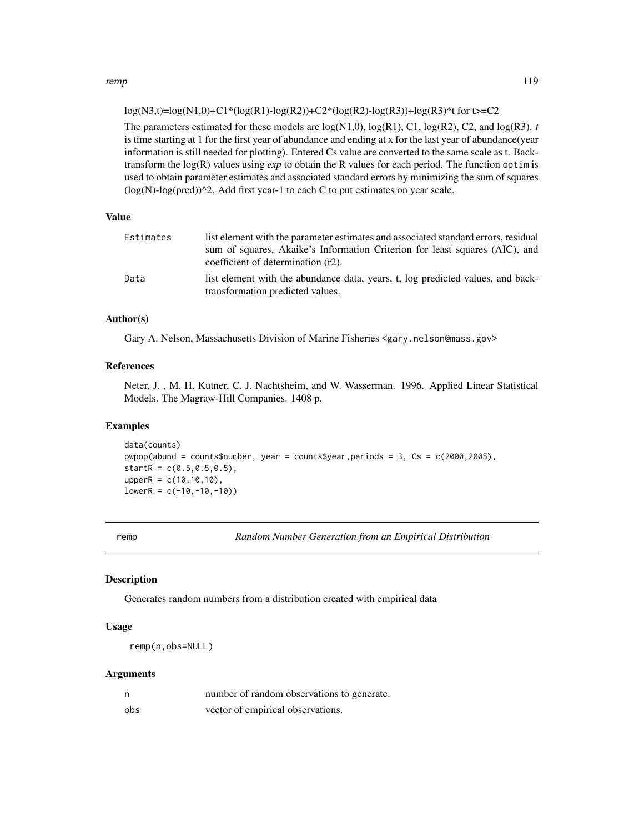#### <span id="page-118-0"></span>remp and the state of the state of the state of the state of the state of the state of the state of the state of the state of the state of the state of the state of the state of the state of the state of the state of the s

 $log(N3,t)=log(N1,0)+C1*(log(R1)-log(R2))+C2*(log(R2)-log(R3))+log(R3)*t$  for t>=C2

The parameters estimated for these models are  $log(N1,0)$ ,  $log(R1)$ ,  $C1$ ,  $log(R2)$ ,  $C2$ , and  $log(R3)$ . *t* is time starting at 1 for the first year of abundance and ending at x for the last year of abundance(year information is still needed for plotting). Entered Cs value are converted to the same scale as t. Backtransform the log(R) values using *exp* to obtain the R values for each period. The function optim is used to obtain parameter estimates and associated standard errors by minimizing the sum of squares  $(log(N)-log(pred))$ <sup>2</sup>. Add first year-1 to each C to put estimates on year scale.

# Value

| Estimates | list element with the parameter estimates and associated standard errors, residual<br>sum of squares, Akaike's Information Criterion for least squares (AIC), and<br>coefficient of determination (r2). |
|-----------|---------------------------------------------------------------------------------------------------------------------------------------------------------------------------------------------------------|
| Data      | list element with the abundance data, years, t, log predicted values, and back-<br>transformation predicted values.                                                                                     |

# Author(s)

Gary A. Nelson, Massachusetts Division of Marine Fisheries <gary.nelson@mass.gov>

# References

Neter, J. , M. H. Kutner, C. J. Nachtsheim, and W. Wasserman. 1996. Applied Linear Statistical Models. The Magraw-Hill Companies. 1408 p.

# Examples

```
data(counts)
pwpop(abund = counts$number, year = counts$year,periods = 3, Cs = c(2000,2005),
startR = c(0.5, 0.5, 0.5),
upperR = c(10, 10, 10),
lowerR = c(-10, -10, -10)
```
remp *Random Number Generation from an Empirical Distribution*

# Description

Generates random numbers from a distribution created with empirical data

# Usage

remp(n,obs=NULL)

# Arguments

| n   | number of random observations to generate. |
|-----|--------------------------------------------|
| obs | vector of empirical observations.          |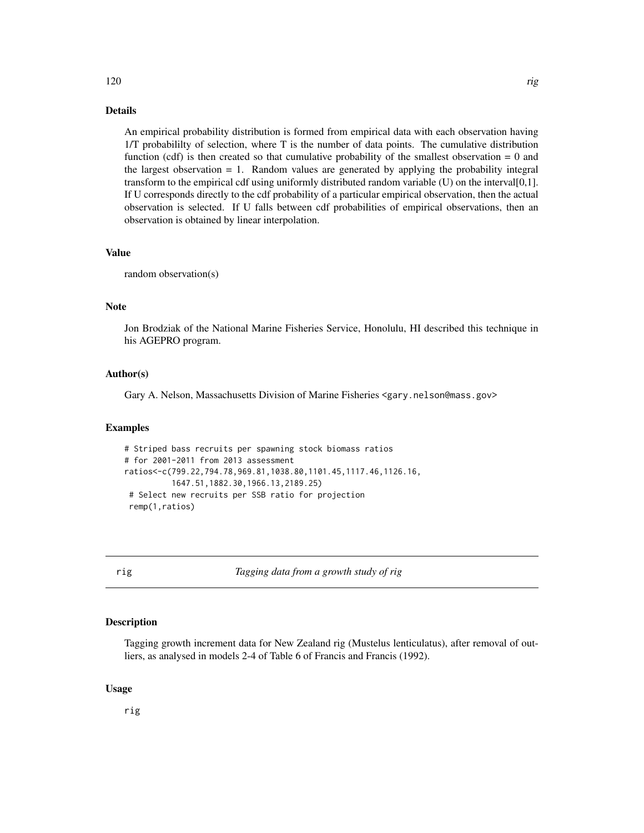# <span id="page-119-0"></span>Details

An empirical probability distribution is formed from empirical data with each observation having 1/T probabililty of selection, where T is the number of data points. The cumulative distribution function (cdf) is then created so that cumulative probability of the smallest observation  $= 0$  and the largest observation  $= 1$ . Random values are generated by applying the probability integral transform to the empirical cdf using uniformly distributed random variable (U) on the interval[0,1]. If U corresponds directly to the cdf probability of a particular empirical observation, then the actual observation is selected. If U falls between cdf probabilities of empirical observations, then an observation is obtained by linear interpolation.

#### Value

random observation(s)

# Note

Jon Brodziak of the National Marine Fisheries Service, Honolulu, HI described this technique in his AGEPRO program.

# Author(s)

Gary A. Nelson, Massachusetts Division of Marine Fisheries <gary.nelson@mass.gov>

# Examples

```
# Striped bass recruits per spawning stock biomass ratios
# for 2001-2011 from 2013 assessment
ratios<-c(799.22,794.78,969.81,1038.80,1101.45,1117.46,1126.16,
          1647.51,1882.30,1966.13,2189.25)
# Select new recruits per SSB ratio for projection
remp(1,ratios)
```
rig *Tagging data from a growth study of rig*

# Description

Tagging growth increment data for New Zealand rig (Mustelus lenticulatus), after removal of outliers, as analysed in models 2-4 of Table 6 of Francis and Francis (1992).

# Usage

rig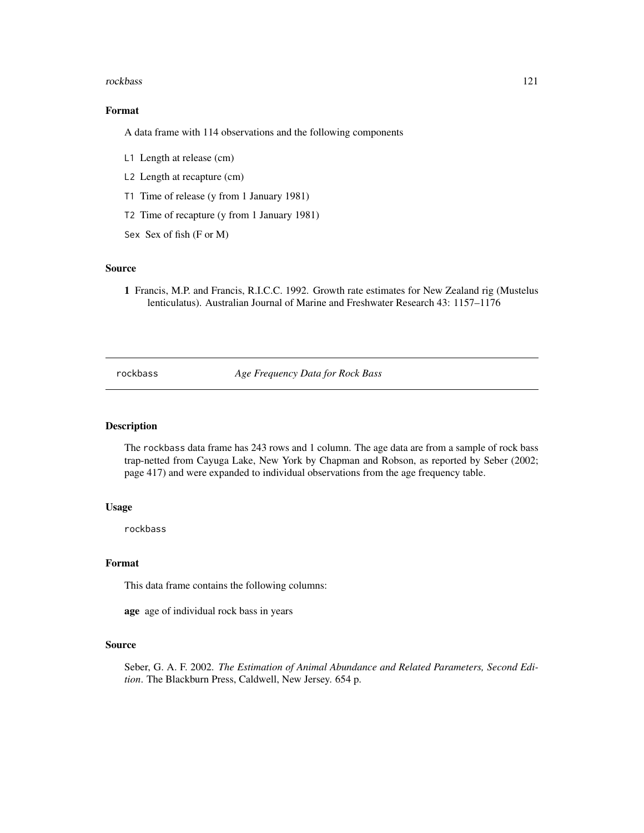#### <span id="page-120-0"></span>rockbass 121

# Format

A data frame with 114 observations and the following components

- L1 Length at release (cm)
- L2 Length at recapture (cm)
- T1 Time of release (y from 1 January 1981)
- T2 Time of recapture (y from 1 January 1981)
- Sex Sex of fish (F or M)

# Source

1 Francis, M.P. and Francis, R.I.C.C. 1992. Growth rate estimates for New Zealand rig (Mustelus lenticulatus). Australian Journal of Marine and Freshwater Research 43: 1157–1176

rockbass *Age Frequency Data for Rock Bass*

# Description

The rockbass data frame has 243 rows and 1 column. The age data are from a sample of rock bass trap-netted from Cayuga Lake, New York by Chapman and Robson, as reported by Seber (2002; page 417) and were expanded to individual observations from the age frequency table.

# Usage

rockbass

#### Format

This data frame contains the following columns:

age age of individual rock bass in years

# Source

Seber, G. A. F. 2002. *The Estimation of Animal Abundance and Related Parameters, Second Edition*. The Blackburn Press, Caldwell, New Jersey. 654 p.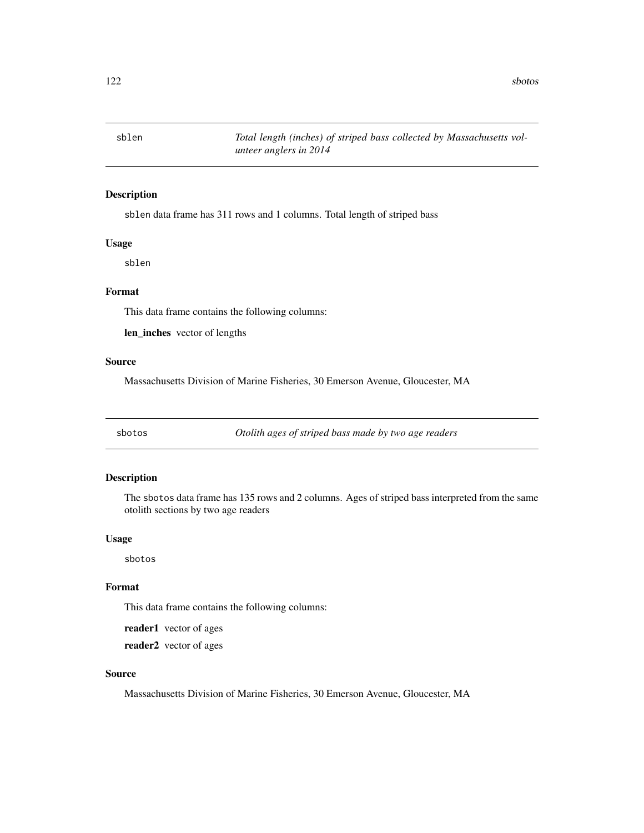<span id="page-121-0"></span>

# Description

sblen data frame has 311 rows and 1 columns. Total length of striped bass

# Usage

sblen

# Format

This data frame contains the following columns:

len\_inches vector of lengths

# Source

Massachusetts Division of Marine Fisheries, 30 Emerson Avenue, Gloucester, MA

sbotos *Otolith ages of striped bass made by two age readers*

# Description

The sbotos data frame has 135 rows and 2 columns. Ages of striped bass interpreted from the same otolith sections by two age readers

# Usage

sbotos

# Format

This data frame contains the following columns:

reader1 vector of ages

reader2 vector of ages

# Source

Massachusetts Division of Marine Fisheries, 30 Emerson Avenue, Gloucester, MA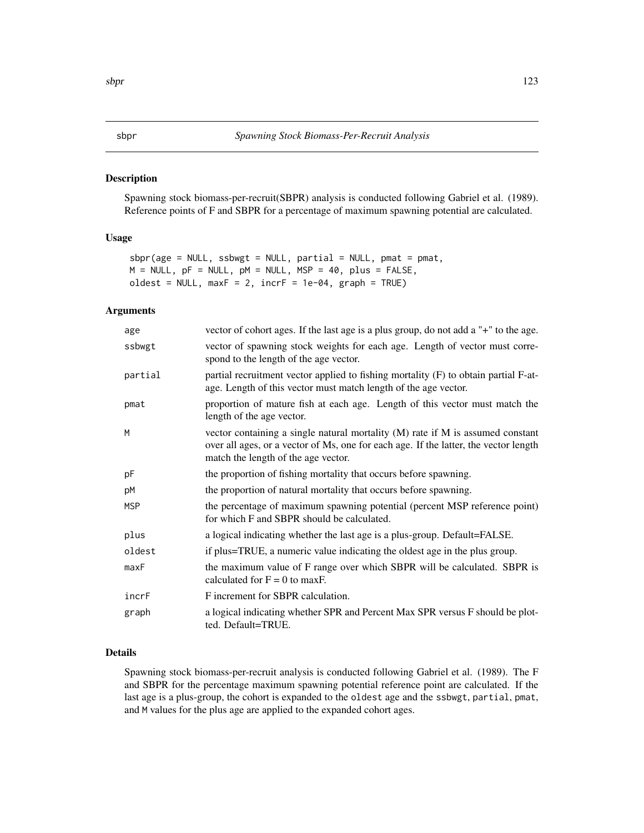#### <span id="page-122-1"></span><span id="page-122-0"></span>Description

Spawning stock biomass-per-recruit(SBPR) analysis is conducted following Gabriel et al. (1989). Reference points of F and SBPR for a percentage of maximum spawning potential are calculated.

# Usage

```
sbpr(age = NULL, ssbwgt = NULL, partial = NULL, pmat = pmat,M = NULL, pF = NULL, pM = NULL, MSP = 40, plus = FALSE,
oldest = NULL, maxF = 2, incrF = 1e-04, graph = TRUE)
```
# Arguments

| age        | vector of cohort ages. If the last age is a plus group, do not add a "+" to the age.                                                                                                                            |
|------------|-----------------------------------------------------------------------------------------------------------------------------------------------------------------------------------------------------------------|
| ssbwgt     | vector of spawning stock weights for each age. Length of vector must corre-<br>spond to the length of the age vector.                                                                                           |
| partial    | partial recruitment vector applied to fishing mortality (F) to obtain partial F-at-<br>age. Length of this vector must match length of the age vector.                                                          |
| pmat       | proportion of mature fish at each age. Length of this vector must match the<br>length of the age vector.                                                                                                        |
| M          | vector containing a single natural mortality $(M)$ rate if M is assumed constant<br>over all ages, or a vector of Ms, one for each age. If the latter, the vector length<br>match the length of the age vector. |
| pF         | the proportion of fishing mortality that occurs before spawning.                                                                                                                                                |
| pM         | the proportion of natural mortality that occurs before spawning.                                                                                                                                                |
| <b>MSP</b> | the percentage of maximum spawning potential (percent MSP reference point)<br>for which F and SBPR should be calculated.                                                                                        |
| plus       | a logical indicating whether the last age is a plus-group. Default=FALSE.                                                                                                                                       |
| oldest     | if plus=TRUE, a numeric value indicating the oldest age in the plus group.                                                                                                                                      |
| maxF       | the maximum value of F range over which SBPR will be calculated. SBPR is<br>calculated for $F = 0$ to maxF.                                                                                                     |
| incrF      | F increment for SBPR calculation.                                                                                                                                                                               |
| graph      | a logical indicating whether SPR and Percent Max SPR versus F should be plot-<br>ted. Default=TRUE.                                                                                                             |

#### Details

Spawning stock biomass-per-recruit analysis is conducted following Gabriel et al. (1989). The F and SBPR for the percentage maximum spawning potential reference point are calculated. If the last age is a plus-group, the cohort is expanded to the oldest age and the ssbwgt, partial, pmat, and M values for the plus age are applied to the expanded cohort ages.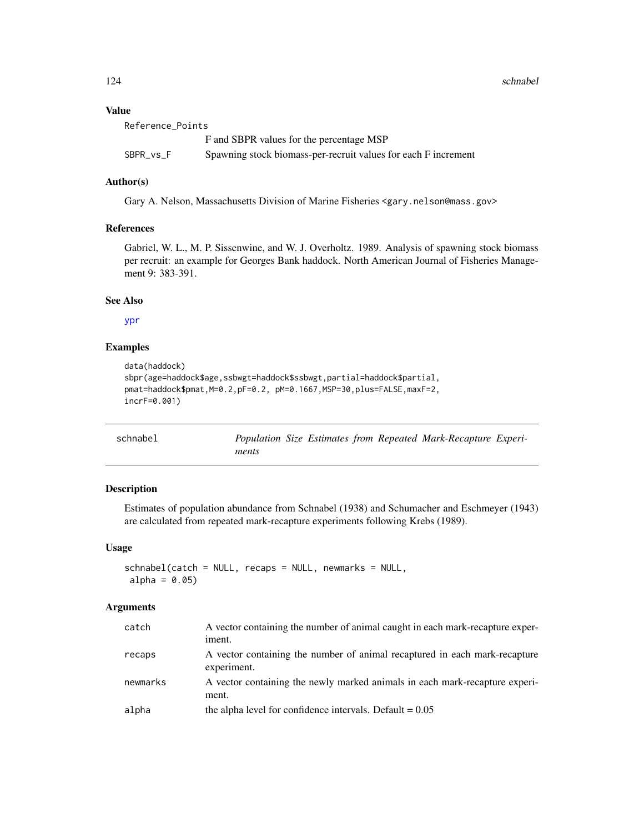124 schnabel

# Value

| Reference_Points |                                                                |
|------------------|----------------------------------------------------------------|
|                  | F and SBPR values for the percentage MSP                       |
| SBPR vs F        | Spawning stock biomass-per-recruit values for each F increment |

# Author(s)

Gary A. Nelson, Massachusetts Division of Marine Fisheries <gary.nelson@mass.gov>

# References

Gabriel, W. L., M. P. Sissenwine, and W. J. Overholtz. 1989. Analysis of spawning stock biomass per recruit: an example for Georges Bank haddock. North American Journal of Fisheries Management 9: 383-391.

# See Also

[ypr](#page-139-0)

# Examples

```
data(haddock)
sbpr(age=haddock$age,ssbwgt=haddock$ssbwgt,partial=haddock$partial,
pmat=haddock$pmat,M=0.2,pF=0.2, pM=0.1667,MSP=30,plus=FALSE,maxF=2,
incrF=0.001)
```

| schnabel |       |  | Population Size Estimates from Repeated Mark-Recapture Experi- |  |
|----------|-------|--|----------------------------------------------------------------|--|
|          | ments |  |                                                                |  |

# Description

Estimates of population abundance from Schnabel (1938) and Schumacher and Eschmeyer (1943) are calculated from repeated mark-recapture experiments following Krebs (1989).

# Usage

schnabel(catch = NULL, recaps = NULL, newmarks = NULL,  $alpha = 0.05$ 

# Arguments

| catch    | A vector containing the number of animal caught in each mark-recapture exper-<br>iment.   |
|----------|-------------------------------------------------------------------------------------------|
| recaps   | A vector containing the number of animal recaptured in each mark-recapture<br>experiment. |
| newmarks | A vector containing the newly marked animals in each mark-recapture experi-<br>ment.      |
| alpha    | the alpha level for confidence intervals. Default $= 0.05$                                |

<span id="page-123-0"></span>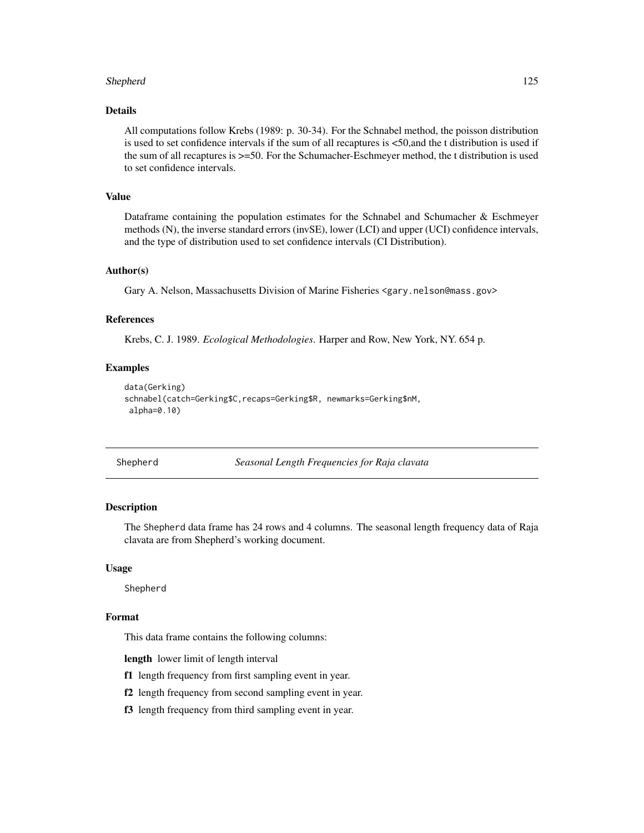# <span id="page-124-0"></span>Shepherd 125

# Details

All computations follow Krebs (1989: p. 30-34). For the Schnabel method, the poisson distribution is used to set confidence intervals if the sum of all recaptures is <50,and the t distribution is used if the sum of all recaptures is >=50. For the Schumacher-Eschmeyer method, the t distribution is used to set confidence intervals.

# Value

Dataframe containing the population estimates for the Schnabel and Schumacher & Eschmeyer methods (N), the inverse standard errors (invSE), lower (LCI) and upper (UCI) confidence intervals, and the type of distribution used to set confidence intervals (CI Distribution).

# Author(s)

Gary A. Nelson, Massachusetts Division of Marine Fisheries <gary.nelson@mass.gov>

# References

Krebs, C. J. 1989. *Ecological Methodologies*. Harper and Row, New York, NY. 654 p.

#### Examples

```
data(Gerking)
schnabel(catch=Gerking$C,recaps=Gerking$R, newmarks=Gerking$nM,
 alpha=0.10)
```
Shepherd *Seasonal Length Frequencies for Raja clavata*

# Description

The Shepherd data frame has 24 rows and 4 columns. The seasonal length frequency data of Raja clavata are from Shepherd's working document.

#### Usage

Shepherd

#### Format

This data frame contains the following columns:

length lower limit of length interval

- f1 length frequency from first sampling event in year.
- f2 length frequency from second sampling event in year.
- f3 length frequency from third sampling event in year.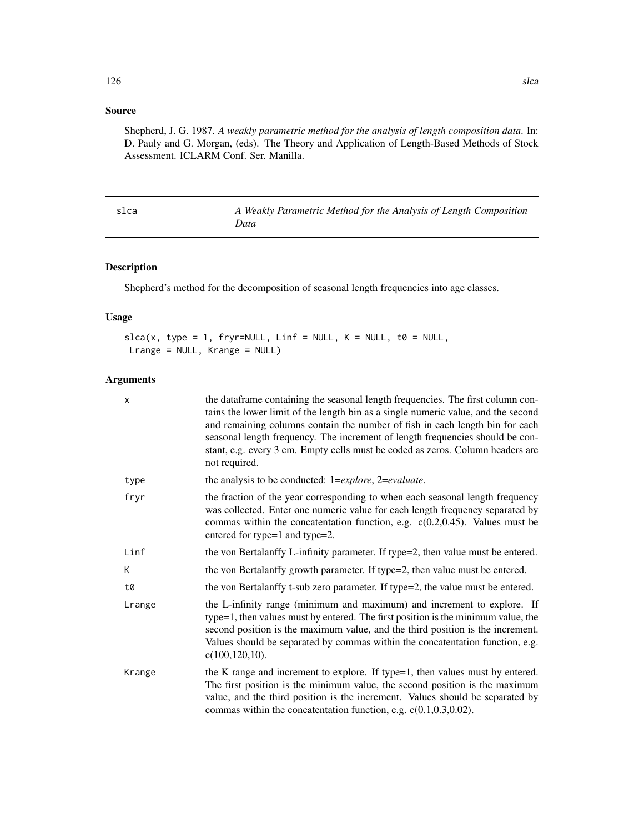# <span id="page-125-0"></span>Source

Shepherd, J. G. 1987. *A weakly parametric method for the analysis of length composition data*. In: D. Pauly and G. Morgan, (eds). The Theory and Application of Length-Based Methods of Stock Assessment. ICLARM Conf. Ser. Manilla.

| slca | A Weakly Parametric Method for the Analysis of Length Composition |
|------|-------------------------------------------------------------------|
|      | Data                                                              |

# Description

Shepherd's method for the decomposition of seasonal length frequencies into age classes.

# Usage

 $slca(x, type = 1, fryr=NULL, Linf = NULL, K = NULL, to = NULL,$ Lrange = NULL, Krange = NULL)

# Arguments

| X      | the dataframe containing the seasonal length frequencies. The first column con-<br>tains the lower limit of the length bin as a single numeric value, and the second<br>and remaining columns contain the number of fish in each length bin for each<br>seasonal length frequency. The increment of length frequencies should be con-<br>stant, e.g. every 3 cm. Empty cells must be coded as zeros. Column headers are<br>not required. |
|--------|------------------------------------------------------------------------------------------------------------------------------------------------------------------------------------------------------------------------------------------------------------------------------------------------------------------------------------------------------------------------------------------------------------------------------------------|
| type   | the analysis to be conducted: 1= <i>explore</i> , 2= <i>evaluate</i> .                                                                                                                                                                                                                                                                                                                                                                   |
| fryr   | the fraction of the year corresponding to when each seasonal length frequency<br>was collected. Enter one numeric value for each length frequency separated by<br>commas within the concatentation function, e.g. $c(0.2, 0.45)$ . Values must be<br>entered for type=1 and type=2.                                                                                                                                                      |
| Linf   | the von Bertalanffy L-infinity parameter. If type=2, then value must be entered.                                                                                                                                                                                                                                                                                                                                                         |
| K.     | the von Bertalanffy growth parameter. If type=2, then value must be entered.                                                                                                                                                                                                                                                                                                                                                             |
| t0     | the von Bertalanffy t-sub zero parameter. If type=2, the value must be entered.                                                                                                                                                                                                                                                                                                                                                          |
| Lrange | the L-infinity range (minimum and maximum) and increment to explore. If<br>type=1, then values must by entered. The first position is the minimum value, the<br>second position is the maximum value, and the third position is the increment.<br>Values should be separated by commas within the concatentation function, e.g.<br>$c(100, 120, 10)$ .                                                                                   |
| Krange | the K range and increment to explore. If type=1, then values must by entered.<br>The first position is the minimum value, the second position is the maximum<br>value, and the third position is the increment. Values should be separated by<br>commas within the concatentation function, e.g. $c(0.1, 0.3, 0.02)$ .                                                                                                                   |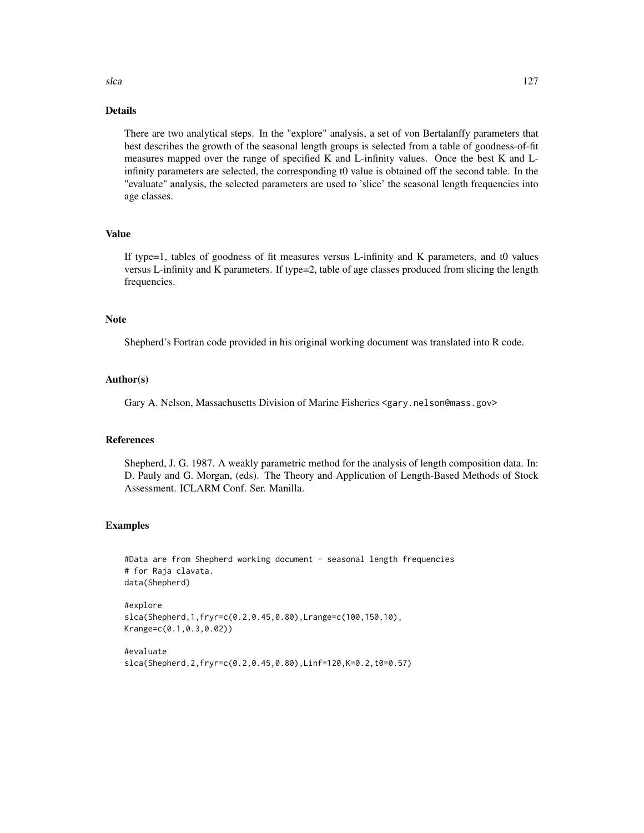# Details

There are two analytical steps. In the "explore" analysis, a set of von Bertalanffy parameters that best describes the growth of the seasonal length groups is selected from a table of goodness-of-fit measures mapped over the range of specified K and L-infinity values. Once the best K and Linfinity parameters are selected, the corresponding t0 value is obtained off the second table. In the "evaluate" analysis, the selected parameters are used to 'slice' the seasonal length frequencies into age classes.

# Value

If type=1, tables of goodness of fit measures versus L-infinity and K parameters, and t0 values versus L-infinity and K parameters. If type=2, table of age classes produced from slicing the length frequencies.

# **Note**

Shepherd's Fortran code provided in his original working document was translated into R code.

# Author(s)

Gary A. Nelson, Massachusetts Division of Marine Fisheries <gary.nelson@mass.gov>

# References

Shepherd, J. G. 1987. A weakly parametric method for the analysis of length composition data. In: D. Pauly and G. Morgan, (eds). The Theory and Application of Length-Based Methods of Stock Assessment. ICLARM Conf. Ser. Manilla.

# Examples

```
#Data are from Shepherd working document - seasonal length frequencies
# for Raja clavata.
data(Shepherd)
```

```
#explore
slca(Shepherd,1,fryr=c(0.2,0.45,0.80),Lrange=c(100,150,10),
Krange=c(0.1,0.3,0.02))
```

```
#evaluate
slca(Shepherd,2,fryr=c(0.2,0.45,0.80),Linf=120,K=0.2,t0=0.57)
```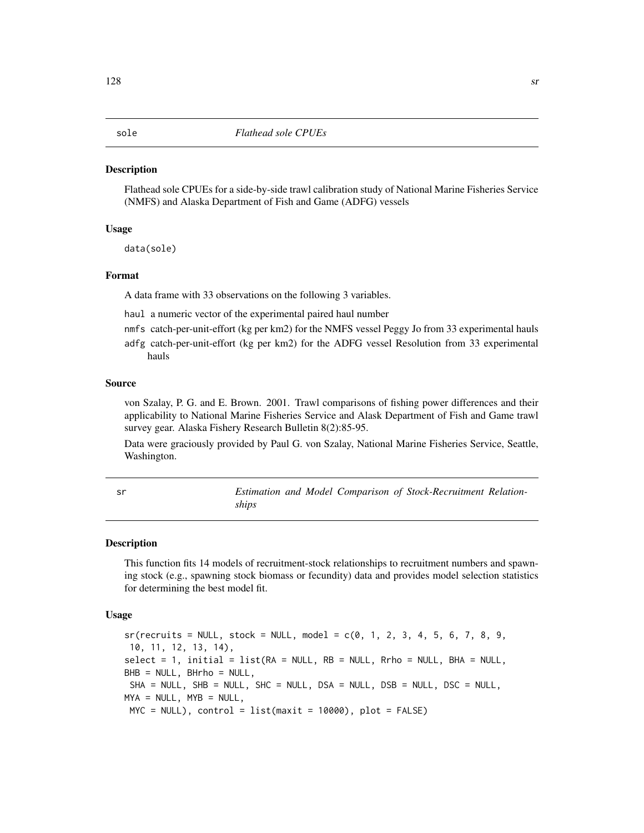#### <span id="page-127-0"></span>Description

Flathead sole CPUEs for a side-by-side trawl calibration study of National Marine Fisheries Service (NMFS) and Alaska Department of Fish and Game (ADFG) vessels

# Usage

data(sole)

# Format

A data frame with 33 observations on the following 3 variables.

- haul a numeric vector of the experimental paired haul number
- nmfs catch-per-unit-effort (kg per km2) for the NMFS vessel Peggy Jo from 33 experimental hauls
- adfg catch-per-unit-effort (kg per km2) for the ADFG vessel Resolution from 33 experimental hauls

#### Source

von Szalay, P. G. and E. Brown. 2001. Trawl comparisons of fishing power differences and their applicability to National Marine Fisheries Service and Alask Department of Fish and Game trawl survey gear. Alaska Fishery Research Bulletin 8(2):85-95.

Data were graciously provided by Paul G. von Szalay, National Marine Fisheries Service, Seattle, Washington.

sr *Estimation and Model Comparison of Stock-Recruitment Relationships*

#### Description

This function fits 14 models of recruitment-stock relationships to recruitment numbers and spawning stock (e.g., spawning stock biomass or fecundity) data and provides model selection statistics for determining the best model fit.

#### Usage

 $sr(recruits = NULL, stock = NULL, model = c(0, 1, 2, 3, 4, 5, 6, 7, 8, 9,$ 10, 11, 12, 13, 14), select = 1, initial = list(RA = NULL, RB = NULL, Rrho = NULL, BHA = NULL, BHB = NULL, BHrho = NULL,  $SHA = NULL$ ,  $SHB = NULL$ ,  $SHC = NULL$ ,  $DSA = NULL$ ,  $DSB = NULL$ ,  $DSC = NULL$  $MYA = NULL, MYB = NULL,$  $MYC = NULL$ , control = list(maxit = 10000), plot = FALSE)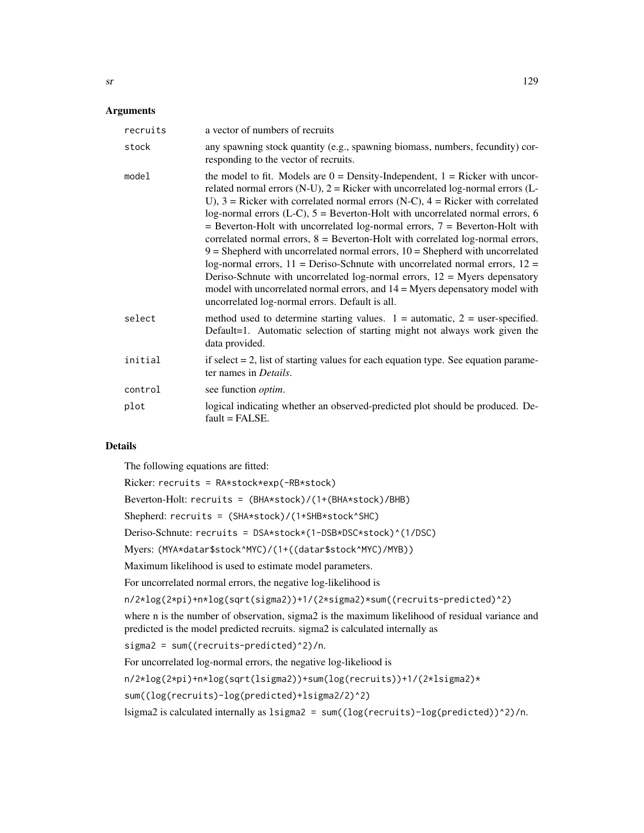| recruits | a vector of numbers of recruits                                                                                                                                                                                                                                                                                                                                                                                                                                                                                                                                                                                                                                                                                                                                                                                                                                                                                     |
|----------|---------------------------------------------------------------------------------------------------------------------------------------------------------------------------------------------------------------------------------------------------------------------------------------------------------------------------------------------------------------------------------------------------------------------------------------------------------------------------------------------------------------------------------------------------------------------------------------------------------------------------------------------------------------------------------------------------------------------------------------------------------------------------------------------------------------------------------------------------------------------------------------------------------------------|
| stock    | any spawning stock quantity (e.g., spawning biomass, numbers, fecundity) cor-<br>responding to the vector of recruits.                                                                                                                                                                                                                                                                                                                                                                                                                                                                                                                                                                                                                                                                                                                                                                                              |
| model    | the model to fit. Models are $0 =$ Density-Independent, $1 =$ Ricker with uncor-<br>related normal errors (N-U), $2 =$ Ricker with uncorrelated log-normal errors (L-<br>U), $3$ = Ricker with correlated normal errors (N-C), $4$ = Ricker with correlated<br>log-normal errors (L-C), $5 =$ Beverton-Holt with uncorrelated normal errors, 6<br>$=$ Beverton-Holt with uncorrelated log-normal errors, $7 =$ Beverton-Holt with<br>correlated normal errors, $8 =$ Beverton-Holt with correlated log-normal errors,<br>$9$ = Shepherd with uncorrelated normal errors, $10$ = Shepherd with uncorrelated<br>log-normal errors, $11 =$ Deriso-Schnute with uncorrelated normal errors, $12 =$<br>Deriso-Schnute with uncorrelated log-normal errors, $12 =$ Myers depensatory<br>model with uncorrelated normal errors, and $14 =$ Myers depensatory model with<br>uncorrelated log-normal errors. Default is all. |
| select   | method used to determine starting values. $1 =$ automatic, $2 =$ user-specified.<br>Default=1. Automatic selection of starting might not always work given the<br>data provided.                                                                                                                                                                                                                                                                                                                                                                                                                                                                                                                                                                                                                                                                                                                                    |
| initial  | if select $= 2$ , list of starting values for each equation type. See equation parame-<br>ter names in <i>Details</i> .                                                                                                                                                                                                                                                                                                                                                                                                                                                                                                                                                                                                                                                                                                                                                                                             |
| control  | see function <i>optim</i> .                                                                                                                                                                                                                                                                                                                                                                                                                                                                                                                                                                                                                                                                                                                                                                                                                                                                                         |
| plot     | logical indicating whether an observed-predicted plot should be produced. De-<br>$fault = FALSE.$                                                                                                                                                                                                                                                                                                                                                                                                                                                                                                                                                                                                                                                                                                                                                                                                                   |

# Details

The following equations are fitted:

Ricker: recruits = RA\*stock\*exp(-RB\*stock) Beverton-Holt: recruits = (BHA\*stock)/(1+(BHA\*stock)/BHB) Shepherd: recruits = (SHA\*stock)/(1+SHB\*stock^SHC) Deriso-Schnute: recruits = DSA\*stock\*(1-DSB\*DSC\*stock)^(1/DSC) Myers: (MYA\*datar\$stock^MYC)/(1+((datar\$stock^MYC)/MYB)) Maximum likelihood is used to estimate model parameters. For uncorrelated normal errors, the negative log-likelihood is n/2\*log(2\*pi)+n\*log(sqrt(sigma2))+1/(2\*sigma2)\*sum((recruits-predicted)^2) where n is the number of observation, sigma2 is the maximum likelihood of residual variance and predicted is the model predicted recruits. sigma2 is calculated internally as sigma2 = sum((recruits-predicted)^2)/n. For uncorrelated log-normal errors, the negative log-likeliood is n/2\*log(2\*pi)+n\*log(sqrt(lsigma2))+sum(log(recruits))+1/(2\*lsigma2)\* sum((log(recruits)-log(predicted)+lsigma2/2)^2) lsigma2 is calculated internally as lsigma2 = sum((log(recruits)-log(predicted))^2)/n.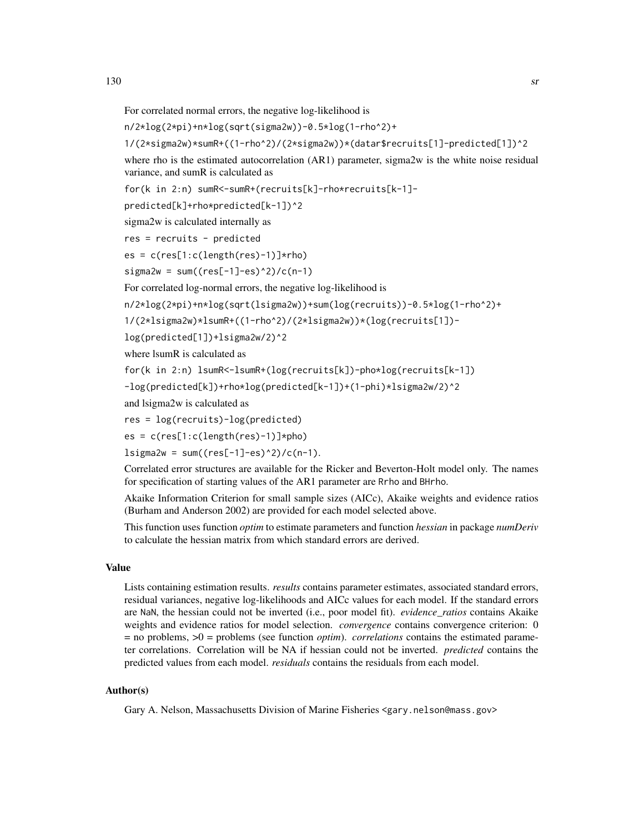For correlated normal errors, the negative log-likelihood is

n/2\*log(2\*pi)+n\*log(sqrt(sigma2w))-0.5\*log(1-rho^2)+

1/(2\*sigma2w)\*sumR+((1-rho^2)/(2\*sigma2w))\*(datar\$recruits[1]-predicted[1])^2

where rho is the estimated autocorrelation (AR1) parameter, sigma2w is the white noise residual variance, and sumR is calculated as

for(k in 2:n) sumR<-sumR+(recruits[k]-rho\*recruits[k-1]-

predicted[k]+rho\*predicted[k-1])^2

```
sigma2w is calculated internally as
```

```
res = recruits - predicted
```

```
es = c(res[1:c(length(res)-1)]*rho)
```

```
signa2w = sum((res[-1]-es)^2)/(c(n-1))
```
For correlated log-normal errors, the negative log-likelihood is

n/2\*log(2\*pi)+n\*log(sqrt(lsigma2w))+sum(log(recruits))-0.5\*log(1-rho^2)+

1/(2\*lsigma2w)\*lsumR+((1-rho^2)/(2\*lsigma2w))\*(log(recruits[1])-

log(predicted[1])+lsigma2w/2)^2

where lsumR is calculated as

for(k in 2:n) lsumR<-lsumR+(log(recruits[k])-pho\*log(recruits[k-1])

```
-log(predicted[k])+rho*log(predicted[k-1])+(1-phi)*lsigma2w/2)^2
```
and lsigma2w is calculated as

res = log(recruits)-log(predicted)

 $es = c(res[1:c(length(res)-1)]*pho)$ 

 $lsigma2w = sum((res[-1]-es)^2)/(c(n-1)).$ 

Correlated error structures are available for the Ricker and Beverton-Holt model only. The names for specification of starting values of the AR1 parameter are Rrho and BHrho.

Akaike Information Criterion for small sample sizes (AICc), Akaike weights and evidence ratios (Burham and Anderson 2002) are provided for each model selected above.

This function uses function *optim* to estimate parameters and function *hessian* in package *numDeriv* to calculate the hessian matrix from which standard errors are derived.

# Value

Lists containing estimation results. *results* contains parameter estimates, associated standard errors, residual variances, negative log-likelihoods and AICc values for each model. If the standard errors are NaN, the hessian could not be inverted (i.e., poor model fit). *evidence\_ratios* contains Akaike weights and evidence ratios for model selection. *convergence* contains convergence criterion: 0  $=$  no problems,  $>0$  = problems (see function *optim*). *correlations* contains the estimated parameter correlations. Correlation will be NA if hessian could not be inverted. *predicted* contains the predicted values from each model. *residuals* contains the residuals from each model.

# Author(s)

Gary A. Nelson, Massachusetts Division of Marine Fisheries <gary.nelson@mass.gov>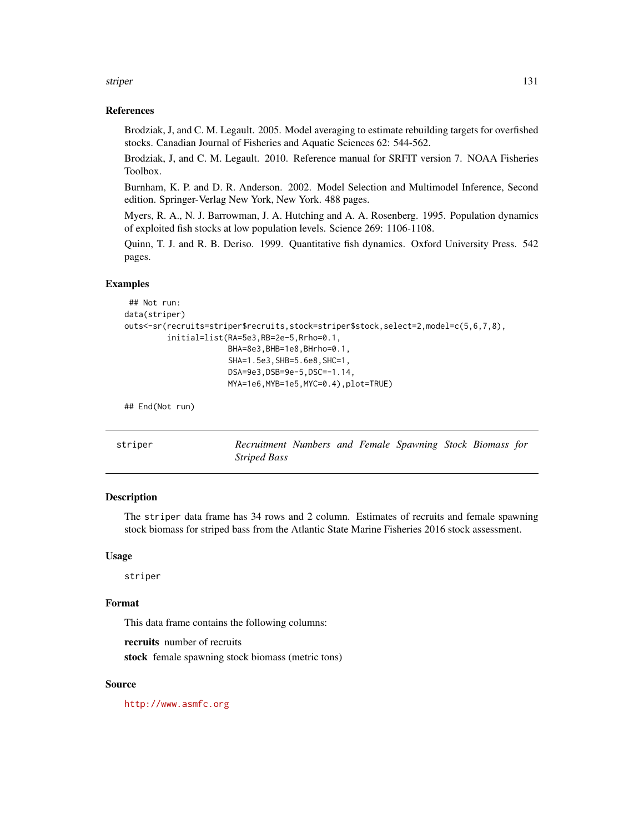<span id="page-130-0"></span>striper that the striper that the striper that the striper that the striper that the striper that  $131$ 

# References

Brodziak, J, and C. M. Legault. 2005. Model averaging to estimate rebuilding targets for overfished stocks. Canadian Journal of Fisheries and Aquatic Sciences 62: 544-562.

Brodziak, J, and C. M. Legault. 2010. Reference manual for SRFIT version 7. NOAA Fisheries Toolbox.

Burnham, K. P. and D. R. Anderson. 2002. Model Selection and Multimodel Inference, Second edition. Springer-Verlag New York, New York. 488 pages.

Myers, R. A., N. J. Barrowman, J. A. Hutching and A. A. Rosenberg. 1995. Population dynamics of exploited fish stocks at low population levels. Science 269: 1106-1108.

Quinn, T. J. and R. B. Deriso. 1999. Quantitative fish dynamics. Oxford University Press. 542 pages.

# Examples

```
## Not run:
data(striper)
outs<-sr(recruits=striper$recruits,stock=striper$stock,select=2,model=c(5,6,7,8),
         initial=list(RA=5e3,RB=2e-5,Rrho=0.1,
                      BHA=8e3,BHB=1e8,BHrho=0.1,
                      SHA=1.5e3,SHB=5.6e8,SHC=1,
                      DSA=9e3,DSB=9e-5,DSC=-1.14,
                      MYA=1e6,MYB=1e5,MYC=0.4),plot=TRUE)
```
## End(Not run)

striper *Recruitment Numbers and Female Spawning Stock Biomass for Striped Bass*

# Description

The striper data frame has 34 rows and 2 column. Estimates of recruits and female spawning stock biomass for striped bass from the Atlantic State Marine Fisheries 2016 stock assessment.

#### Usage

striper

# Format

This data frame contains the following columns:

recruits number of recruits

stock female spawning stock biomass (metric tons)

# Source

<http://www.asmfc.org>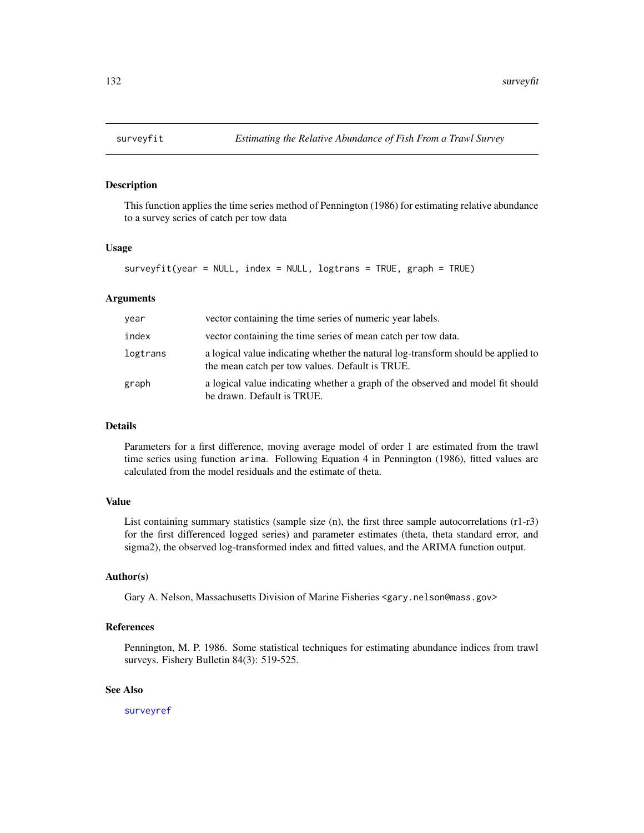# Description

This function applies the time series method of Pennington (1986) for estimating relative abundance to a survey series of catch per tow data

# Usage

```
surveyfit(year = NULL, index = NULL, logtrans = TRUE, graph = TRUE)
```
# Arguments

| year     | vector containing the time series of numeric year labels.                                                                            |
|----------|--------------------------------------------------------------------------------------------------------------------------------------|
| index    | vector containing the time series of mean catch per tow data.                                                                        |
| logtrans | a logical value indicating whether the natural log-transform should be applied to<br>the mean catch per tow values. Default is TRUE. |
| graph    | a logical value indicating whether a graph of the observed and model fit should<br>be drawn. Default is TRUE.                        |

# **Details**

Parameters for a first difference, moving average model of order 1 are estimated from the trawl time series using function arima. Following Equation 4 in Pennington (1986), fitted values are calculated from the model residuals and the estimate of theta.

#### Value

List containing summary statistics (sample size (n), the first three sample autocorrelations (r1-r3) for the first differenced logged series) and parameter estimates (theta, theta standard error, and sigma2), the observed log-transformed index and fitted values, and the ARIMA function output.

# Author(s)

Gary A. Nelson, Massachusetts Division of Marine Fisheries <gary.nelson@mass.gov>

#### References

Pennington, M. P. 1986. Some statistical techniques for estimating abundance indices from trawl surveys. Fishery Bulletin 84(3): 519-525.

# See Also

[surveyref](#page-132-0)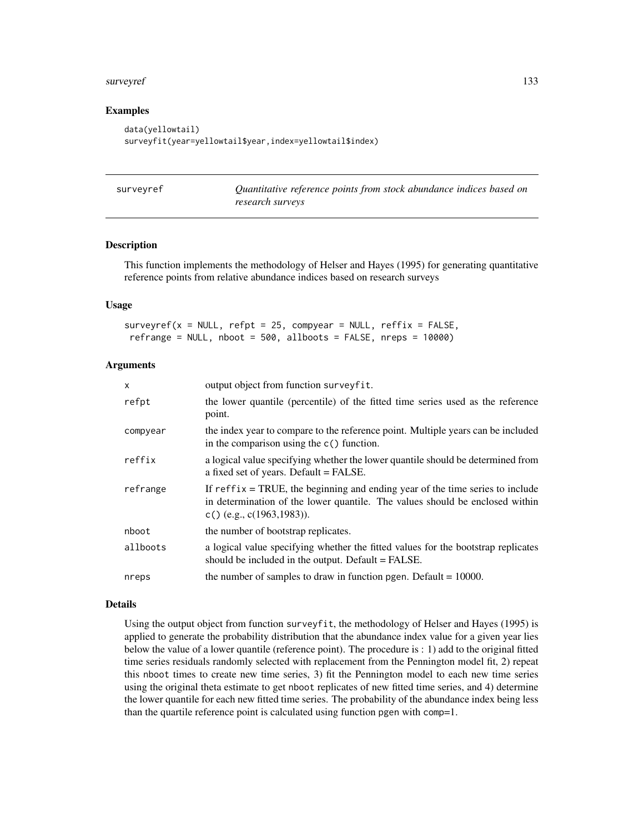#### <span id="page-132-1"></span>surveyref 233

# Examples

```
data(yellowtail)
surveyfit(year=yellowtail$year,index=yellowtail$index)
```
<span id="page-132-0"></span>

| surveyref | Quantitative reference points from stock abundance indices based on |
|-----------|---------------------------------------------------------------------|
|           | research surveys                                                    |

#### Description

This function implements the methodology of Helser and Hayes (1995) for generating quantitative reference points from relative abundance indices based on research surveys

# Usage

 $surveyref(x = NULL, refpt = 25, compyear = NULL, reffix = FALSE,$ refrange = NULL, nboot = 500, allboots = FALSE, nreps = 10000)

# Arguments

| $\mathsf{x}$ | output object from function surveyfit.                                                                                                                                                         |
|--------------|------------------------------------------------------------------------------------------------------------------------------------------------------------------------------------------------|
| refpt        | the lower quantile (percentile) of the fitted time series used as the reference<br>point.                                                                                                      |
| compyear     | the index year to compare to the reference point. Multiple years can be included<br>in the comparison using the $c()$ function.                                                                |
| reffix       | a logical value specifying whether the lower quantile should be determined from<br>a fixed set of years. Default = FALSE.                                                                      |
| refrange     | If $reffix = TRUE$ , the beginning and ending year of the time series to include<br>in determination of the lower quantile. The values should be enclosed within<br>c() (e.g., c(1963, 1983)). |
| nboot        | the number of bootstrap replicates.                                                                                                                                                            |
| allboots     | a logical value specifying whether the fitted values for the bootstrap replicates<br>should be included in the output. Default = FALSE.                                                        |
| nreps        | the number of samples to draw in function pgen. Default $= 10000$ .                                                                                                                            |
|              |                                                                                                                                                                                                |

#### Details

Using the output object from function surveyfit, the methodology of Helser and Hayes (1995) is applied to generate the probability distribution that the abundance index value for a given year lies below the value of a lower quantile (reference point). The procedure is : 1) add to the original fitted time series residuals randomly selected with replacement from the Pennington model fit, 2) repeat this nboot times to create new time series, 3) fit the Pennington model to each new time series using the original theta estimate to get nboot replicates of new fitted time series, and 4) determine the lower quantile for each new fitted time series. The probability of the abundance index being less than the quartile reference point is calculated using function pgen with comp=1.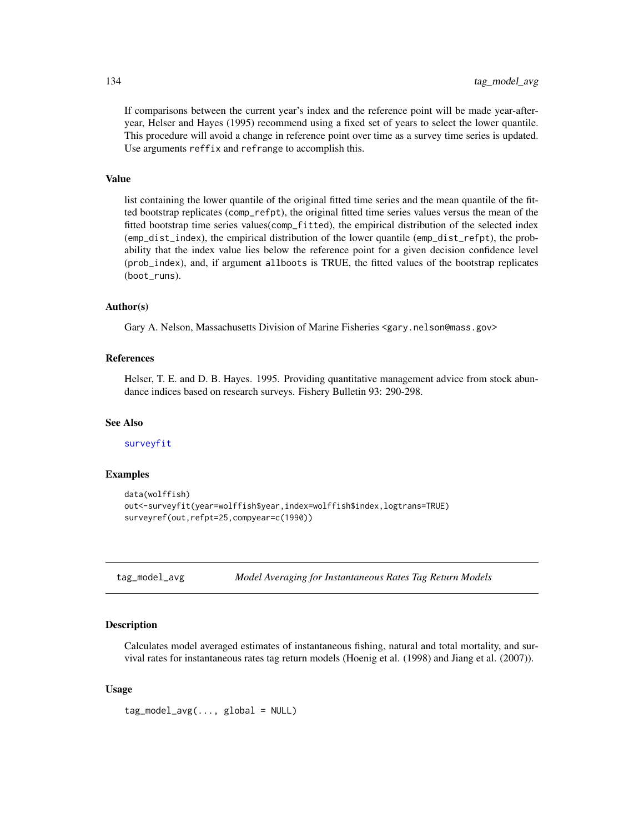If comparisons between the current year's index and the reference point will be made year-afteryear, Helser and Hayes (1995) recommend using a fixed set of years to select the lower quantile. This procedure will avoid a change in reference point over time as a survey time series is updated. Use arguments reffix and refrange to accomplish this.

# Value

list containing the lower quantile of the original fitted time series and the mean quantile of the fitted bootstrap replicates (comp\_refpt), the original fitted time series values versus the mean of the fitted bootstrap time series values(comp\_fitted), the empirical distribution of the selected index (emp\_dist\_index), the empirical distribution of the lower quantile (emp\_dist\_refpt), the probability that the index value lies below the reference point for a given decision confidence level (prob\_index), and, if argument allboots is TRUE, the fitted values of the bootstrap replicates (boot\_runs).

# Author(s)

Gary A. Nelson, Massachusetts Division of Marine Fisheries <gary.nelson@mass.gov>

# References

Helser, T. E. and D. B. Hayes. 1995. Providing quantitative management advice from stock abundance indices based on research surveys. Fishery Bulletin 93: 290-298.

#### See Also

[surveyfit](#page-131-0)

# Examples

```
data(wolffish)
out<-surveyfit(year=wolffish$year,index=wolffish$index,logtrans=TRUE)
surveyref(out,refpt=25,compyear=c(1990))
```
tag\_model\_avg *Model Averaging for Instantaneous Rates Tag Return Models*

# **Description**

Calculates model averaged estimates of instantaneous fishing, natural and total mortality, and survival rates for instantaneous rates tag return models (Hoenig et al. (1998) and Jiang et al. (2007)).

# Usage

 $tag_{model} = \frac{1}{2}$ 

<span id="page-133-0"></span>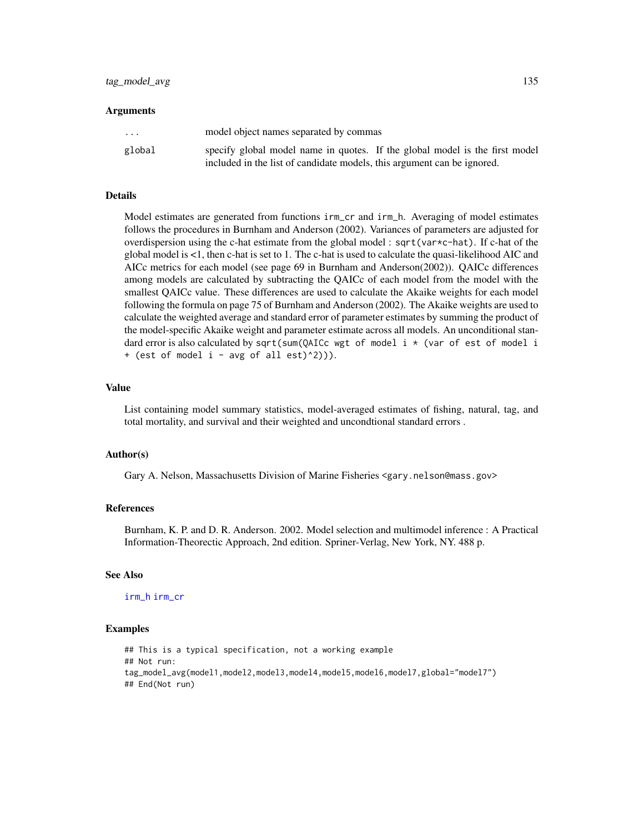#### Arguments

| $\cdot$ $\cdot$ $\cdot$ | model object names separated by commas                                      |
|-------------------------|-----------------------------------------------------------------------------|
| global                  | specify global model name in quotes. If the global model is the first model |
|                         | included in the list of candidate models, this argument can be ignored.     |

#### Details

Model estimates are generated from functions irm\_cr and irm\_h. Averaging of model estimates follows the procedures in Burnham and Anderson (2002). Variances of parameters are adjusted for overdispersion using the c-hat estimate from the global model : sqrt(var\*c-hat). If c-hat of the global model is <1, then c-hat is set to 1. The c-hat is used to calculate the quasi-likelihood AIC and AICc metrics for each model (see page 69 in Burnham and Anderson(2002)). QAICc differences among models are calculated by subtracting the QAICc of each model from the model with the smallest QAICc value. These differences are used to calculate the Akaike weights for each model following the formula on page 75 of Burnham and Anderson (2002). The Akaike weights are used to calculate the weighted average and standard error of parameter estimates by summing the product of the model-specific Akaike weight and parameter estimate across all models. An unconditional standard error is also calculated by sqrt(sum(QAICc wgt of model i \* (var of est of model i + (est of model i - avg of all est)^2))).

#### Value

List containing model summary statistics, model-averaged estimates of fishing, natural, tag, and total mortality, and survival and their weighted and uncondtional standard errors .

# Author(s)

Gary A. Nelson, Massachusetts Division of Marine Fisheries <gary.nelson@mass.gov>

# References

Burnham, K. P. and D. R. Anderson. 2002. Model selection and multimodel inference : A Practical Information-Theorectic Approach, 2nd edition. Spriner-Verlag, New York, NY. 488 p.

#### See Also

#### [irm\\_h](#page-93-0) [irm\\_cr](#page-89-0)

#### Examples

```
## This is a typical specification, not a working example
## Not run:
tag_model_avg(model1,model2,model3,model4,model5,model6,model7,global="model7")
## End(Not run)
```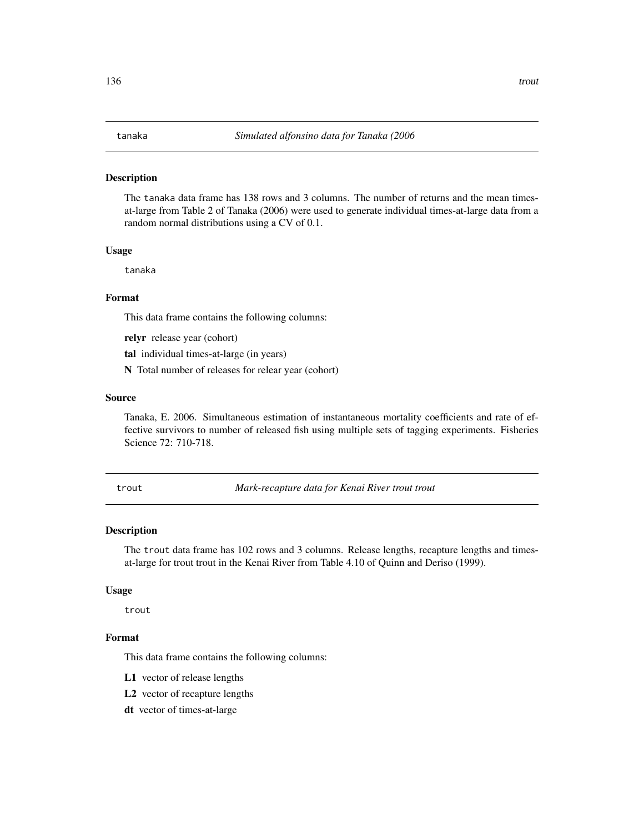#### <span id="page-135-0"></span>Description

The tanaka data frame has 138 rows and 3 columns. The number of returns and the mean timesat-large from Table 2 of Tanaka (2006) were used to generate individual times-at-large data from a random normal distributions using a CV of 0.1.

#### Usage

tanaka

# Format

This data frame contains the following columns:

relyr release year (cohort)

tal individual times-at-large (in years)

N Total number of releases for relear year (cohort)

# Source

Tanaka, E. 2006. Simultaneous estimation of instantaneous mortality coefficients and rate of effective survivors to number of released fish using multiple sets of tagging experiments. Fisheries Science 72: 710-718.

trout *Mark-recapture data for Kenai River trout trout*

# Description

The trout data frame has 102 rows and 3 columns. Release lengths, recapture lengths and timesat-large for trout trout in the Kenai River from Table 4.10 of Quinn and Deriso (1999).

#### Usage

trout

#### Format

This data frame contains the following columns:

L1 vector of release lengths

L2 vector of recapture lengths

dt vector of times-at-large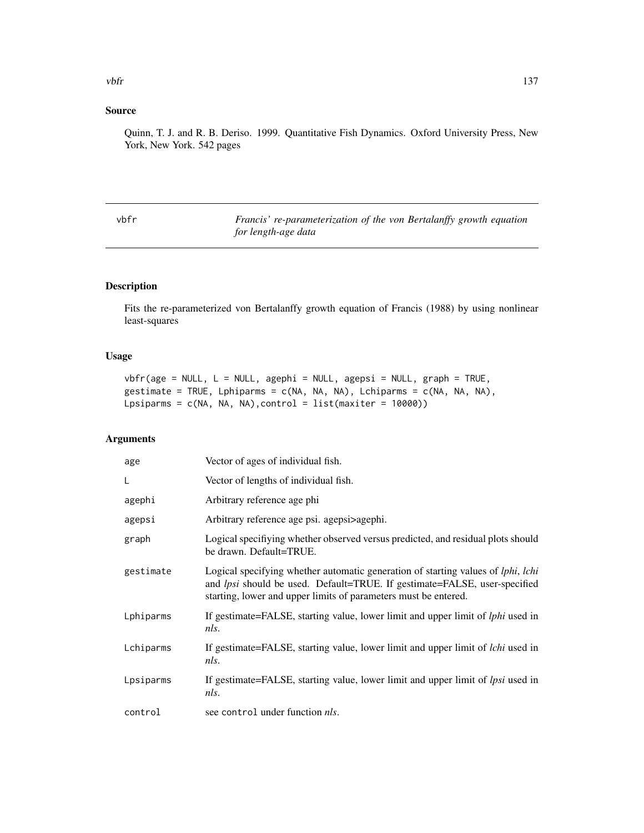# <span id="page-136-0"></span>Source

Quinn, T. J. and R. B. Deriso. 1999. Quantitative Fish Dynamics. Oxford University Press, New York, New York. 542 pages

vbfr *Francis' re-parameterization of the von Bertalanffy growth equation for length-age data*

# Description

Fits the re-parameterized von Bertalanffy growth equation of Francis (1988) by using nonlinear least-squares

# Usage

```
vbf(\text{age = NULL}, L = NULL, agent = NULL, agent = NULL, graph = TRUE,gestimate = TRUE, Lphiparms = c(NA, NA, NA), Lchiparms = c(NA, NA, NA),
Lpsiparms = c(NA, NA, NA),control = list(maxiter = 10000))
```
# Arguments

| age       | Vector of ages of individual fish.                                                                                                                                                                                                                     |
|-----------|--------------------------------------------------------------------------------------------------------------------------------------------------------------------------------------------------------------------------------------------------------|
| L         | Vector of lengths of individual fish.                                                                                                                                                                                                                  |
| agephi    | Arbitrary reference age phi                                                                                                                                                                                                                            |
| agepsi    | Arbitrary reference age psi. agepsi>agephi.                                                                                                                                                                                                            |
| graph     | Logical specifiying whether observed versus predicted, and residual plots should<br>be drawn. Default=TRUE.                                                                                                                                            |
| gestimate | Logical specifying whether automatic generation of starting values of <i>lphi</i> , <i>lchi</i><br>and <i>lpsi</i> should be used. Default=TRUE. If gestimate=FALSE, user-specified<br>starting, lower and upper limits of parameters must be entered. |
| Lphiparms | If gestimate=FALSE, starting value, lower limit and upper limit of <i>lphi</i> used in<br>nls.                                                                                                                                                         |
| Lchiparms | If gestimate=FALSE, starting value, lower limit and upper limit of <i>lchi</i> used in<br>nls.                                                                                                                                                         |
| Lpsiparms | If gestimate=FALSE, starting value, lower limit and upper limit of <i>lpsi</i> used in<br>nls.                                                                                                                                                         |
| control   | see control under function <i>nls</i> .                                                                                                                                                                                                                |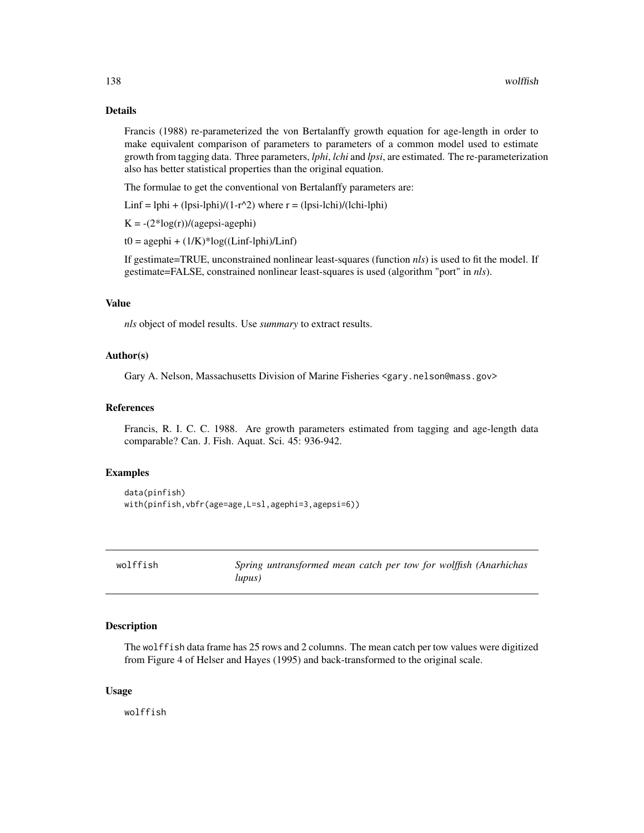# Details

Francis (1988) re-parameterized the von Bertalanffy growth equation for age-length in order to make equivalent comparison of parameters to parameters of a common model used to estimate growth from tagging data. Three parameters, *lphi*, *lchi* and *lpsi*, are estimated. The re-parameterization also has better statistical properties than the original equation.

The formulae to get the conventional von Bertalanffy parameters are:

Linf = lphi + (lpsi-lphi)/(1-r^2) where  $r =$  (lpsi-lchi)/(lchi-lphi)

 $K = -(2 * log(r))/(agepsi - agephi)$ 

 $t0 = agephi + (1/K)*log((Linf-lphi)/Linf)$ 

If gestimate=TRUE, unconstrained nonlinear least-squares (function *nls*) is used to fit the model. If gestimate=FALSE, constrained nonlinear least-squares is used (algorithm "port" in *nls*).

# Value

*nls* object of model results. Use *summary* to extract results.

# Author(s)

Gary A. Nelson, Massachusetts Division of Marine Fisheries <gary.nelson@mass.gov>

# References

Francis, R. I. C. C. 1988. Are growth parameters estimated from tagging and age-length data comparable? Can. J. Fish. Aquat. Sci. 45: 936-942.

#### Examples

```
data(pinfish)
with(pinfish,vbfr(age=age,L=sl,agephi=3,agepsi=6))
```

| wolffish |        | Spring untransformed mean catch per tow for wolffish (Anarhichas |  |  |  |  |
|----------|--------|------------------------------------------------------------------|--|--|--|--|
|          | lupus) |                                                                  |  |  |  |  |

# Description

The wolffish data frame has 25 rows and 2 columns. The mean catch per tow values were digitized from Figure 4 of Helser and Hayes (1995) and back-transformed to the original scale.

#### Usage

wolffish

<span id="page-137-0"></span>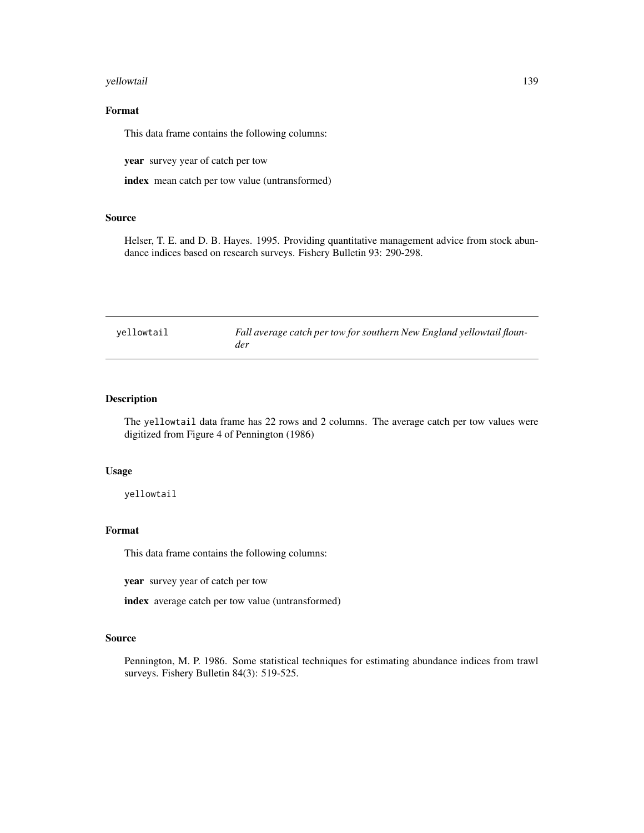#### <span id="page-138-0"></span>yellowtail 139

# Format

This data frame contains the following columns:

year survey year of catch per tow

index mean catch per tow value (untransformed)

# Source

Helser, T. E. and D. B. Hayes. 1995. Providing quantitative management advice from stock abundance indices based on research surveys. Fishery Bulletin 93: 290-298.

yellowtail *Fall average catch per tow for southern New England yellowtail flounder*

# Description

The yellowtail data frame has 22 rows and 2 columns. The average catch per tow values were digitized from Figure 4 of Pennington (1986)

#### Usage

yellowtail

#### Format

This data frame contains the following columns:

year survey year of catch per tow

index average catch per tow value (untransformed)

#### Source

Pennington, M. P. 1986. Some statistical techniques for estimating abundance indices from trawl surveys. Fishery Bulletin 84(3): 519-525.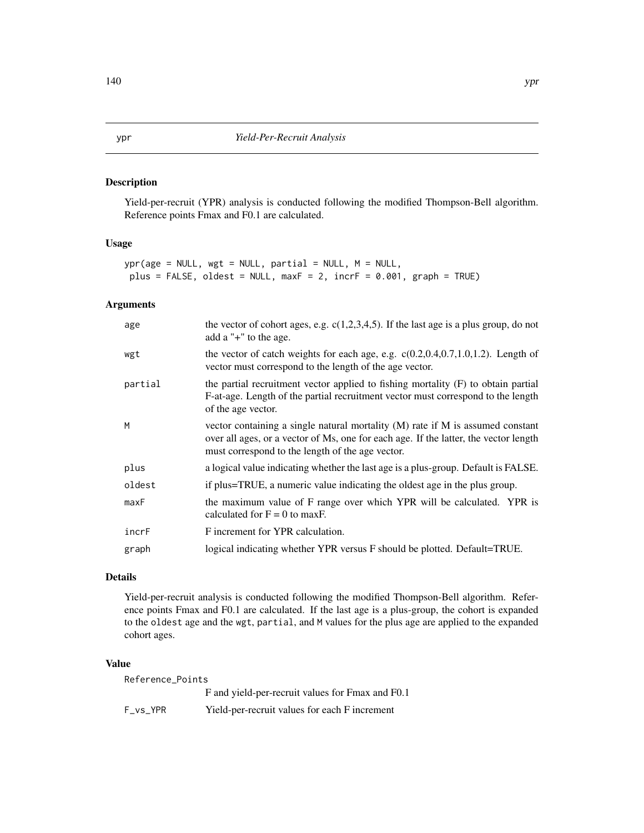# <span id="page-139-1"></span><span id="page-139-0"></span>Description

Yield-per-recruit (YPR) analysis is conducted following the modified Thompson-Bell algorithm. Reference points Fmax and F0.1 are calculated.

# Usage

```
ypr(age = NULL, wgt = NULL, partial = NULL, M = NULL,
plus = FALSE, oldest = NULL, maxF = 2, incrF = 0.001, graph = TRUE)
```
# Arguments

| age     | the vector of cohort ages, e.g. $c(1,2,3,4,5)$ . If the last age is a plus group, do not<br>add a "+" to the age.                                                                                                            |
|---------|------------------------------------------------------------------------------------------------------------------------------------------------------------------------------------------------------------------------------|
| wgt     | the vector of catch weights for each age, e.g. $c(0.2, 0.4, 0.7, 1.0, 1.2)$ . Length of<br>vector must correspond to the length of the age vector.                                                                           |
| partial | the partial recruitment vector applied to fishing mortality (F) to obtain partial<br>F-at-age. Length of the partial recruitment vector must correspond to the length<br>of the age vector.                                  |
| M       | vector containing a single natural mortality $(M)$ rate if M is assumed constant<br>over all ages, or a vector of Ms, one for each age. If the latter, the vector length<br>must correspond to the length of the age vector. |
| plus    | a logical value indicating whether the last age is a plus-group. Default is FALSE.                                                                                                                                           |
| oldest  | if plus=TRUE, a numeric value indicating the oldest age in the plus group.                                                                                                                                                   |
| maxF    | the maximum value of F range over which YPR will be calculated. YPR is<br>calculated for $F = 0$ to maxF.                                                                                                                    |
| incrF   | F increment for YPR calculation.                                                                                                                                                                                             |
| graph   | logical indicating whether YPR versus F should be plotted. Default=TRUE.                                                                                                                                                     |
|         |                                                                                                                                                                                                                              |

#### Details

Yield-per-recruit analysis is conducted following the modified Thompson-Bell algorithm. Reference points Fmax and F0.1 are calculated. If the last age is a plus-group, the cohort is expanded to the oldest age and the wgt, partial, and M values for the plus age are applied to the expanded cohort ages.

#### Value

| Reference_Points |                                                  |
|------------------|--------------------------------------------------|
|                  | F and yield-per-recruit values for Fmax and F0.1 |
| F vs YPR         | Yield-per-recruit values for each F increment    |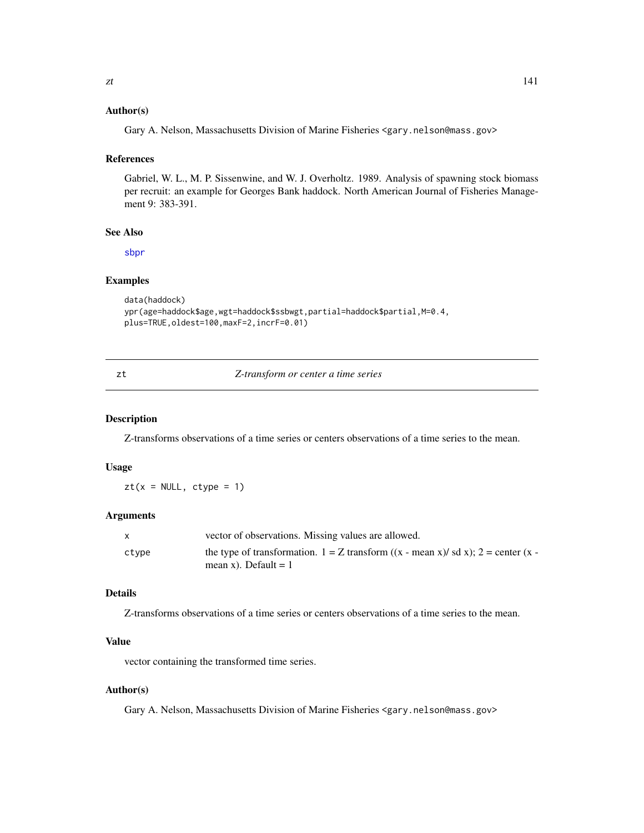# <span id="page-140-0"></span>Author(s)

Gary A. Nelson, Massachusetts Division of Marine Fisheries <gary.nelson@mass.gov>

# References

Gabriel, W. L., M. P. Sissenwine, and W. J. Overholtz. 1989. Analysis of spawning stock biomass per recruit: an example for Georges Bank haddock. North American Journal of Fisheries Management 9: 383-391.

# See Also

[sbpr](#page-122-0)

# Examples

```
data(haddock)
ypr(age=haddock$age,wgt=haddock$ssbwgt,partial=haddock$partial,M=0.4,
plus=TRUE,oldest=100,maxF=2,incrF=0.01)
```

|  | I<br>× |
|--|--------|

#### zt *Z-transform or center a time series*

#### Description

Z-transforms observations of a time series or centers observations of a time series to the mean.

# Usage

 $zt(x = NULL, ctype = 1)$ 

## Arguments

|       | vector of observations. Missing values are allowed.                                         |
|-------|---------------------------------------------------------------------------------------------|
| ctype | the type of transformation. $1 = Z$ transform $((x - mean x)/ sd x)$ ; $2 = center (x - b)$ |
|       | mean x). Default $= 1$                                                                      |

# Details

Z-transforms observations of a time series or centers observations of a time series to the mean.

# Value

vector containing the transformed time series.

# Author(s)

Gary A. Nelson, Massachusetts Division of Marine Fisheries <gary.nelson@mass.gov>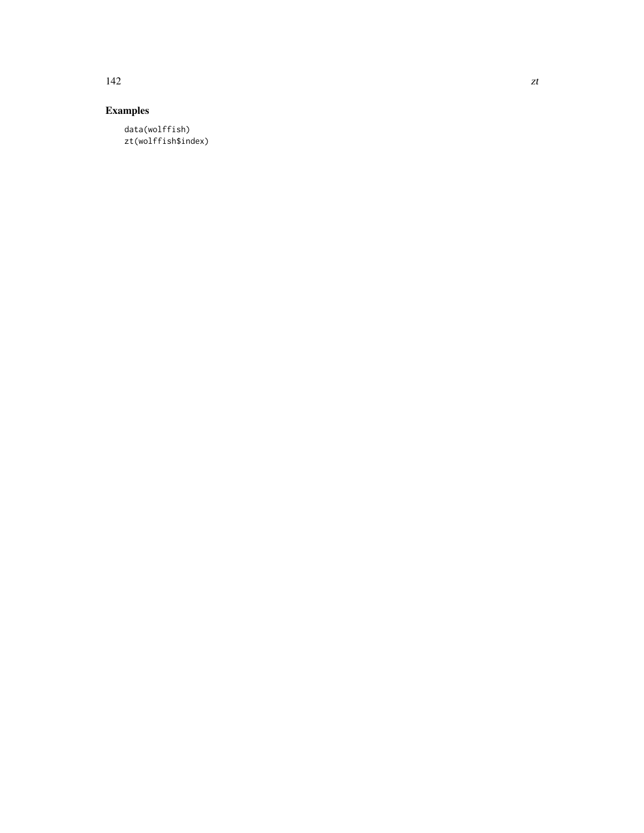# Examples

data(wolffish) zt(wolffish\$index)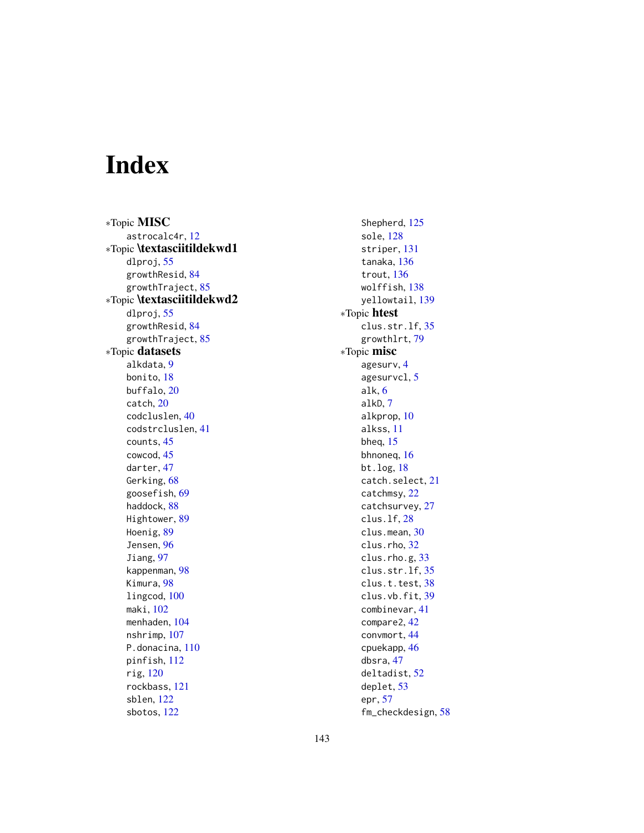# Index

∗Topic MISC astrocalc4r, [12](#page-11-0) ∗Topic \textasciitildekwd1 dlproj, [55](#page-54-0) growthResid, [84](#page-83-0) growthTraject, [85](#page-84-0) ∗Topic \textasciitildekwd2 dlproj, [55](#page-54-0) growthResid, [84](#page-83-0) growthTraject, [85](#page-84-0) ∗Topic datasets alkdata, [9](#page-8-0) bonito, [18](#page-17-0) buffalo, [20](#page-19-0) catch, [20](#page-19-0) codcluslen, [40](#page-39-0) codstrcluslen, [41](#page-40-0) counts, [45](#page-44-0) cowcod, [45](#page-44-0) darter, [47](#page-46-0) Gerking, [68](#page-67-0) goosefish, [69](#page-68-0) haddock, [88](#page-87-0) Hightower, [89](#page-88-0) Hoenig, [89](#page-88-0) Jensen, [96](#page-95-0) Jiang, [97](#page-96-0) kappenman, [98](#page-97-0) Kimura, [98](#page-97-0) lingcod, [100](#page-99-0) maki, [102](#page-101-0) menhaden, [104](#page-103-0) nshrimp, [107](#page-106-0) P.donacina, [110](#page-109-0) pinfish, [112](#page-111-0) rig, [120](#page-119-0) rockbass, [121](#page-120-0) sblen, [122](#page-121-0) sbotos, [122](#page-121-0)

Shepherd, [125](#page-124-0) sole, [128](#page-127-0) striper, [131](#page-130-0) tanaka, [136](#page-135-0) trout, [136](#page-135-0) wolffish, [138](#page-137-0) yellowtail, [139](#page-138-0) ∗Topic htest clus.str.lf, [35](#page-34-0) growthlrt, [79](#page-78-0) ∗Topic misc agesurv, [4](#page-3-0) agesurvcl, [5](#page-4-0) alk, [6](#page-5-0) alkD, [7](#page-6-0) alkprop, [10](#page-9-0) alkss, [11](#page-10-0) bheq, [15](#page-14-0) bhnoneq, [16](#page-15-0) bt.log, [18](#page-17-0) catch.select, [21](#page-20-0) catchmsy, [22](#page-21-0) catchsurvey, [27](#page-26-0) clus.lf, [28](#page-27-0) clus.mean, [30](#page-29-0) clus.rho, [32](#page-31-0) clus.rho.g, [33](#page-32-0) clus.str.lf, [35](#page-34-0) clus.t.test, [38](#page-37-0) clus.vb.fit, [39](#page-38-0) combinevar, [41](#page-40-0) compare2, [42](#page-41-0) convmort, [44](#page-43-0) cpuekapp, [46](#page-45-0) dbsra, [47](#page-46-0) deltadist, [52](#page-51-0) deplet, [53](#page-52-0) epr, [57](#page-56-0) fm\_checkdesign, [58](#page-57-0)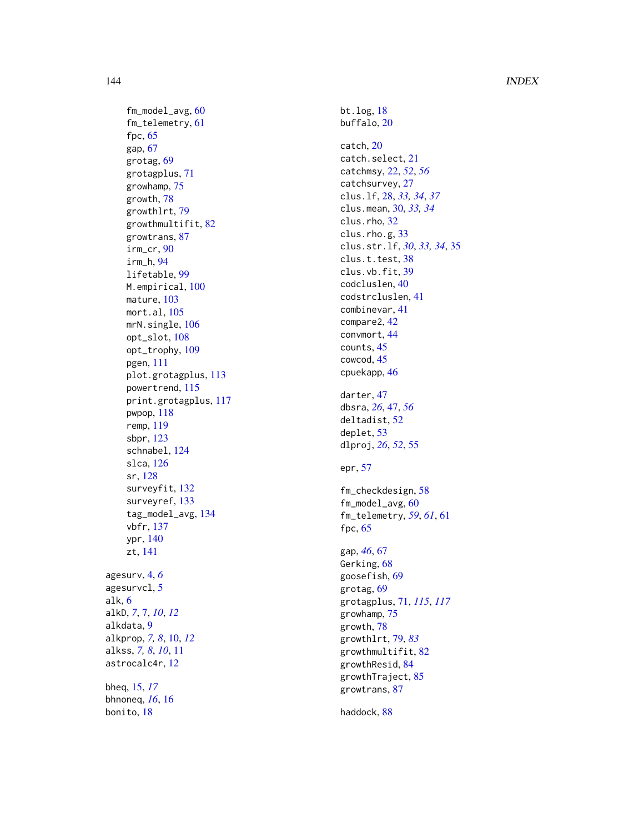# 144 INDEX

fm\_model\_avg , [60](#page-59-0) fm\_telemetry , [61](#page-60-0) fpc , [65](#page-64-0) gap , [67](#page-66-0) grotag , [69](#page-68-0) grotagplus , [71](#page-70-1) growhamp , [75](#page-74-0) growth , [78](#page-77-0) growthlrt , [79](#page-78-0) growthmultifit , [82](#page-81-0) growtrans , [87](#page-86-0) irm\_cr , [90](#page-89-1) irm\_h , [94](#page-93-1) lifetable , [99](#page-98-0) M.empirical,  $100$ mature , [103](#page-102-0) mort.al , [105](#page-104-0) mrN.single, [106](#page-105-0) opt\_slot , [108](#page-107-1) opt\_trophy , [109](#page-108-1) pgen , [111](#page-110-0) plot.grotagplus , [113](#page-112-1) powertrend , [115](#page-114-0) print.grotagplus , [117](#page-116-1) pwpop , [118](#page-117-0) remp , [119](#page-118-0) sbpr , [123](#page-122-1) schnabel , [124](#page-123-0) slca , [126](#page-125-0) sr , [128](#page-127-0) surveyfit , [132](#page-131-1) surveyref , [133](#page-132-1) tag\_model\_avg , [134](#page-133-0) vbfr , [137](#page-136-0) ypr , [140](#page-139-1) zt , [141](#page-140-0) agesurv , [4](#page-3-0) , *[6](#page-5-0)* agesurvcl, [5](#page-4-0) alk , [6](#page-5-0) alkD, [7](#page-6-0), 7, [10](#page-9-0), [12](#page-11-0) alkdata , [9](#page-8-0) alkprop , *[7,](#page-6-0) [8](#page-7-0)* , [10](#page-9-0) , *[12](#page-11-0)* alkss , *[7,](#page-6-0) [8](#page-7-0)* , *[10](#page-9-0)* , [11](#page-10-0) astrocalc4r , [12](#page-11-0) bheq , [15](#page-14-0) , *[17](#page-16-0)* bhnoneq , *[16](#page-15-0)* , [16](#page-15-0) bonito , [18](#page-17-0)

bt.log , [18](#page-17-0) buffalo, [20](#page-19-0) catch , [20](#page-19-0) catch.select , [21](#page-20-0) catchmsy , [22](#page-21-0) , *[52](#page-51-0)* , *[56](#page-55-0)* catchsurvey , [27](#page-26-0) clus.lf , [28](#page-27-0) , *[33](#page-32-0) , [34](#page-33-0)* , *[37](#page-36-0)* clus.mean , [30](#page-29-0) , *[33](#page-32-0) , [34](#page-33-0)* clus.rho, [32](#page-31-0) clus.rho.g, [33](#page-32-0) clus.str.lf , *[30](#page-29-0)* , *[33](#page-32-0) , [34](#page-33-0)* , [35](#page-34-0) clus.t.test, [38](#page-37-0) clus.vb.fit , [39](#page-38-0) codcluslen , [40](#page-39-0) codstrcluslen , [41](#page-40-0) combinevar , [41](#page-40-0) compare2 , [42](#page-41-0) convmort , [44](#page-43-0) counts , [45](#page-44-0) cowcod , [45](#page-44-0) cpuekapp , [46](#page-45-0) darter , [47](#page-46-0) dbsra , *[26](#page-25-0)* , [47](#page-46-0) , *[56](#page-55-0)* deltadist , [52](#page-51-0) deplet , [53](#page-52-0) dlproj , *[26](#page-25-0)* , *[52](#page-51-0)* , [55](#page-54-0) epr , [57](#page-56-0) fm\_checkdesign , [58](#page-57-0) fm\_model\_avg , [60](#page-59-0) fm\_telemetry , *[59](#page-58-0)* , *[61](#page-60-0)* , [61](#page-60-0) fpc , [65](#page-64-0) gap , *[46](#page-45-0)* , [67](#page-66-0) Gerking, [68](#page-67-0) goosefish , [69](#page-68-0) grotag , [69](#page-68-0) grotagplus , [71](#page-70-1) , *[115](#page-114-0)* , *[117](#page-116-1)* growhamp , [75](#page-74-0) growth , [78](#page-77-0) growthlrt , [79](#page-78-0) , *[83](#page-82-0)* growthmultifit , [82](#page-81-0) growthResid, [84](#page-83-0) growthTraject, [85](#page-84-0) growtrans , [87](#page-86-0) haddock, [88](#page-87-0)